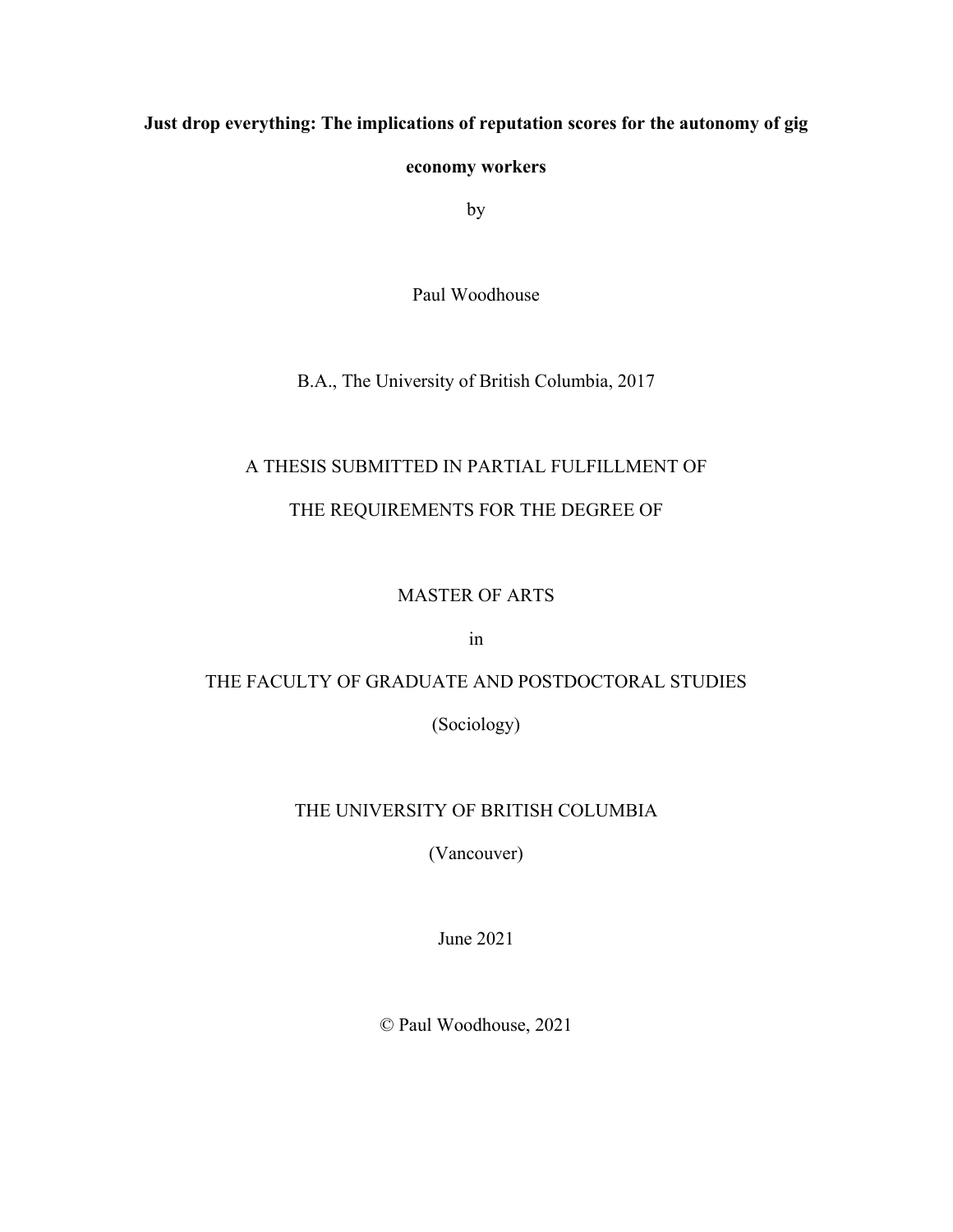# **Just drop everything: The implications of reputation scores for the autonomy of gig**

## **economy workers**

by

Paul Woodhouse

B.A., The University of British Columbia, 2017

## A THESIS SUBMITTED IN PARTIAL FULFILLMENT OF

## THE REQUIREMENTS FOR THE DEGREE OF

## MASTER OF ARTS

in

# THE FACULTY OF GRADUATE AND POSTDOCTORAL STUDIES

(Sociology)

## THE UNIVERSITY OF BRITISH COLUMBIA

(Vancouver)

June 2021

© Paul Woodhouse, 2021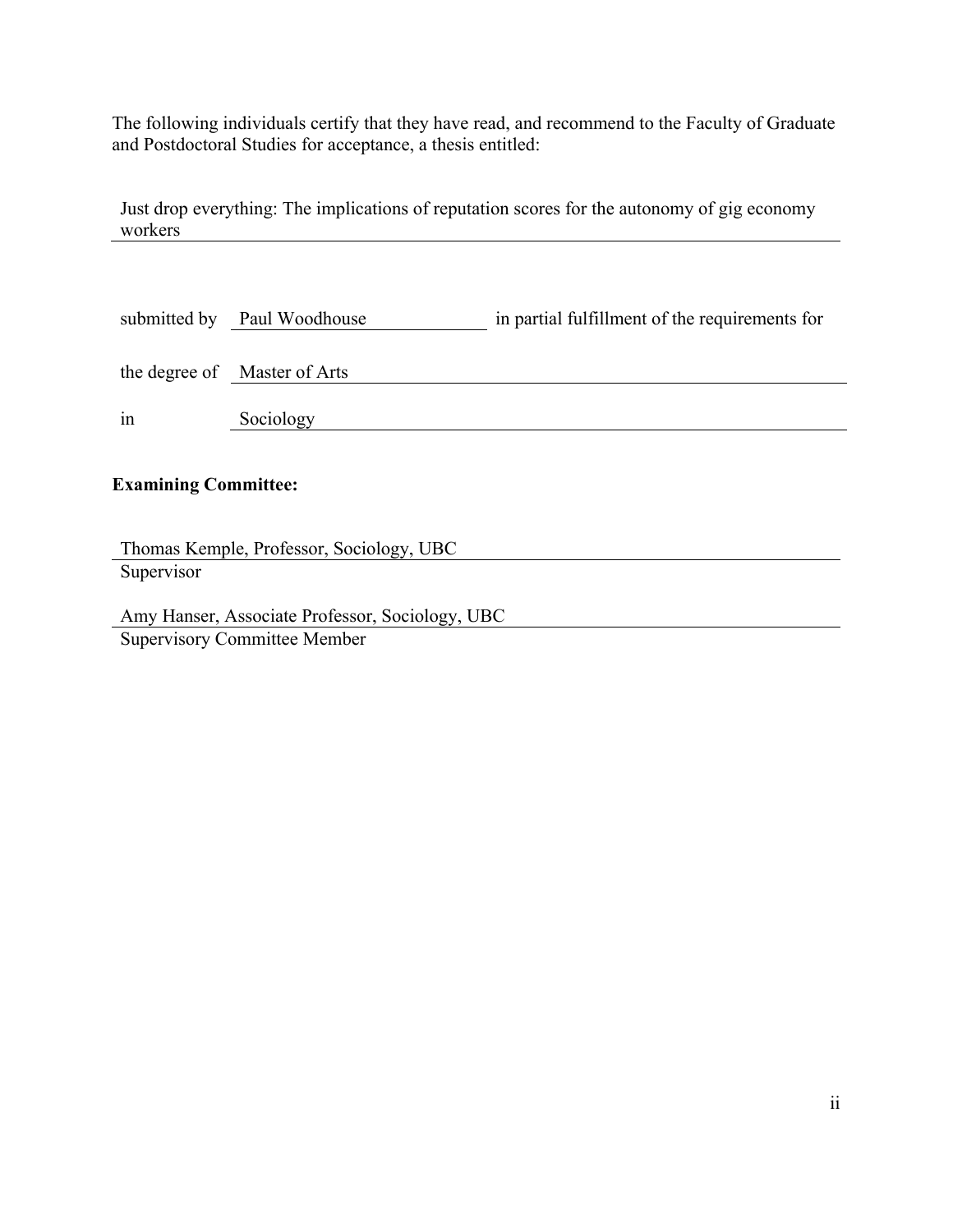The following individuals certify that they have read, and recommend to the Faculty of Graduate and Postdoctoral Studies for acceptance, a thesis entitled:

Just drop everything: The implications of reputation scores for the autonomy of gig economy workers

|    | submitted by Paul Woodhouse  | in partial fulfillment of the requirements for |
|----|------------------------------|------------------------------------------------|
|    | the degree of Master of Arts |                                                |
| in | Sociology                    |                                                |
|    |                              |                                                |

# **Examining Committee:**

Thomas Kemple, Professor, Sociology, UBC **Supervisor** 

Amy Hanser, Associate Professor, Sociology, UBC Supervisory Committee Member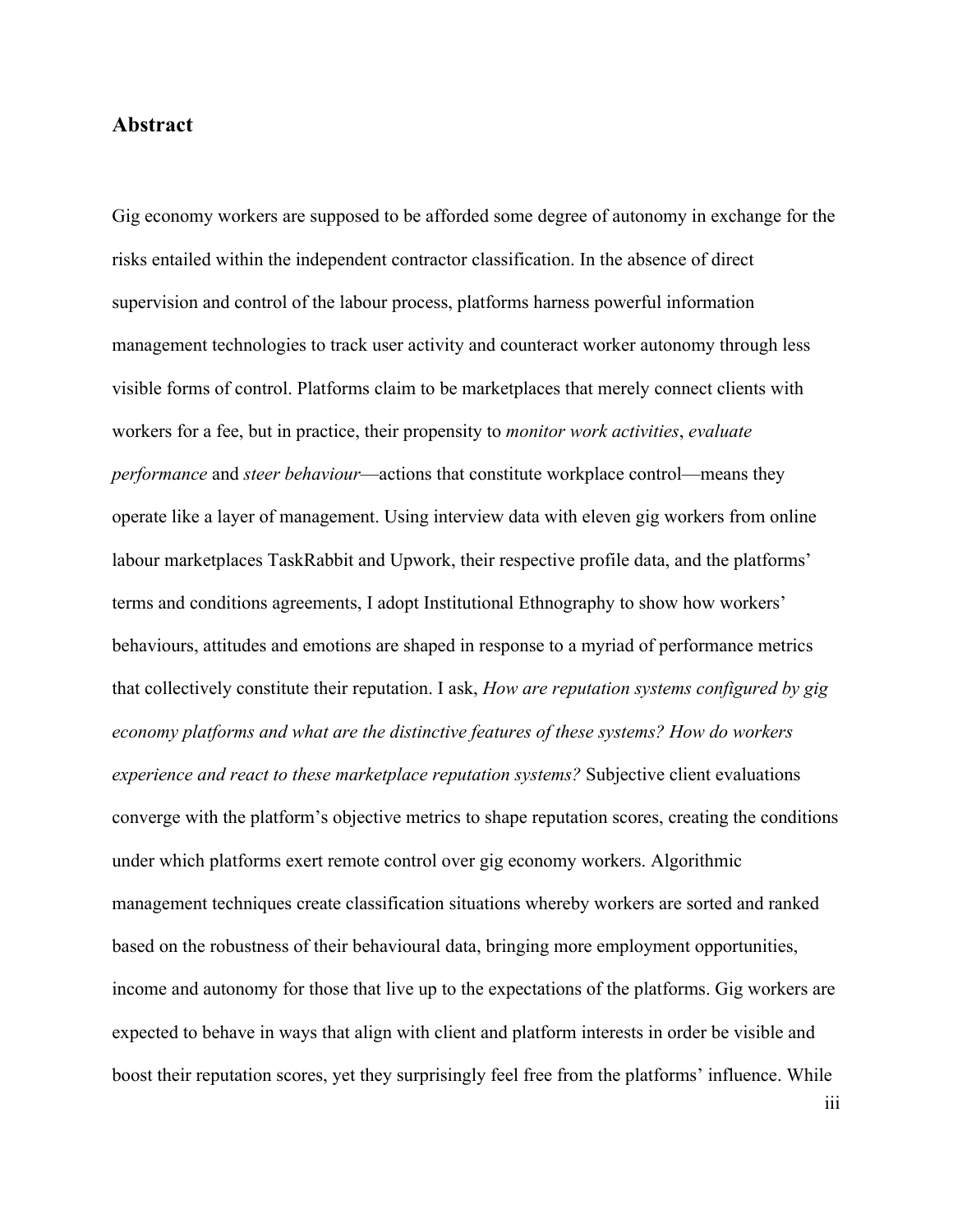### **Abstract**

Gig economy workers are supposed to be afforded some degree of autonomy in exchange for the risks entailed within the independent contractor classification. In the absence of direct supervision and control of the labour process, platforms harness powerful information management technologies to track user activity and counteract worker autonomy through less visible forms of control. Platforms claim to be marketplaces that merely connect clients with workers for a fee, but in practice, their propensity to *monitor work activities*, *evaluate performance* and *steer behaviour*—actions that constitute workplace control—means they operate like a layer of management. Using interview data with eleven gig workers from online labour marketplaces TaskRabbit and Upwork, their respective profile data, and the platforms' terms and conditions agreements, I adopt Institutional Ethnography to show how workers' behaviours, attitudes and emotions are shaped in response to a myriad of performance metrics that collectively constitute their reputation. I ask, *How are reputation systems configured by gig economy platforms and what are the distinctive features of these systems? How do workers experience and react to these marketplace reputation systems?* Subjective client evaluations converge with the platform's objective metrics to shape reputation scores, creating the conditions under which platforms exert remote control over gig economy workers. Algorithmic management techniques create classification situations whereby workers are sorted and ranked based on the robustness of their behavioural data, bringing more employment opportunities, income and autonomy for those that live up to the expectations of the platforms. Gig workers are expected to behave in ways that align with client and platform interests in order be visible and boost their reputation scores, yet they surprisingly feel free from the platforms' influence. While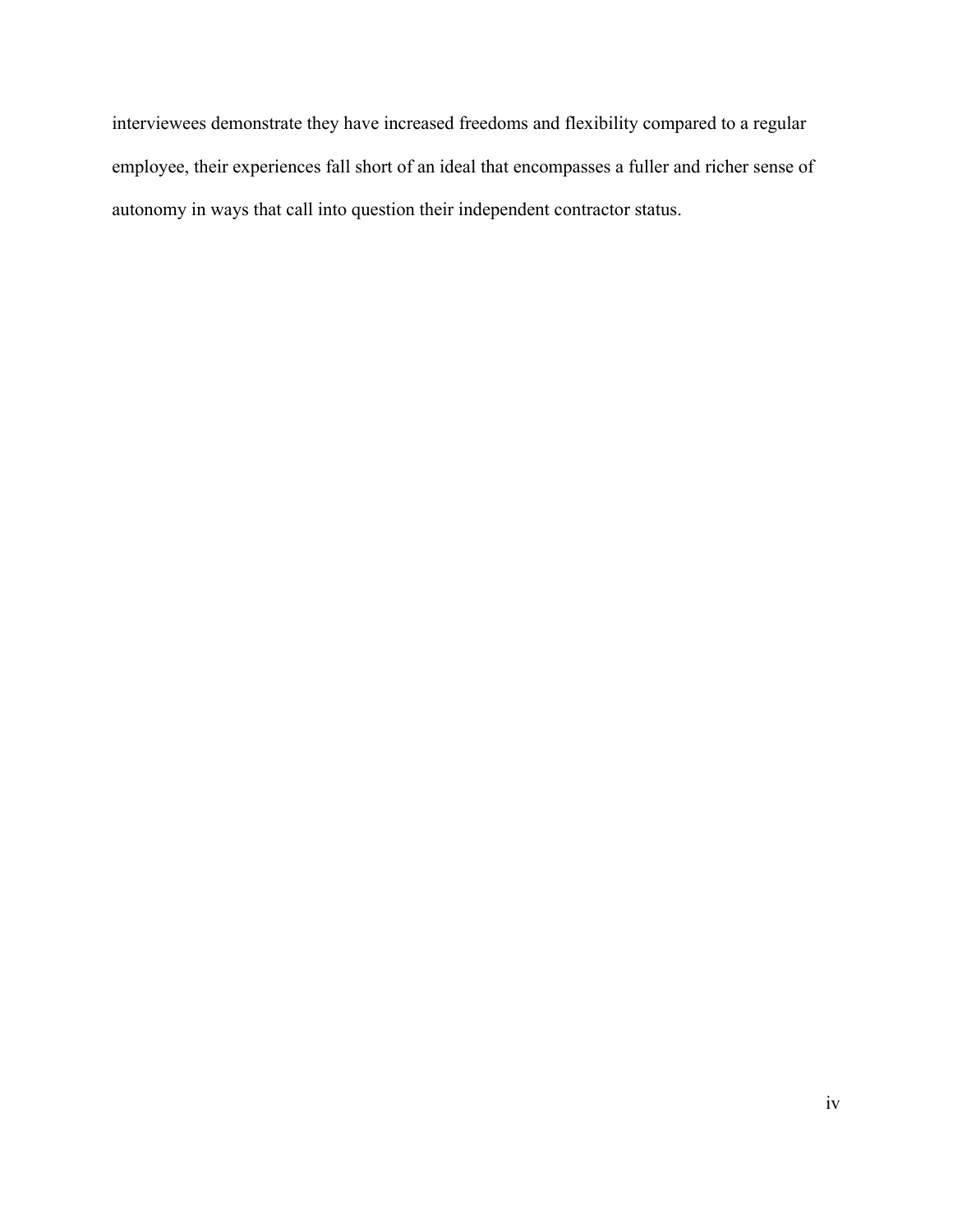interviewees demonstrate they have increased freedoms and flexibility compared to a regular employee, their experiences fall short of an ideal that encompasses a fuller and richer sense of autonomy in ways that call into question their independent contractor status.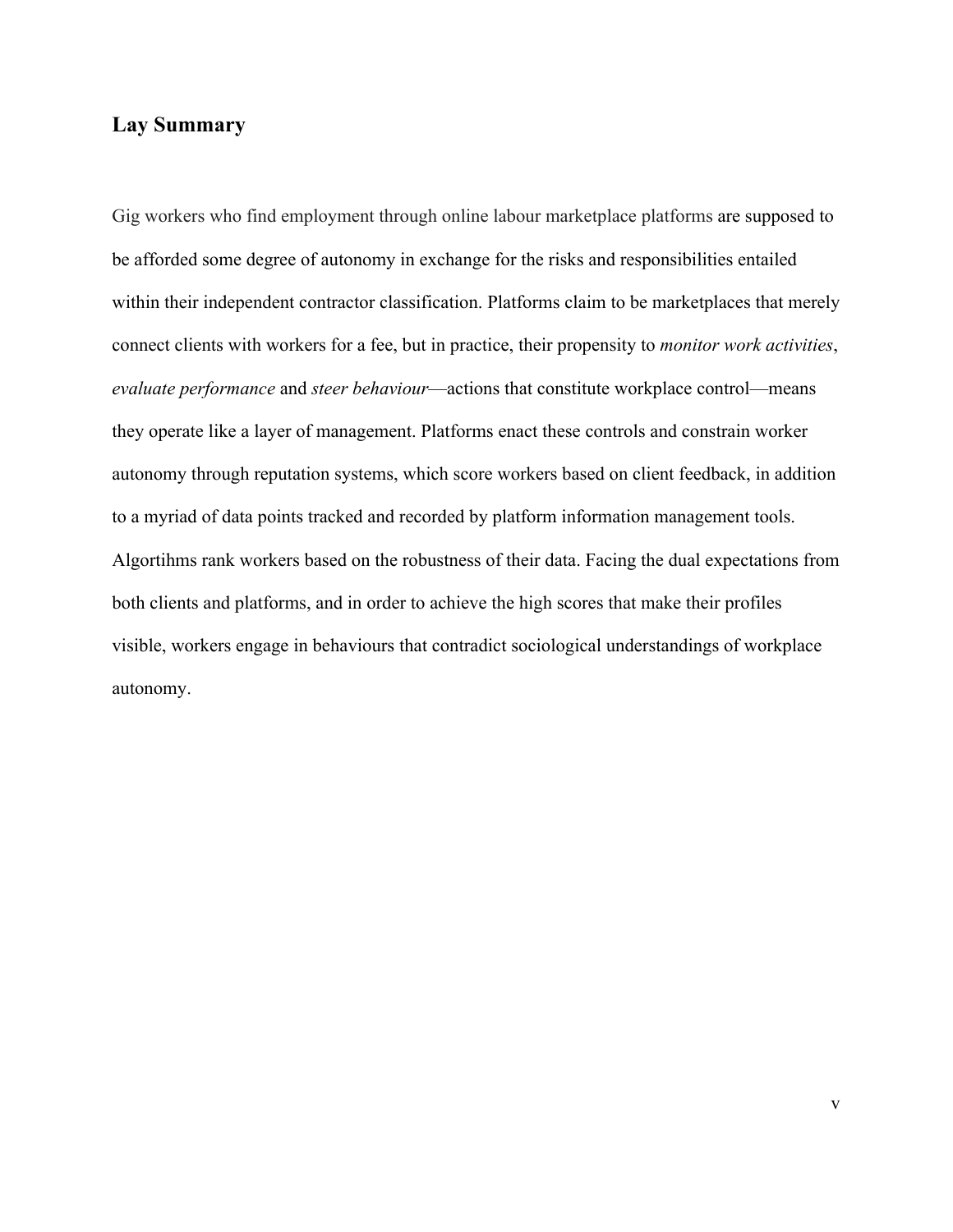# **Lay Summary**

Gig workers who find employment through online labour marketplace platforms are supposed to be afforded some degree of autonomy in exchange for the risks and responsibilities entailed within their independent contractor classification. Platforms claim to be marketplaces that merely connect clients with workers for a fee, but in practice, their propensity to *monitor work activities*, *evaluate performance* and *steer behaviour*—actions that constitute workplace control—means they operate like a layer of management. Platforms enact these controls and constrain worker autonomy through reputation systems, which score workers based on client feedback, in addition to a myriad of data points tracked and recorded by platform information management tools. Algortihms rank workers based on the robustness of their data. Facing the dual expectations from both clients and platforms, and in order to achieve the high scores that make their profiles visible, workers engage in behaviours that contradict sociological understandings of workplace autonomy.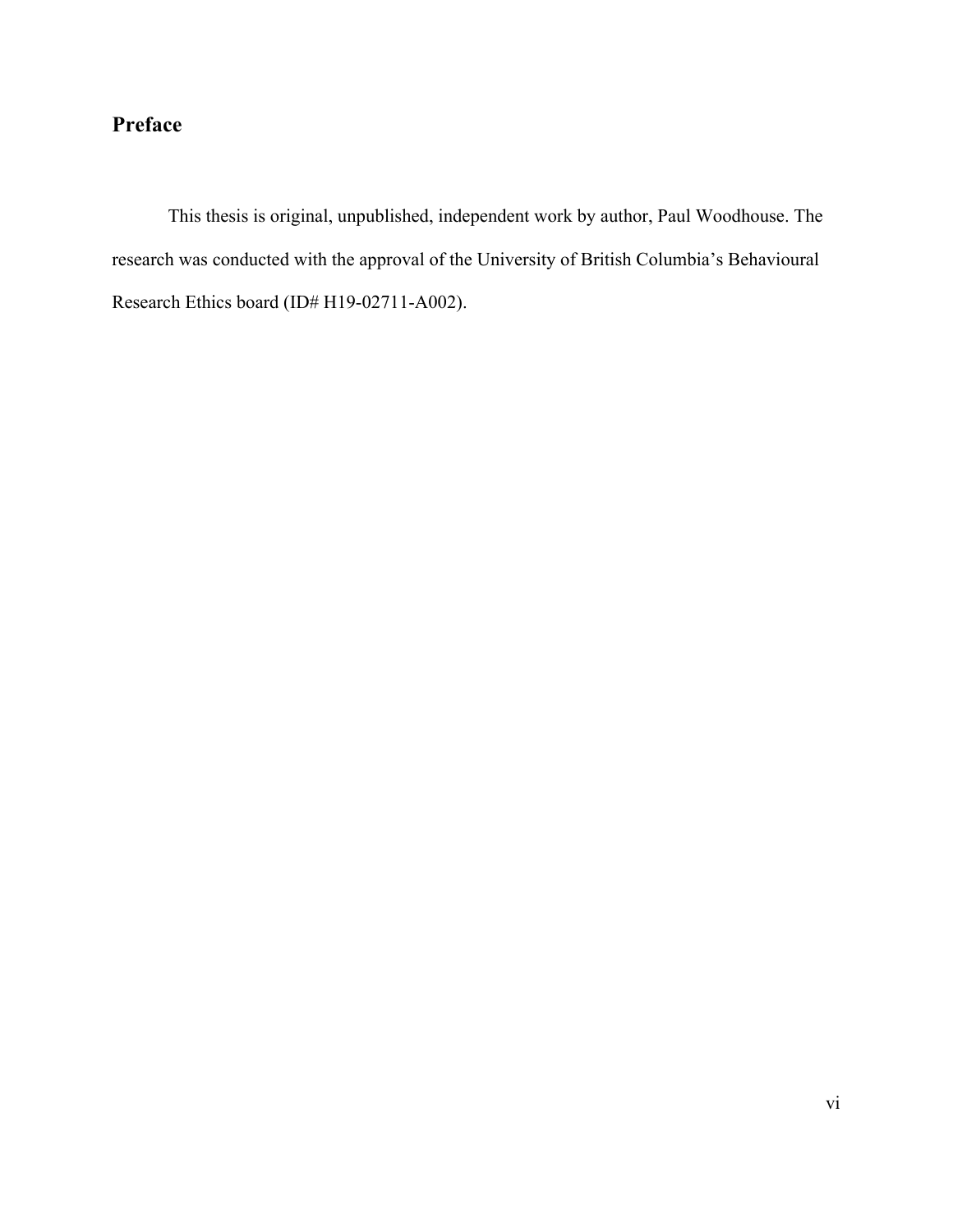# **Preface**

This thesis is original, unpublished, independent work by author, Paul Woodhouse. The research was conducted with the approval of the University of British Columbia's Behavioural Research Ethics board (ID# H19-02711-A002).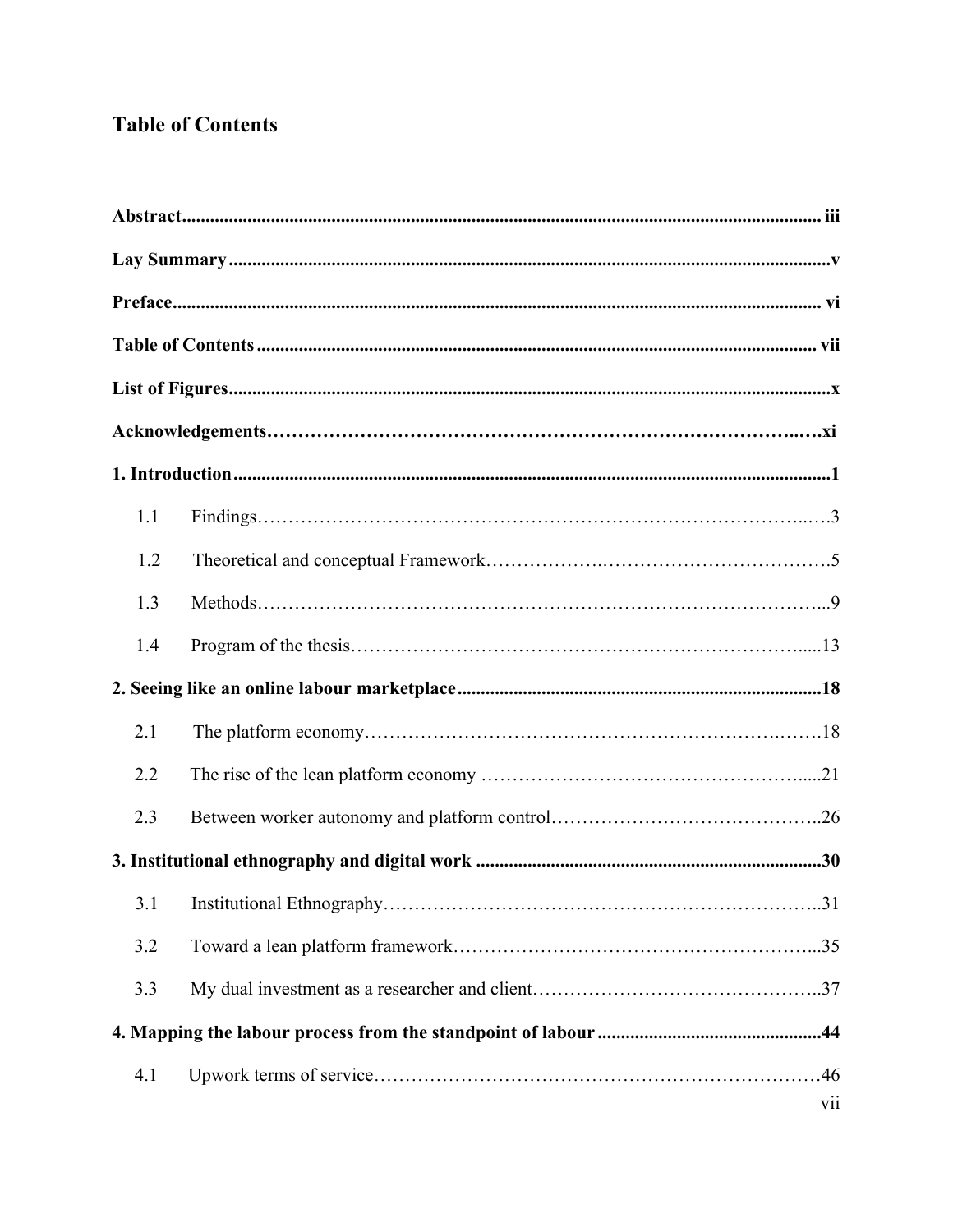# **Table of Contents**

| 1.1 |     |  |
|-----|-----|--|
| 1.2 |     |  |
| 1.3 |     |  |
| 1.4 |     |  |
|     |     |  |
| 2.1 |     |  |
| 2.2 |     |  |
| 2.3 |     |  |
|     |     |  |
|     |     |  |
| 3.2 |     |  |
| 3.3 |     |  |
|     |     |  |
| 4.1 | vii |  |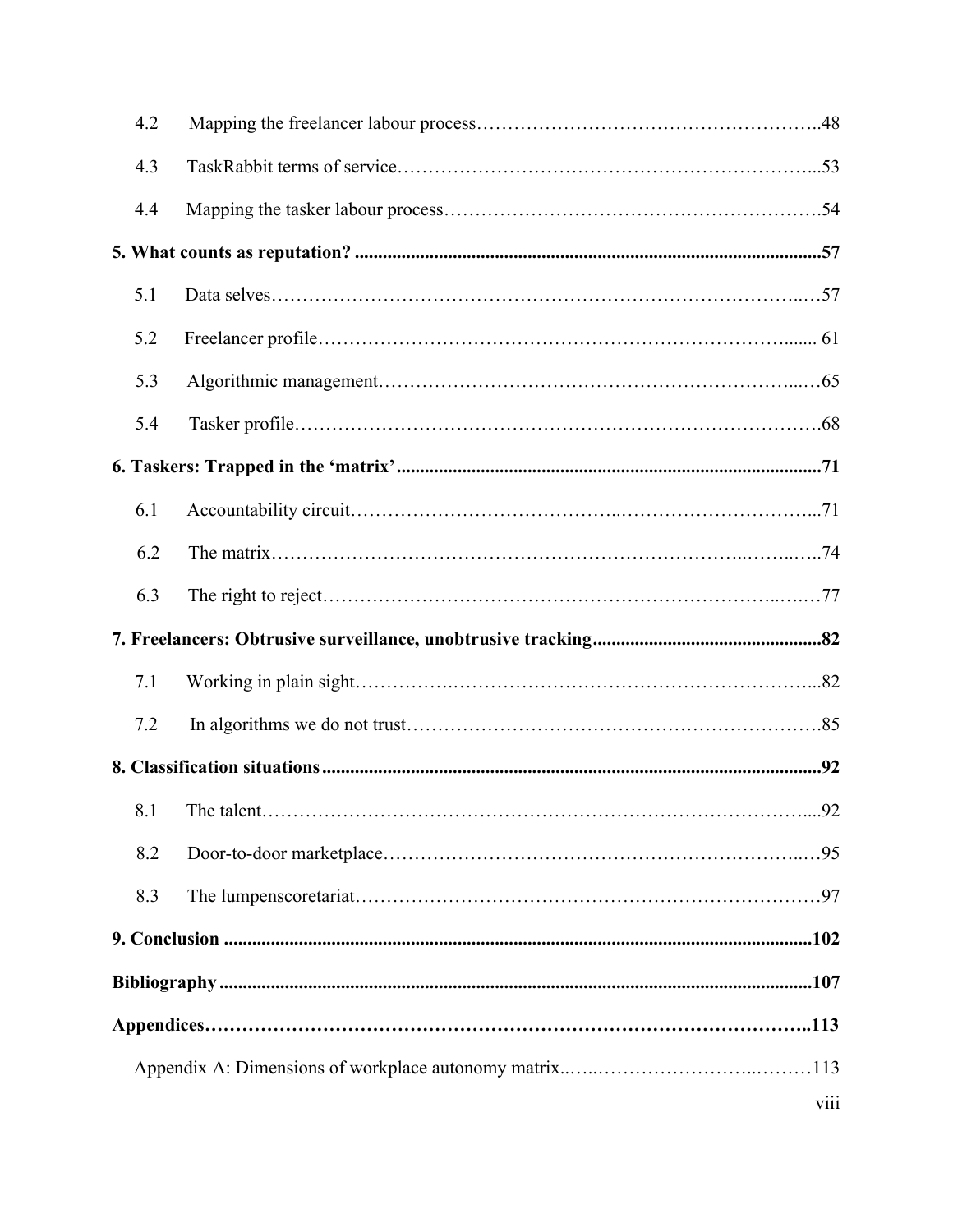| 4.2 |  |  |
|-----|--|--|
| 4.3 |  |  |
| 4.4 |  |  |
|     |  |  |
| 5.1 |  |  |
| 5.2 |  |  |
| 5.3 |  |  |
| 5.4 |  |  |
|     |  |  |
| 6.1 |  |  |
| 6.2 |  |  |
| 6.3 |  |  |
|     |  |  |
| 7.1 |  |  |
|     |  |  |
| 7.2 |  |  |
|     |  |  |
|     |  |  |
| 8.2 |  |  |
| 8.3 |  |  |
|     |  |  |
|     |  |  |
|     |  |  |
|     |  |  |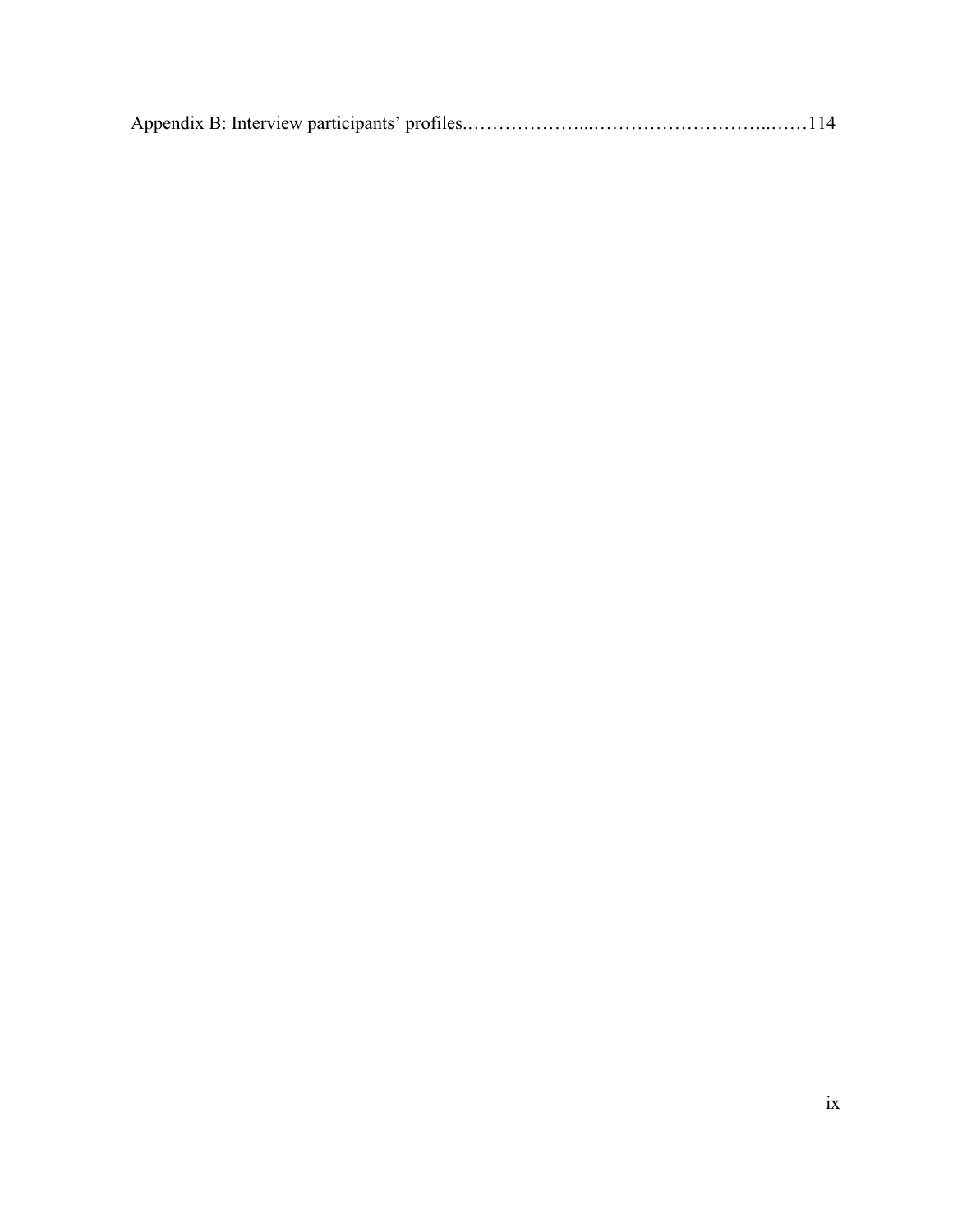|--|--|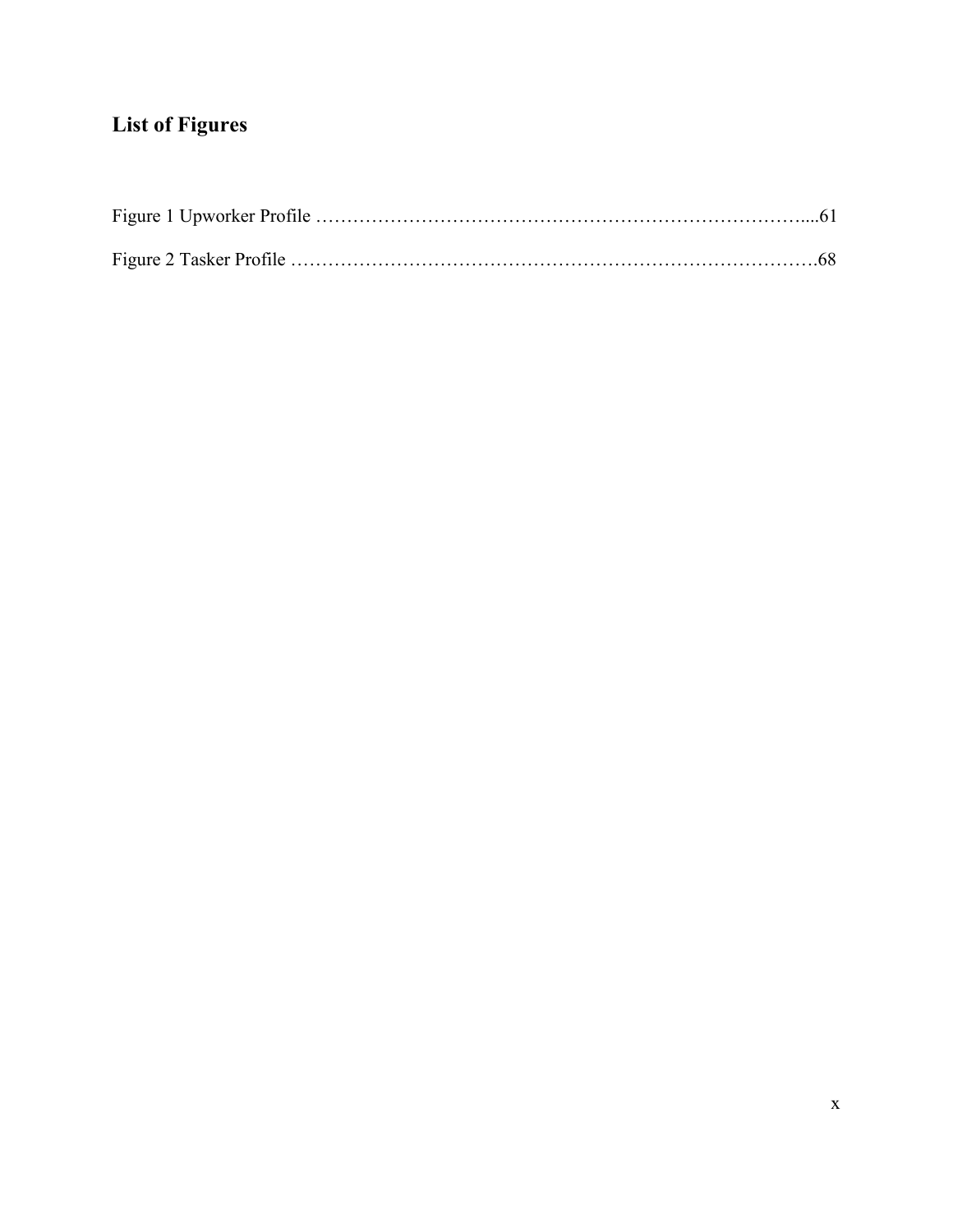# **List of Figures**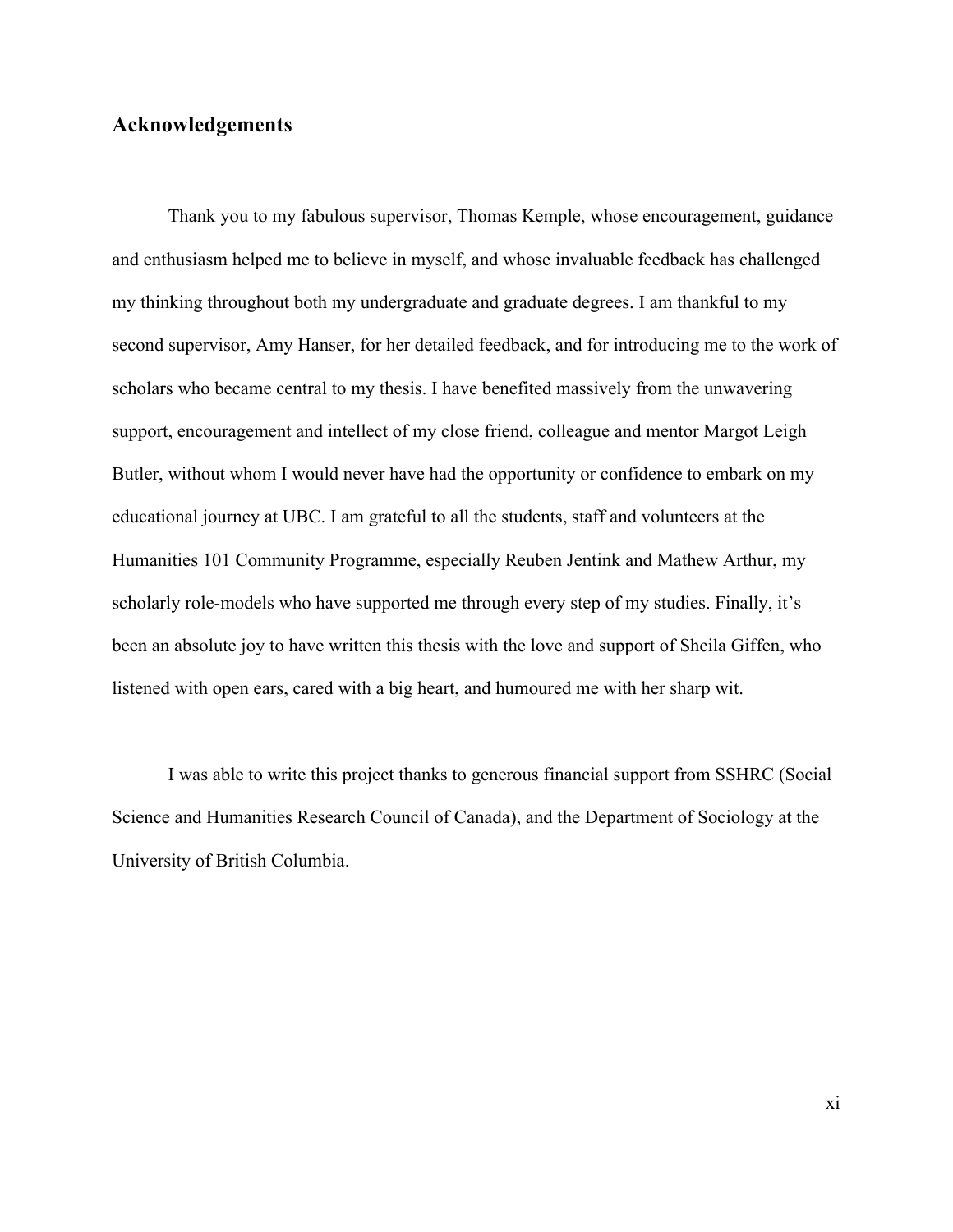### **Acknowledgements**

Thank you to my fabulous supervisor, Thomas Kemple, whose encouragement, guidance and enthusiasm helped me to believe in myself, and whose invaluable feedback has challenged my thinking throughout both my undergraduate and graduate degrees. I am thankful to my second supervisor, Amy Hanser, for her detailed feedback, and for introducing me to the work of scholars who became central to my thesis. I have benefited massively from the unwavering support, encouragement and intellect of my close friend, colleague and mentor Margot Leigh Butler, without whom I would never have had the opportunity or confidence to embark on my educational journey at UBC. I am grateful to all the students, staff and volunteers at the Humanities 101 Community Programme, especially Reuben Jentink and Mathew Arthur, my scholarly role-models who have supported me through every step of my studies. Finally, it's been an absolute joy to have written this thesis with the love and support of Sheila Giffen, who listened with open ears, cared with a big heart, and humoured me with her sharp wit.

I was able to write this project thanks to generous financial support from SSHRC (Social Science and Humanities Research Council of Canada), and the Department of Sociology at the University of British Columbia.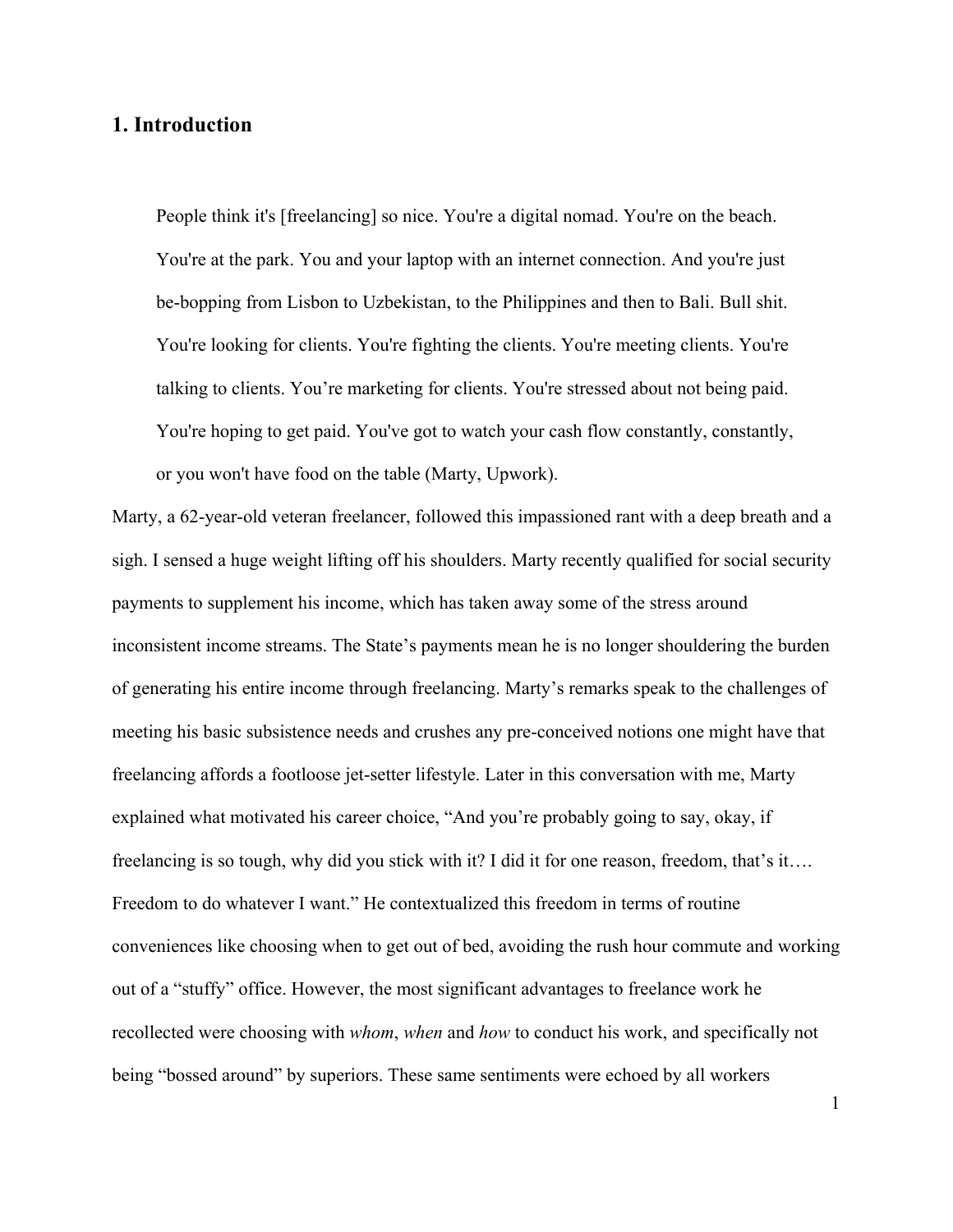## **1. Introduction**

People think it's [freelancing] so nice. You're a digital nomad. You're on the beach. You're at the park. You and your laptop with an internet connection. And you're just be-bopping from Lisbon to Uzbekistan, to the Philippines and then to Bali. Bull shit. You're looking for clients. You're fighting the clients. You're meeting clients. You're talking to clients. You're marketing for clients. You're stressed about not being paid. You're hoping to get paid. You've got to watch your cash flow constantly, constantly, or you won't have food on the table (Marty, Upwork).

Marty, a 62-year-old veteran freelancer, followed this impassioned rant with a deep breath and a sigh. I sensed a huge weight lifting off his shoulders. Marty recently qualified for social security payments to supplement his income, which has taken away some of the stress around inconsistent income streams. The State's payments mean he is no longer shouldering the burden of generating his entire income through freelancing. Marty's remarks speak to the challenges of meeting his basic subsistence needs and crushes any pre-conceived notions one might have that freelancing affords a footloose jet-setter lifestyle. Later in this conversation with me, Marty explained what motivated his career choice, "And you're probably going to say, okay, if freelancing is so tough, why did you stick with it? I did it for one reason, freedom, that's it…. Freedom to do whatever I want." He contextualized this freedom in terms of routine conveniences like choosing when to get out of bed, avoiding the rush hour commute and working out of a "stuffy" office. However, the most significant advantages to freelance work he recollected were choosing with *whom*, *when* and *how* to conduct his work, and specifically not being "bossed around" by superiors. These same sentiments were echoed by all workers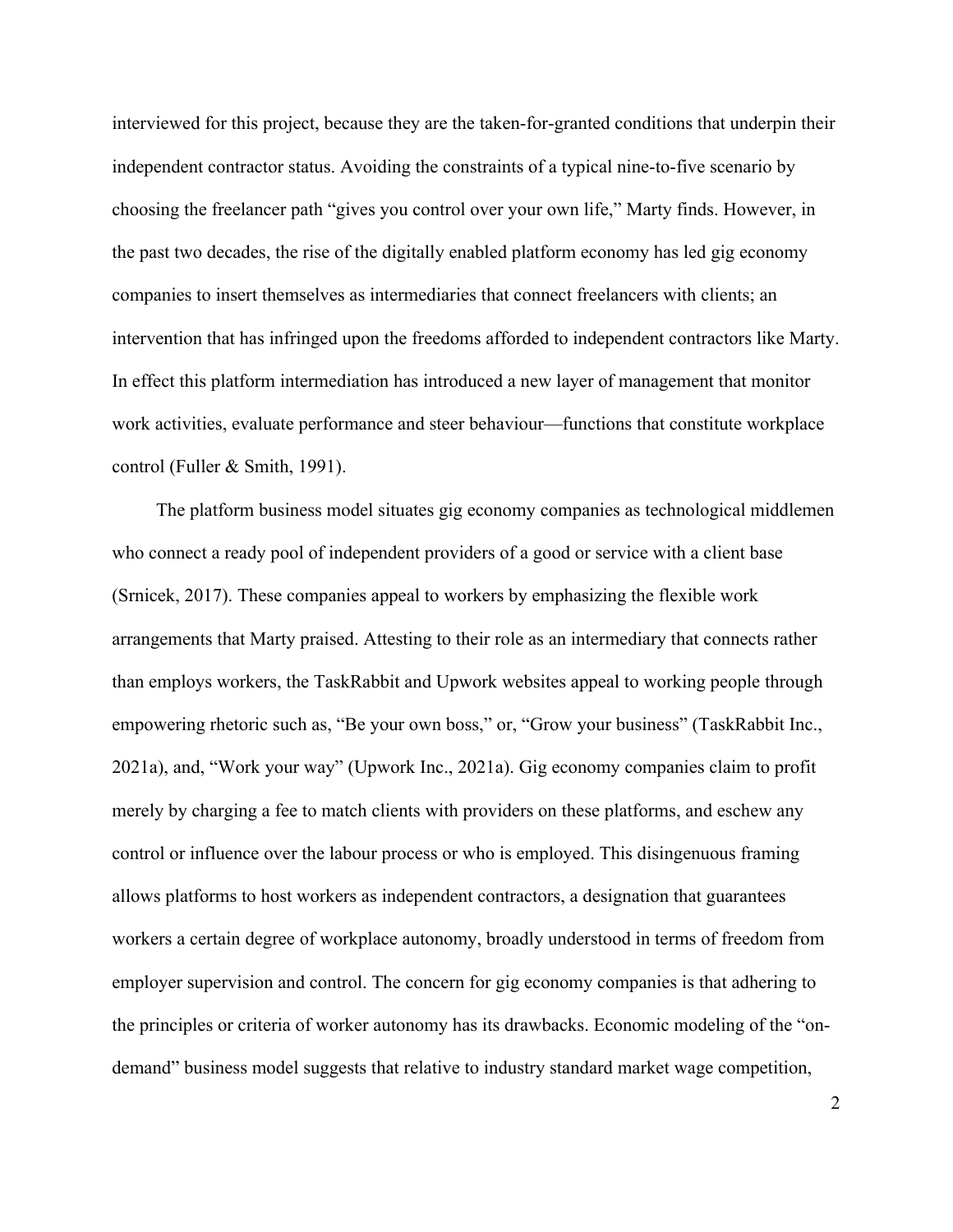interviewed for this project, because they are the taken-for-granted conditions that underpin their independent contractor status. Avoiding the constraints of a typical nine-to-five scenario by choosing the freelancer path "gives you control over your own life," Marty finds. However, in the past two decades, the rise of the digitally enabled platform economy has led gig economy companies to insert themselves as intermediaries that connect freelancers with clients; an intervention that has infringed upon the freedoms afforded to independent contractors like Marty. In effect this platform intermediation has introduced a new layer of management that monitor work activities, evaluate performance and steer behaviour—functions that constitute workplace control (Fuller & Smith, 1991).

The platform business model situates gig economy companies as technological middlemen who connect a ready pool of independent providers of a good or service with a client base (Srnicek, 2017). These companies appeal to workers by emphasizing the flexible work arrangements that Marty praised. Attesting to their role as an intermediary that connects rather than employs workers, the TaskRabbit and Upwork websites appeal to working people through empowering rhetoric such as, "Be your own boss," or, "Grow your business" (TaskRabbit Inc., 2021a), and, "Work your way" (Upwork Inc., 2021a). Gig economy companies claim to profit merely by charging a fee to match clients with providers on these platforms, and eschew any control or influence over the labour process or who is employed. This disingenuous framing allows platforms to host workers as independent contractors, a designation that guarantees workers a certain degree of workplace autonomy, broadly understood in terms of freedom from employer supervision and control. The concern for gig economy companies is that adhering to the principles or criteria of worker autonomy has its drawbacks. Economic modeling of the "ondemand" business model suggests that relative to industry standard market wage competition,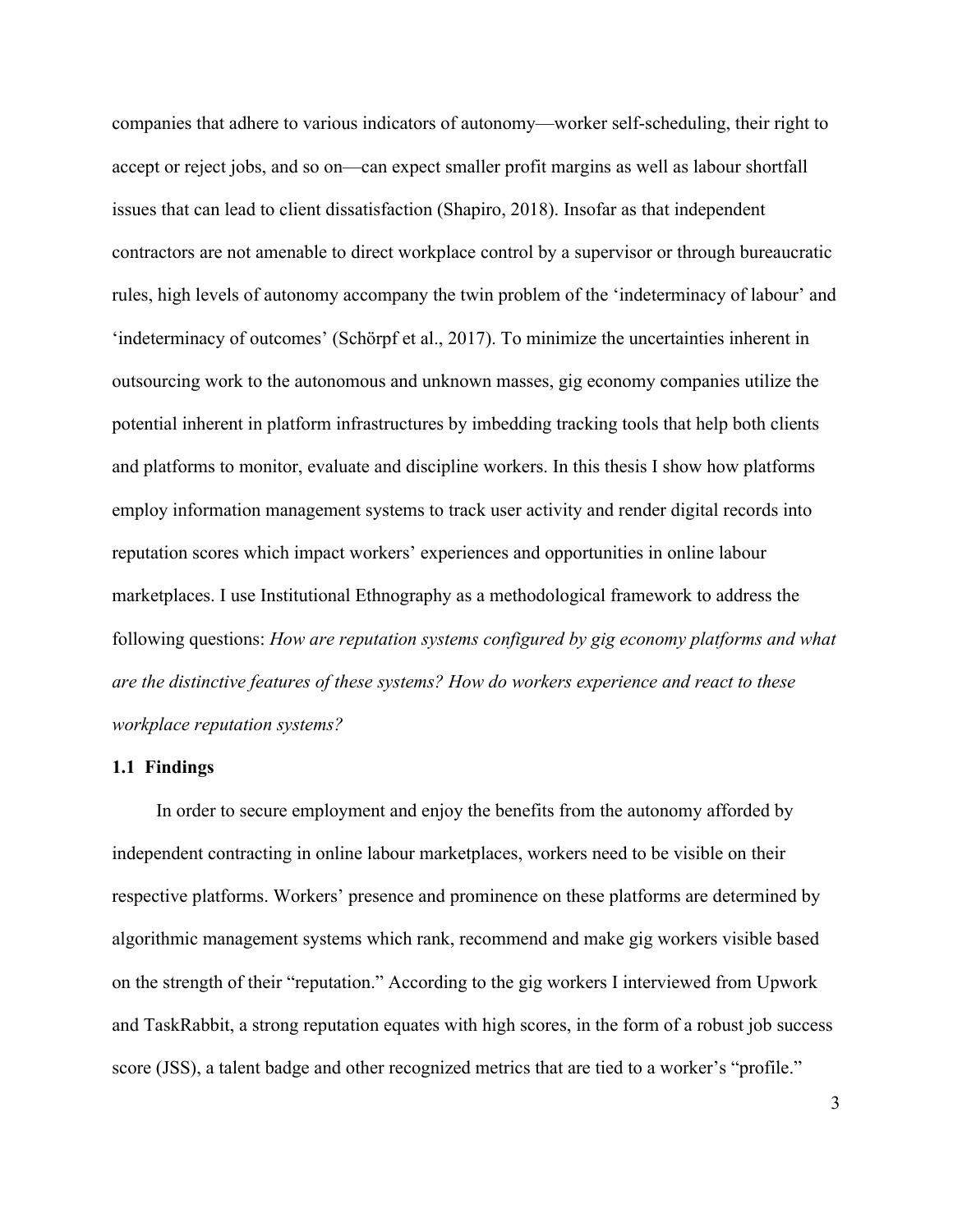companies that adhere to various indicators of autonomy—worker self-scheduling, their right to accept or reject jobs, and so on—can expect smaller profit margins as well as labour shortfall issues that can lead to client dissatisfaction (Shapiro, 2018). Insofar as that independent contractors are not amenable to direct workplace control by a supervisor or through bureaucratic rules, high levels of autonomy accompany the twin problem of the 'indeterminacy of labour' and 'indeterminacy of outcomes' (Schörpf et al., 2017). To minimize the uncertainties inherent in outsourcing work to the autonomous and unknown masses, gig economy companies utilize the potential inherent in platform infrastructures by imbedding tracking tools that help both clients and platforms to monitor, evaluate and discipline workers. In this thesis I show how platforms employ information management systems to track user activity and render digital records into reputation scores which impact workers' experiences and opportunities in online labour marketplaces. I use Institutional Ethnography as a methodological framework to address the following questions: *How are reputation systems configured by gig economy platforms and what are the distinctive features of these systems? How do workers experience and react to these workplace reputation systems?*

#### **1.1 Findings**

In order to secure employment and enjoy the benefits from the autonomy afforded by independent contracting in online labour marketplaces, workers need to be visible on their respective platforms. Workers' presence and prominence on these platforms are determined by algorithmic management systems which rank, recommend and make gig workers visible based on the strength of their "reputation." According to the gig workers I interviewed from Upwork and TaskRabbit, a strong reputation equates with high scores, in the form of a robust job success score (JSS), a talent badge and other recognized metrics that are tied to a worker's "profile."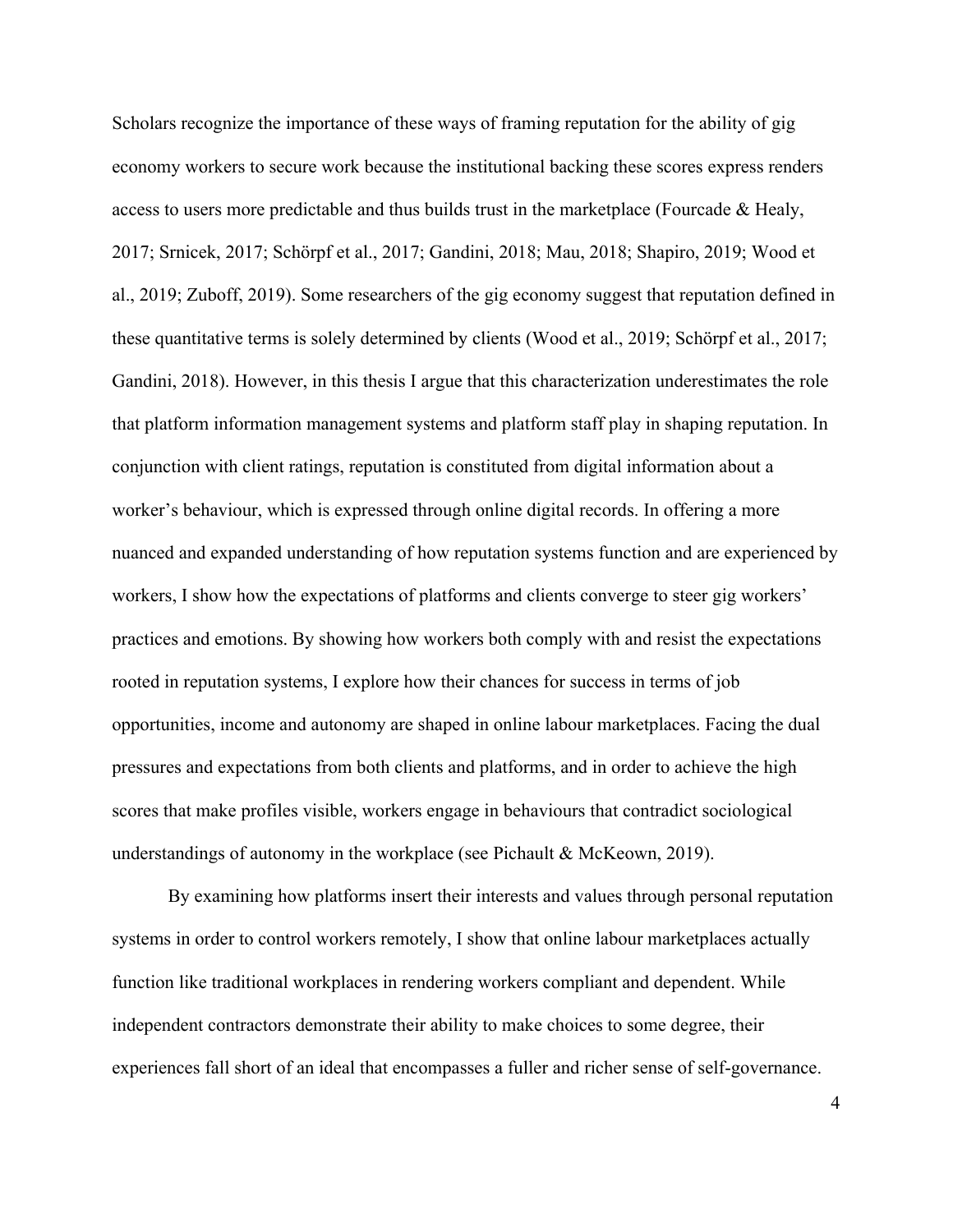Scholars recognize the importance of these ways of framing reputation for the ability of gig economy workers to secure work because the institutional backing these scores express renders access to users more predictable and thus builds trust in the marketplace (Fourcade & Healy, 2017; Srnicek, 2017; Schörpf et al., 2017; Gandini, 2018; Mau, 2018; Shapiro, 2019; Wood et al., 2019; Zuboff, 2019). Some researchers of the gig economy suggest that reputation defined in these quantitative terms is solely determined by clients (Wood et al., 2019; Schörpf et al., 2017; Gandini, 2018). However, in this thesis I argue that this characterization underestimates the role that platform information management systems and platform staff play in shaping reputation. In conjunction with client ratings, reputation is constituted from digital information about a worker's behaviour, which is expressed through online digital records. In offering a more nuanced and expanded understanding of how reputation systems function and are experienced by workers, I show how the expectations of platforms and clients converge to steer gig workers' practices and emotions. By showing how workers both comply with and resist the expectations rooted in reputation systems, I explore how their chances for success in terms of job opportunities, income and autonomy are shaped in online labour marketplaces. Facing the dual pressures and expectations from both clients and platforms, and in order to achieve the high scores that make profiles visible, workers engage in behaviours that contradict sociological understandings of autonomy in the workplace (see Pichault & McKeown, 2019).

By examining how platforms insert their interests and values through personal reputation systems in order to control workers remotely, I show that online labour marketplaces actually function like traditional workplaces in rendering workers compliant and dependent. While independent contractors demonstrate their ability to make choices to some degree, their experiences fall short of an ideal that encompasses a fuller and richer sense of self-governance.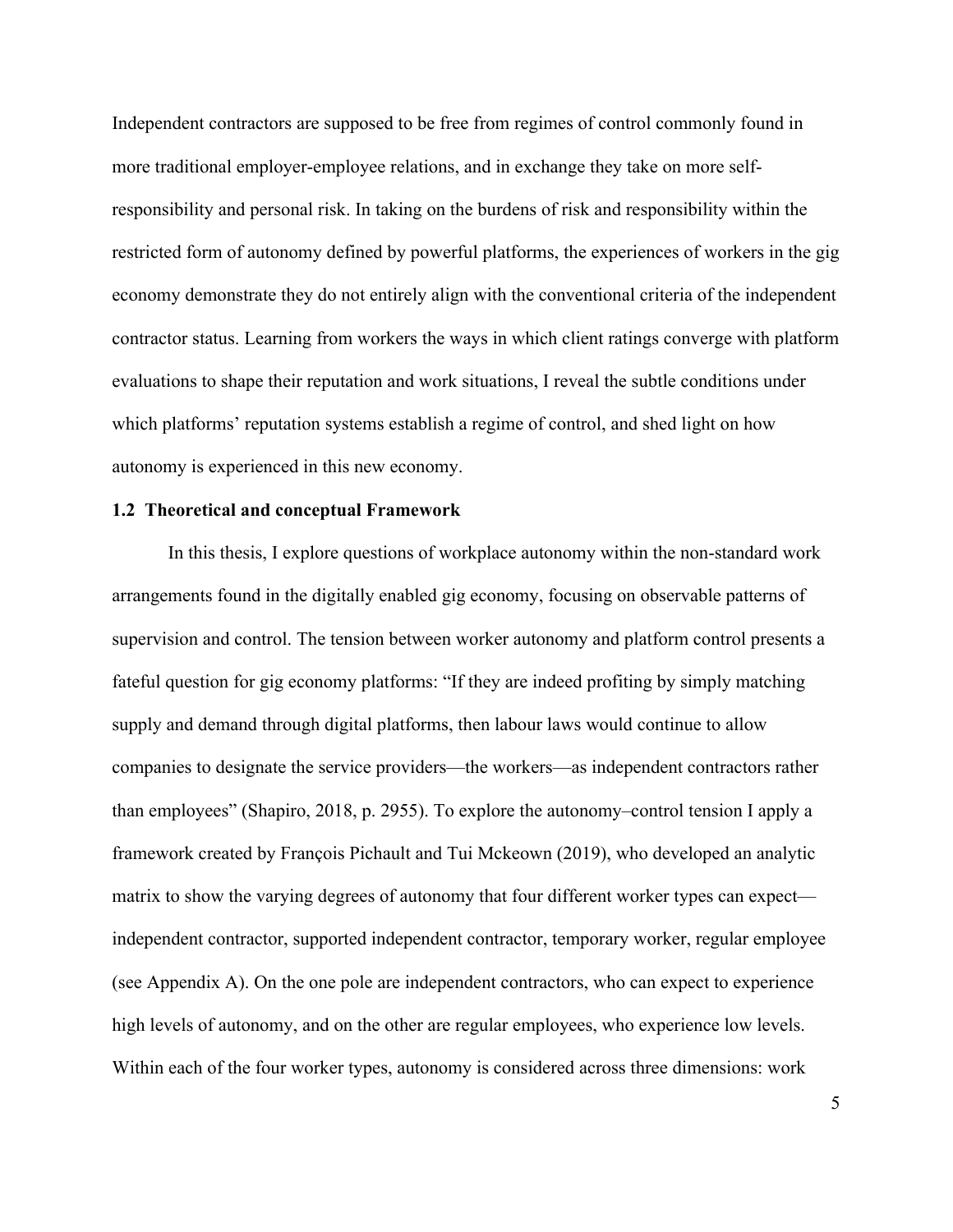Independent contractors are supposed to be free from regimes of control commonly found in more traditional employer-employee relations, and in exchange they take on more selfresponsibility and personal risk. In taking on the burdens of risk and responsibility within the restricted form of autonomy defined by powerful platforms, the experiences of workers in the gig economy demonstrate they do not entirely align with the conventional criteria of the independent contractor status. Learning from workers the ways in which client ratings converge with platform evaluations to shape their reputation and work situations, I reveal the subtle conditions under which platforms' reputation systems establish a regime of control, and shed light on how autonomy is experienced in this new economy.

#### **1.2 Theoretical and conceptual Framework**

In this thesis, I explore questions of workplace autonomy within the non-standard work arrangements found in the digitally enabled gig economy, focusing on observable patterns of supervision and control. The tension between worker autonomy and platform control presents a fateful question for gig economy platforms: "If they are indeed profiting by simply matching supply and demand through digital platforms, then labour laws would continue to allow companies to designate the service providers—the workers—as independent contractors rather than employees" (Shapiro, 2018, p. 2955). To explore the autonomy–control tension I apply a framework created by François Pichault and Tui Mckeown (2019), who developed an analytic matrix to show the varying degrees of autonomy that four different worker types can expect independent contractor, supported independent contractor, temporary worker, regular employee (see Appendix A). On the one pole are independent contractors, who can expect to experience high levels of autonomy, and on the other are regular employees, who experience low levels. Within each of the four worker types, autonomy is considered across three dimensions: work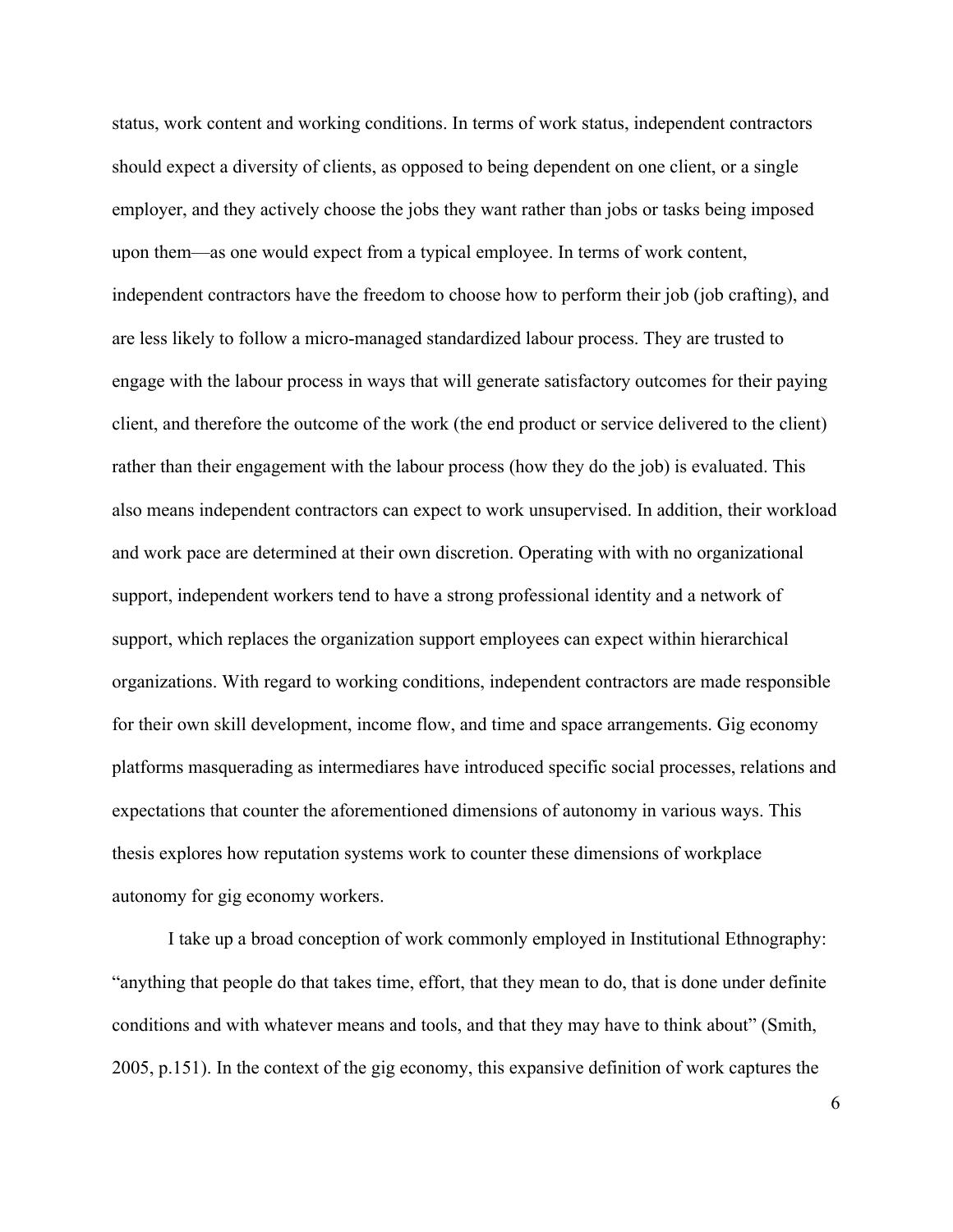status, work content and working conditions. In terms of work status, independent contractors should expect a diversity of clients, as opposed to being dependent on one client, or a single employer, and they actively choose the jobs they want rather than jobs or tasks being imposed upon them—as one would expect from a typical employee. In terms of work content, independent contractors have the freedom to choose how to perform their job (job crafting), and are less likely to follow a micro-managed standardized labour process. They are trusted to engage with the labour process in ways that will generate satisfactory outcomes for their paying client, and therefore the outcome of the work (the end product or service delivered to the client) rather than their engagement with the labour process (how they do the job) is evaluated. This also means independent contractors can expect to work unsupervised. In addition, their workload and work pace are determined at their own discretion. Operating with with no organizational support, independent workers tend to have a strong professional identity and a network of support, which replaces the organization support employees can expect within hierarchical organizations. With regard to working conditions, independent contractors are made responsible for their own skill development, income flow, and time and space arrangements. Gig economy platforms masquerading as intermediares have introduced specific social processes, relations and expectations that counter the aforementioned dimensions of autonomy in various ways. This thesis explores how reputation systems work to counter these dimensions of workplace autonomy for gig economy workers.

I take up a broad conception of work commonly employed in Institutional Ethnography: "anything that people do that takes time, effort, that they mean to do, that is done under definite conditions and with whatever means and tools, and that they may have to think about" (Smith, 2005, p.151). In the context of the gig economy, this expansive definition of work captures the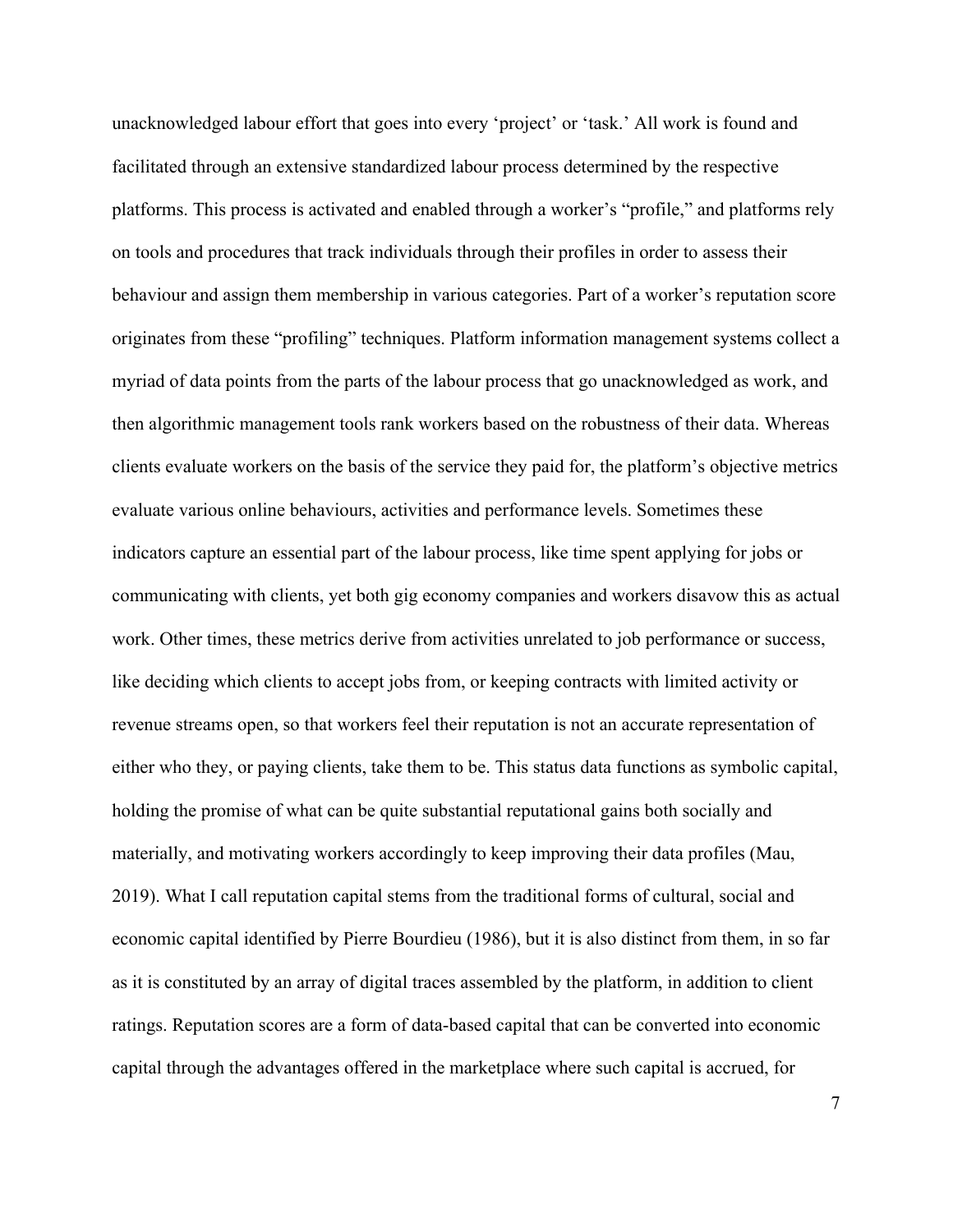unacknowledged labour effort that goes into every 'project' or 'task.' All work is found and facilitated through an extensive standardized labour process determined by the respective platforms. This process is activated and enabled through a worker's "profile," and platforms rely on tools and procedures that track individuals through their profiles in order to assess their behaviour and assign them membership in various categories. Part of a worker's reputation score originates from these "profiling" techniques. Platform information management systems collect a myriad of data points from the parts of the labour process that go unacknowledged as work, and then algorithmic management tools rank workers based on the robustness of their data. Whereas clients evaluate workers on the basis of the service they paid for, the platform's objective metrics evaluate various online behaviours, activities and performance levels. Sometimes these indicators capture an essential part of the labour process, like time spent applying for jobs or communicating with clients, yet both gig economy companies and workers disavow this as actual work. Other times, these metrics derive from activities unrelated to job performance or success, like deciding which clients to accept jobs from, or keeping contracts with limited activity or revenue streams open, so that workers feel their reputation is not an accurate representation of either who they, or paying clients, take them to be. This status data functions as symbolic capital, holding the promise of what can be quite substantial reputational gains both socially and materially, and motivating workers accordingly to keep improving their data profiles (Mau, 2019). What I call reputation capital stems from the traditional forms of cultural, social and economic capital identified by Pierre Bourdieu (1986), but it is also distinct from them, in so far as it is constituted by an array of digital traces assembled by the platform, in addition to client ratings. Reputation scores are a form of data-based capital that can be converted into economic capital through the advantages offered in the marketplace where such capital is accrued, for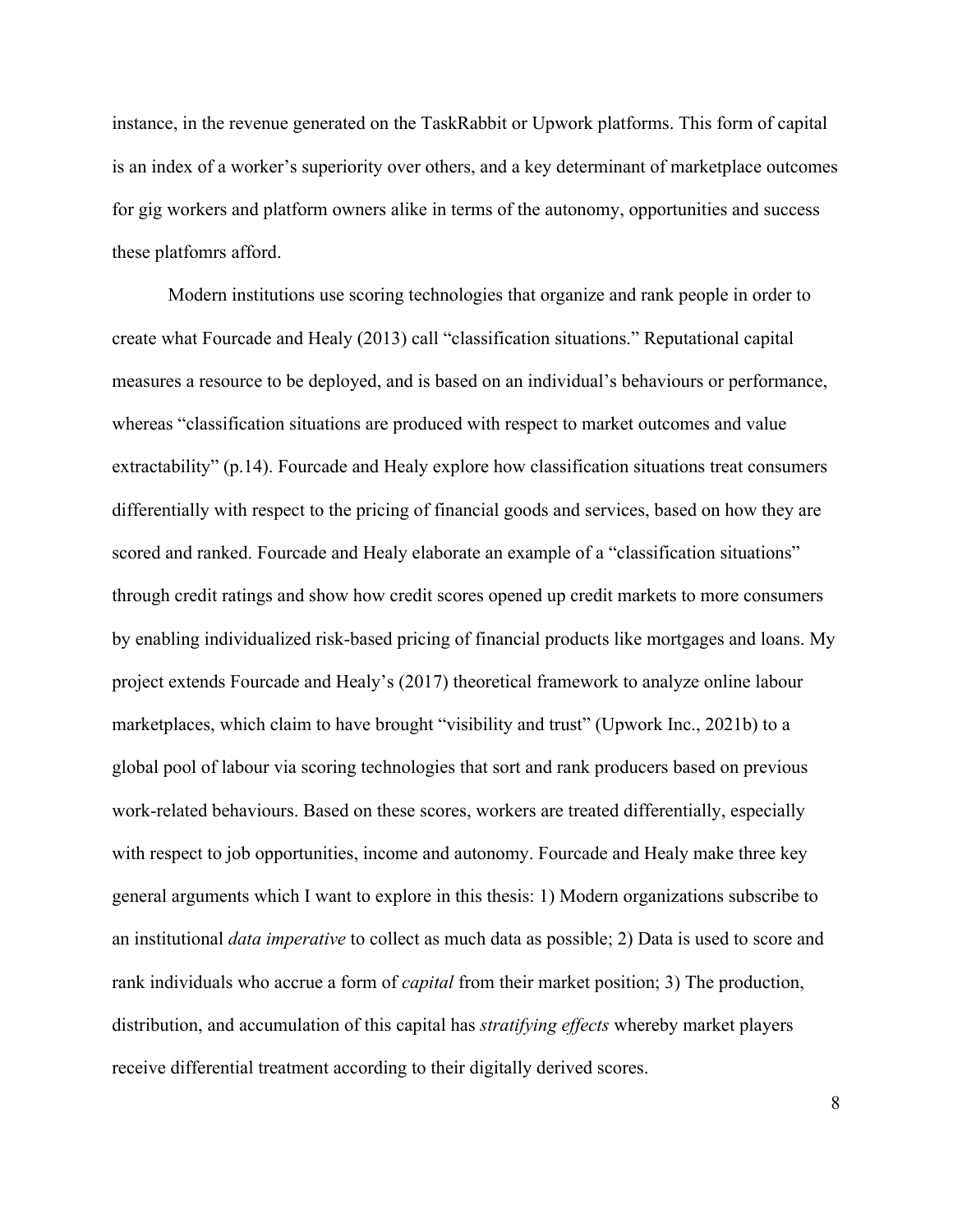instance, in the revenue generated on the TaskRabbit or Upwork platforms. This form of capital is an index of a worker's superiority over others, and a key determinant of marketplace outcomes for gig workers and platform owners alike in terms of the autonomy, opportunities and success these platfomrs afford.

Modern institutions use scoring technologies that organize and rank people in order to create what Fourcade and Healy (2013) call "classification situations." Reputational capital measures a resource to be deployed, and is based on an individual's behaviours or performance, whereas "classification situations are produced with respect to market outcomes and value extractability" (p.14). Fourcade and Healy explore how classification situations treat consumers differentially with respect to the pricing of financial goods and services, based on how they are scored and ranked. Fourcade and Healy elaborate an example of a "classification situations" through credit ratings and show how credit scores opened up credit markets to more consumers by enabling individualized risk-based pricing of financial products like mortgages and loans. My project extends Fourcade and Healy's (2017) theoretical framework to analyze online labour marketplaces, which claim to have brought "visibility and trust" (Upwork Inc., 2021b) to a global pool of labour via scoring technologies that sort and rank producers based on previous work-related behaviours. Based on these scores, workers are treated differentially, especially with respect to job opportunities, income and autonomy. Fourcade and Healy make three key general arguments which I want to explore in this thesis: 1) Modern organizations subscribe to an institutional *data imperative* to collect as much data as possible; 2) Data is used to score and rank individuals who accrue a form of *capital* from their market position; 3) The production, distribution, and accumulation of this capital has *stratifying effects* whereby market players receive differential treatment according to their digitally derived scores.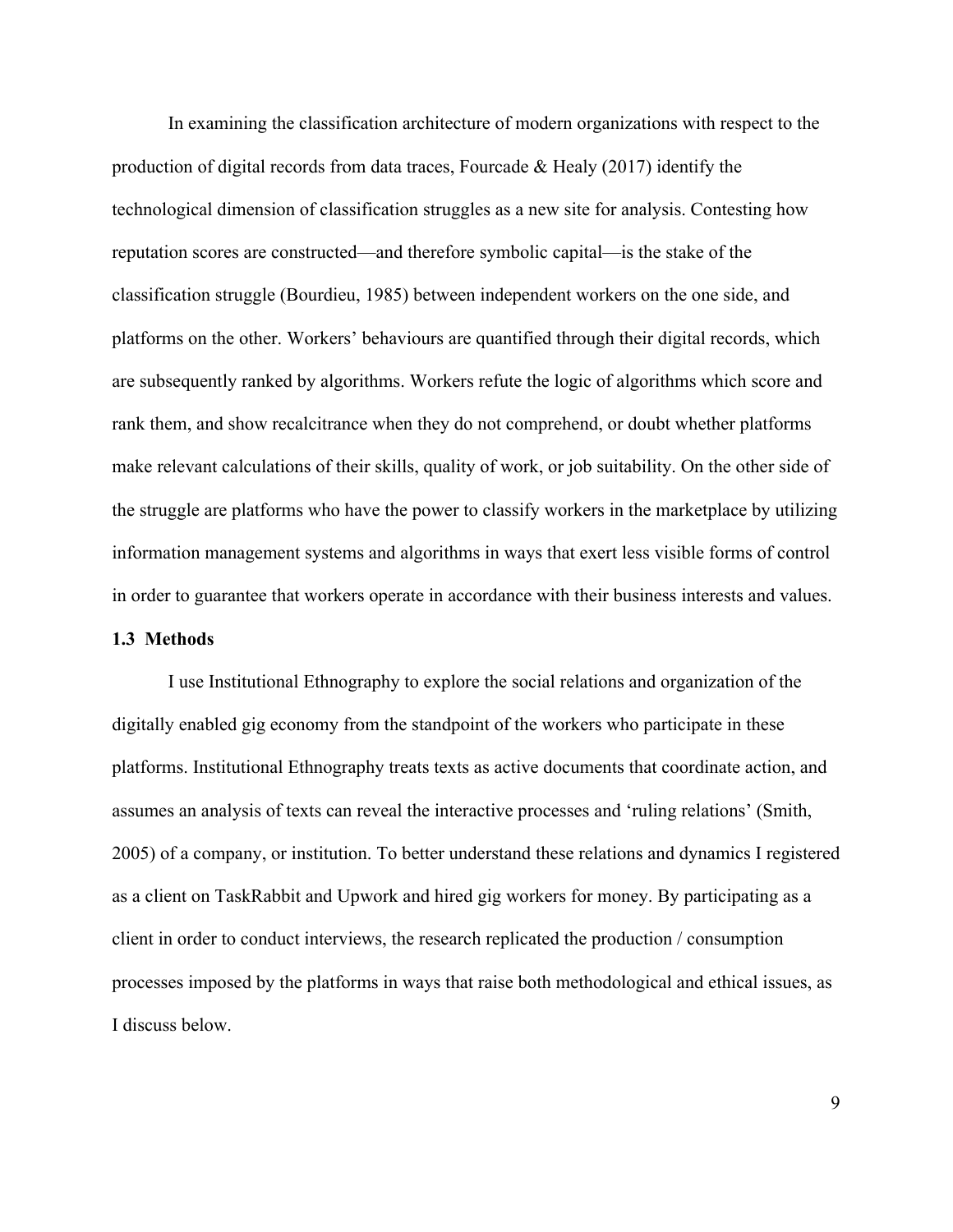In examining the classification architecture of modern organizations with respect to the production of digital records from data traces, Fourcade & Healy (2017) identify the technological dimension of classification struggles as a new site for analysis. Contesting how reputation scores are constructed—and therefore symbolic capital—is the stake of the classification struggle (Bourdieu, 1985) between independent workers on the one side, and platforms on the other. Workers' behaviours are quantified through their digital records, which are subsequently ranked by algorithms. Workers refute the logic of algorithms which score and rank them, and show recalcitrance when they do not comprehend, or doubt whether platforms make relevant calculations of their skills, quality of work, or job suitability. On the other side of the struggle are platforms who have the power to classify workers in the marketplace by utilizing information management systems and algorithms in ways that exert less visible forms of control in order to guarantee that workers operate in accordance with their business interests and values.

### **1.3 Methods**

I use Institutional Ethnography to explore the social relations and organization of the digitally enabled gig economy from the standpoint of the workers who participate in these platforms. Institutional Ethnography treats texts as active documents that coordinate action, and assumes an analysis of texts can reveal the interactive processes and 'ruling relations' (Smith, 2005) of a company, or institution. To better understand these relations and dynamics I registered as a client on TaskRabbit and Upwork and hired gig workers for money. By participating as a client in order to conduct interviews, the research replicated the production / consumption processes imposed by the platforms in ways that raise both methodological and ethical issues, as I discuss below.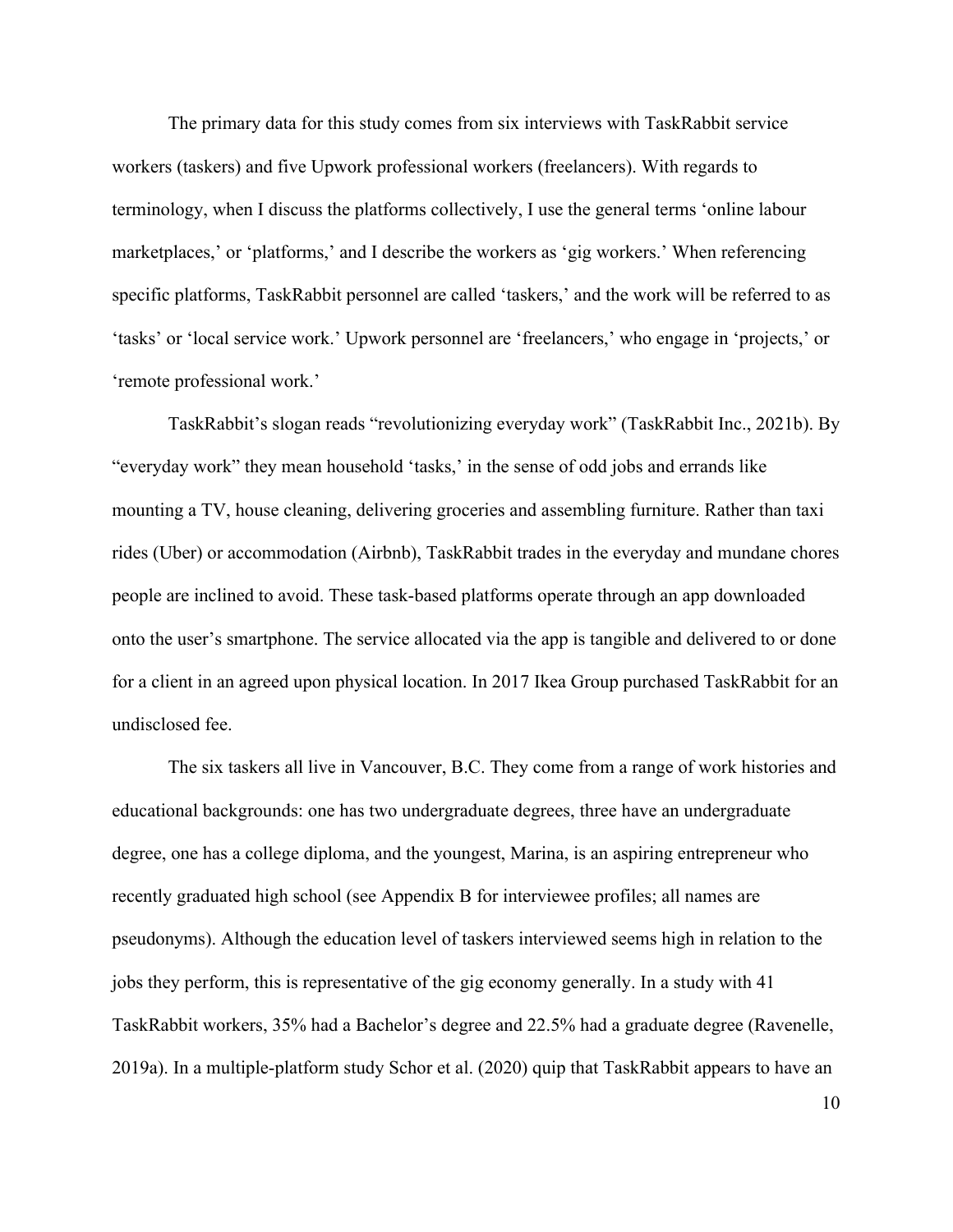The primary data for this study comes from six interviews with TaskRabbit service workers (taskers) and five Upwork professional workers (freelancers). With regards to terminology, when I discuss the platforms collectively, I use the general terms 'online labour marketplaces,' or 'platforms,' and I describe the workers as 'gig workers.' When referencing specific platforms, TaskRabbit personnel are called 'taskers,' and the work will be referred to as 'tasks' or 'local service work.' Upwork personnel are 'freelancers,' who engage in 'projects,' or 'remote professional work.'

TaskRabbit's slogan reads "revolutionizing everyday work" (TaskRabbit Inc., 2021b). By "everyday work" they mean household 'tasks,' in the sense of odd jobs and errands like mounting a TV, house cleaning, delivering groceries and assembling furniture. Rather than taxi rides (Uber) or accommodation (Airbnb), TaskRabbit trades in the everyday and mundane chores people are inclined to avoid. These task-based platforms operate through an app downloaded onto the user's smartphone. The service allocated via the app is tangible and delivered to or done for a client in an agreed upon physical location. In 2017 Ikea Group purchased TaskRabbit for an undisclosed fee.

The six taskers all live in Vancouver, B.C. They come from a range of work histories and educational backgrounds: one has two undergraduate degrees, three have an undergraduate degree, one has a college diploma, and the youngest, Marina, is an aspiring entrepreneur who recently graduated high school (see Appendix B for interviewee profiles; all names are pseudonyms). Although the education level of taskers interviewed seems high in relation to the jobs they perform, this is representative of the gig economy generally. In a study with 41 TaskRabbit workers, 35% had a Bachelor's degree and 22.5% had a graduate degree (Ravenelle, 2019a). In a multiple-platform study Schor et al. (2020) quip that TaskRabbit appears to have an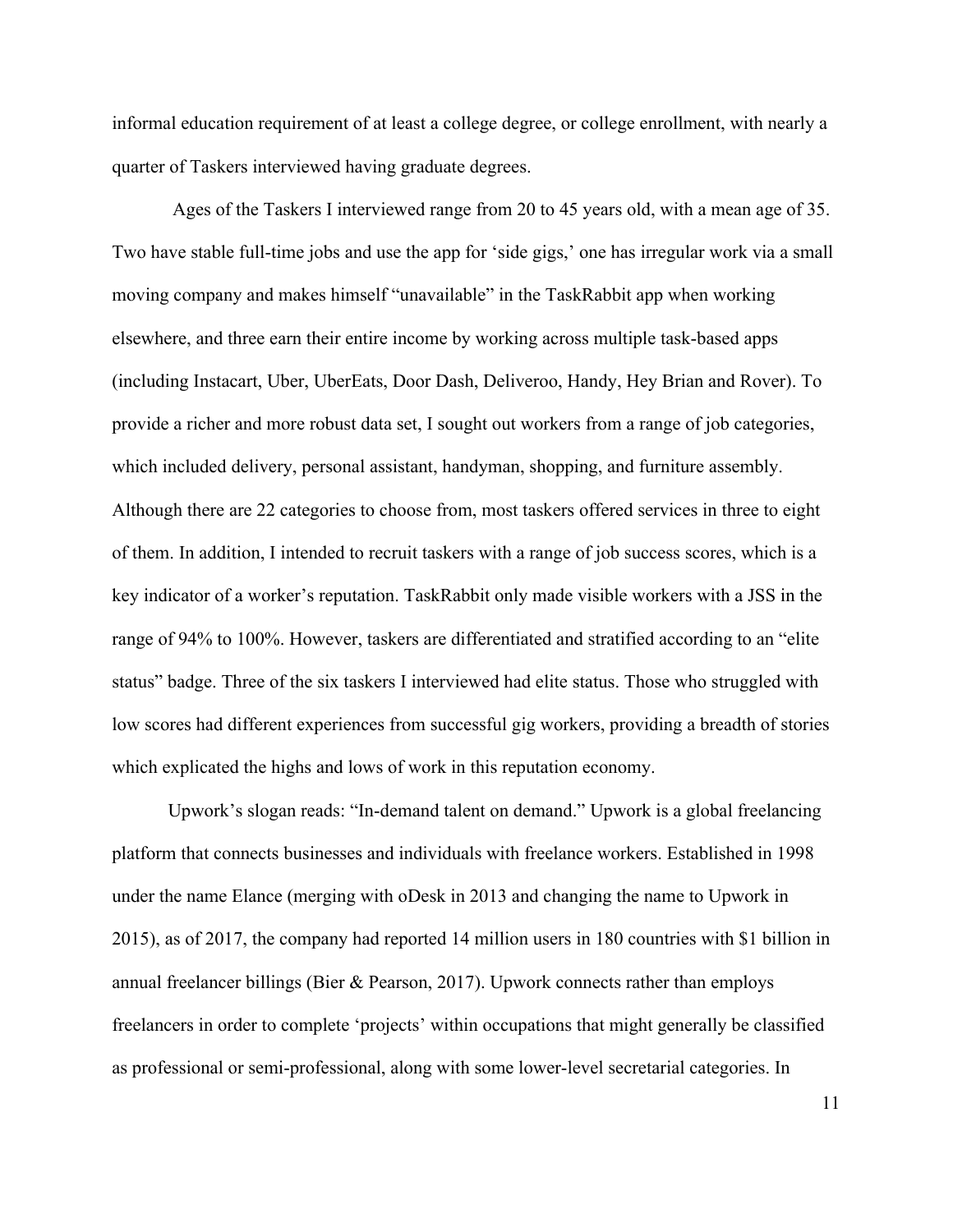informal education requirement of at least a college degree, or college enrollment, with nearly a quarter of Taskers interviewed having graduate degrees.

Ages of the Taskers I interviewed range from 20 to 45 years old, with a mean age of 35. Two have stable full-time jobs and use the app for 'side gigs,' one has irregular work via a small moving company and makes himself "unavailable" in the TaskRabbit app when working elsewhere, and three earn their entire income by working across multiple task-based apps (including Instacart, Uber, UberEats, Door Dash, Deliveroo, Handy, Hey Brian and Rover). To provide a richer and more robust data set, I sought out workers from a range of job categories, which included delivery, personal assistant, handyman, shopping, and furniture assembly. Although there are 22 categories to choose from, most taskers offered services in three to eight of them. In addition, I intended to recruit taskers with a range of job success scores, which is a key indicator of a worker's reputation. TaskRabbit only made visible workers with a JSS in the range of 94% to 100%. However, taskers are differentiated and stratified according to an "elite status" badge. Three of the six taskers I interviewed had elite status. Those who struggled with low scores had different experiences from successful gig workers, providing a breadth of stories which explicated the highs and lows of work in this reputation economy.

Upwork's slogan reads: "In-demand talent on demand." Upwork is a global freelancing platform that connects businesses and individuals with freelance workers. Established in 1998 under the name Elance (merging with oDesk in 2013 and changing the name to Upwork in 2015), as of 2017, the company had reported 14 million users in 180 countries with \$1 billion in annual freelancer billings (Bier & Pearson, 2017). Upwork connects rather than employs freelancers in order to complete 'projects' within occupations that might generally be classified as professional or semi-professional, along with some lower-level secretarial categories. In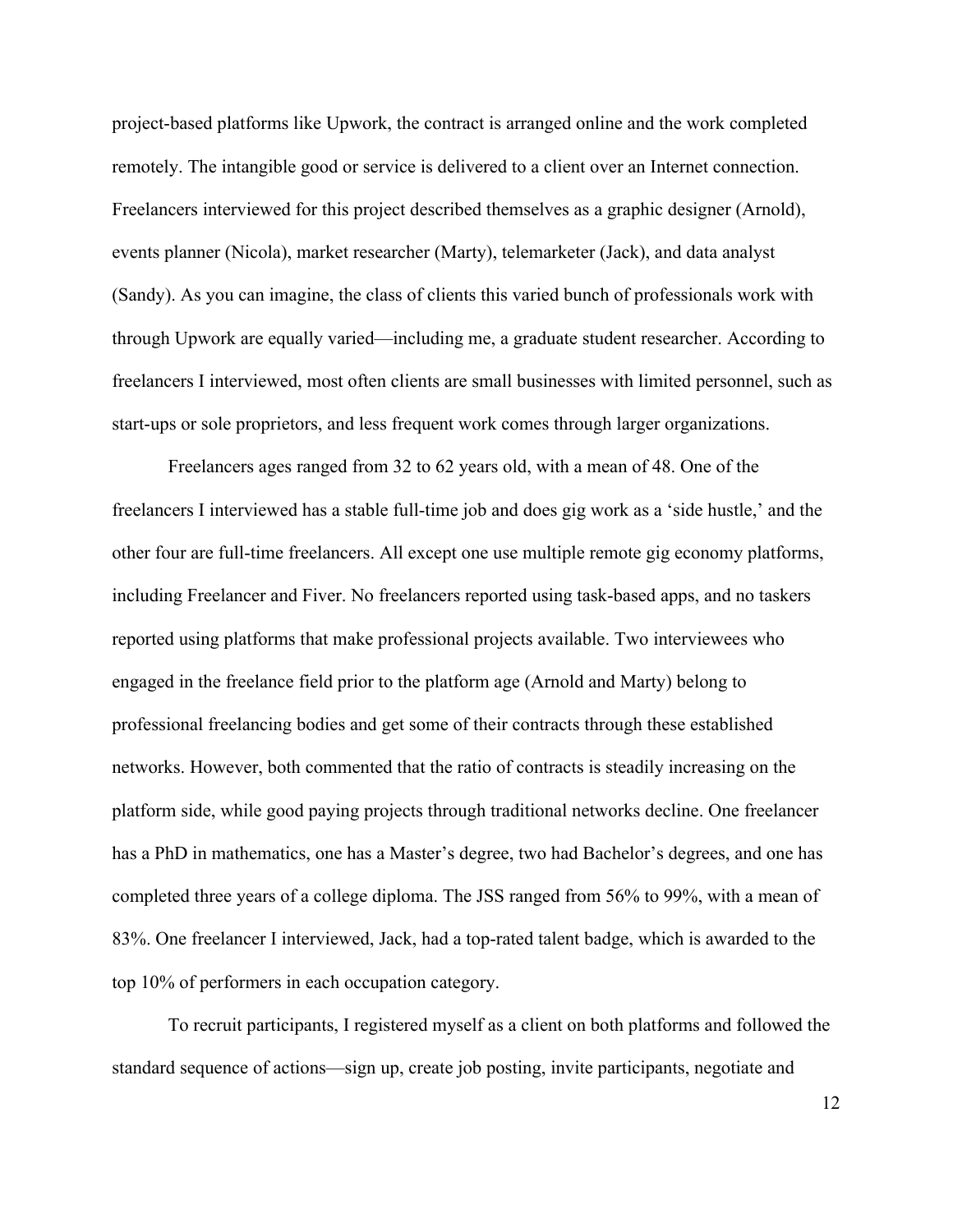project-based platforms like Upwork, the contract is arranged online and the work completed remotely. The intangible good or service is delivered to a client over an Internet connection. Freelancers interviewed for this project described themselves as a graphic designer (Arnold), events planner (Nicola), market researcher (Marty), telemarketer (Jack), and data analyst (Sandy). As you can imagine, the class of clients this varied bunch of professionals work with through Upwork are equally varied—including me, a graduate student researcher. According to freelancers I interviewed, most often clients are small businesses with limited personnel, such as start-ups or sole proprietors, and less frequent work comes through larger organizations.

Freelancers ages ranged from 32 to 62 years old, with a mean of 48. One of the freelancers I interviewed has a stable full-time job and does gig work as a 'side hustle,' and the other four are full-time freelancers. All except one use multiple remote gig economy platforms, including Freelancer and Fiver. No freelancers reported using task-based apps, and no taskers reported using platforms that make professional projects available. Two interviewees who engaged in the freelance field prior to the platform age (Arnold and Marty) belong to professional freelancing bodies and get some of their contracts through these established networks. However, both commented that the ratio of contracts is steadily increasing on the platform side, while good paying projects through traditional networks decline. One freelancer has a PhD in mathematics, one has a Master's degree, two had Bachelor's degrees, and one has completed three years of a college diploma. The JSS ranged from 56% to 99%, with a mean of 83%. One freelancer I interviewed, Jack, had a top-rated talent badge, which is awarded to the top 10% of performers in each occupation category.

To recruit participants, I registered myself as a client on both platforms and followed the standard sequence of actions—sign up, create job posting, invite participants, negotiate and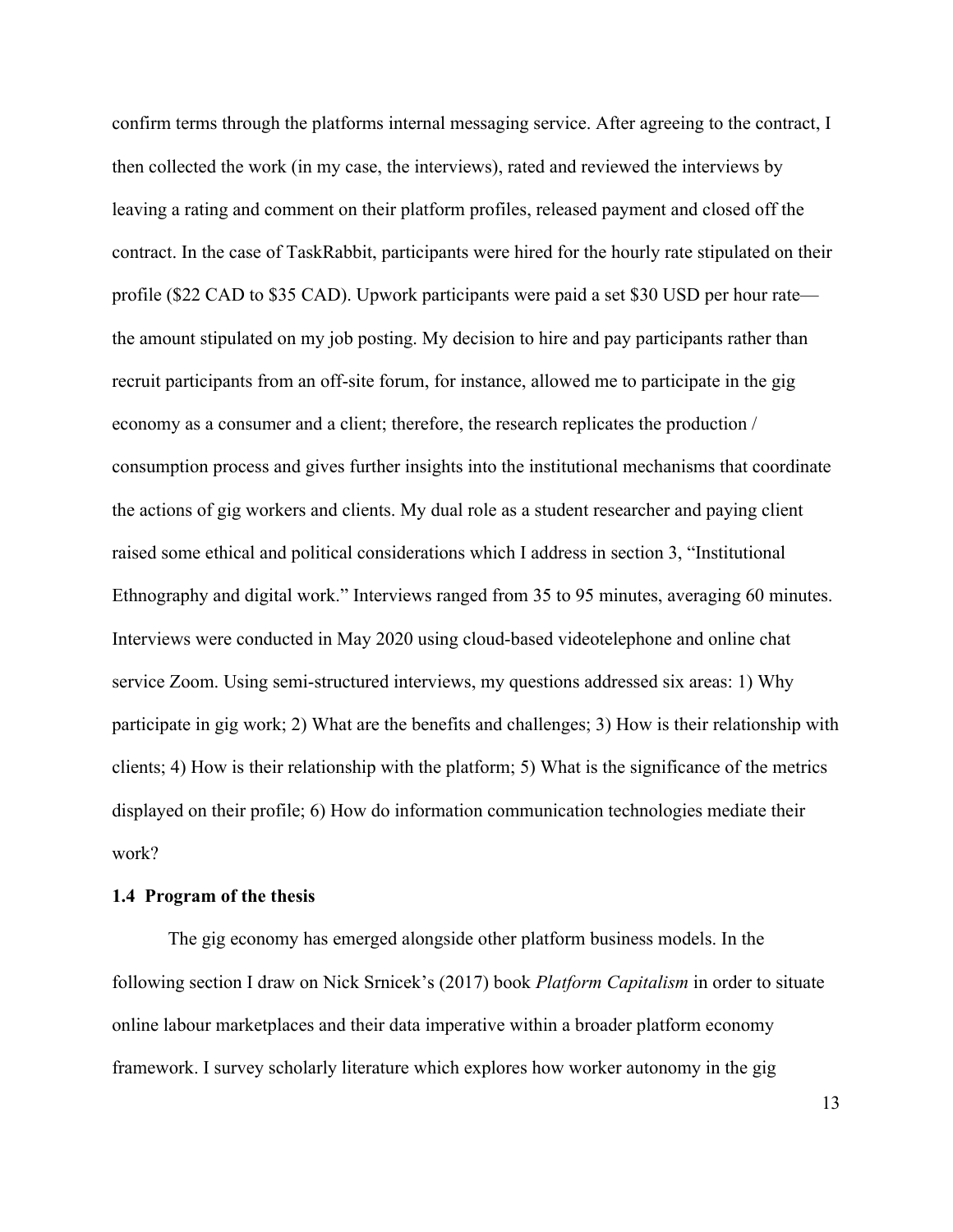confirm terms through the platforms internal messaging service. After agreeing to the contract, I then collected the work (in my case, the interviews), rated and reviewed the interviews by leaving a rating and comment on their platform profiles, released payment and closed off the contract. In the case of TaskRabbit, participants were hired for the hourly rate stipulated on their profile (\$22 CAD to \$35 CAD). Upwork participants were paid a set \$30 USD per hour rate the amount stipulated on my job posting. My decision to hire and pay participants rather than recruit participants from an off-site forum, for instance, allowed me to participate in the gig economy as a consumer and a client; therefore, the research replicates the production / consumption process and gives further insights into the institutional mechanisms that coordinate the actions of gig workers and clients. My dual role as a student researcher and paying client raised some ethical and political considerations which I address in section 3, "Institutional Ethnography and digital work." Interviews ranged from 35 to 95 minutes, averaging 60 minutes. Interviews were conducted in May 2020 using cloud-based videotelephone and online chat service Zoom. Using semi-structured interviews, my questions addressed six areas: 1) Why participate in gig work; 2) What are the benefits and challenges; 3) How is their relationship with clients; 4) How is their relationship with the platform; 5) What is the significance of the metrics displayed on their profile; 6) How do information communication technologies mediate their work?

#### **1.4 Program of the thesis**

The gig economy has emerged alongside other platform business models. In the following section I draw on Nick Srnicek's (2017) book *Platform Capitalism* in order to situate online labour marketplaces and their data imperative within a broader platform economy framework. I survey scholarly literature which explores how worker autonomy in the gig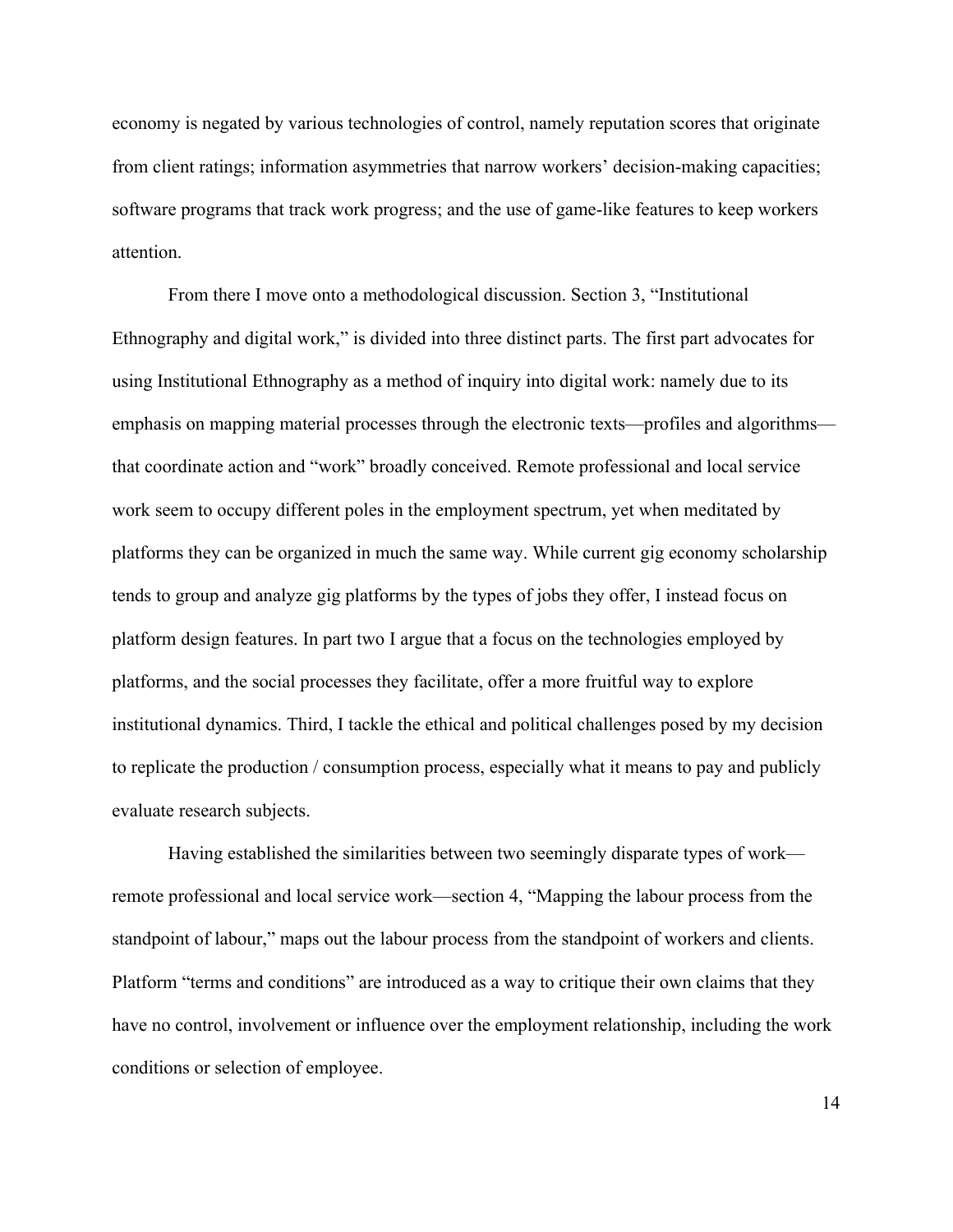economy is negated by various technologies of control, namely reputation scores that originate from client ratings; information asymmetries that narrow workers' decision-making capacities; software programs that track work progress; and the use of game-like features to keep workers attention.

From there I move onto a methodological discussion. Section 3, "Institutional Ethnography and digital work," is divided into three distinct parts. The first part advocates for using Institutional Ethnography as a method of inquiry into digital work: namely due to its emphasis on mapping material processes through the electronic texts—profiles and algorithms that coordinate action and "work" broadly conceived. Remote professional and local service work seem to occupy different poles in the employment spectrum, yet when meditated by platforms they can be organized in much the same way. While current gig economy scholarship tends to group and analyze gig platforms by the types of jobs they offer, I instead focus on platform design features. In part two I argue that a focus on the technologies employed by platforms, and the social processes they facilitate, offer a more fruitful way to explore institutional dynamics. Third, I tackle the ethical and political challenges posed by my decision to replicate the production / consumption process, especially what it means to pay and publicly evaluate research subjects.

Having established the similarities between two seemingly disparate types of work remote professional and local service work—section 4, "Mapping the labour process from the standpoint of labour," maps out the labour process from the standpoint of workers and clients. Platform "terms and conditions" are introduced as a way to critique their own claims that they have no control, involvement or influence over the employment relationship, including the work conditions or selection of employee.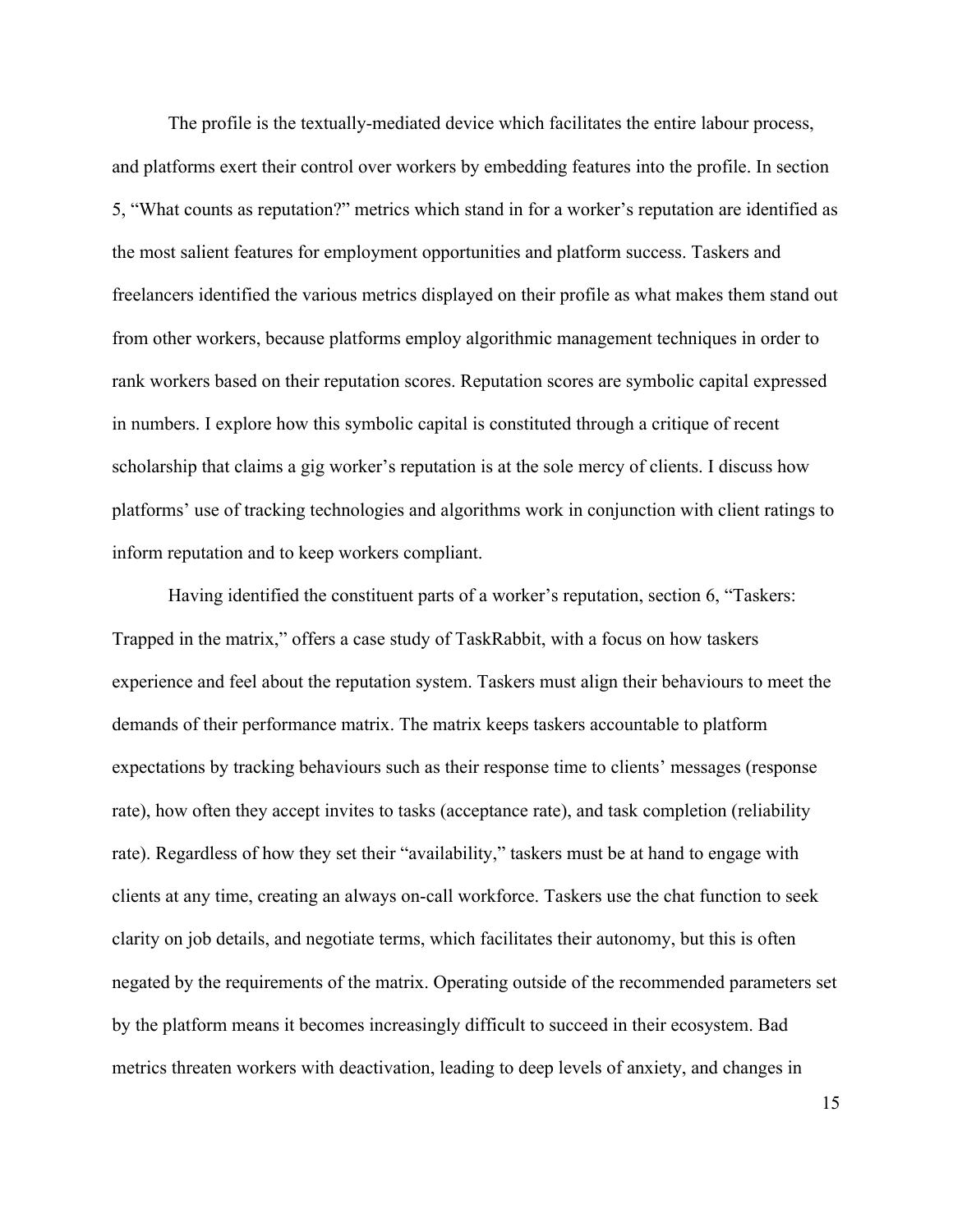The profile is the textually-mediated device which facilitates the entire labour process, and platforms exert their control over workers by embedding features into the profile. In section 5, "What counts as reputation?" metrics which stand in for a worker's reputation are identified as the most salient features for employment opportunities and platform success. Taskers and freelancers identified the various metrics displayed on their profile as what makes them stand out from other workers, because platforms employ algorithmic management techniques in order to rank workers based on their reputation scores. Reputation scores are symbolic capital expressed in numbers. I explore how this symbolic capital is constituted through a critique of recent scholarship that claims a gig worker's reputation is at the sole mercy of clients. I discuss how platforms' use of tracking technologies and algorithms work in conjunction with client ratings to inform reputation and to keep workers compliant.

Having identified the constituent parts of a worker's reputation, section 6, "Taskers: Trapped in the matrix," offers a case study of TaskRabbit, with a focus on how taskers experience and feel about the reputation system. Taskers must align their behaviours to meet the demands of their performance matrix. The matrix keeps taskers accountable to platform expectations by tracking behaviours such as their response time to clients' messages (response rate), how often they accept invites to tasks (acceptance rate), and task completion (reliability rate). Regardless of how they set their "availability," taskers must be at hand to engage with clients at any time, creating an always on-call workforce. Taskers use the chat function to seek clarity on job details, and negotiate terms, which facilitates their autonomy, but this is often negated by the requirements of the matrix. Operating outside of the recommended parameters set by the platform means it becomes increasingly difficult to succeed in their ecosystem. Bad metrics threaten workers with deactivation, leading to deep levels of anxiety, and changes in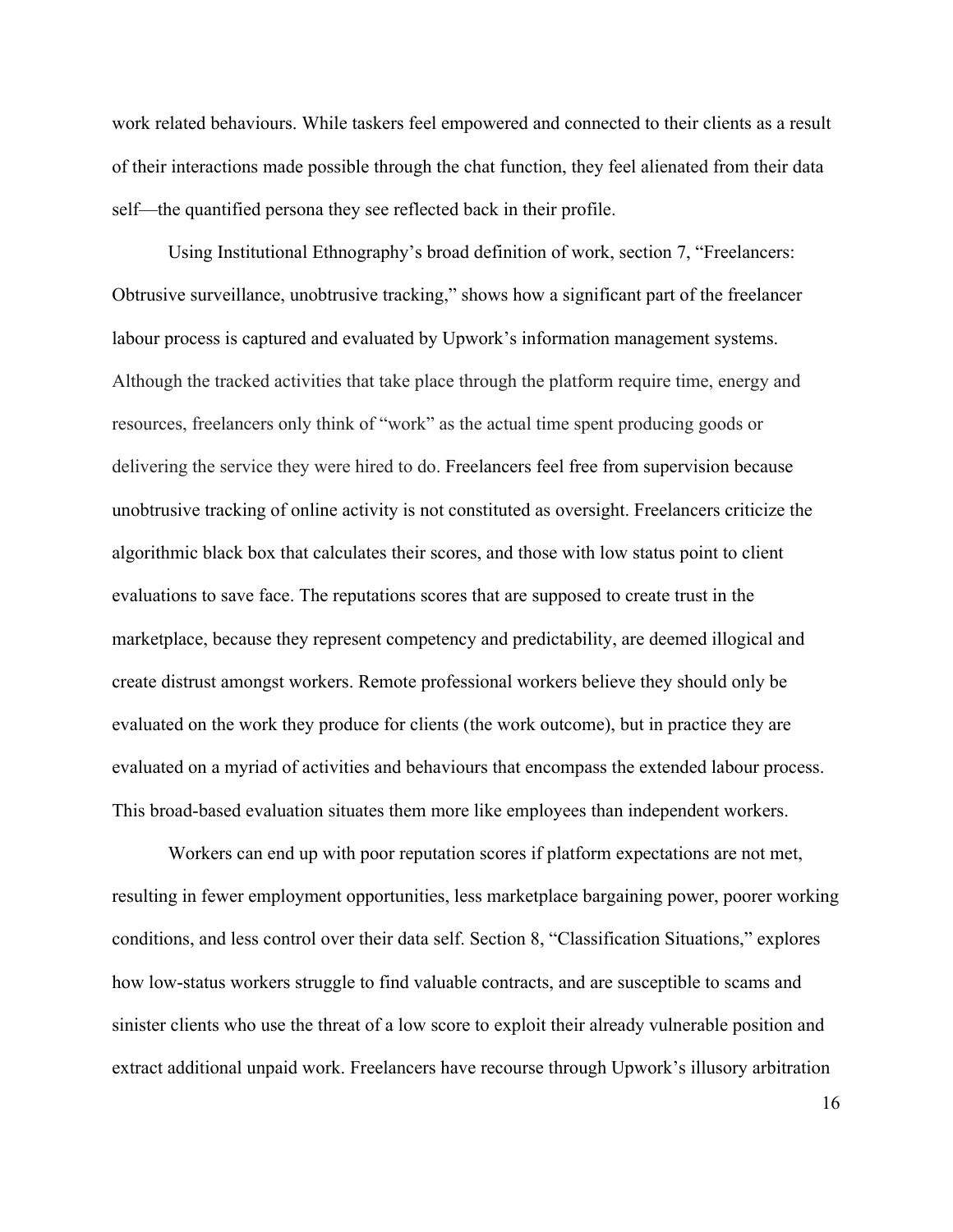work related behaviours. While taskers feel empowered and connected to their clients as a result of their interactions made possible through the chat function, they feel alienated from their data self—the quantified persona they see reflected back in their profile.

Using Institutional Ethnography's broad definition of work, section 7, "Freelancers: Obtrusive surveillance, unobtrusive tracking," shows how a significant part of the freelancer labour process is captured and evaluated by Upwork's information management systems. Although the tracked activities that take place through the platform require time, energy and resources, freelancers only think of "work" as the actual time spent producing goods or delivering the service they were hired to do. Freelancers feel free from supervision because unobtrusive tracking of online activity is not constituted as oversight. Freelancers criticize the algorithmic black box that calculates their scores, and those with low status point to client evaluations to save face. The reputations scores that are supposed to create trust in the marketplace, because they represent competency and predictability, are deemed illogical and create distrust amongst workers. Remote professional workers believe they should only be evaluated on the work they produce for clients (the work outcome), but in practice they are evaluated on a myriad of activities and behaviours that encompass the extended labour process. This broad-based evaluation situates them more like employees than independent workers.

Workers can end up with poor reputation scores if platform expectations are not met, resulting in fewer employment opportunities, less marketplace bargaining power, poorer working conditions, and less control over their data self. Section 8, "Classification Situations," explores how low-status workers struggle to find valuable contracts, and are susceptible to scams and sinister clients who use the threat of a low score to exploit their already vulnerable position and extract additional unpaid work. Freelancers have recourse through Upwork's illusory arbitration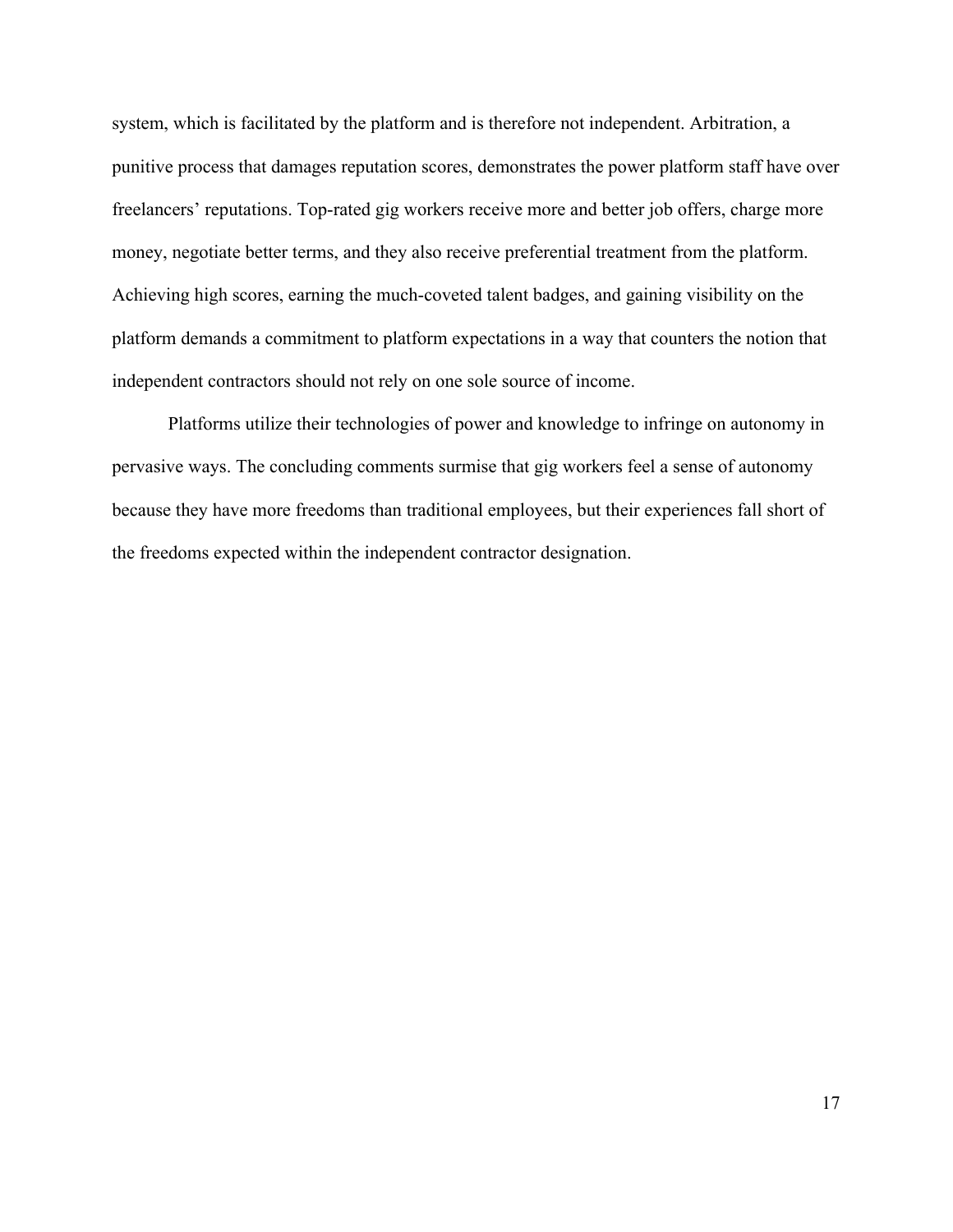system, which is facilitated by the platform and is therefore not independent. Arbitration, a punitive process that damages reputation scores, demonstrates the power platform staff have over freelancers' reputations. Top-rated gig workers receive more and better job offers, charge more money, negotiate better terms, and they also receive preferential treatment from the platform. Achieving high scores, earning the much-coveted talent badges, and gaining visibility on the platform demands a commitment to platform expectations in a way that counters the notion that independent contractors should not rely on one sole source of income.

Platforms utilize their technologies of power and knowledge to infringe on autonomy in pervasive ways. The concluding comments surmise that gig workers feel a sense of autonomy because they have more freedoms than traditional employees, but their experiences fall short of the freedoms expected within the independent contractor designation.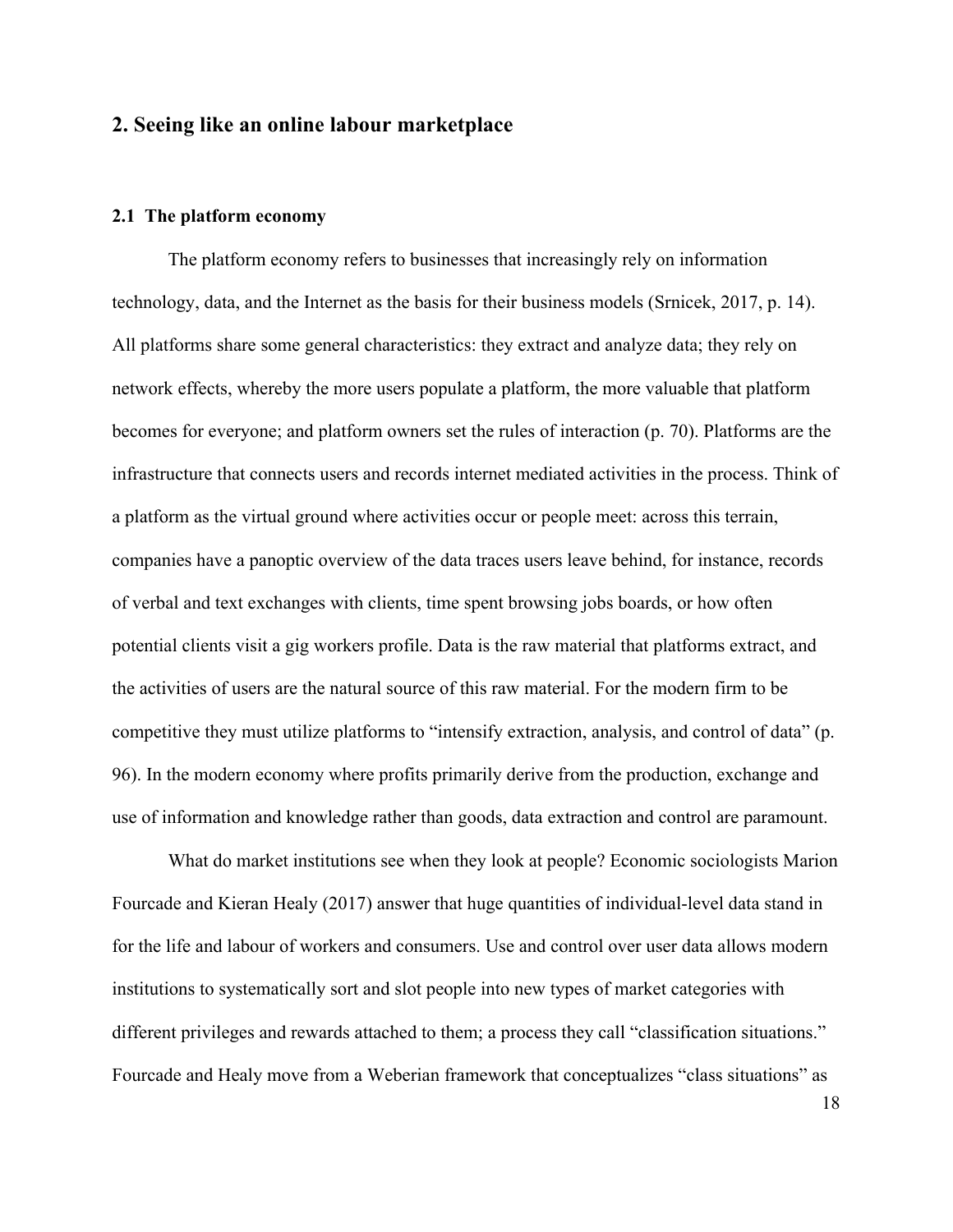### **2. Seeing like an online labour marketplace**

### **2.1 The platform economy**

The platform economy refers to businesses that increasingly rely on information technology, data, and the Internet as the basis for their business models (Srnicek, 2017, p. 14). All platforms share some general characteristics: they extract and analyze data; they rely on network effects, whereby the more users populate a platform, the more valuable that platform becomes for everyone; and platform owners set the rules of interaction (p. 70). Platforms are the infrastructure that connects users and records internet mediated activities in the process. Think of a platform as the virtual ground where activities occur or people meet: across this terrain, companies have a panoptic overview of the data traces users leave behind, for instance, records of verbal and text exchanges with clients, time spent browsing jobs boards, or how often potential clients visit a gig workers profile. Data is the raw material that platforms extract, and the activities of users are the natural source of this raw material. For the modern firm to be competitive they must utilize platforms to "intensify extraction, analysis, and control of data" (p. 96). In the modern economy where profits primarily derive from the production, exchange and use of information and knowledge rather than goods, data extraction and control are paramount.

What do market institutions see when they look at people? Economic sociologists Marion Fourcade and Kieran Healy (2017) answer that huge quantities of individual-level data stand in for the life and labour of workers and consumers. Use and control over user data allows modern institutions to systematically sort and slot people into new types of market categories with different privileges and rewards attached to them; a process they call "classification situations." Fourcade and Healy move from a Weberian framework that conceptualizes "class situations" as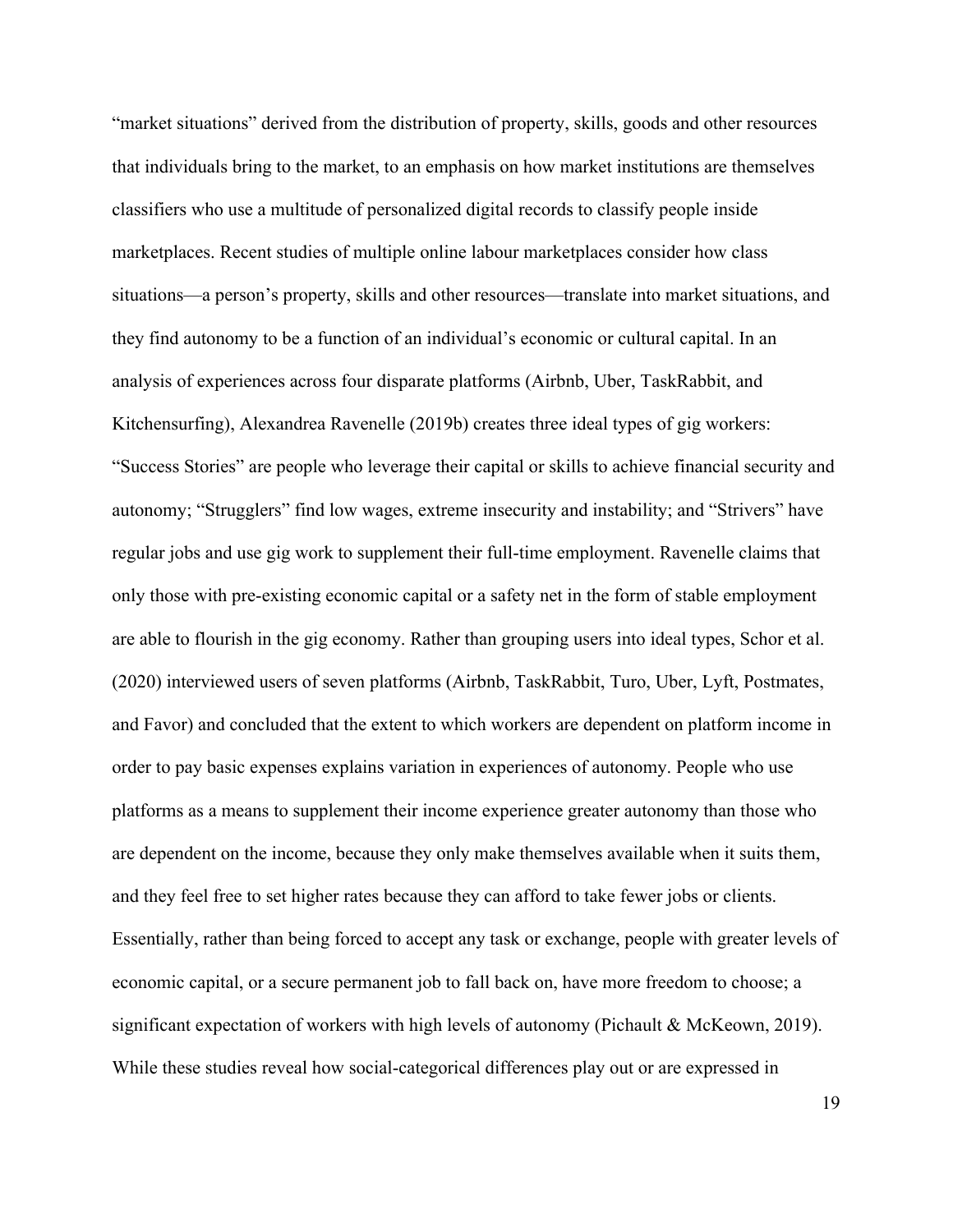"market situations" derived from the distribution of property, skills, goods and other resources that individuals bring to the market, to an emphasis on how market institutions are themselves classifiers who use a multitude of personalized digital records to classify people inside marketplaces. Recent studies of multiple online labour marketplaces consider how class situations—a person's property, skills and other resources—translate into market situations, and they find autonomy to be a function of an individual's economic or cultural capital. In an analysis of experiences across four disparate platforms (Airbnb, Uber, TaskRabbit, and Kitchensurfing), Alexandrea Ravenelle (2019b) creates three ideal types of gig workers: "Success Stories" are people who leverage their capital or skills to achieve financial security and autonomy; "Strugglers" find low wages, extreme insecurity and instability; and "Strivers" have regular jobs and use gig work to supplement their full-time employment. Ravenelle claims that only those with pre-existing economic capital or a safety net in the form of stable employment are able to flourish in the gig economy. Rather than grouping users into ideal types, Schor et al. (2020) interviewed users of seven platforms (Airbnb, TaskRabbit, Turo, Uber, Lyft, Postmates, and Favor) and concluded that the extent to which workers are dependent on platform income in order to pay basic expenses explains variation in experiences of autonomy. People who use platforms as a means to supplement their income experience greater autonomy than those who are dependent on the income, because they only make themselves available when it suits them, and they feel free to set higher rates because they can afford to take fewer jobs or clients. Essentially, rather than being forced to accept any task or exchange, people with greater levels of economic capital, or a secure permanent job to fall back on, have more freedom to choose; a significant expectation of workers with high levels of autonomy (Pichault & McKeown, 2019). While these studies reveal how social-categorical differences play out or are expressed in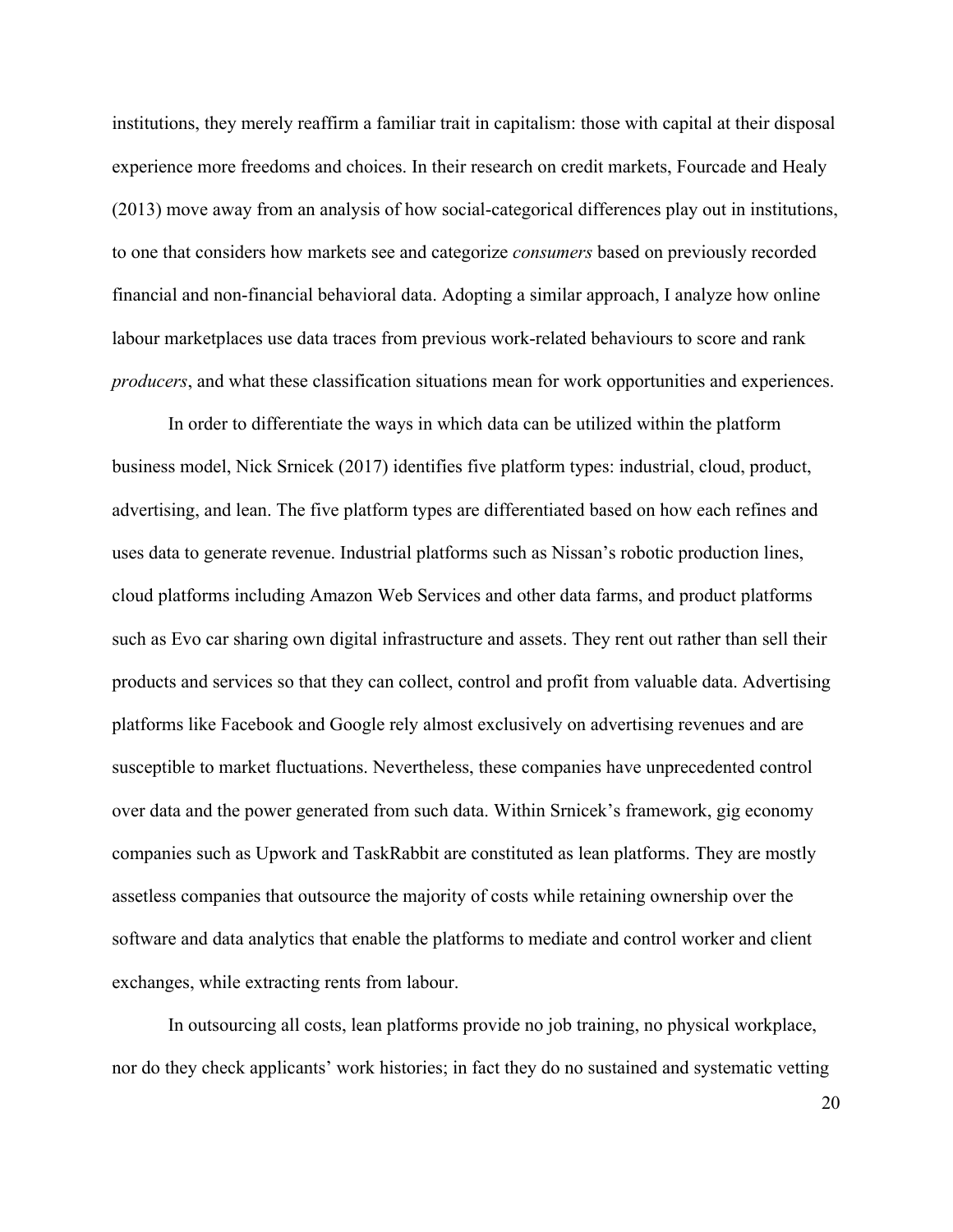institutions, they merely reaffirm a familiar trait in capitalism: those with capital at their disposal experience more freedoms and choices. In their research on credit markets, Fourcade and Healy (2013) move away from an analysis of how social-categorical differences play out in institutions, to one that considers how markets see and categorize *consumers* based on previously recorded financial and non-financial behavioral data. Adopting a similar approach, I analyze how online labour marketplaces use data traces from previous work-related behaviours to score and rank *producers*, and what these classification situations mean for work opportunities and experiences.

In order to differentiate the ways in which data can be utilized within the platform business model, Nick Srnicek (2017) identifies five platform types: industrial, cloud, product, advertising, and lean. The five platform types are differentiated based on how each refines and uses data to generate revenue. Industrial platforms such as Nissan's robotic production lines, cloud platforms including Amazon Web Services and other data farms, and product platforms such as Evo car sharing own digital infrastructure and assets. They rent out rather than sell their products and services so that they can collect, control and profit from valuable data. Advertising platforms like Facebook and Google rely almost exclusively on advertising revenues and are susceptible to market fluctuations. Nevertheless, these companies have unprecedented control over data and the power generated from such data. Within Srnicek's framework, gig economy companies such as Upwork and TaskRabbit are constituted as lean platforms. They are mostly assetless companies that outsource the majority of costs while retaining ownership over the software and data analytics that enable the platforms to mediate and control worker and client exchanges, while extracting rents from labour.

In outsourcing all costs, lean platforms provide no job training, no physical workplace, nor do they check applicants' work histories; in fact they do no sustained and systematic vetting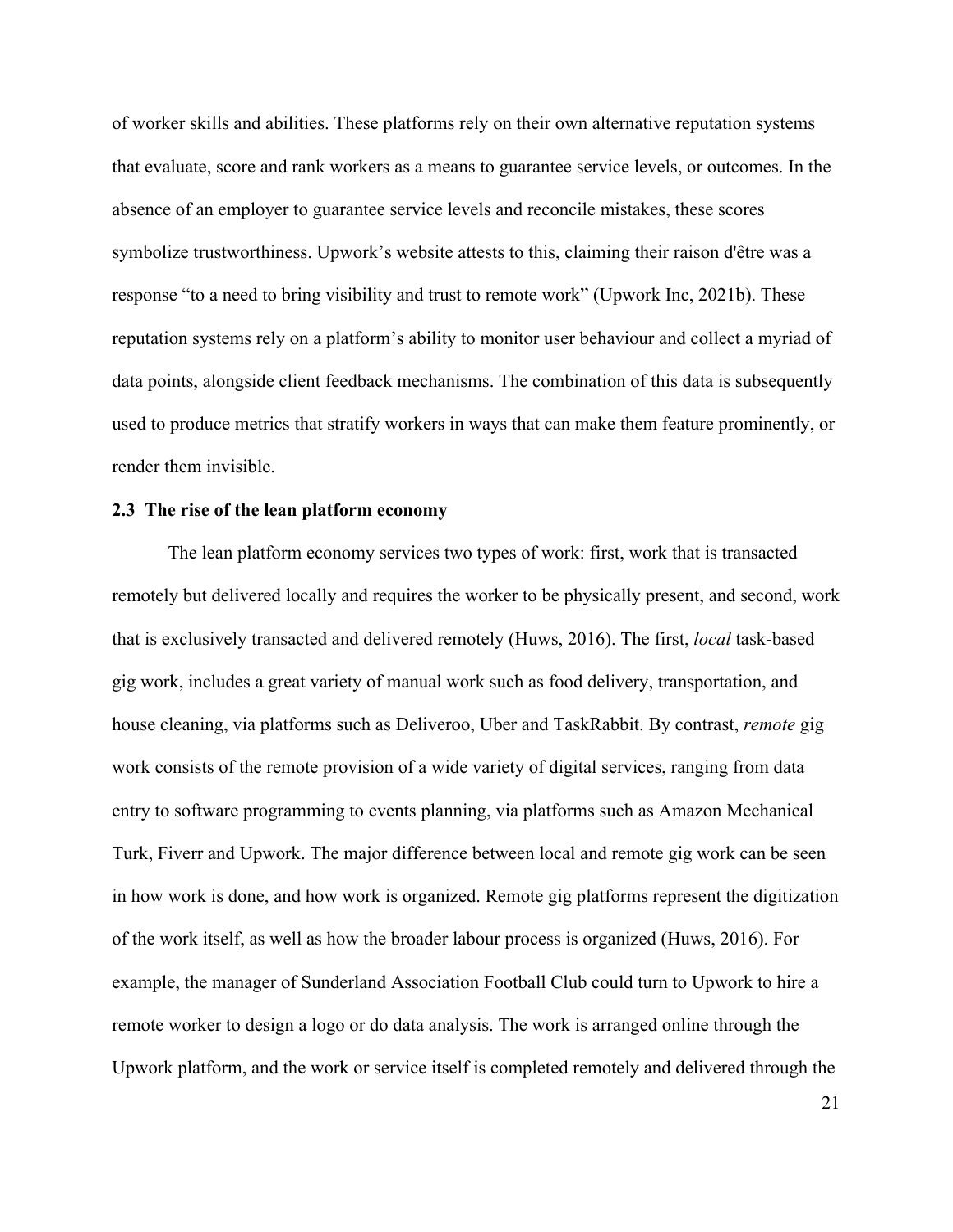of worker skills and abilities. These platforms rely on their own alternative reputation systems that evaluate, score and rank workers as a means to guarantee service levels, or outcomes. In the absence of an employer to guarantee service levels and reconcile mistakes, these scores symbolize trustworthiness. Upwork's website attests to this, claiming their raison d'être was a response "to a need to bring visibility and trust to remote work" (Upwork Inc, 2021b). These reputation systems rely on a platform's ability to monitor user behaviour and collect a myriad of data points, alongside client feedback mechanisms. The combination of this data is subsequently used to produce metrics that stratify workers in ways that can make them feature prominently, or render them invisible.

### **2.3 The rise of the lean platform economy**

The lean platform economy services two types of work: first, work that is transacted remotely but delivered locally and requires the worker to be physically present, and second, work that is exclusively transacted and delivered remotely (Huws, 2016). The first, *local* task-based gig work, includes a great variety of manual work such as food delivery, transportation, and house cleaning, via platforms such as Deliveroo, Uber and TaskRabbit. By contrast, *remote* gig work consists of the remote provision of a wide variety of digital services, ranging from data entry to software programming to events planning, via platforms such as Amazon Mechanical Turk, Fiverr and Upwork. The major difference between local and remote gig work can be seen in how work is done, and how work is organized. Remote gig platforms represent the digitization of the work itself, as well as how the broader labour process is organized (Huws, 2016). For example, the manager of Sunderland Association Football Club could turn to Upwork to hire a remote worker to design a logo or do data analysis. The work is arranged online through the Upwork platform, and the work or service itself is completed remotely and delivered through the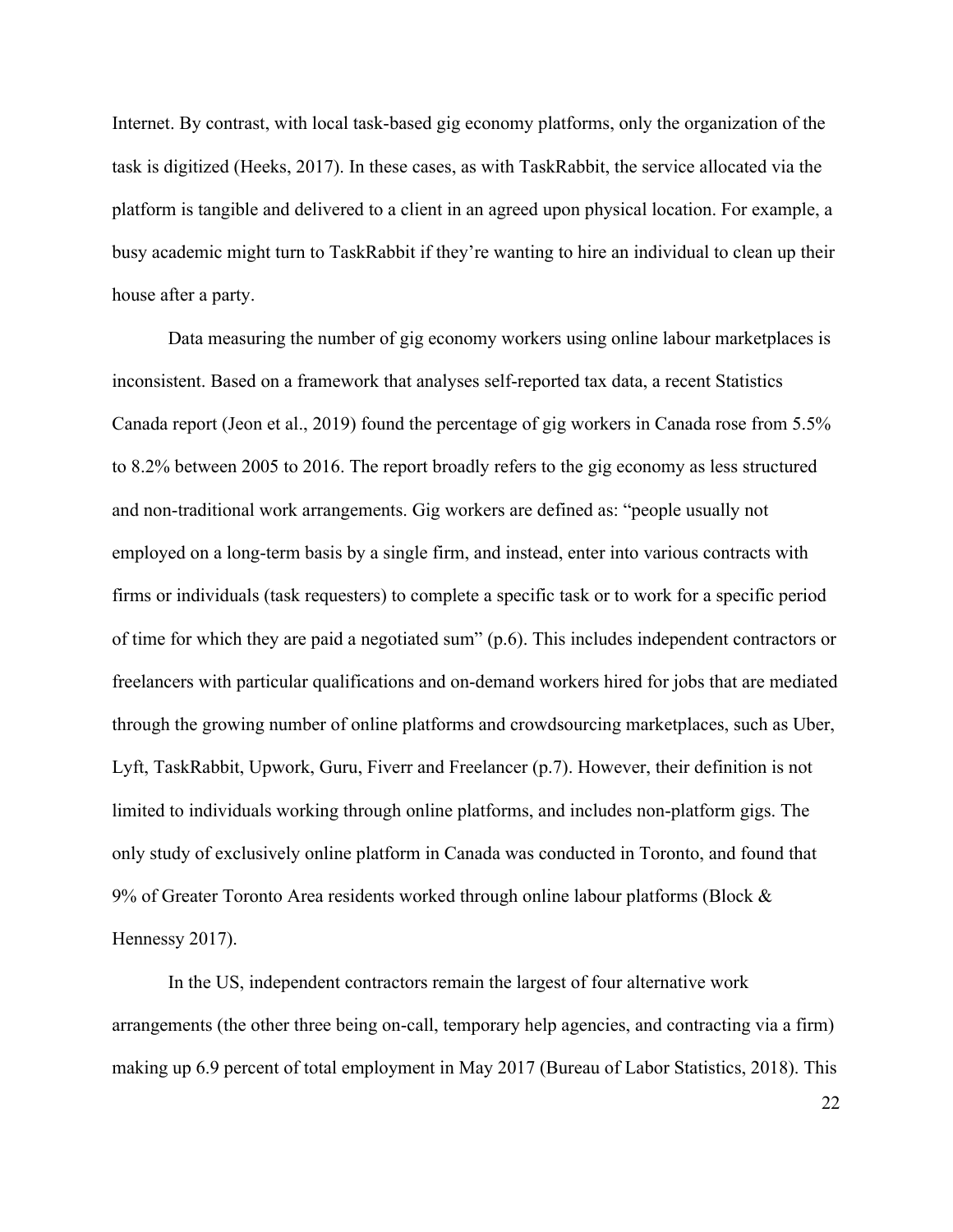Internet. By contrast, with local task-based gig economy platforms, only the organization of the task is digitized (Heeks, 2017). In these cases, as with TaskRabbit, the service allocated via the platform is tangible and delivered to a client in an agreed upon physical location. For example, a busy academic might turn to TaskRabbit if they're wanting to hire an individual to clean up their house after a party.

Data measuring the number of gig economy workers using online labour marketplaces is inconsistent. Based on a framework that analyses self-reported tax data, a recent Statistics Canada report (Jeon et al., 2019) found the percentage of gig workers in Canada rose from 5.5% to 8.2% between 2005 to 2016. The report broadly refers to the gig economy as less structured and non-traditional work arrangements. Gig workers are defined as: "people usually not employed on a long-term basis by a single firm, and instead, enter into various contracts with firms or individuals (task requesters) to complete a specific task or to work for a specific period of time for which they are paid a negotiated sum" (p.6). This includes independent contractors or freelancers with particular qualifications and on-demand workers hired for jobs that are mediated through the growing number of online platforms and crowdsourcing marketplaces, such as Uber, Lyft, TaskRabbit, Upwork, Guru, Fiverr and Freelancer (p.7). However, their definition is not limited to individuals working through online platforms, and includes non-platform gigs. The only study of exclusively online platform in Canada was conducted in Toronto, and found that 9% of Greater Toronto Area residents worked through online labour platforms (Block & Hennessy 2017).

In the US, independent contractors remain the largest of four alternative work arrangements (the other three being on-call, temporary help agencies, and contracting via a firm) making up 6.9 percent of total employment in May 2017 (Bureau of Labor Statistics, 2018). This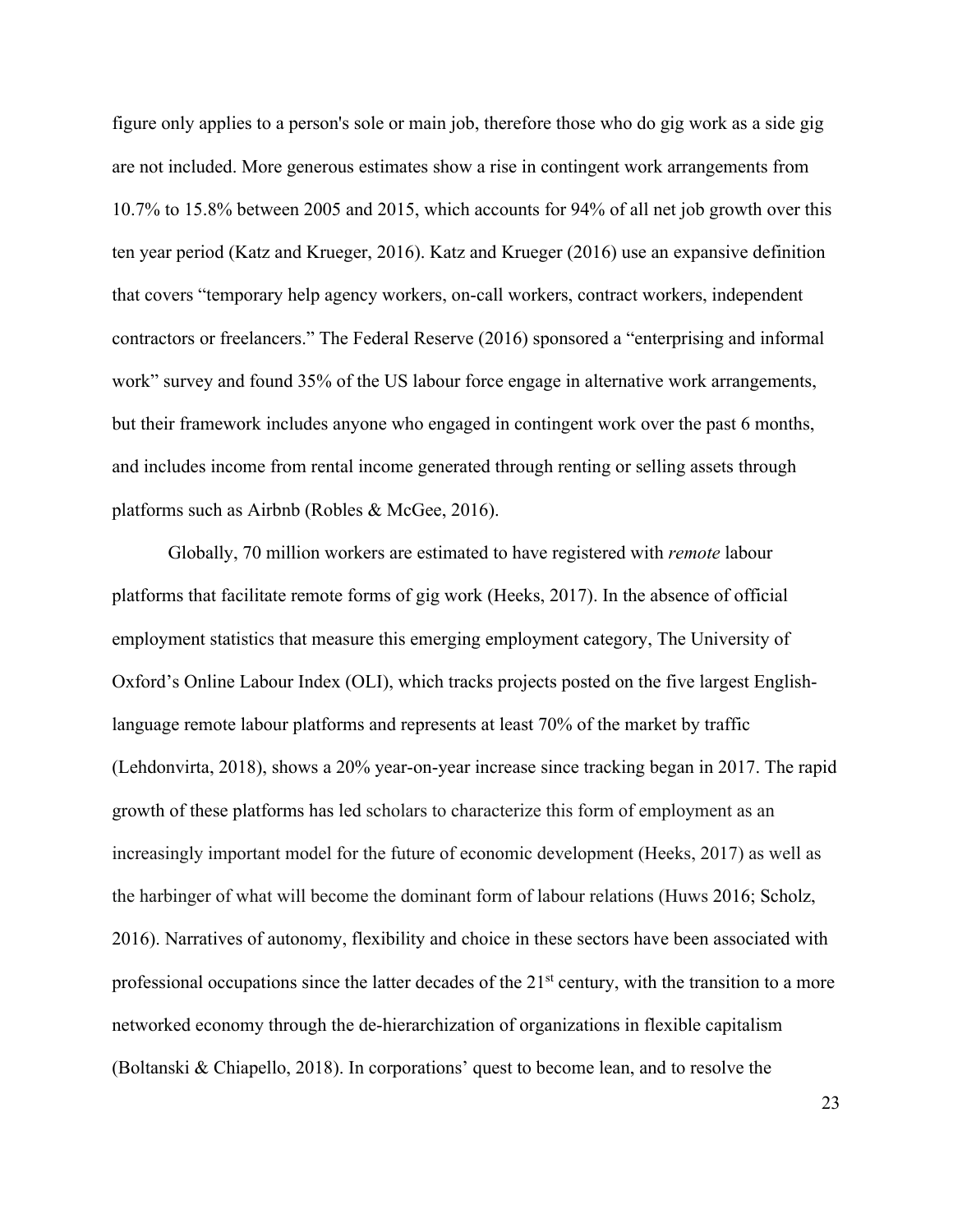figure only applies to a person's sole or main job, therefore those who do gig work as a side gig are not included. More generous estimates show a rise in contingent work arrangements from 10.7% to 15.8% between 2005 and 2015, which accounts for 94% of all net job growth over this ten year period (Katz and Krueger, 2016). Katz and Krueger (2016) use an expansive definition that covers "temporary help agency workers, on-call workers, contract workers, independent contractors or freelancers." The Federal Reserve (2016) sponsored a "enterprising and informal work" survey and found 35% of the US labour force engage in alternative work arrangements, but their framework includes anyone who engaged in contingent work over the past 6 months, and includes income from rental income generated through renting or selling assets through platforms such as Airbnb (Robles & McGee, 2016).

Globally, 70 million workers are estimated to have registered with *remote* labour platforms that facilitate remote forms of gig work (Heeks, 2017). In the absence of official employment statistics that measure this emerging employment category, The University of Oxford's Online Labour Index (OLI), which tracks projects posted on the five largest Englishlanguage remote labour platforms and represents at least 70% of the market by traffic (Lehdonvirta, 2018), shows a 20% year-on-year increase since tracking began in 2017. The rapid growth of these platforms has led scholars to characterize this form of employment as an increasingly important model for the future of economic development (Heeks, 2017) as well as the harbinger of what will become the dominant form of labour relations (Huws 2016; Scholz, 2016). Narratives of autonomy, flexibility and choice in these sectors have been associated with professional occupations since the latter decades of the 21<sup>st</sup> century, with the transition to a more networked economy through the de-hierarchization of organizations in flexible capitalism (Boltanski & Chiapello, 2018). In corporations' quest to become lean, and to resolve the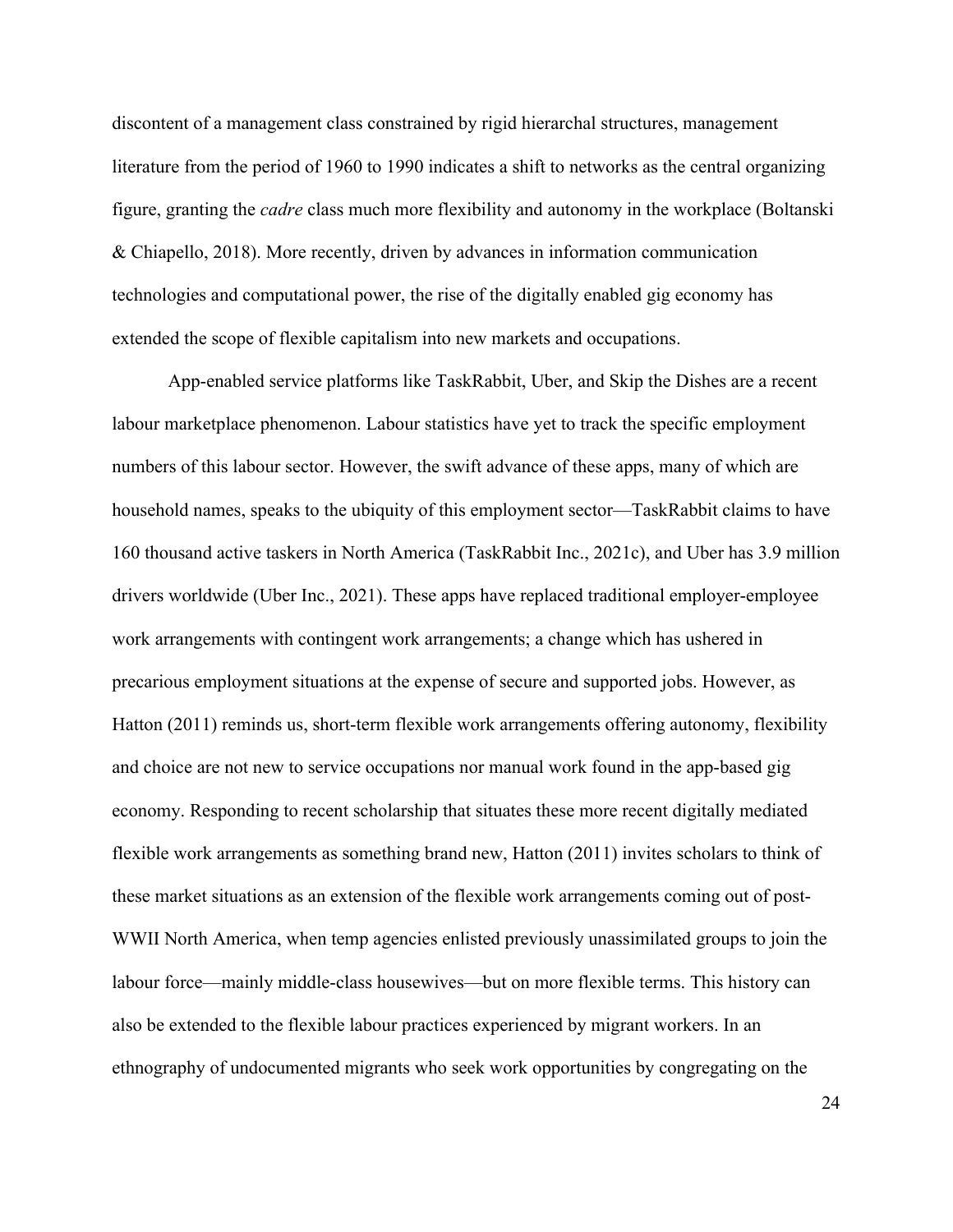discontent of a management class constrained by rigid hierarchal structures, management literature from the period of 1960 to 1990 indicates a shift to networks as the central organizing figure, granting the *cadre* class much more flexibility and autonomy in the workplace (Boltanski & Chiapello, 2018). More recently, driven by advances in information communication technologies and computational power, the rise of the digitally enabled gig economy has extended the scope of flexible capitalism into new markets and occupations.

App-enabled service platforms like TaskRabbit, Uber, and Skip the Dishes are a recent labour marketplace phenomenon. Labour statistics have yet to track the specific employment numbers of this labour sector. However, the swift advance of these apps, many of which are household names, speaks to the ubiquity of this employment sector—TaskRabbit claims to have 160 thousand active taskers in North America (TaskRabbit Inc., 2021c), and Uber has 3.9 million drivers worldwide (Uber Inc., 2021). These apps have replaced traditional employer-employee work arrangements with contingent work arrangements; a change which has ushered in precarious employment situations at the expense of secure and supported jobs. However, as Hatton (2011) reminds us, short-term flexible work arrangements offering autonomy, flexibility and choice are not new to service occupations nor manual work found in the app-based gig economy. Responding to recent scholarship that situates these more recent digitally mediated flexible work arrangements as something brand new, Hatton (2011) invites scholars to think of these market situations as an extension of the flexible work arrangements coming out of post-WWII North America, when temp agencies enlisted previously unassimilated groups to join the labour force—mainly middle-class housewives—but on more flexible terms. This history can also be extended to the flexible labour practices experienced by migrant workers. In an ethnography of undocumented migrants who seek work opportunities by congregating on the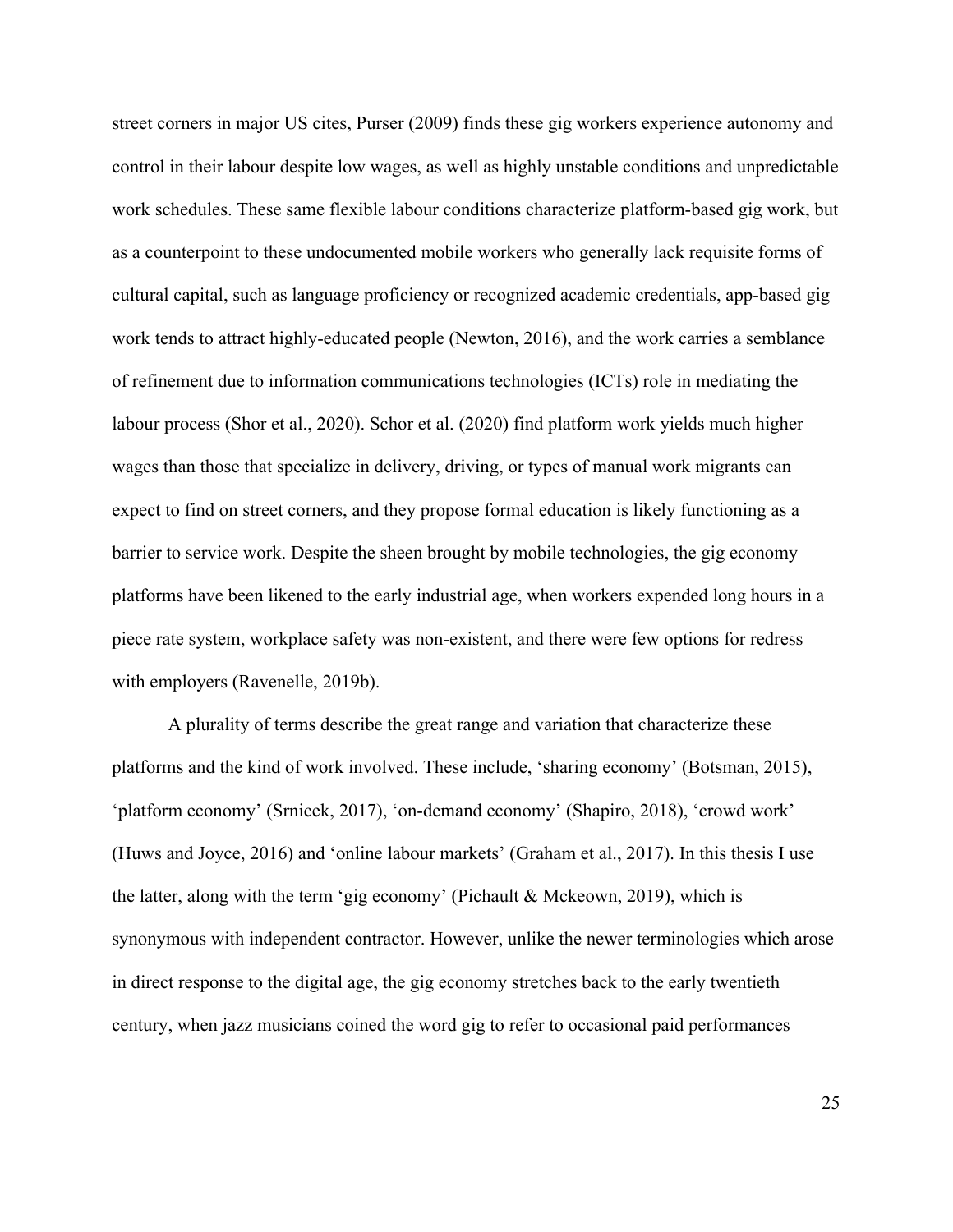street corners in major US cites, Purser (2009) finds these gig workers experience autonomy and control in their labour despite low wages, as well as highly unstable conditions and unpredictable work schedules. These same flexible labour conditions characterize platform-based gig work, but as a counterpoint to these undocumented mobile workers who generally lack requisite forms of cultural capital, such as language proficiency or recognized academic credentials, app-based gig work tends to attract highly-educated people (Newton, 2016), and the work carries a semblance of refinement due to information communications technologies (ICTs) role in mediating the labour process (Shor et al., 2020). Schor et al. (2020) find platform work yields much higher wages than those that specialize in delivery, driving, or types of manual work migrants can expect to find on street corners, and they propose formal education is likely functioning as a barrier to service work. Despite the sheen brought by mobile technologies, the gig economy platforms have been likened to the early industrial age, when workers expended long hours in a piece rate system, workplace safety was non-existent, and there were few options for redress with employers (Ravenelle, 2019b).

A plurality of terms describe the great range and variation that characterize these platforms and the kind of work involved. These include, 'sharing economy' (Botsman, 2015), 'platform economy' (Srnicek, 2017), 'on-demand economy' (Shapiro, 2018), 'crowd work' (Huws and Joyce, 2016) and 'online labour markets' (Graham et al., 2017). In this thesis I use the latter, along with the term 'gig economy' (Pichault & Mckeown, 2019), which is synonymous with independent contractor. However, unlike the newer terminologies which arose in direct response to the digital age, the gig economy stretches back to the early twentieth century, when jazz musicians coined the word gig to refer to occasional paid performances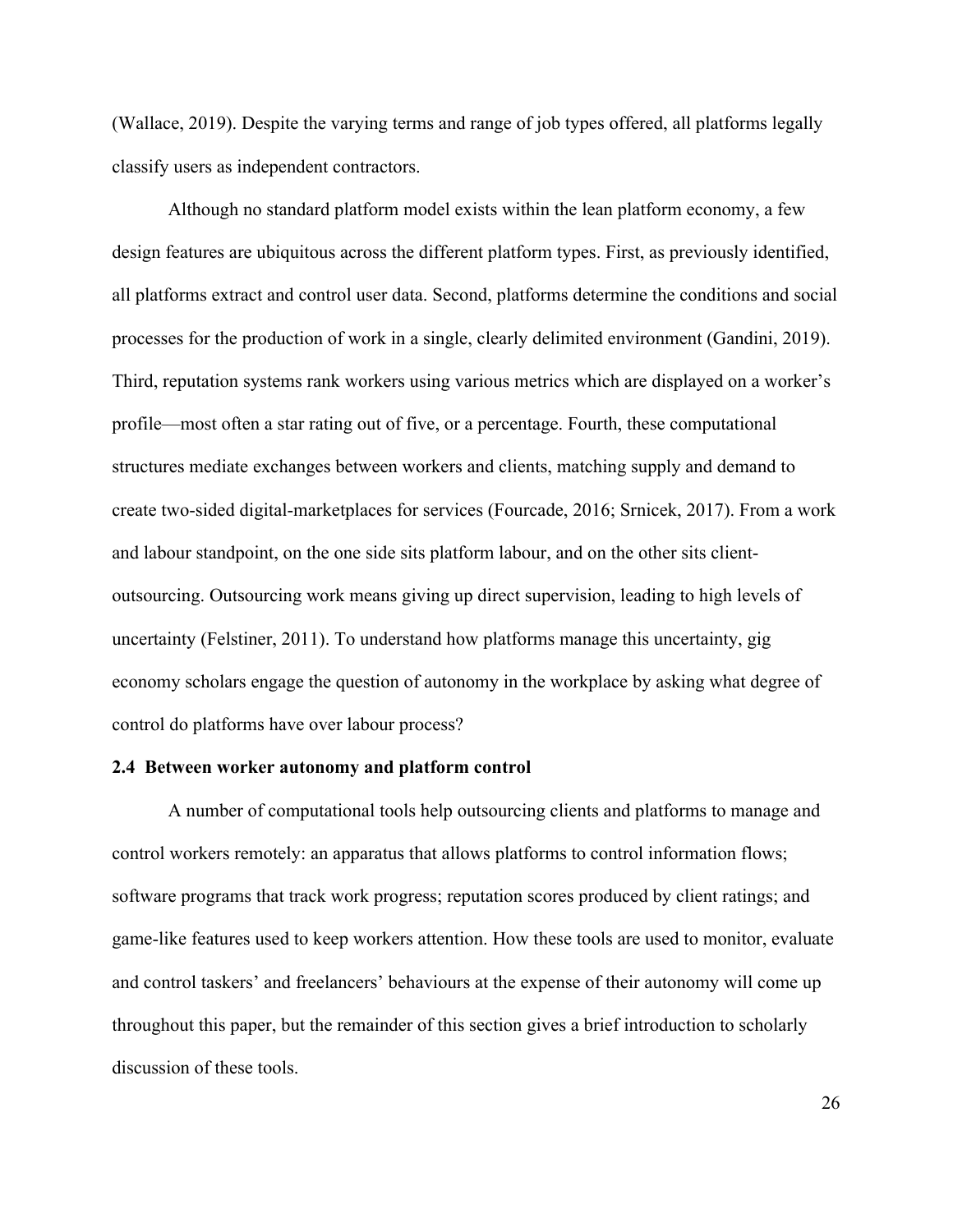(Wallace, 2019). Despite the varying terms and range of job types offered, all platforms legally classify users as independent contractors.

Although no standard platform model exists within the lean platform economy, a few design features are ubiquitous across the different platform types. First, as previously identified, all platforms extract and control user data. Second, platforms determine the conditions and social processes for the production of work in a single, clearly delimited environment (Gandini, 2019). Third, reputation systems rank workers using various metrics which are displayed on a worker's profile—most often a star rating out of five, or a percentage. Fourth, these computational structures mediate exchanges between workers and clients, matching supply and demand to create two-sided digital-marketplaces for services (Fourcade, 2016; Srnicek, 2017). From a work and labour standpoint, on the one side sits platform labour, and on the other sits clientoutsourcing. Outsourcing work means giving up direct supervision, leading to high levels of uncertainty (Felstiner, 2011). To understand how platforms manage this uncertainty, gig economy scholars engage the question of autonomy in the workplace by asking what degree of control do platforms have over labour process?

#### **2.4 Between worker autonomy and platform control**

A number of computational tools help outsourcing clients and platforms to manage and control workers remotely: an apparatus that allows platforms to control information flows; software programs that track work progress; reputation scores produced by client ratings; and game-like features used to keep workers attention. How these tools are used to monitor, evaluate and control taskers' and freelancers' behaviours at the expense of their autonomy will come up throughout this paper, but the remainder of this section gives a brief introduction to scholarly discussion of these tools.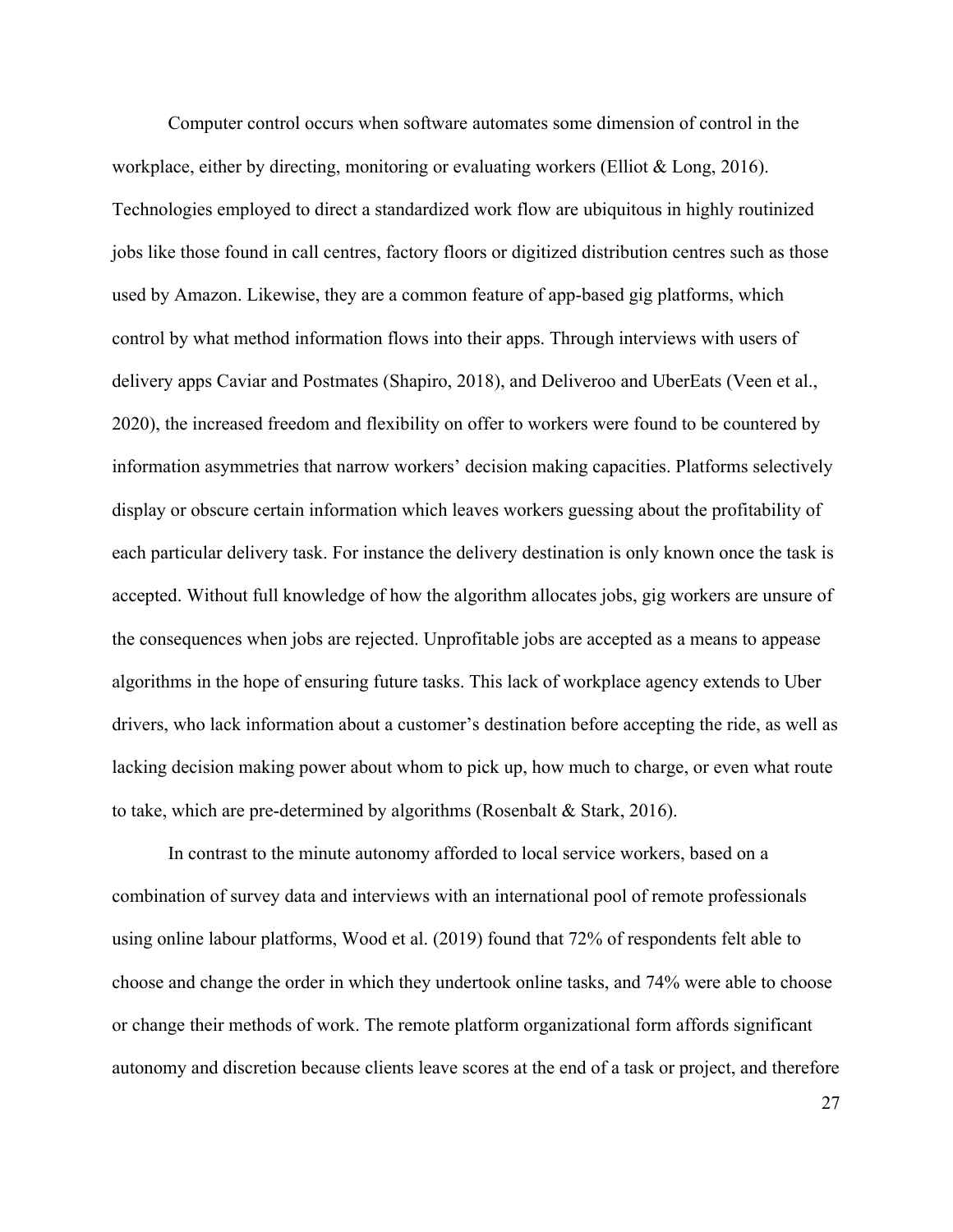Computer control occurs when software automates some dimension of control in the workplace, either by directing, monitoring or evaluating workers (Elliot & Long, 2016). Technologies employed to direct a standardized work flow are ubiquitous in highly routinized jobs like those found in call centres, factory floors or digitized distribution centres such as those used by Amazon. Likewise, they are a common feature of app-based gig platforms, which control by what method information flows into their apps. Through interviews with users of delivery apps Caviar and Postmates (Shapiro, 2018), and Deliveroo and UberEats (Veen et al., 2020), the increased freedom and flexibility on offer to workers were found to be countered by information asymmetries that narrow workers' decision making capacities. Platforms selectively display or obscure certain information which leaves workers guessing about the profitability of each particular delivery task. For instance the delivery destination is only known once the task is accepted. Without full knowledge of how the algorithm allocates jobs, gig workers are unsure of the consequences when jobs are rejected. Unprofitable jobs are accepted as a means to appease algorithms in the hope of ensuring future tasks. This lack of workplace agency extends to Uber drivers, who lack information about a customer's destination before accepting the ride, as well as lacking decision making power about whom to pick up, how much to charge, or even what route to take, which are pre-determined by algorithms (Rosenbalt & Stark, 2016).

In contrast to the minute autonomy afforded to local service workers, based on a combination of survey data and interviews with an international pool of remote professionals using online labour platforms, Wood et al. (2019) found that 72% of respondents felt able to choose and change the order in which they undertook online tasks, and 74% were able to choose or change their methods of work. The remote platform organizational form affords significant autonomy and discretion because clients leave scores at the end of a task or project, and therefore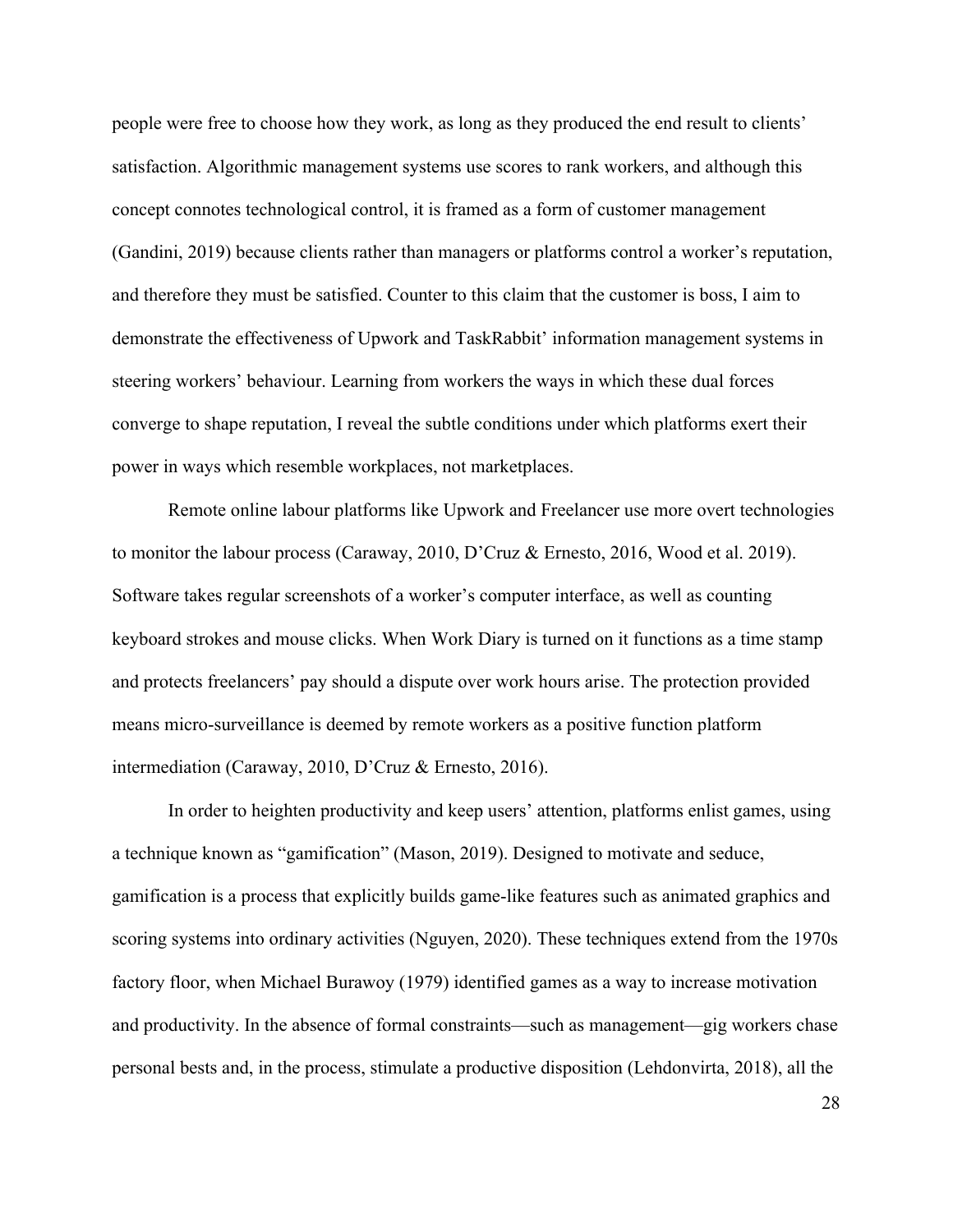people were free to choose how they work, as long as they produced the end result to clients' satisfaction. Algorithmic management systems use scores to rank workers, and although this concept connotes technological control, it is framed as a form of customer management (Gandini, 2019) because clients rather than managers or platforms control a worker's reputation, and therefore they must be satisfied. Counter to this claim that the customer is boss, I aim to demonstrate the effectiveness of Upwork and TaskRabbit' information management systems in steering workers' behaviour. Learning from workers the ways in which these dual forces converge to shape reputation, I reveal the subtle conditions under which platforms exert their power in ways which resemble workplaces, not marketplaces.

Remote online labour platforms like Upwork and Freelancer use more overt technologies to monitor the labour process (Caraway, 2010, D'Cruz & Ernesto, 2016, Wood et al. 2019). Software takes regular screenshots of a worker's computer interface, as well as counting keyboard strokes and mouse clicks. When Work Diary is turned on it functions as a time stamp and protects freelancers' pay should a dispute over work hours arise. The protection provided means micro-surveillance is deemed by remote workers as a positive function platform intermediation (Caraway, 2010, D'Cruz & Ernesto, 2016).

In order to heighten productivity and keep users' attention, platforms enlist games, using a technique known as "gamification" (Mason, 2019). Designed to motivate and seduce, gamification is a process that explicitly builds game-like features such as animated graphics and scoring systems into ordinary activities (Nguyen, 2020). These techniques extend from the 1970s factory floor, when Michael Burawoy (1979) identified games as a way to increase motivation and productivity. In the absence of formal constraints—such as management—gig workers chase personal bests and, in the process, stimulate a productive disposition (Lehdonvirta, 2018), all the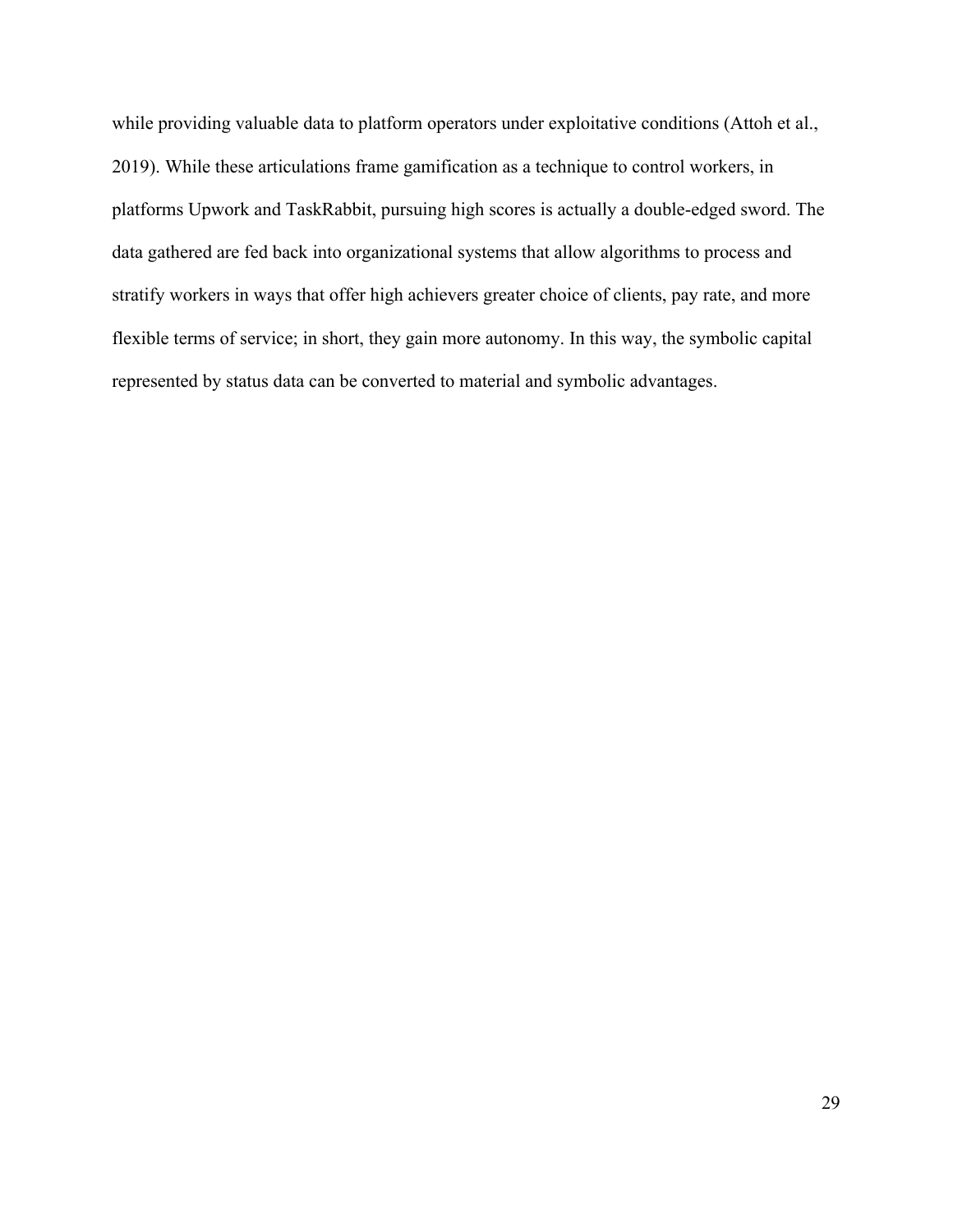while providing valuable data to platform operators under exploitative conditions (Attoh et al., 2019). While these articulations frame gamification as a technique to control workers, in platforms Upwork and TaskRabbit, pursuing high scores is actually a double-edged sword. The data gathered are fed back into organizational systems that allow algorithms to process and stratify workers in ways that offer high achievers greater choice of clients, pay rate, and more flexible terms of service; in short, they gain more autonomy. In this way, the symbolic capital represented by status data can be converted to material and symbolic advantages.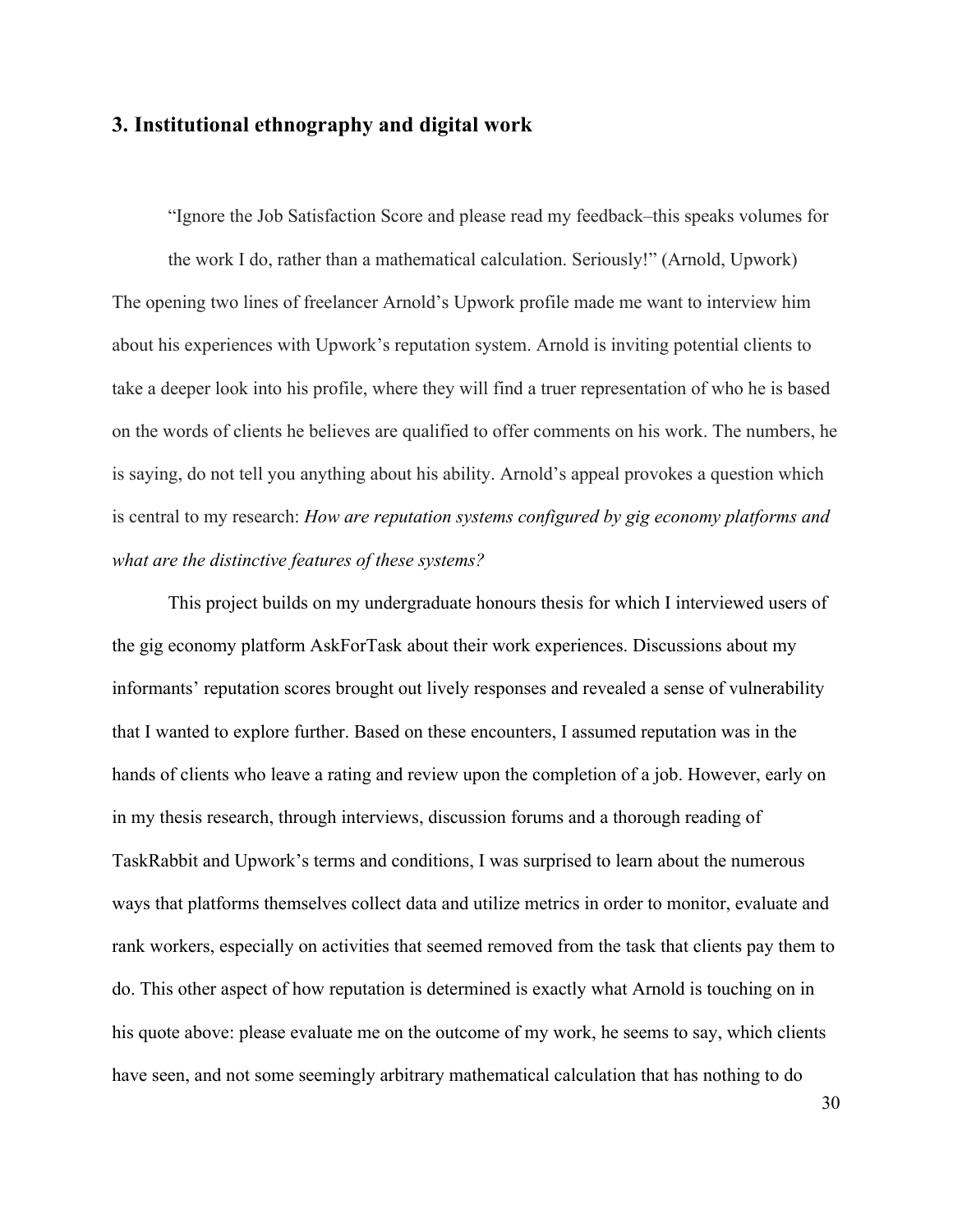# **3. Institutional ethnography and digital work**

"Ignore the Job Satisfaction Score and please read my feedback–this speaks volumes for the work I do, rather than a mathematical calculation. Seriously!" (Arnold, Upwork) The opening two lines of freelancer Arnold's Upwork profile made me want to interview him about his experiences with Upwork's reputation system. Arnold is inviting potential clients to take a deeper look into his profile, where they will find a truer representation of who he is based on the words of clients he believes are qualified to offer comments on his work. The numbers, he is saying, do not tell you anything about his ability. Arnold's appeal provokes a question which is central to my research: *How are reputation systems configured by gig economy platforms and what are the distinctive features of these systems?*

This project builds on my undergraduate honours thesis for which I interviewed users of the gig economy platform AskForTask about their work experiences. Discussions about my informants' reputation scores brought out lively responses and revealed a sense of vulnerability that I wanted to explore further. Based on these encounters, I assumed reputation was in the hands of clients who leave a rating and review upon the completion of a job. However, early on in my thesis research, through interviews, discussion forums and a thorough reading of TaskRabbit and Upwork's terms and conditions, I was surprised to learn about the numerous ways that platforms themselves collect data and utilize metrics in order to monitor, evaluate and rank workers, especially on activities that seemed removed from the task that clients pay them to do. This other aspect of how reputation is determined is exactly what Arnold is touching on in his quote above: please evaluate me on the outcome of my work, he seems to say, which clients have seen, and not some seemingly arbitrary mathematical calculation that has nothing to do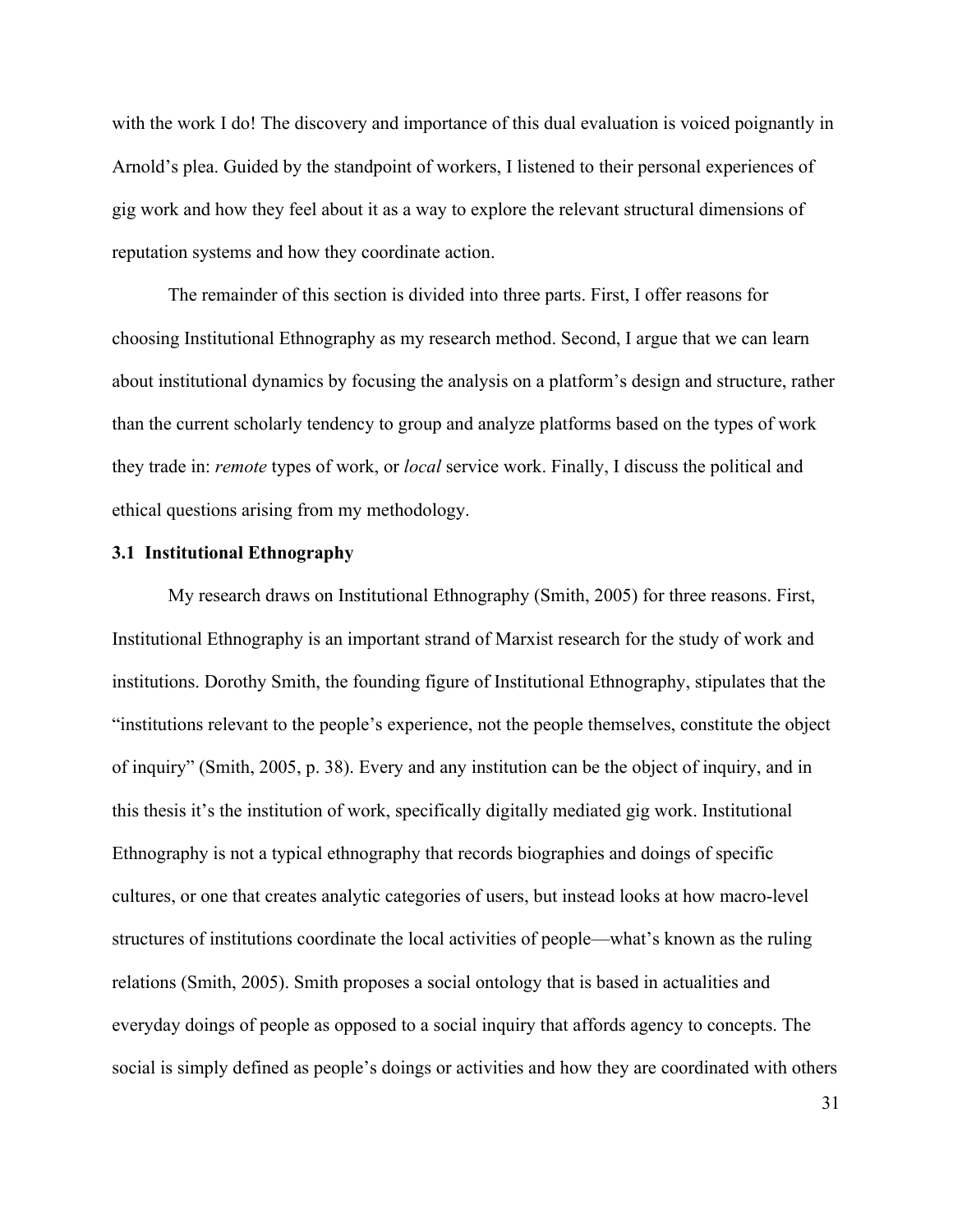with the work I do! The discovery and importance of this dual evaluation is voiced poignantly in Arnold's plea. Guided by the standpoint of workers, I listened to their personal experiences of gig work and how they feel about it as a way to explore the relevant structural dimensions of reputation systems and how they coordinate action.

The remainder of this section is divided into three parts. First, I offer reasons for choosing Institutional Ethnography as my research method. Second, I argue that we can learn about institutional dynamics by focusing the analysis on a platform's design and structure, rather than the current scholarly tendency to group and analyze platforms based on the types of work they trade in: *remote* types of work, or *local* service work. Finally, I discuss the political and ethical questions arising from my methodology.

# **3.1 Institutional Ethnography**

My research draws on Institutional Ethnography (Smith, 2005) for three reasons. First, Institutional Ethnography is an important strand of Marxist research for the study of work and institutions. Dorothy Smith, the founding figure of Institutional Ethnography, stipulates that the "institutions relevant to the people's experience, not the people themselves, constitute the object of inquiry" (Smith, 2005, p. 38). Every and any institution can be the object of inquiry, and in this thesis it's the institution of work, specifically digitally mediated gig work. Institutional Ethnography is not a typical ethnography that records biographies and doings of specific cultures, or one that creates analytic categories of users, but instead looks at how macro-level structures of institutions coordinate the local activities of people—what's known as the ruling relations (Smith, 2005). Smith proposes a social ontology that is based in actualities and everyday doings of people as opposed to a social inquiry that affords agency to concepts. The social is simply defined as people's doings or activities and how they are coordinated with others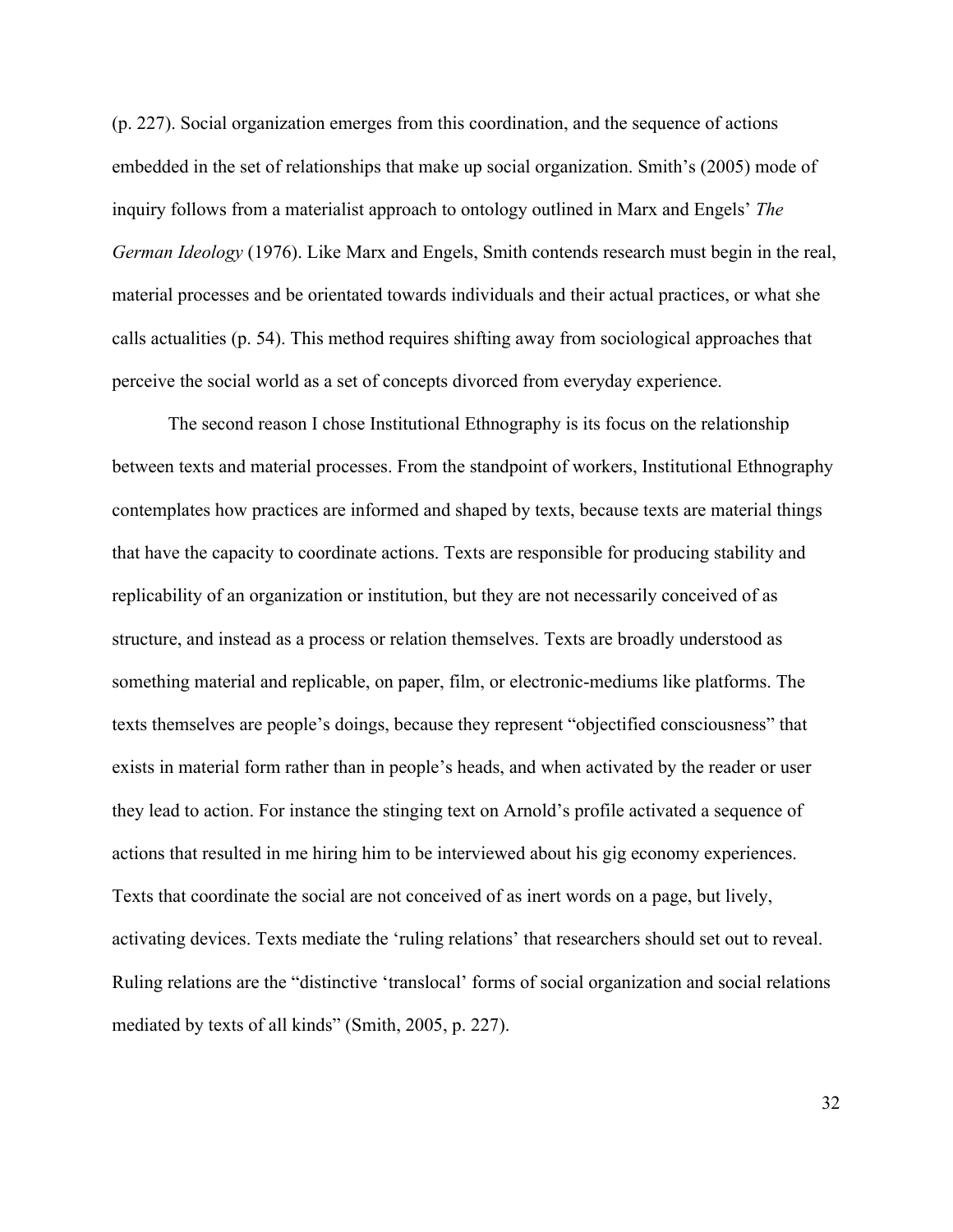(p. 227). Social organization emerges from this coordination, and the sequence of actions embedded in the set of relationships that make up social organization. Smith's (2005) mode of inquiry follows from a materialist approach to ontology outlined in Marx and Engels' *The German Ideology* (1976). Like Marx and Engels, Smith contends research must begin in the real, material processes and be orientated towards individuals and their actual practices, or what she calls actualities (p. 54). This method requires shifting away from sociological approaches that perceive the social world as a set of concepts divorced from everyday experience.

The second reason I chose Institutional Ethnography is its focus on the relationship between texts and material processes. From the standpoint of workers, Institutional Ethnography contemplates how practices are informed and shaped by texts, because texts are material things that have the capacity to coordinate actions. Texts are responsible for producing stability and replicability of an organization or institution, but they are not necessarily conceived of as structure, and instead as a process or relation themselves. Texts are broadly understood as something material and replicable, on paper, film, or electronic-mediums like platforms. The texts themselves are people's doings, because they represent "objectified consciousness" that exists in material form rather than in people's heads, and when activated by the reader or user they lead to action. For instance the stinging text on Arnold's profile activated a sequence of actions that resulted in me hiring him to be interviewed about his gig economy experiences. Texts that coordinate the social are not conceived of as inert words on a page, but lively, activating devices. Texts mediate the 'ruling relations' that researchers should set out to reveal. Ruling relations are the "distinctive 'translocal' forms of social organization and social relations mediated by texts of all kinds" (Smith, 2005, p. 227).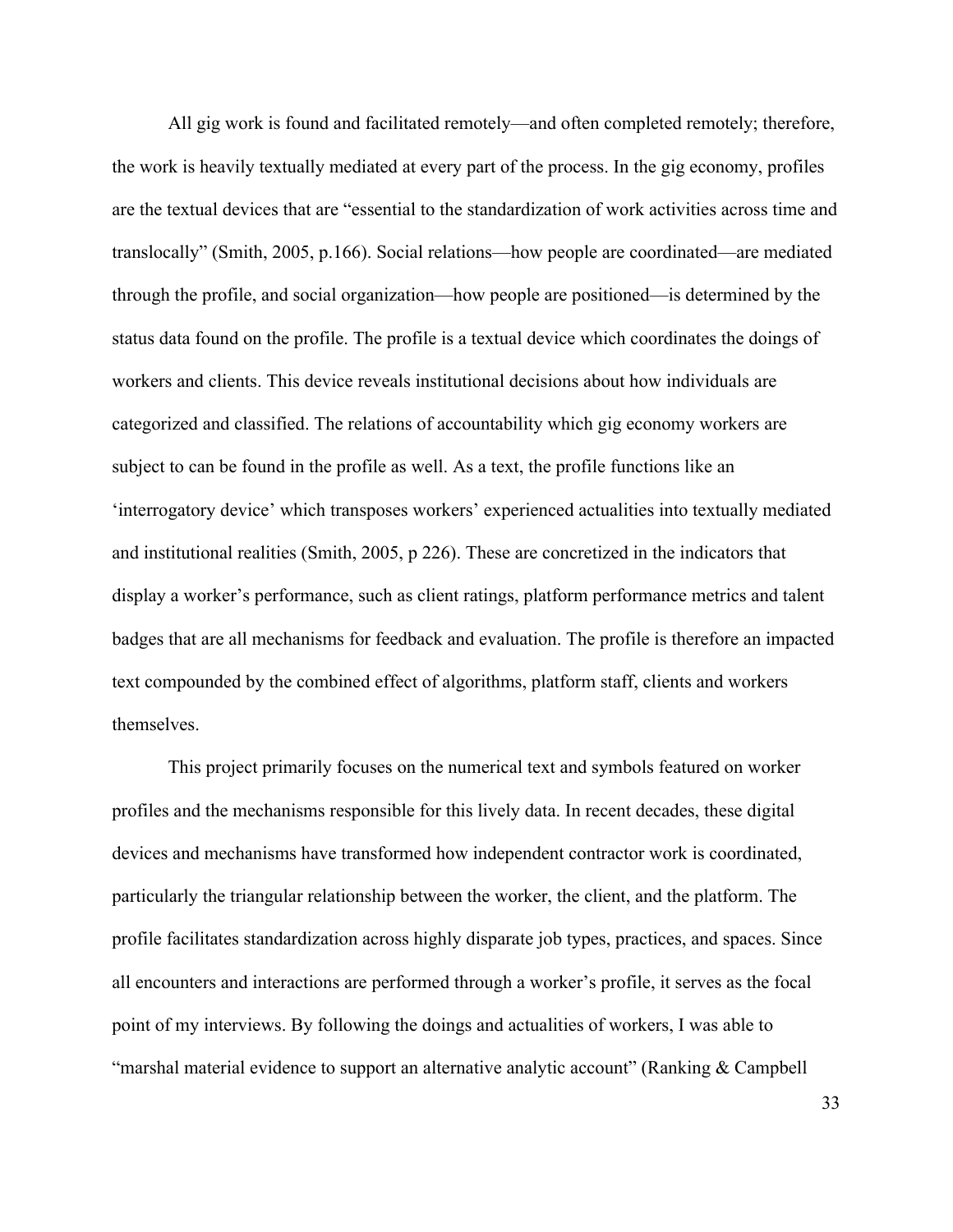All gig work is found and facilitated remotely—and often completed remotely; therefore, the work is heavily textually mediated at every part of the process. In the gig economy, profiles are the textual devices that are "essential to the standardization of work activities across time and translocally" (Smith, 2005, p.166). Social relations—how people are coordinated—are mediated through the profile, and social organization—how people are positioned—is determined by the status data found on the profile. The profile is a textual device which coordinates the doings of workers and clients. This device reveals institutional decisions about how individuals are categorized and classified. The relations of accountability which gig economy workers are subject to can be found in the profile as well. As a text, the profile functions like an 'interrogatory device' which transposes workers' experienced actualities into textually mediated and institutional realities (Smith, 2005, p 226). These are concretized in the indicators that display a worker's performance, such as client ratings, platform performance metrics and talent badges that are all mechanisms for feedback and evaluation. The profile is therefore an impacted text compounded by the combined effect of algorithms, platform staff, clients and workers themselves.

This project primarily focuses on the numerical text and symbols featured on worker profiles and the mechanisms responsible for this lively data. In recent decades, these digital devices and mechanisms have transformed how independent contractor work is coordinated, particularly the triangular relationship between the worker, the client, and the platform. The profile facilitates standardization across highly disparate job types, practices, and spaces. Since all encounters and interactions are performed through a worker's profile, it serves as the focal point of my interviews. By following the doings and actualities of workers, I was able to "marshal material evidence to support an alternative analytic account" (Ranking & Campbell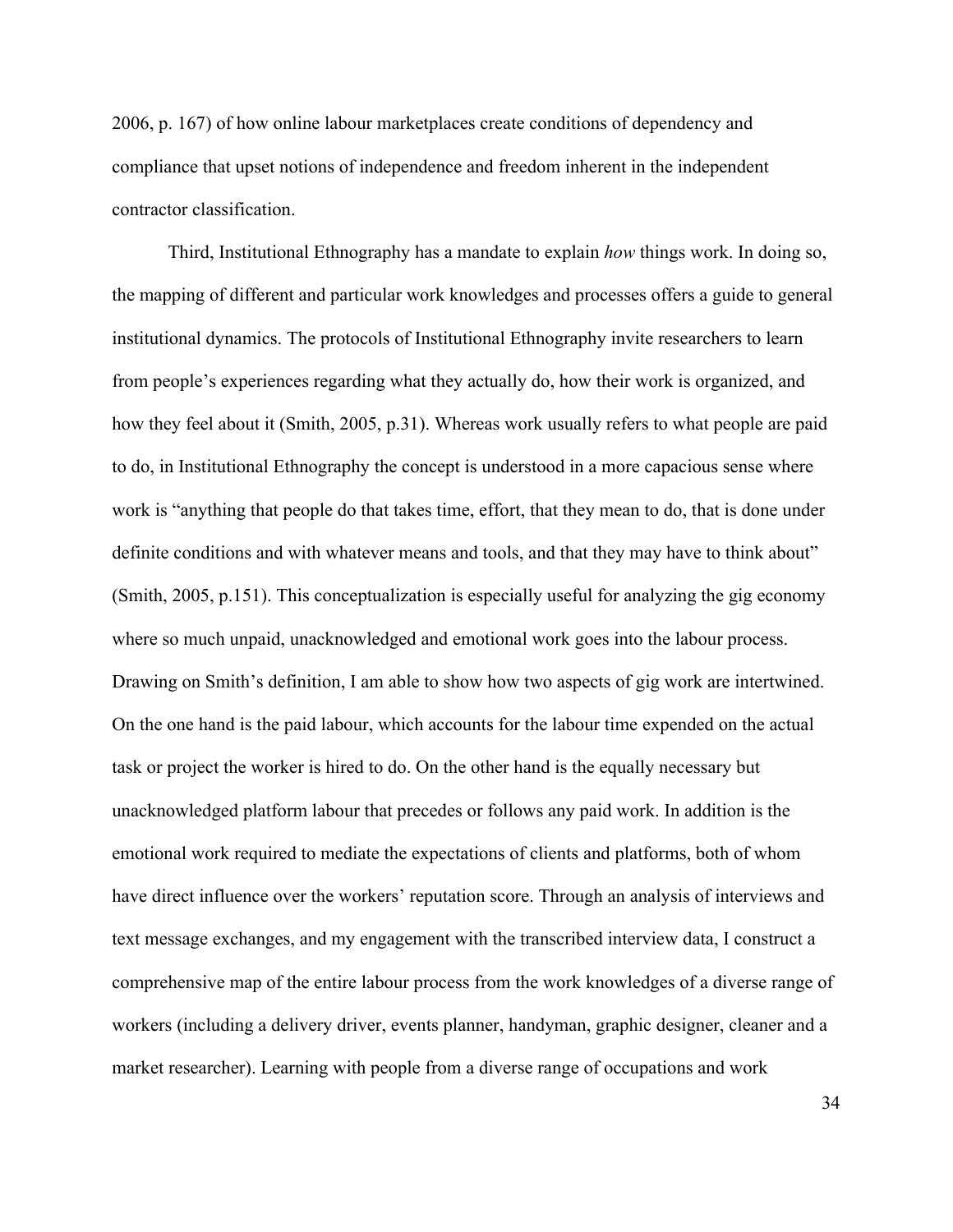2006, p. 167) of how online labour marketplaces create conditions of dependency and compliance that upset notions of independence and freedom inherent in the independent contractor classification.

Third, Institutional Ethnography has a mandate to explain *how* things work. In doing so, the mapping of different and particular work knowledges and processes offers a guide to general institutional dynamics. The protocols of Institutional Ethnography invite researchers to learn from people's experiences regarding what they actually do, how their work is organized, and how they feel about it (Smith, 2005, p.31). Whereas work usually refers to what people are paid to do, in Institutional Ethnography the concept is understood in a more capacious sense where work is "anything that people do that takes time, effort, that they mean to do, that is done under definite conditions and with whatever means and tools, and that they may have to think about" (Smith, 2005, p.151). This conceptualization is especially useful for analyzing the gig economy where so much unpaid, unacknowledged and emotional work goes into the labour process. Drawing on Smith's definition, I am able to show how two aspects of gig work are intertwined. On the one hand is the paid labour, which accounts for the labour time expended on the actual task or project the worker is hired to do. On the other hand is the equally necessary but unacknowledged platform labour that precedes or follows any paid work. In addition is the emotional work required to mediate the expectations of clients and platforms, both of whom have direct influence over the workers' reputation score. Through an analysis of interviews and text message exchanges, and my engagement with the transcribed interview data, I construct a comprehensive map of the entire labour process from the work knowledges of a diverse range of workers (including a delivery driver, events planner, handyman, graphic designer, cleaner and a market researcher). Learning with people from a diverse range of occupations and work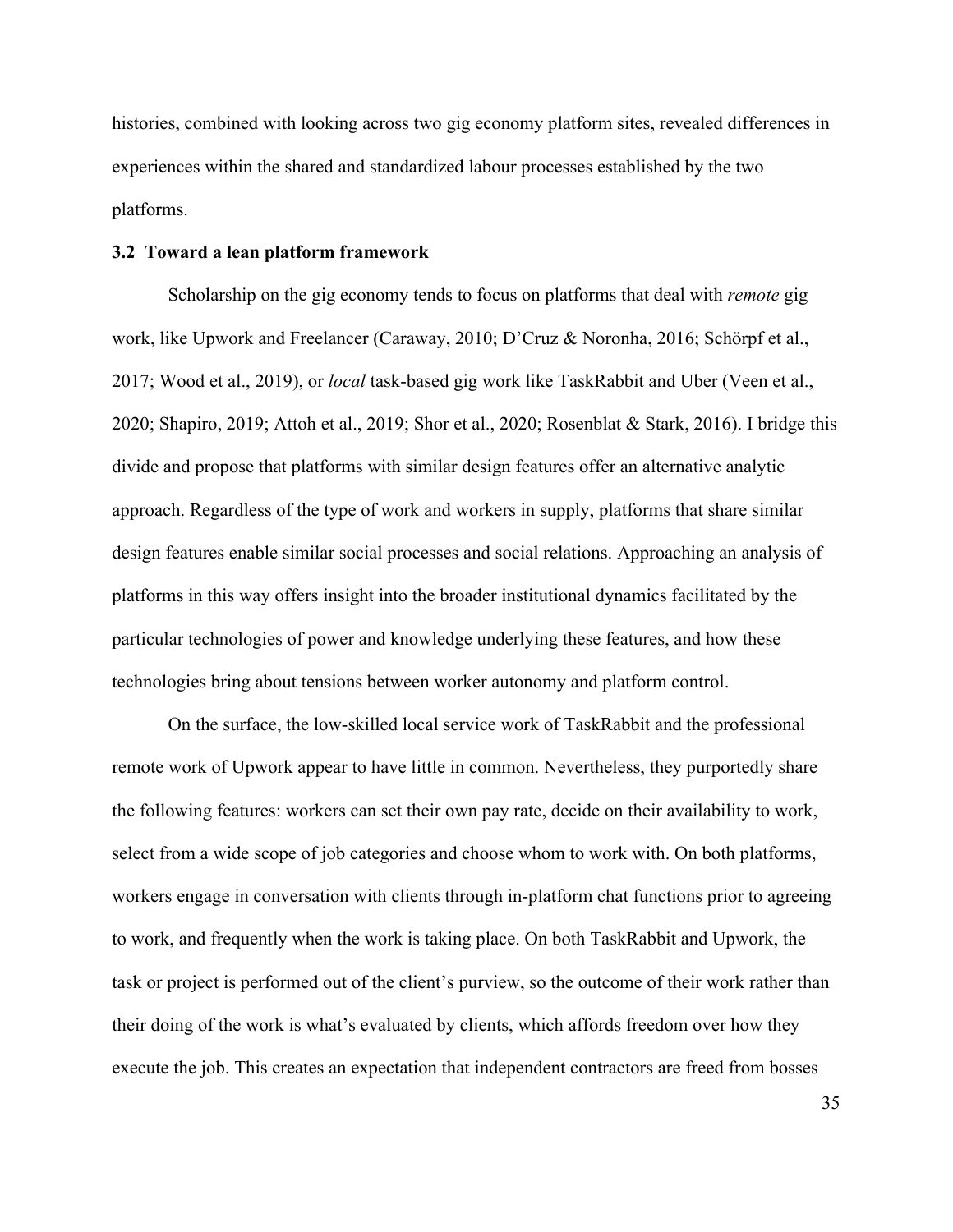histories, combined with looking across two gig economy platform sites, revealed differences in experiences within the shared and standardized labour processes established by the two platforms.

# **3.2 Toward a lean platform framework**

Scholarship on the gig economy tends to focus on platforms that deal with *remote* gig work, like Upwork and Freelancer (Caraway, 2010; D'Cruz & Noronha, 2016; Schörpf et al., 2017; Wood et al., 2019), or *local* task-based gig work like TaskRabbit and Uber (Veen et al., 2020; Shapiro, 2019; Attoh et al., 2019; Shor et al., 2020; Rosenblat & Stark, 2016). I bridge this divide and propose that platforms with similar design features offer an alternative analytic approach. Regardless of the type of work and workers in supply, platforms that share similar design features enable similar social processes and social relations. Approaching an analysis of platforms in this way offers insight into the broader institutional dynamics facilitated by the particular technologies of power and knowledge underlying these features, and how these technologies bring about tensions between worker autonomy and platform control.

On the surface, the low-skilled local service work of TaskRabbit and the professional remote work of Upwork appear to have little in common. Nevertheless, they purportedly share the following features: workers can set their own pay rate, decide on their availability to work, select from a wide scope of job categories and choose whom to work with. On both platforms, workers engage in conversation with clients through in-platform chat functions prior to agreeing to work, and frequently when the work is taking place. On both TaskRabbit and Upwork, the task or project is performed out of the client's purview, so the outcome of their work rather than their doing of the work is what's evaluated by clients, which affords freedom over how they execute the job. This creates an expectation that independent contractors are freed from bosses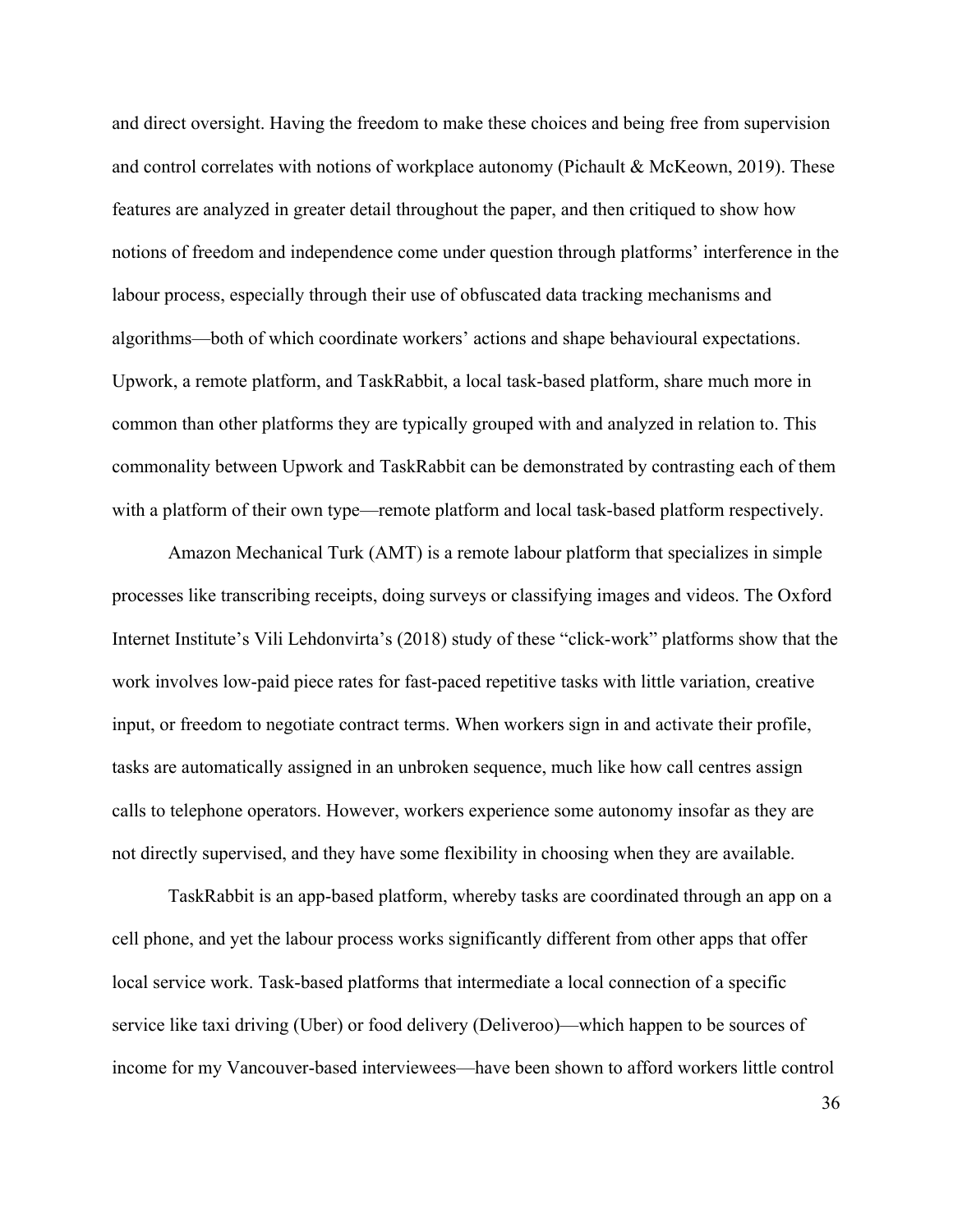and direct oversight. Having the freedom to make these choices and being free from supervision and control correlates with notions of workplace autonomy (Pichault & McKeown, 2019). These features are analyzed in greater detail throughout the paper, and then critiqued to show how notions of freedom and independence come under question through platforms' interference in the labour process, especially through their use of obfuscated data tracking mechanisms and algorithms—both of which coordinate workers' actions and shape behavioural expectations. Upwork, a remote platform, and TaskRabbit, a local task-based platform, share much more in common than other platforms they are typically grouped with and analyzed in relation to. This commonality between Upwork and TaskRabbit can be demonstrated by contrasting each of them with a platform of their own type—remote platform and local task-based platform respectively.

Amazon Mechanical Turk (AMT) is a remote labour platform that specializes in simple processes like transcribing receipts, doing surveys or classifying images and videos. The Oxford Internet Institute's Vili Lehdonvirta's (2018) study of these "click-work" platforms show that the work involves low-paid piece rates for fast-paced repetitive tasks with little variation, creative input, or freedom to negotiate contract terms. When workers sign in and activate their profile, tasks are automatically assigned in an unbroken sequence, much like how call centres assign calls to telephone operators. However, workers experience some autonomy insofar as they are not directly supervised, and they have some flexibility in choosing when they are available.

TaskRabbit is an app-based platform, whereby tasks are coordinated through an app on a cell phone, and yet the labour process works significantly different from other apps that offer local service work. Task-based platforms that intermediate a local connection of a specific service like taxi driving (Uber) or food delivery (Deliveroo)—which happen to be sources of income for my Vancouver-based interviewees—have been shown to afford workers little control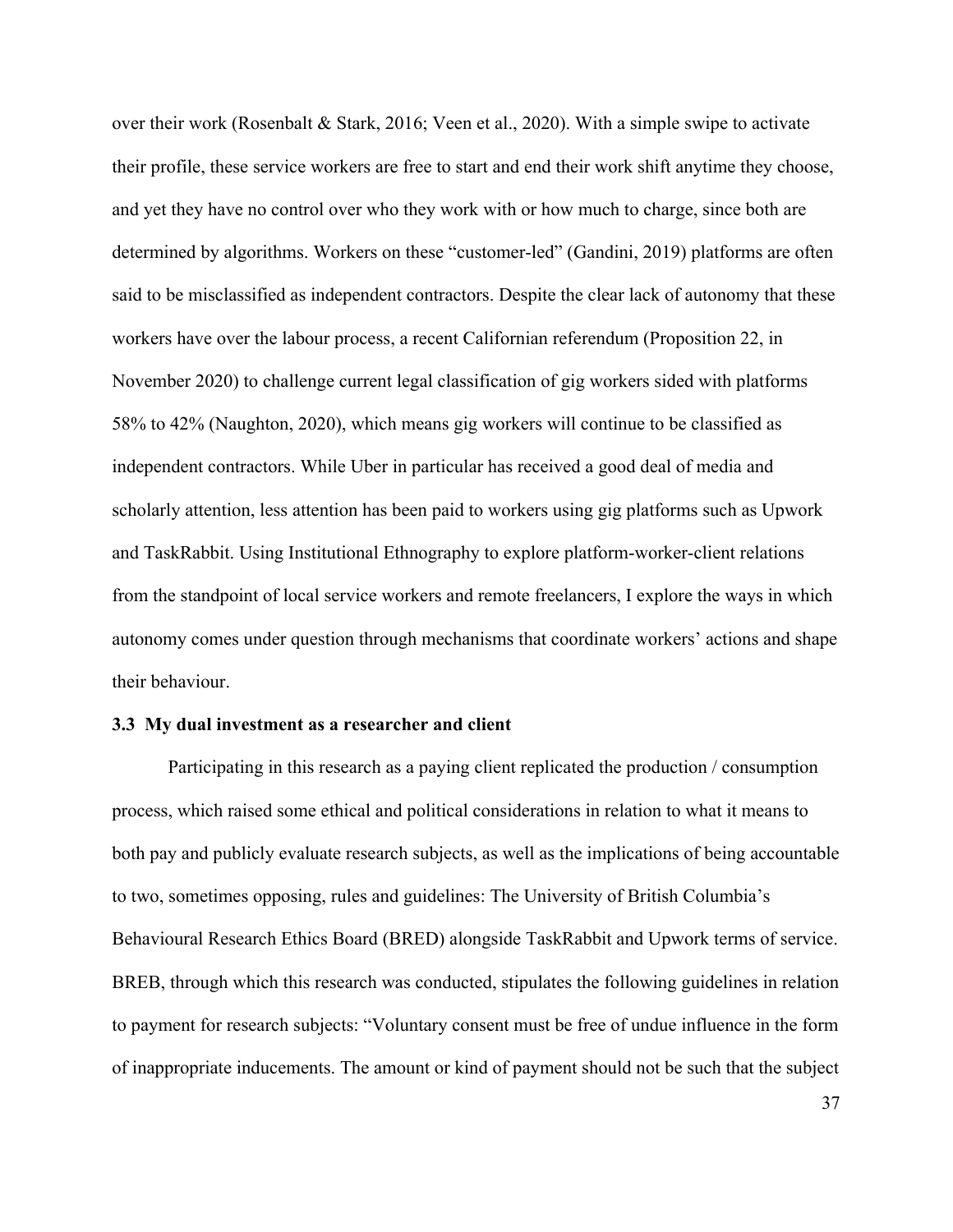over their work (Rosenbalt & Stark, 2016; Veen et al., 2020). With a simple swipe to activate their profile, these service workers are free to start and end their work shift anytime they choose, and yet they have no control over who they work with or how much to charge, since both are determined by algorithms. Workers on these "customer-led" (Gandini, 2019) platforms are often said to be misclassified as independent contractors. Despite the clear lack of autonomy that these workers have over the labour process, a recent Californian referendum (Proposition 22, in November 2020) to challenge current legal classification of gig workers sided with platforms 58% to 42% (Naughton, 2020), which means gig workers will continue to be classified as independent contractors. While Uber in particular has received a good deal of media and scholarly attention, less attention has been paid to workers using gig platforms such as Upwork and TaskRabbit. Using Institutional Ethnography to explore platform-worker-client relations from the standpoint of local service workers and remote freelancers, I explore the ways in which autonomy comes under question through mechanisms that coordinate workers' actions and shape their behaviour.

#### **3.3 My dual investment as a researcher and client**

Participating in this research as a paying client replicated the production / consumption process, which raised some ethical and political considerations in relation to what it means to both pay and publicly evaluate research subjects, as well as the implications of being accountable to two, sometimes opposing, rules and guidelines: The University of British Columbia's Behavioural Research Ethics Board (BRED) alongside TaskRabbit and Upwork terms of service. BREB, through which this research was conducted, stipulates the following guidelines in relation to payment for research subjects: "Voluntary consent must be free of undue influence in the form of inappropriate inducements. The amount or kind of payment should not be such that the subject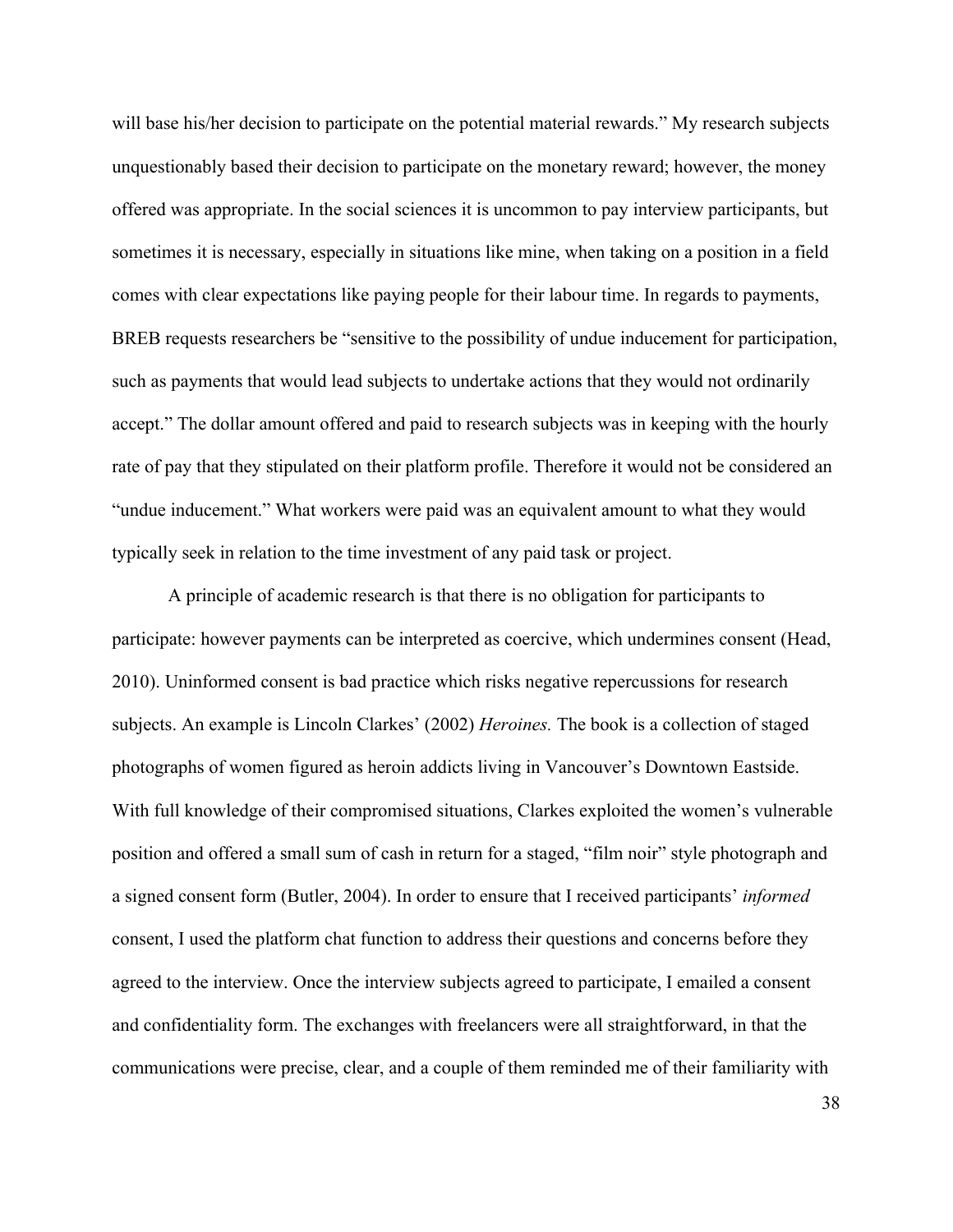will base his/her decision to participate on the potential material rewards." My research subjects unquestionably based their decision to participate on the monetary reward; however, the money offered was appropriate. In the social sciences it is uncommon to pay interview participants, but sometimes it is necessary, especially in situations like mine, when taking on a position in a field comes with clear expectations like paying people for their labour time. In regards to payments, BREB requests researchers be "sensitive to the possibility of undue inducement for participation, such as payments that would lead subjects to undertake actions that they would not ordinarily accept." The dollar amount offered and paid to research subjects was in keeping with the hourly rate of pay that they stipulated on their platform profile. Therefore it would not be considered an "undue inducement." What workers were paid was an equivalent amount to what they would typically seek in relation to the time investment of any paid task or project.

A principle of academic research is that there is no obligation for participants to participate: however payments can be interpreted as coercive, which undermines consent (Head, 2010). Uninformed consent is bad practice which risks negative repercussions for research subjects. An example is Lincoln Clarkes' (2002) *Heroines.* The book is a collection of staged photographs of women figured as heroin addicts living in Vancouver's Downtown Eastside. With full knowledge of their compromised situations, Clarkes exploited the women's vulnerable position and offered a small sum of cash in return for a staged, "film noir" style photograph and a signed consent form (Butler, 2004). In order to ensure that I received participants' *informed*  consent, I used the platform chat function to address their questions and concerns before they agreed to the interview. Once the interview subjects agreed to participate, I emailed a consent and confidentiality form. The exchanges with freelancers were all straightforward, in that the communications were precise, clear, and a couple of them reminded me of their familiarity with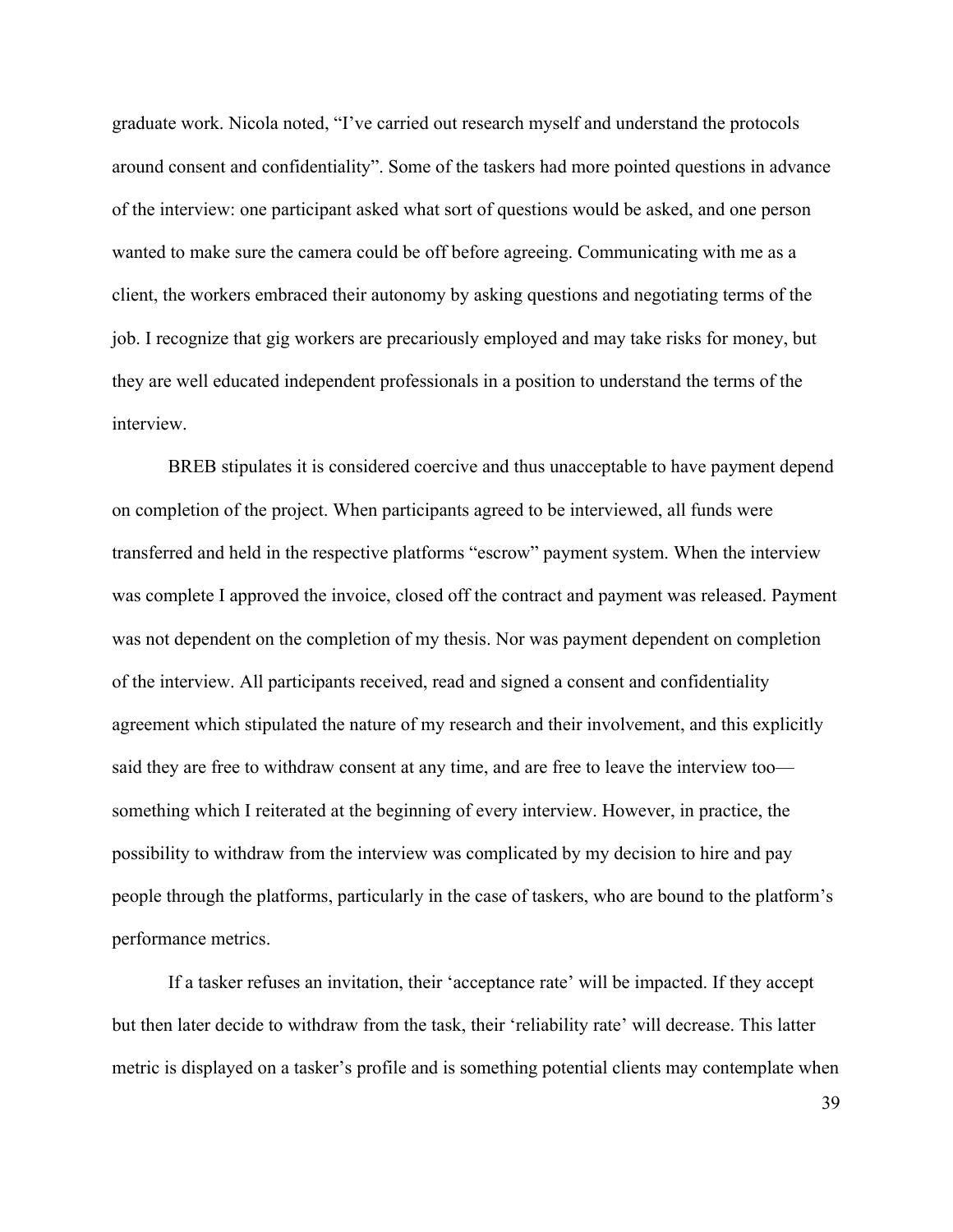graduate work. Nicola noted, "I've carried out research myself and understand the protocols around consent and confidentiality". Some of the taskers had more pointed questions in advance of the interview: one participant asked what sort of questions would be asked, and one person wanted to make sure the camera could be off before agreeing. Communicating with me as a client, the workers embraced their autonomy by asking questions and negotiating terms of the job. I recognize that gig workers are precariously employed and may take risks for money, but they are well educated independent professionals in a position to understand the terms of the interview.

BREB stipulates it is considered coercive and thus unacceptable to have payment depend on completion of the project. When participants agreed to be interviewed, all funds were transferred and held in the respective platforms "escrow" payment system. When the interview was complete I approved the invoice, closed off the contract and payment was released. Payment was not dependent on the completion of my thesis. Nor was payment dependent on completion of the interview. All participants received, read and signed a consent and confidentiality agreement which stipulated the nature of my research and their involvement, and this explicitly said they are free to withdraw consent at any time, and are free to leave the interview too something which I reiterated at the beginning of every interview. However, in practice, the possibility to withdraw from the interview was complicated by my decision to hire and pay people through the platforms, particularly in the case of taskers, who are bound to the platform's performance metrics.

If a tasker refuses an invitation, their 'acceptance rate' will be impacted. If they accept but then later decide to withdraw from the task, their 'reliability rate' will decrease. This latter metric is displayed on a tasker's profile and is something potential clients may contemplate when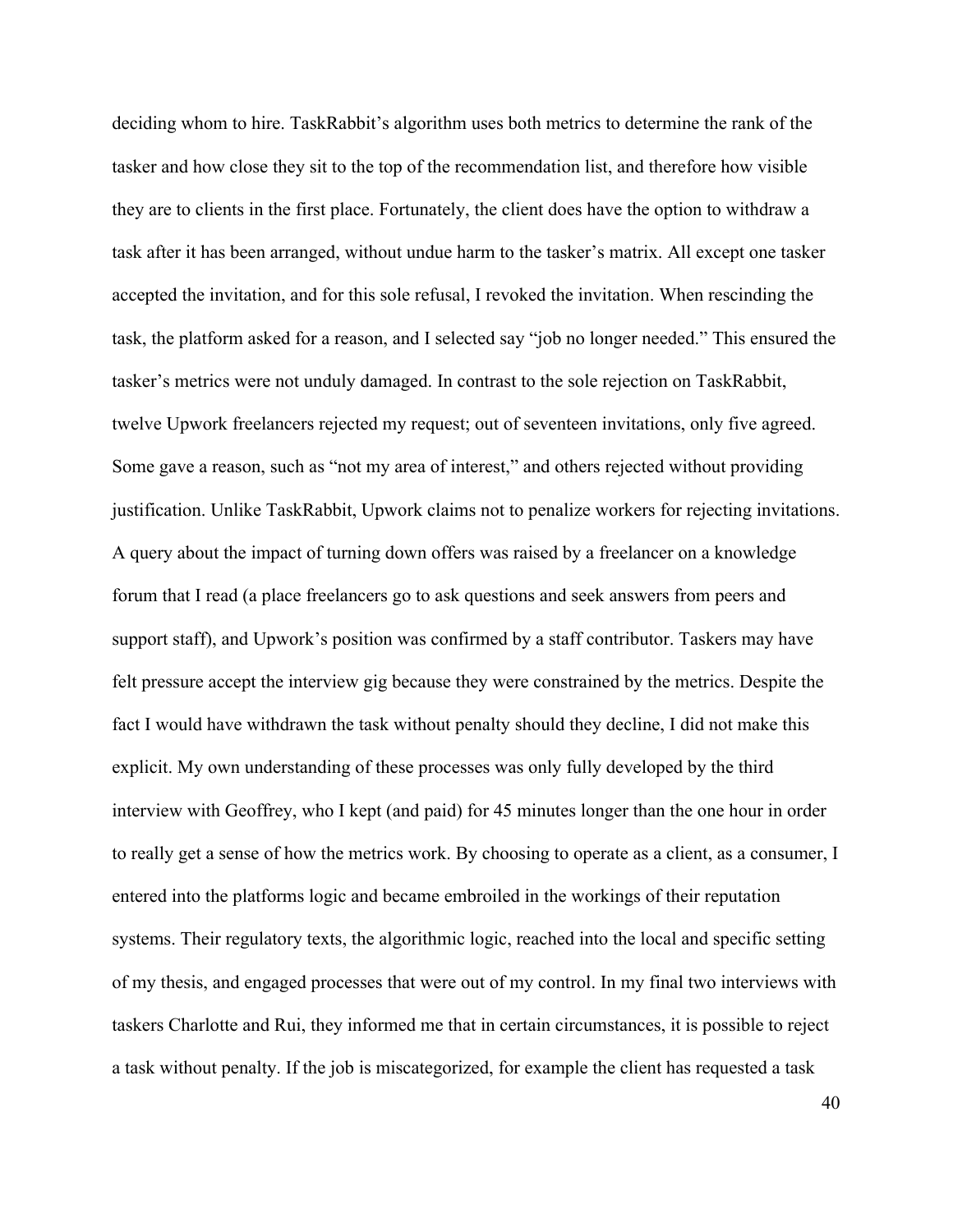deciding whom to hire. TaskRabbit's algorithm uses both metrics to determine the rank of the tasker and how close they sit to the top of the recommendation list, and therefore how visible they are to clients in the first place. Fortunately, the client does have the option to withdraw a task after it has been arranged, without undue harm to the tasker's matrix. All except one tasker accepted the invitation, and for this sole refusal, I revoked the invitation. When rescinding the task, the platform asked for a reason, and I selected say "job no longer needed." This ensured the tasker's metrics were not unduly damaged. In contrast to the sole rejection on TaskRabbit, twelve Upwork freelancers rejected my request; out of seventeen invitations, only five agreed. Some gave a reason, such as "not my area of interest," and others rejected without providing justification. Unlike TaskRabbit, Upwork claims not to penalize workers for rejecting invitations. A query about the impact of turning down offers was raised by a freelancer on a knowledge forum that I read (a place freelancers go to ask questions and seek answers from peers and support staff), and Upwork's position was confirmed by a staff contributor. Taskers may have felt pressure accept the interview gig because they were constrained by the metrics. Despite the fact I would have withdrawn the task without penalty should they decline, I did not make this explicit. My own understanding of these processes was only fully developed by the third interview with Geoffrey, who I kept (and paid) for 45 minutes longer than the one hour in order to really get a sense of how the metrics work. By choosing to operate as a client, as a consumer, I entered into the platforms logic and became embroiled in the workings of their reputation systems. Their regulatory texts, the algorithmic logic, reached into the local and specific setting of my thesis, and engaged processes that were out of my control. In my final two interviews with taskers Charlotte and Rui, they informed me that in certain circumstances, it is possible to reject a task without penalty. If the job is miscategorized, for example the client has requested a task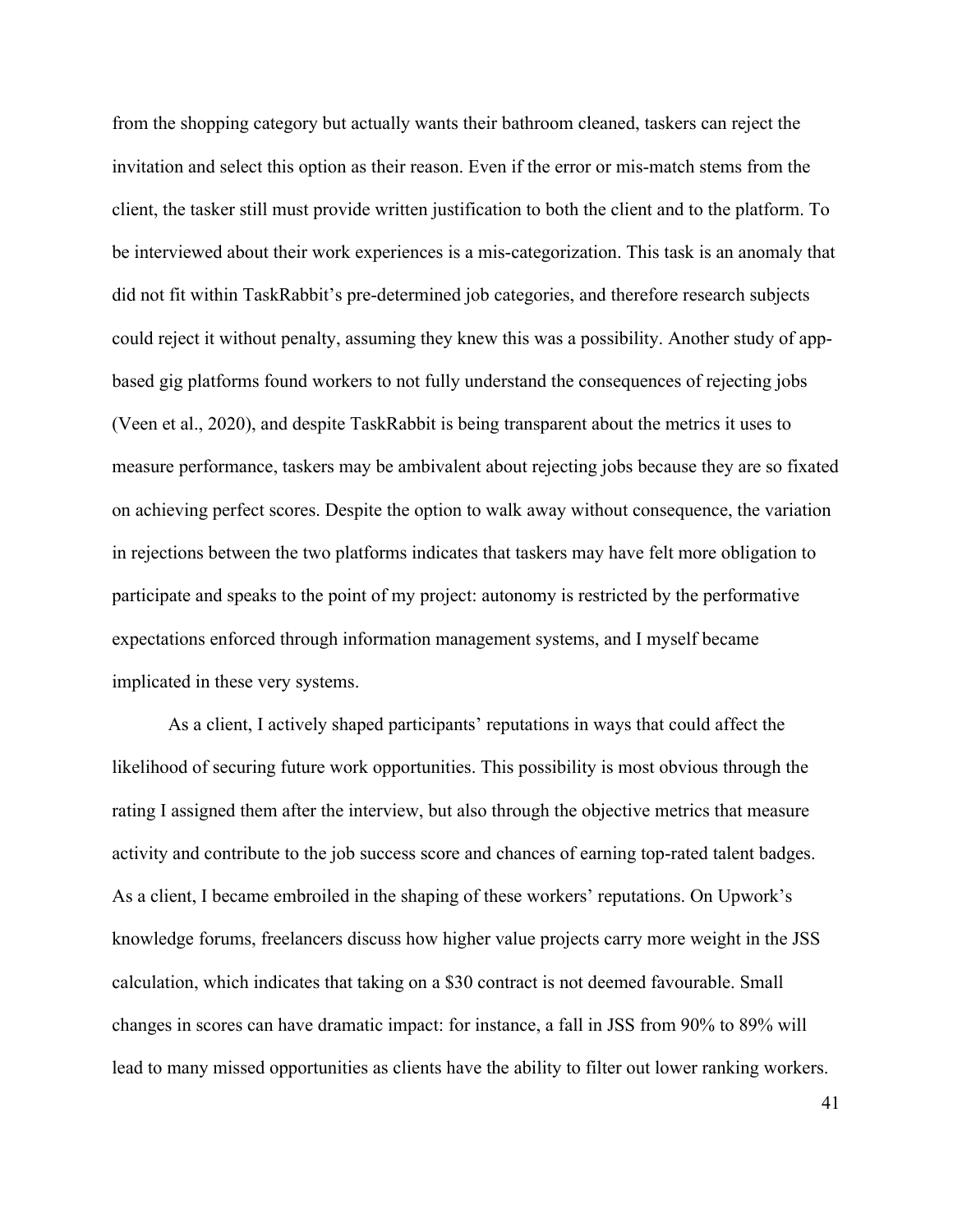from the shopping category but actually wants their bathroom cleaned, taskers can reject the invitation and select this option as their reason. Even if the error or mis-match stems from the client, the tasker still must provide written justification to both the client and to the platform. To be interviewed about their work experiences is a mis-categorization. This task is an anomaly that did not fit within TaskRabbit's pre-determined job categories, and therefore research subjects could reject it without penalty, assuming they knew this was a possibility. Another study of appbased gig platforms found workers to not fully understand the consequences of rejecting jobs (Veen et al., 2020), and despite TaskRabbit is being transparent about the metrics it uses to measure performance, taskers may be ambivalent about rejecting jobs because they are so fixated on achieving perfect scores. Despite the option to walk away without consequence, the variation in rejections between the two platforms indicates that taskers may have felt more obligation to participate and speaks to the point of my project: autonomy is restricted by the performative expectations enforced through information management systems, and I myself became implicated in these very systems.

As a client, I actively shaped participants' reputations in ways that could affect the likelihood of securing future work opportunities. This possibility is most obvious through the rating I assigned them after the interview, but also through the objective metrics that measure activity and contribute to the job success score and chances of earning top-rated talent badges. As a client, I became embroiled in the shaping of these workers' reputations. On Upwork's knowledge forums, freelancers discuss how higher value projects carry more weight in the JSS calculation, which indicates that taking on a \$30 contract is not deemed favourable. Small changes in scores can have dramatic impact: for instance, a fall in JSS from 90% to 89% will lead to many missed opportunities as clients have the ability to filter out lower ranking workers.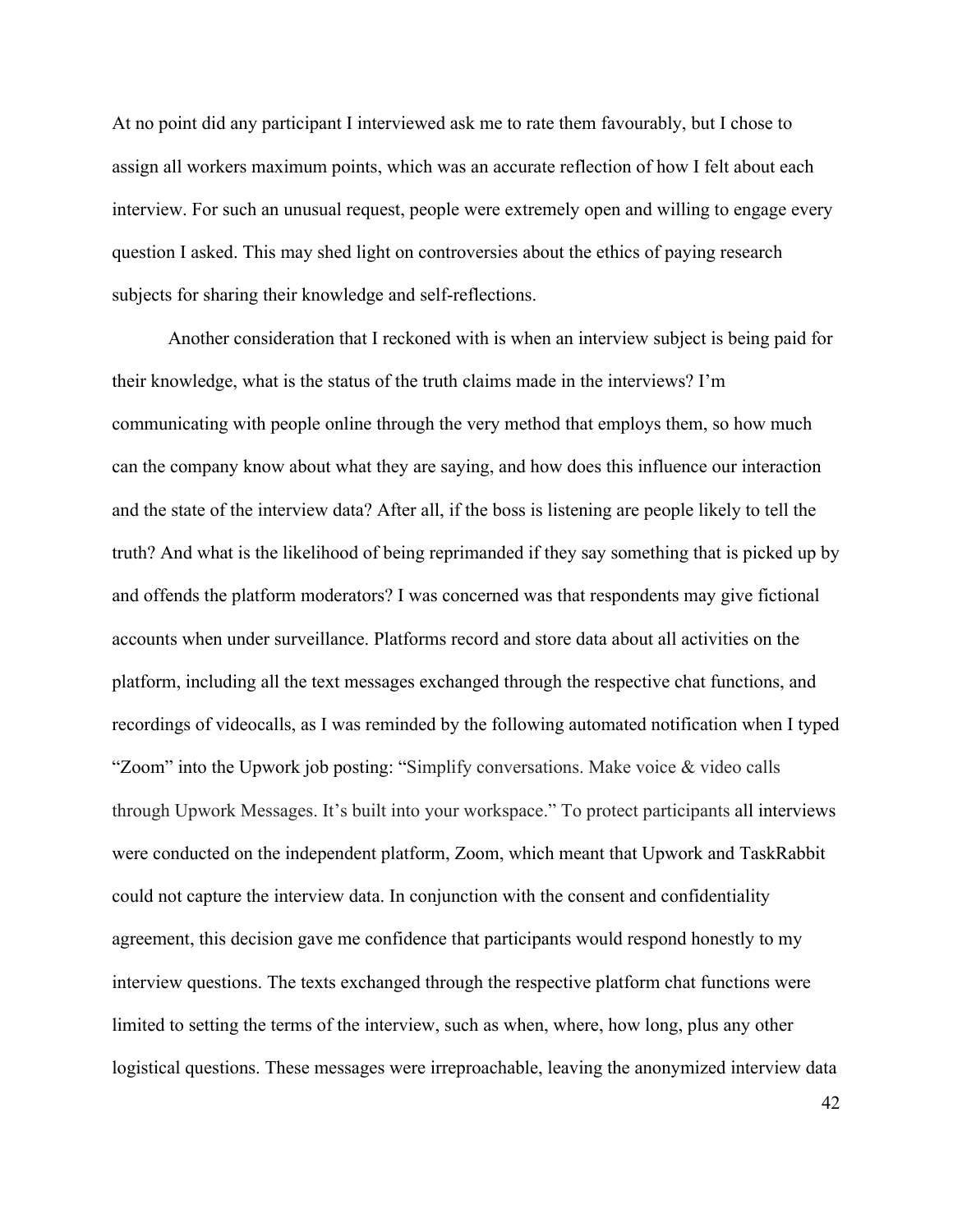At no point did any participant I interviewed ask me to rate them favourably, but I chose to assign all workers maximum points, which was an accurate reflection of how I felt about each interview. For such an unusual request, people were extremely open and willing to engage every question I asked. This may shed light on controversies about the ethics of paying research subjects for sharing their knowledge and self-reflections.

Another consideration that I reckoned with is when an interview subject is being paid for their knowledge, what is the status of the truth claims made in the interviews? I'm communicating with people online through the very method that employs them, so how much can the company know about what they are saying, and how does this influence our interaction and the state of the interview data? After all, if the boss is listening are people likely to tell the truth? And what is the likelihood of being reprimanded if they say something that is picked up by and offends the platform moderators? I was concerned was that respondents may give fictional accounts when under surveillance. Platforms record and store data about all activities on the platform, including all the text messages exchanged through the respective chat functions, and recordings of videocalls, as I was reminded by the following automated notification when I typed "Zoom" into the Upwork job posting: "Simplify conversations. Make voice & video calls through Upwork Messages. It's built into your workspace." To protect participants all interviews were conducted on the independent platform, Zoom, which meant that Upwork and TaskRabbit could not capture the interview data. In conjunction with the consent and confidentiality agreement, this decision gave me confidence that participants would respond honestly to my interview questions. The texts exchanged through the respective platform chat functions were limited to setting the terms of the interview, such as when, where, how long, plus any other logistical questions. These messages were irreproachable, leaving the anonymized interview data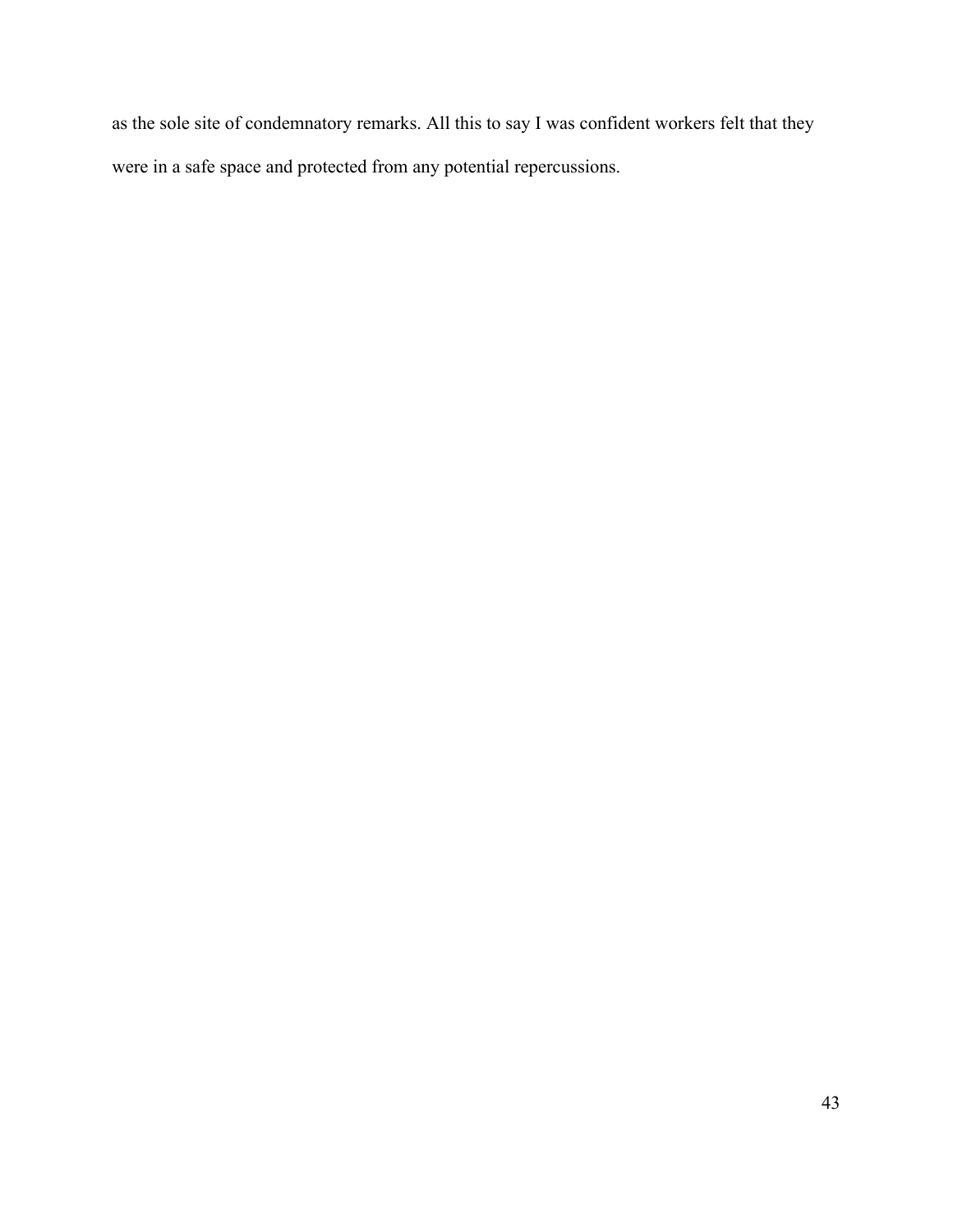as the sole site of condemnatory remarks. All this to say I was confident workers felt that they were in a safe space and protected from any potential repercussions.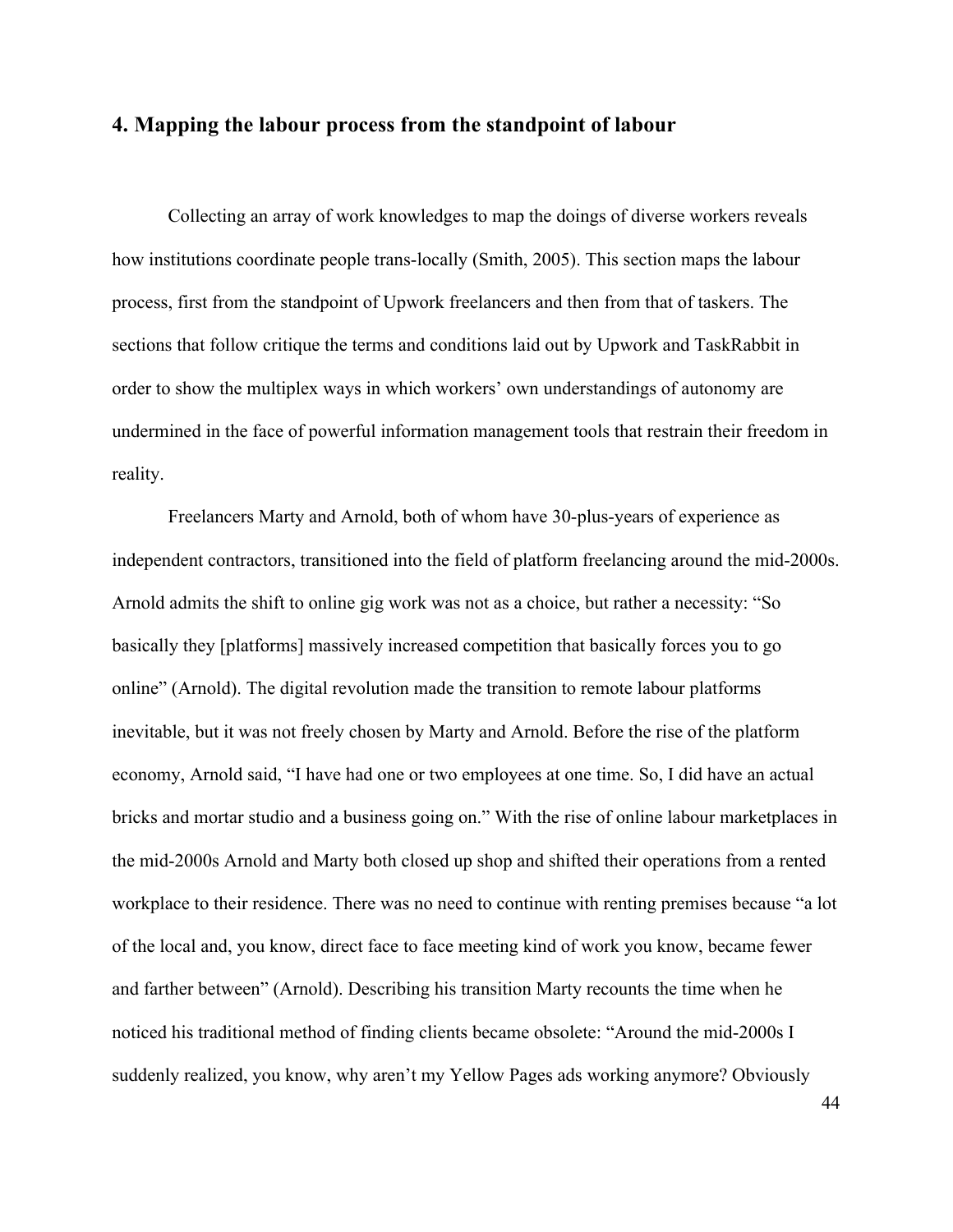# **4. Mapping the labour process from the standpoint of labour**

Collecting an array of work knowledges to map the doings of diverse workers reveals how institutions coordinate people trans-locally (Smith, 2005). This section maps the labour process, first from the standpoint of Upwork freelancers and then from that of taskers. The sections that follow critique the terms and conditions laid out by Upwork and TaskRabbit in order to show the multiplex ways in which workers' own understandings of autonomy are undermined in the face of powerful information management tools that restrain their freedom in reality.

Freelancers Marty and Arnold, both of whom have 30-plus-years of experience as independent contractors, transitioned into the field of platform freelancing around the mid-2000s. Arnold admits the shift to online gig work was not as a choice, but rather a necessity: "So basically they [platforms] massively increased competition that basically forces you to go online" (Arnold). The digital revolution made the transition to remote labour platforms inevitable, but it was not freely chosen by Marty and Arnold. Before the rise of the platform economy, Arnold said, "I have had one or two employees at one time. So, I did have an actual bricks and mortar studio and a business going on." With the rise of online labour marketplaces in the mid-2000s Arnold and Marty both closed up shop and shifted their operations from a rented workplace to their residence. There was no need to continue with renting premises because "a lot of the local and, you know, direct face to face meeting kind of work you know, became fewer and farther between" (Arnold). Describing his transition Marty recounts the time when he noticed his traditional method of finding clients became obsolete: "Around the mid-2000s I suddenly realized, you know, why aren't my Yellow Pages ads working anymore? Obviously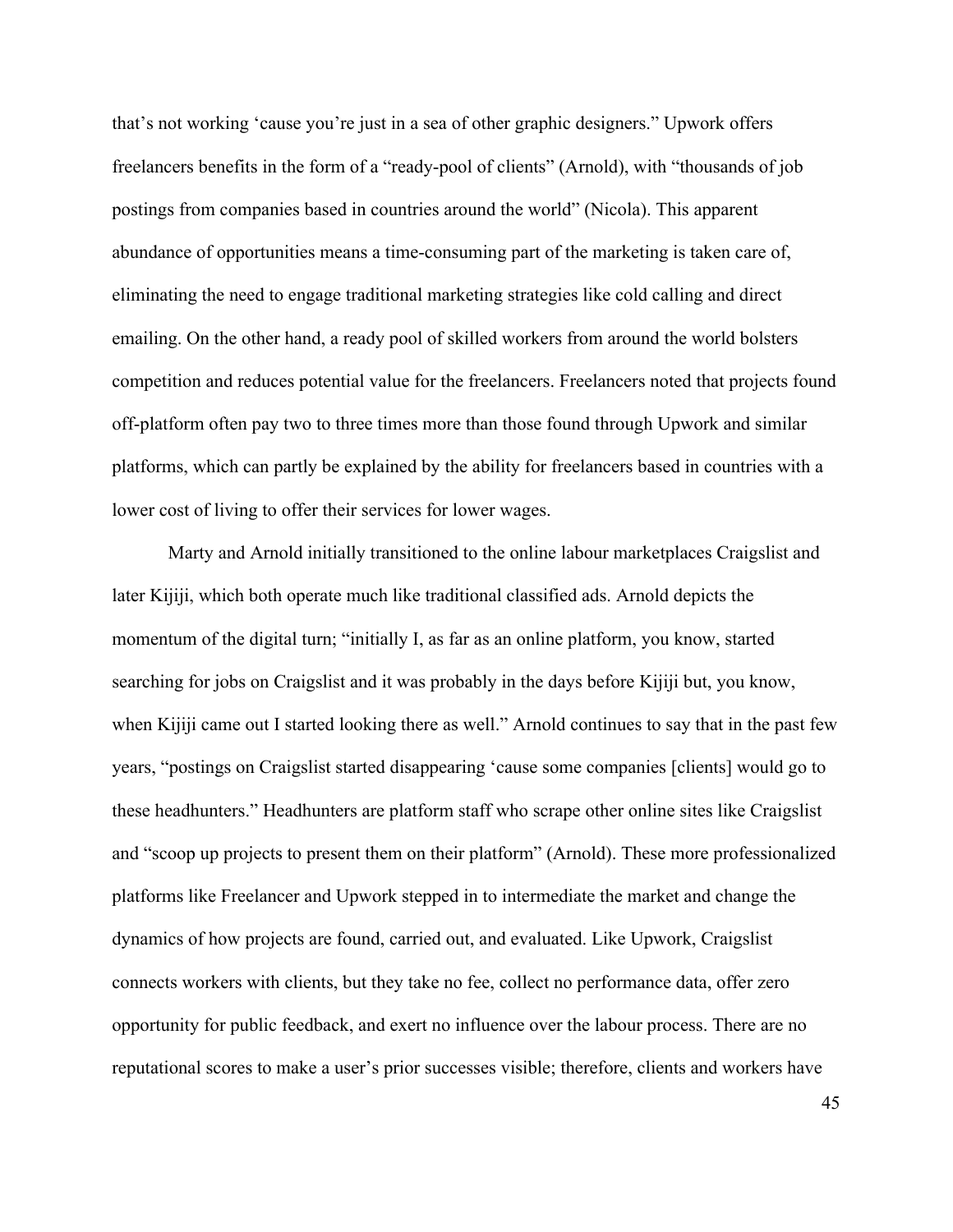that's not working 'cause you're just in a sea of other graphic designers." Upwork offers freelancers benefits in the form of a "ready-pool of clients" (Arnold), with "thousands of job postings from companies based in countries around the world" (Nicola). This apparent abundance of opportunities means a time-consuming part of the marketing is taken care of, eliminating the need to engage traditional marketing strategies like cold calling and direct emailing. On the other hand, a ready pool of skilled workers from around the world bolsters competition and reduces potential value for the freelancers. Freelancers noted that projects found off-platform often pay two to three times more than those found through Upwork and similar platforms, which can partly be explained by the ability for freelancers based in countries with a lower cost of living to offer their services for lower wages.

Marty and Arnold initially transitioned to the online labour marketplaces Craigslist and later Kijiji, which both operate much like traditional classified ads. Arnold depicts the momentum of the digital turn; "initially I, as far as an online platform, you know, started searching for jobs on Craigslist and it was probably in the days before Kijiji but, you know, when Kijiji came out I started looking there as well." Arnold continues to say that in the past few years, "postings on Craigslist started disappearing 'cause some companies [clients] would go to these headhunters." Headhunters are platform staff who scrape other online sites like Craigslist and "scoop up projects to present them on their platform" (Arnold). These more professionalized platforms like Freelancer and Upwork stepped in to intermediate the market and change the dynamics of how projects are found, carried out, and evaluated. Like Upwork, Craigslist connects workers with clients, but they take no fee, collect no performance data, offer zero opportunity for public feedback, and exert no influence over the labour process. There are no reputational scores to make a user's prior successes visible; therefore, clients and workers have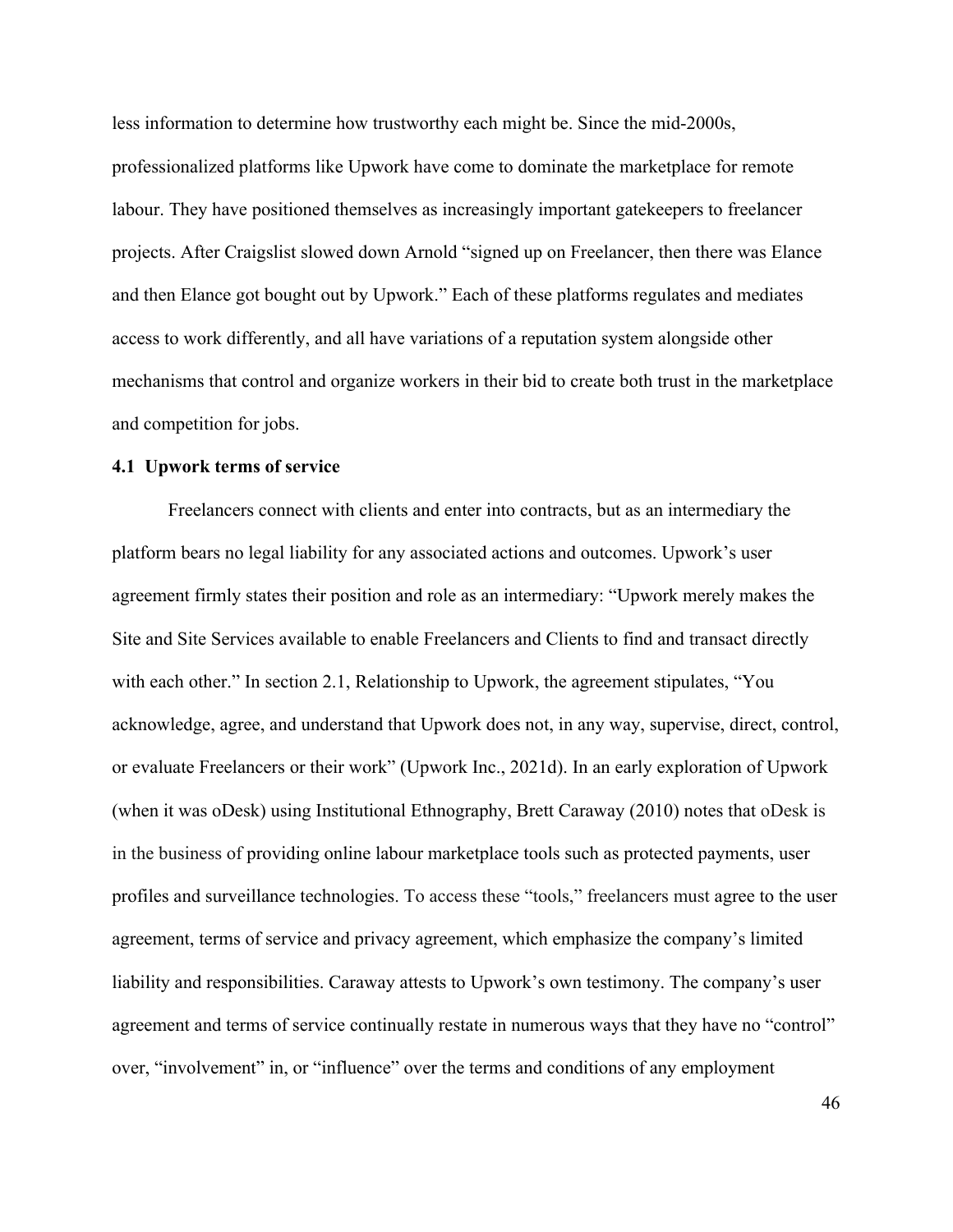less information to determine how trustworthy each might be. Since the mid-2000s, professionalized platforms like Upwork have come to dominate the marketplace for remote labour. They have positioned themselves as increasingly important gatekeepers to freelancer projects. After Craigslist slowed down Arnold "signed up on Freelancer, then there was Elance and then Elance got bought out by Upwork." Each of these platforms regulates and mediates access to work differently, and all have variations of a reputation system alongside other mechanisms that control and organize workers in their bid to create both trust in the marketplace and competition for jobs.

# **4.1 Upwork terms of service**

Freelancers connect with clients and enter into contracts, but as an intermediary the platform bears no legal liability for any associated actions and outcomes. Upwork's user agreement firmly states their position and role as an intermediary: "Upwork merely makes the Site and Site Services available to enable Freelancers and Clients to find and transact directly with each other." In section 2.1, Relationship to Upwork, the agreement stipulates, "You acknowledge, agree, and understand that Upwork does not, in any way, supervise, direct, control, or evaluate Freelancers or their work" (Upwork Inc., 2021d). In an early exploration of Upwork (when it was oDesk) using Institutional Ethnography, Brett Caraway (2010) notes that oDesk is in the business of providing online labour marketplace tools such as protected payments, user profiles and surveillance technologies. To access these "tools," freelancers must agree to the user agreement, terms of service and privacy agreement, which emphasize the company's limited liability and responsibilities. Caraway attests to Upwork's own testimony. The company's user agreement and terms of service continually restate in numerous ways that they have no "control" over, "involvement" in, or "influence" over the terms and conditions of any employment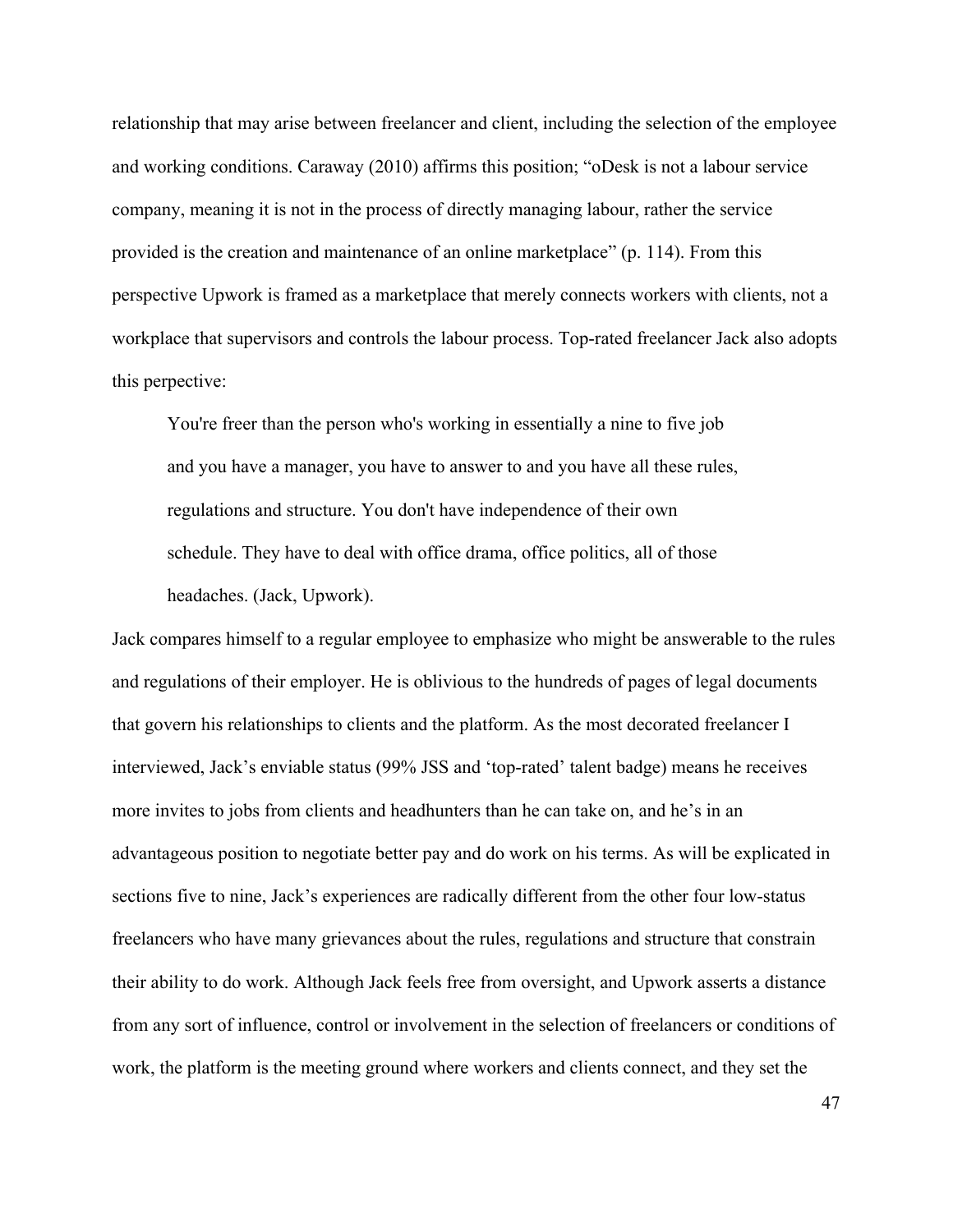relationship that may arise between freelancer and client, including the selection of the employee and working conditions. Caraway (2010) affirms this position; "oDesk is not a labour service company, meaning it is not in the process of directly managing labour, rather the service provided is the creation and maintenance of an online marketplace" (p. 114). From this perspective Upwork is framed as a marketplace that merely connects workers with clients, not a workplace that supervisors and controls the labour process. Top-rated freelancer Jack also adopts this perpective:

You're freer than the person who's working in essentially a nine to five job and you have a manager, you have to answer to and you have all these rules, regulations and structure. You don't have independence of their own schedule. They have to deal with office drama, office politics, all of those headaches. (Jack, Upwork).

Jack compares himself to a regular employee to emphasize who might be answerable to the rules and regulations of their employer. He is oblivious to the hundreds of pages of legal documents that govern his relationships to clients and the platform. As the most decorated freelancer I interviewed, Jack's enviable status (99% JSS and 'top-rated' talent badge) means he receives more invites to jobs from clients and headhunters than he can take on, and he's in an advantageous position to negotiate better pay and do work on his terms. As will be explicated in sections five to nine, Jack's experiences are radically different from the other four low-status freelancers who have many grievances about the rules, regulations and structure that constrain their ability to do work. Although Jack feels free from oversight, and Upwork asserts a distance from any sort of influence, control or involvement in the selection of freelancers or conditions of work, the platform is the meeting ground where workers and clients connect, and they set the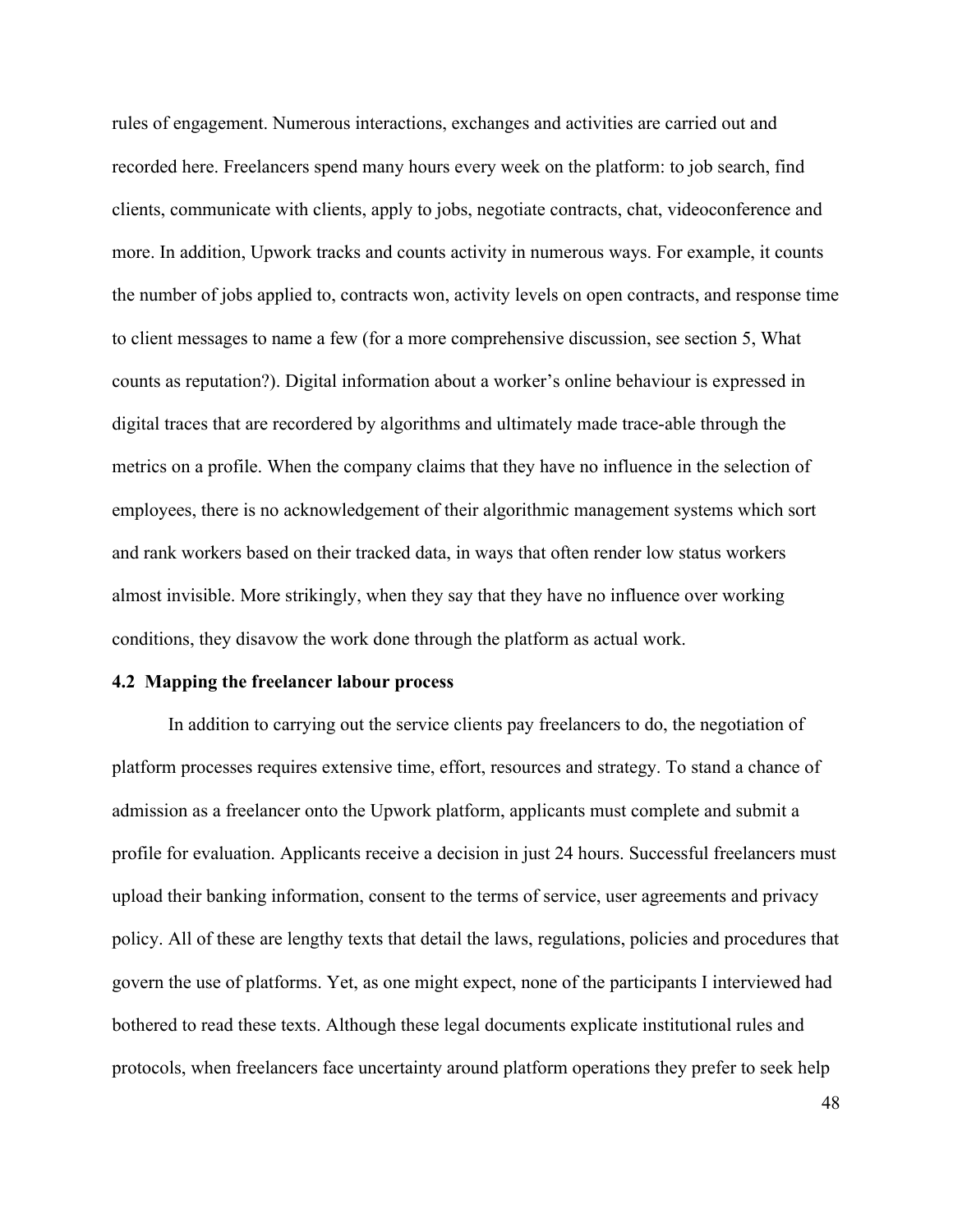rules of engagement. Numerous interactions, exchanges and activities are carried out and recorded here. Freelancers spend many hours every week on the platform: to job search, find clients, communicate with clients, apply to jobs, negotiate contracts, chat, videoconference and more. In addition, Upwork tracks and counts activity in numerous ways. For example, it counts the number of jobs applied to, contracts won, activity levels on open contracts, and response time to client messages to name a few (for a more comprehensive discussion, see section 5, What counts as reputation?). Digital information about a worker's online behaviour is expressed in digital traces that are recordered by algorithms and ultimately made trace-able through the metrics on a profile. When the company claims that they have no influence in the selection of employees, there is no acknowledgement of their algorithmic management systems which sort and rank workers based on their tracked data, in ways that often render low status workers almost invisible. More strikingly, when they say that they have no influence over working conditions, they disavow the work done through the platform as actual work.

#### **4.2 Mapping the freelancer labour process**

In addition to carrying out the service clients pay freelancers to do, the negotiation of platform processes requires extensive time, effort, resources and strategy. To stand a chance of admission as a freelancer onto the Upwork platform, applicants must complete and submit a profile for evaluation. Applicants receive a decision in just 24 hours. Successful freelancers must upload their banking information, consent to the terms of service, user agreements and privacy policy. All of these are lengthy texts that detail the laws, regulations, policies and procedures that govern the use of platforms. Yet, as one might expect, none of the participants I interviewed had bothered to read these texts. Although these legal documents explicate institutional rules and protocols, when freelancers face uncertainty around platform operations they prefer to seek help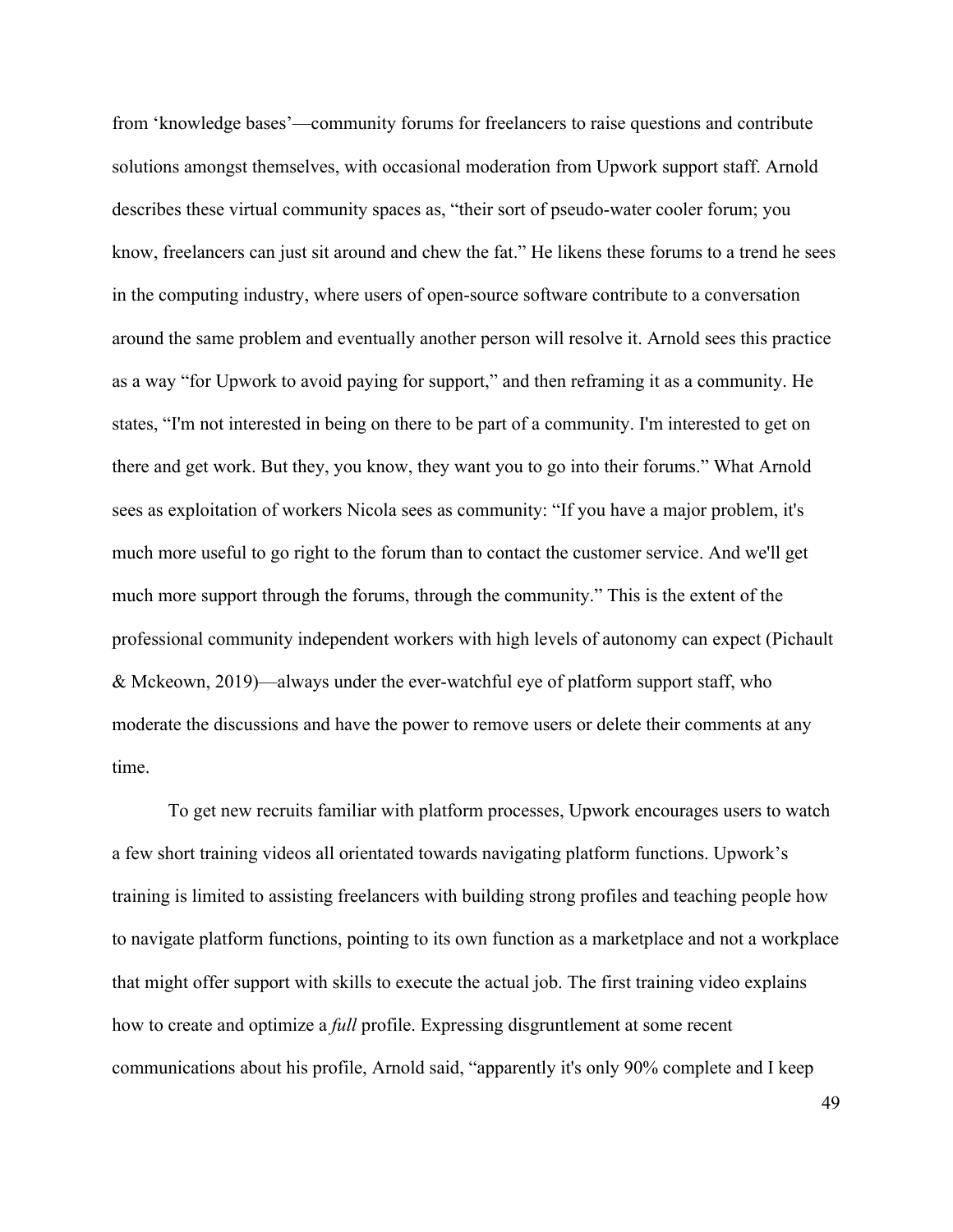from 'knowledge bases'—community forums for freelancers to raise questions and contribute solutions amongst themselves, with occasional moderation from Upwork support staff. Arnold describes these virtual community spaces as, "their sort of pseudo-water cooler forum; you know, freelancers can just sit around and chew the fat." He likens these forums to a trend he sees in the computing industry, where users of open-source software contribute to a conversation around the same problem and eventually another person will resolve it. Arnold sees this practice as a way "for Upwork to avoid paying for support," and then reframing it as a community. He states, "I'm not interested in being on there to be part of a community. I'm interested to get on there and get work. But they, you know, they want you to go into their forums." What Arnold sees as exploitation of workers Nicola sees as community: "If you have a major problem, it's much more useful to go right to the forum than to contact the customer service. And we'll get much more support through the forums, through the community." This is the extent of the professional community independent workers with high levels of autonomy can expect (Pichault & Mckeown, 2019)—always under the ever-watchful eye of platform support staff, who moderate the discussions and have the power to remove users or delete their comments at any time.

To get new recruits familiar with platform processes, Upwork encourages users to watch a few short training videos all orientated towards navigating platform functions. Upwork's training is limited to assisting freelancers with building strong profiles and teaching people how to navigate platform functions, pointing to its own function as a marketplace and not a workplace that might offer support with skills to execute the actual job. The first training video explains how to create and optimize a *full* profile. Expressing disgruntlement at some recent communications about his profile, Arnold said, "apparently it's only 90% complete and I keep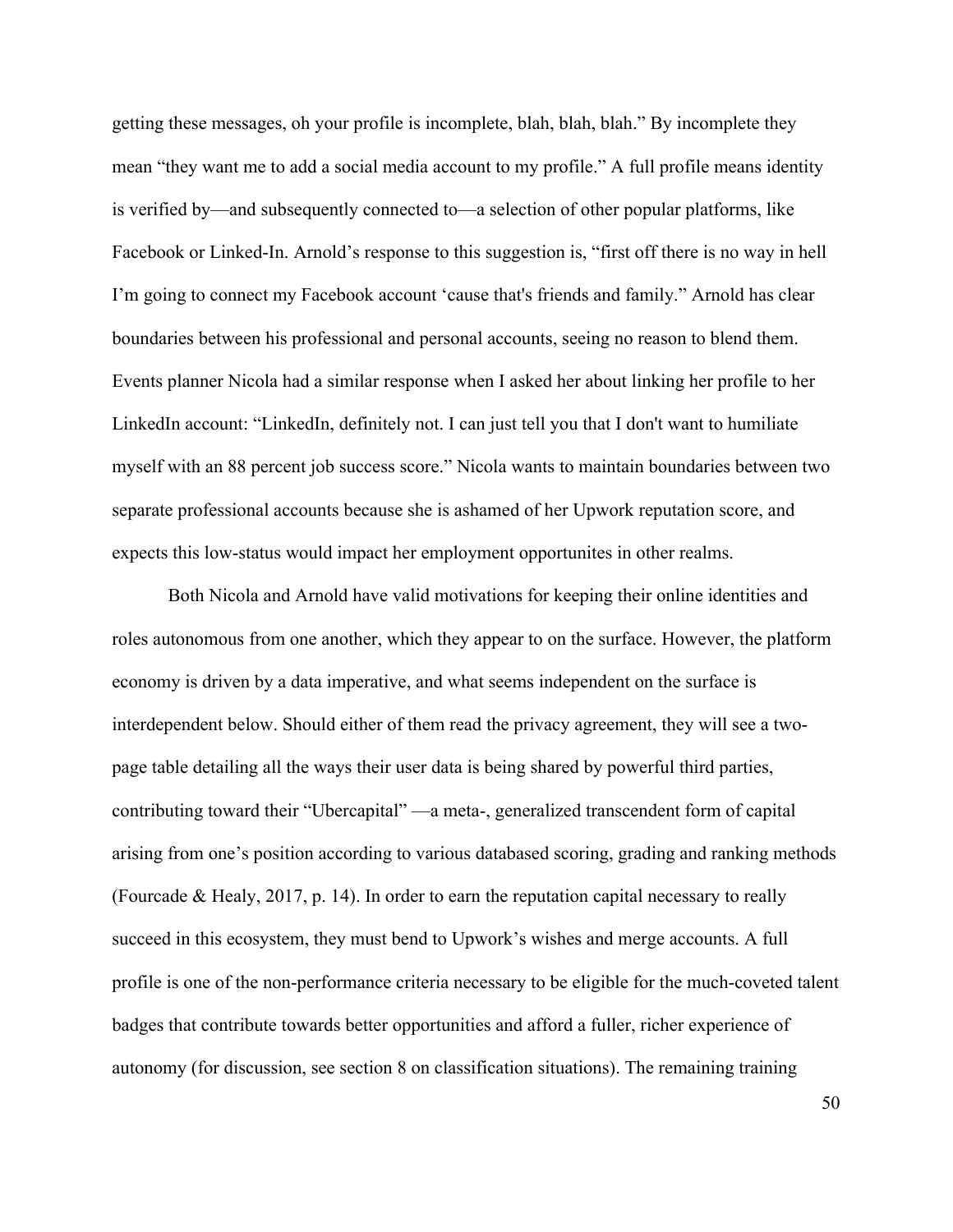getting these messages, oh your profile is incomplete, blah, blah, blah." By incomplete they mean "they want me to add a social media account to my profile." A full profile means identity is verified by—and subsequently connected to—a selection of other popular platforms, like Facebook or Linked-In. Arnold's response to this suggestion is, "first off there is no way in hell I'm going to connect my Facebook account 'cause that's friends and family." Arnold has clear boundaries between his professional and personal accounts, seeing no reason to blend them. Events planner Nicola had a similar response when I asked her about linking her profile to her LinkedIn account: "LinkedIn, definitely not. I can just tell you that I don't want to humiliate myself with an 88 percent job success score." Nicola wants to maintain boundaries between two separate professional accounts because she is ashamed of her Upwork reputation score, and expects this low-status would impact her employment opportunites in other realms.

Both Nicola and Arnold have valid motivations for keeping their online identities and roles autonomous from one another, which they appear to on the surface. However, the platform economy is driven by a data imperative, and what seems independent on the surface is interdependent below. Should either of them read the privacy agreement, they will see a twopage table detailing all the ways their user data is being shared by powerful third parties, contributing toward their "Ubercapital" —a meta-, generalized transcendent form of capital arising from one's position according to various databased scoring, grading and ranking methods (Fourcade & Healy, 2017, p. 14). In order to earn the reputation capital necessary to really succeed in this ecosystem, they must bend to Upwork's wishes and merge accounts. A full profile is one of the non-performance criteria necessary to be eligible for the much-coveted talent badges that contribute towards better opportunities and afford a fuller, richer experience of autonomy (for discussion, see section 8 on classification situations). The remaining training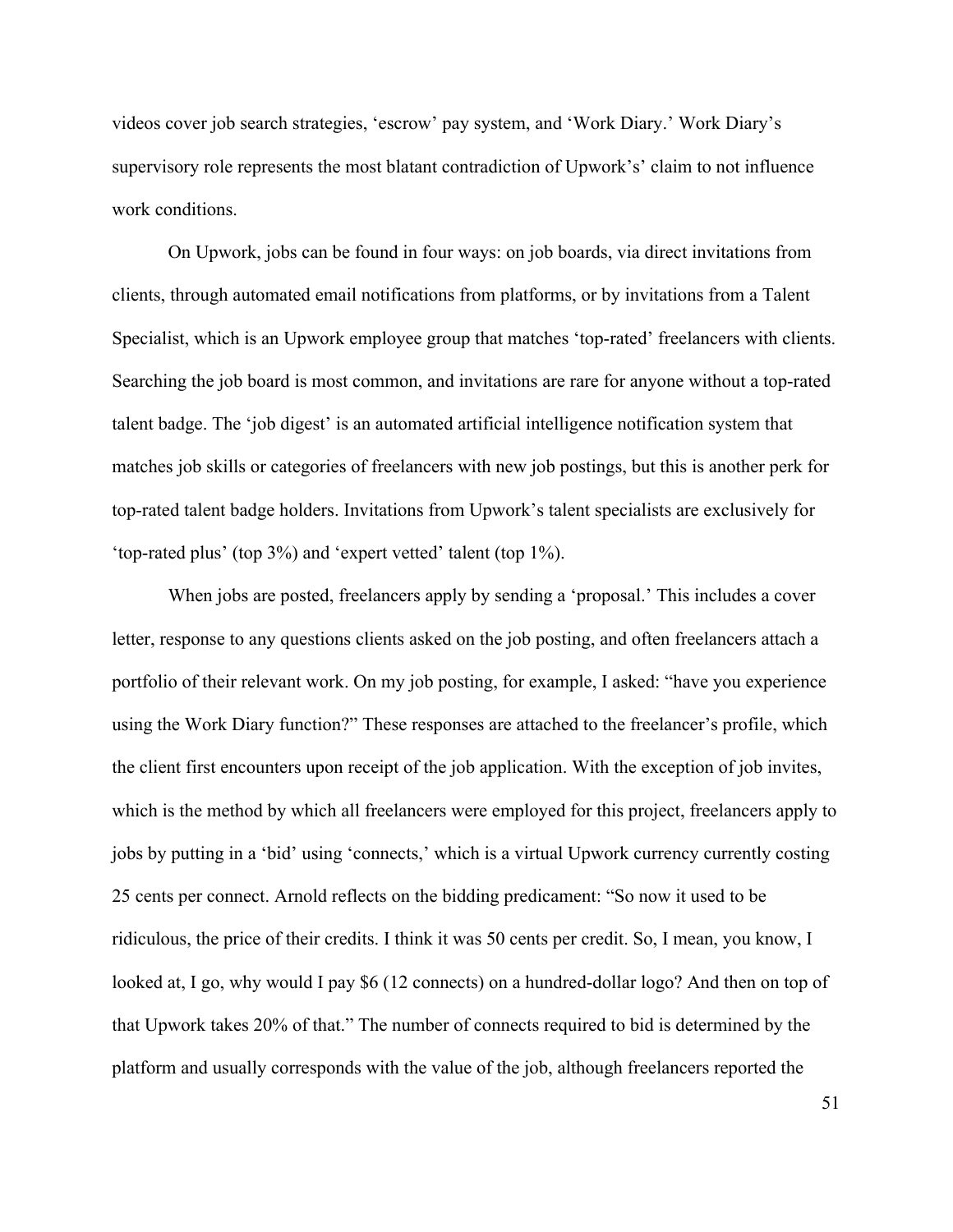videos cover job search strategies, 'escrow' pay system, and 'Work Diary.' Work Diary's supervisory role represents the most blatant contradiction of Upwork's' claim to not influence work conditions.

On Upwork, jobs can be found in four ways: on job boards, via direct invitations from clients, through automated email notifications from platforms, or by invitations from a Talent Specialist, which is an Upwork employee group that matches 'top-rated' freelancers with clients. Searching the job board is most common, and invitations are rare for anyone without a top-rated talent badge. The 'job digest' is an automated artificial intelligence notification system that matches job skills or categories of freelancers with new job postings, but this is another perk for top-rated talent badge holders. Invitations from Upwork's talent specialists are exclusively for 'top-rated plus' (top 3%) and 'expert vetted' talent (top 1%).

When jobs are posted, freelancers apply by sending a 'proposal.' This includes a cover letter, response to any questions clients asked on the job posting, and often freelancers attach a portfolio of their relevant work. On my job posting, for example, I asked: "have you experience using the Work Diary function?" These responses are attached to the freelancer's profile, which the client first encounters upon receipt of the job application. With the exception of job invites, which is the method by which all freelancers were employed for this project, freelancers apply to jobs by putting in a 'bid' using 'connects,' which is a virtual Upwork currency currently costing 25 cents per connect. Arnold reflects on the bidding predicament: "So now it used to be ridiculous, the price of their credits. I think it was 50 cents per credit. So, I mean, you know, I looked at, I go, why would I pay \$6 (12 connects) on a hundred-dollar logo? And then on top of that Upwork takes 20% of that." The number of connects required to bid is determined by the platform and usually corresponds with the value of the job, although freelancers reported the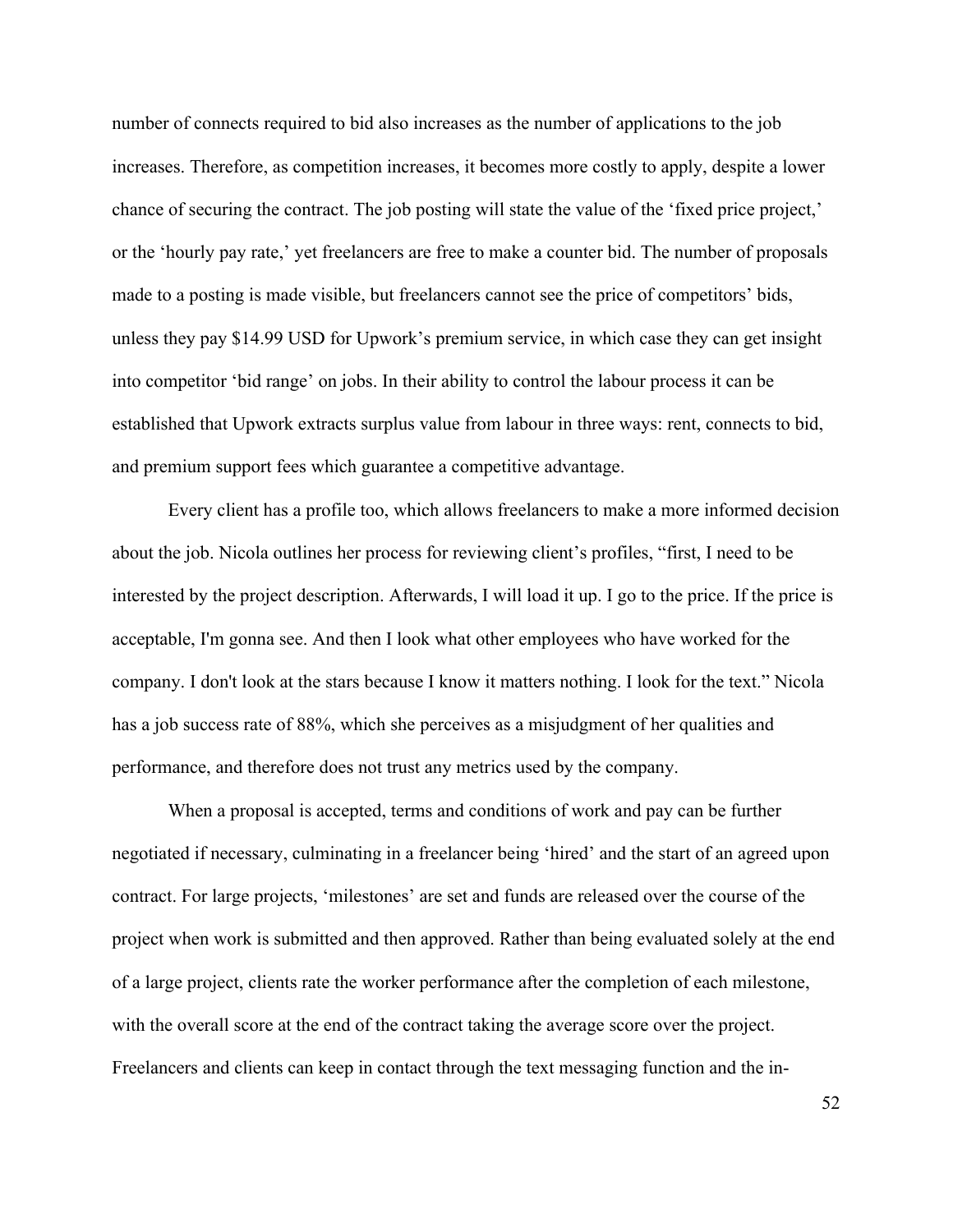number of connects required to bid also increases as the number of applications to the job increases. Therefore, as competition increases, it becomes more costly to apply, despite a lower chance of securing the contract. The job posting will state the value of the 'fixed price project,' or the 'hourly pay rate,' yet freelancers are free to make a counter bid. The number of proposals made to a posting is made visible, but freelancers cannot see the price of competitors' bids, unless they pay \$14.99 USD for Upwork's premium service, in which case they can get insight into competitor 'bid range' on jobs. In their ability to control the labour process it can be established that Upwork extracts surplus value from labour in three ways: rent, connects to bid, and premium support fees which guarantee a competitive advantage.

Every client has a profile too, which allows freelancers to make a more informed decision about the job. Nicola outlines her process for reviewing client's profiles, "first, I need to be interested by the project description. Afterwards, I will load it up. I go to the price. If the price is acceptable, I'm gonna see. And then I look what other employees who have worked for the company. I don't look at the stars because I know it matters nothing. I look for the text." Nicola has a job success rate of 88%, which she perceives as a misjudgment of her qualities and performance, and therefore does not trust any metrics used by the company.

When a proposal is accepted, terms and conditions of work and pay can be further negotiated if necessary, culminating in a freelancer being 'hired' and the start of an agreed upon contract. For large projects, 'milestones' are set and funds are released over the course of the project when work is submitted and then approved. Rather than being evaluated solely at the end of a large project, clients rate the worker performance after the completion of each milestone, with the overall score at the end of the contract taking the average score over the project. Freelancers and clients can keep in contact through the text messaging function and the in-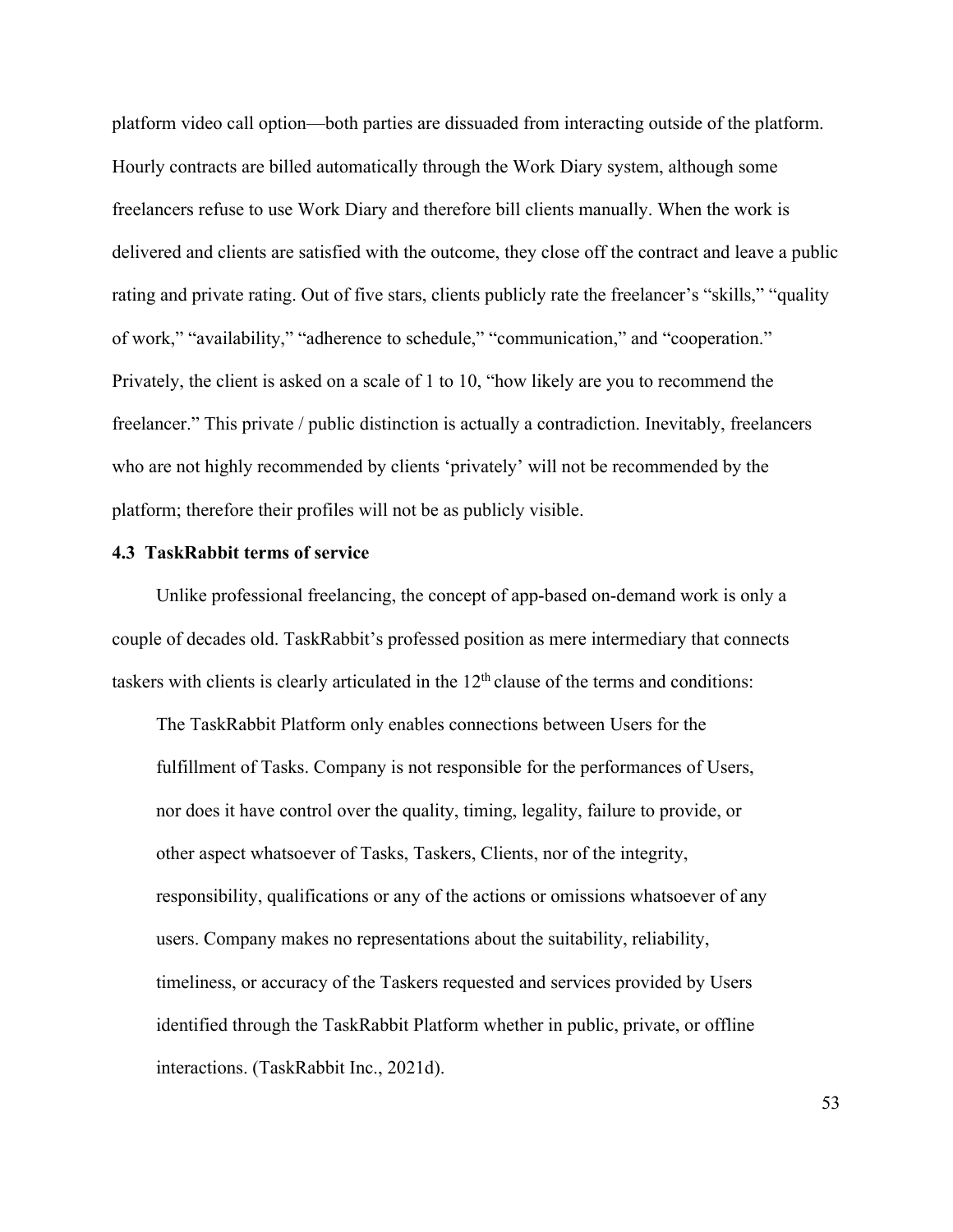platform video call option—both parties are dissuaded from interacting outside of the platform. Hourly contracts are billed automatically through the Work Diary system, although some freelancers refuse to use Work Diary and therefore bill clients manually. When the work is delivered and clients are satisfied with the outcome, they close off the contract and leave a public rating and private rating. Out of five stars, clients publicly rate the freelancer's "skills," "quality of work," "availability," "adherence to schedule," "communication," and "cooperation." Privately, the client is asked on a scale of 1 to 10, "how likely are you to recommend the freelancer." This private / public distinction is actually a contradiction. Inevitably, freelancers who are not highly recommended by clients 'privately' will not be recommended by the platform; therefore their profiles will not be as publicly visible.

#### **4.3 TaskRabbit terms of service**

Unlike professional freelancing, the concept of app-based on-demand work is only a couple of decades old. TaskRabbit's professed position as mere intermediary that connects taskers with clients is clearly articulated in the  $12<sup>th</sup>$  clause of the terms and conditions:

The TaskRabbit Platform only enables connections between Users for the fulfillment of Tasks. Company is not responsible for the performances of Users, nor does it have control over the quality, timing, legality, failure to provide, or other aspect whatsoever of Tasks, Taskers, Clients, nor of the integrity, responsibility, qualifications or any of the actions or omissions whatsoever of any users. Company makes no representations about the suitability, reliability, timeliness, or accuracy of the Taskers requested and services provided by Users identified through the TaskRabbit Platform whether in public, private, or offline interactions. (TaskRabbit Inc., 2021d).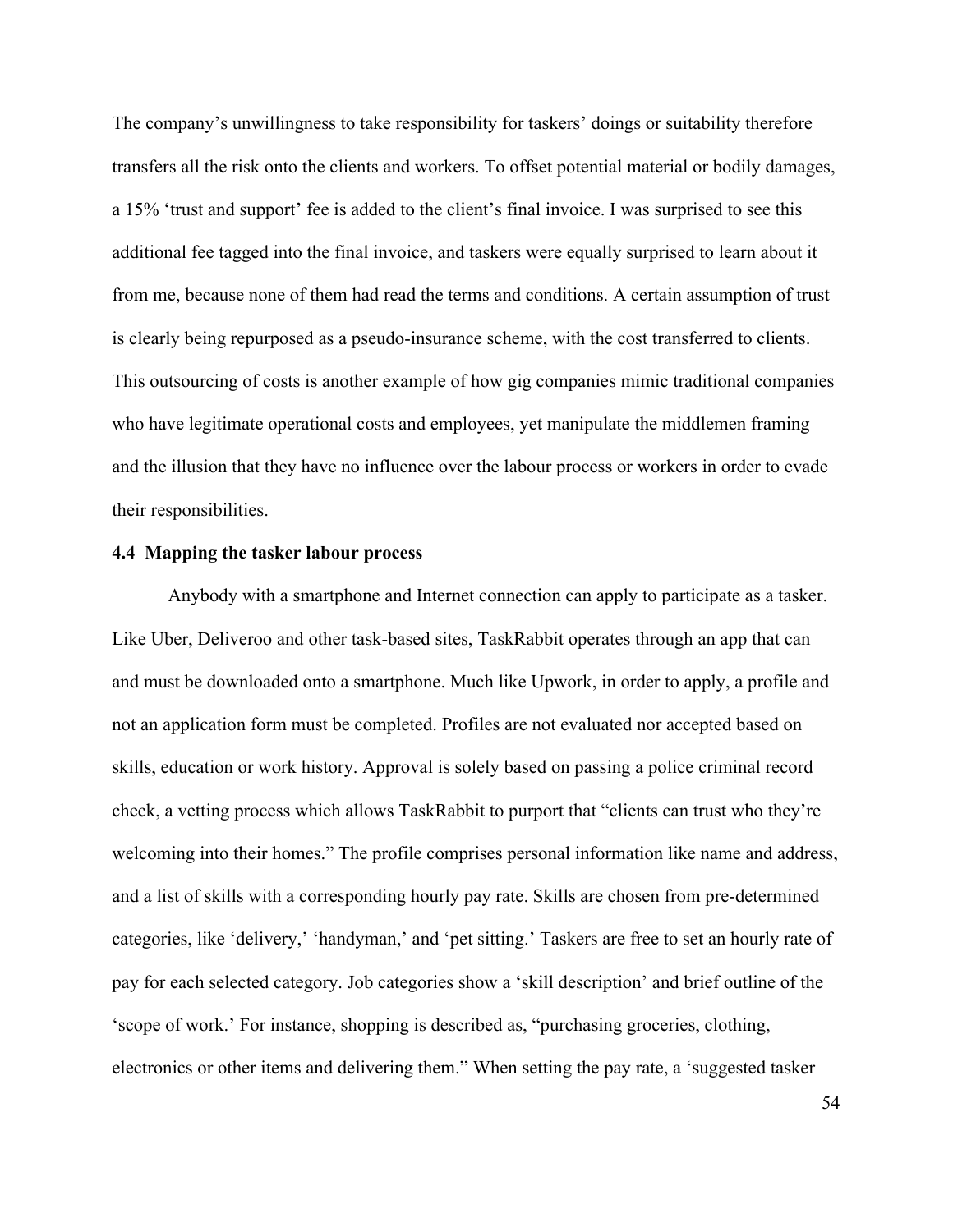The company's unwillingness to take responsibility for taskers' doings or suitability therefore transfers all the risk onto the clients and workers. To offset potential material or bodily damages, a 15% 'trust and support' fee is added to the client's final invoice. I was surprised to see this additional fee tagged into the final invoice, and taskers were equally surprised to learn about it from me, because none of them had read the terms and conditions. A certain assumption of trust is clearly being repurposed as a pseudo-insurance scheme, with the cost transferred to clients. This outsourcing of costs is another example of how gig companies mimic traditional companies who have legitimate operational costs and employees, yet manipulate the middlemen framing and the illusion that they have no influence over the labour process or workers in order to evade their responsibilities.

# **4.4 Mapping the tasker labour process**

Anybody with a smartphone and Internet connection can apply to participate as a tasker. Like Uber, Deliveroo and other task-based sites, TaskRabbit operates through an app that can and must be downloaded onto a smartphone. Much like Upwork, in order to apply, a profile and not an application form must be completed. Profiles are not evaluated nor accepted based on skills, education or work history. Approval is solely based on passing a police criminal record check, a vetting process which allows TaskRabbit to purport that "clients can trust who they're welcoming into their homes." The profile comprises personal information like name and address, and a list of skills with a corresponding hourly pay rate. Skills are chosen from pre-determined categories, like 'delivery,' 'handyman,' and 'pet sitting.' Taskers are free to set an hourly rate of pay for each selected category. Job categories show a 'skill description' and brief outline of the 'scope of work.' For instance, shopping is described as, "purchasing groceries, clothing, electronics or other items and delivering them." When setting the pay rate, a 'suggested tasker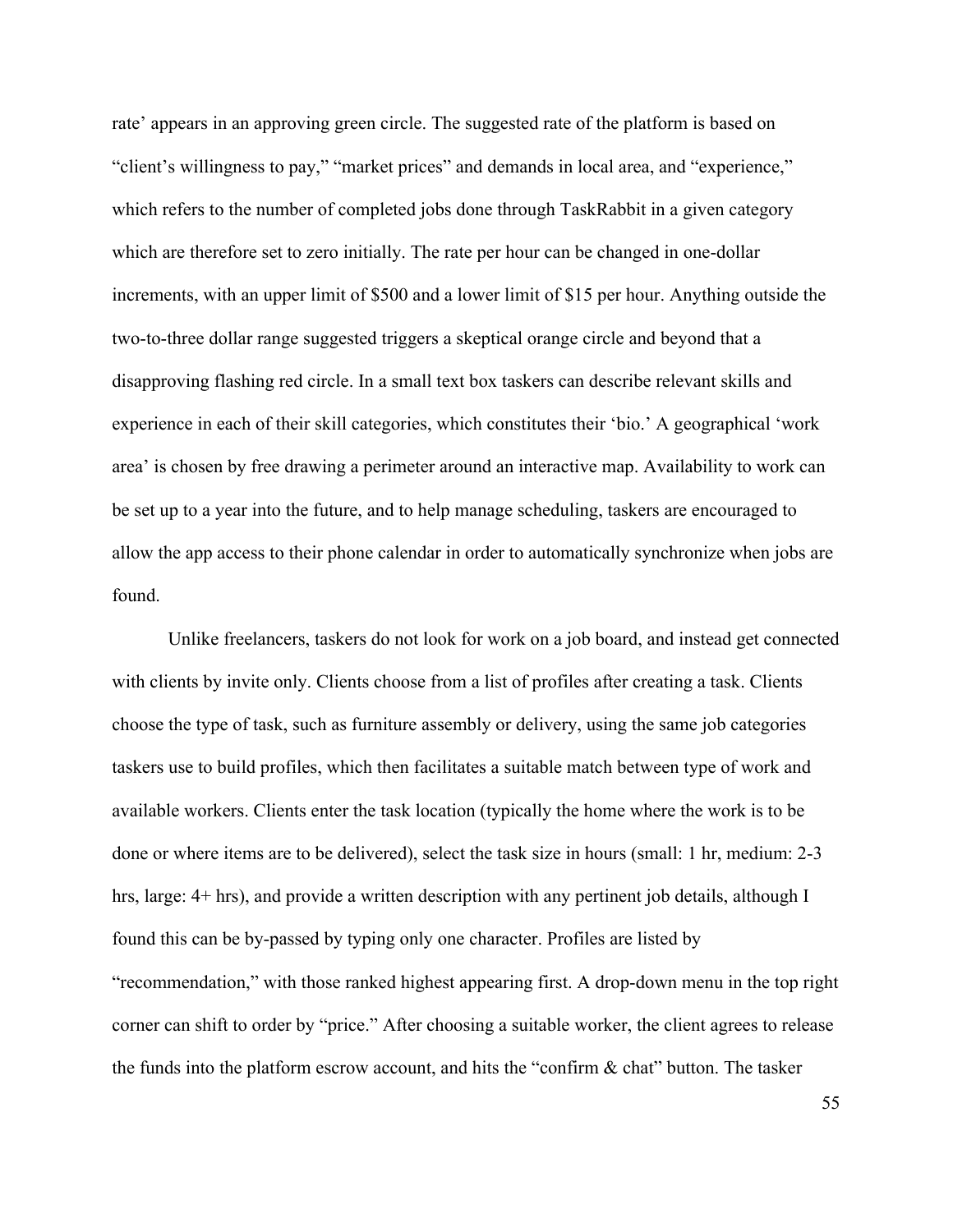rate' appears in an approving green circle. The suggested rate of the platform is based on "client's willingness to pay," "market prices" and demands in local area, and "experience," which refers to the number of completed jobs done through TaskRabbit in a given category which are therefore set to zero initially. The rate per hour can be changed in one-dollar increments, with an upper limit of \$500 and a lower limit of \$15 per hour. Anything outside the two-to-three dollar range suggested triggers a skeptical orange circle and beyond that a disapproving flashing red circle. In a small text box taskers can describe relevant skills and experience in each of their skill categories, which constitutes their 'bio.' A geographical 'work area' is chosen by free drawing a perimeter around an interactive map. Availability to work can be set up to a year into the future, and to help manage scheduling, taskers are encouraged to allow the app access to their phone calendar in order to automatically synchronize when jobs are found.

Unlike freelancers, taskers do not look for work on a job board, and instead get connected with clients by invite only. Clients choose from a list of profiles after creating a task. Clients choose the type of task, such as furniture assembly or delivery, using the same job categories taskers use to build profiles, which then facilitates a suitable match between type of work and available workers. Clients enter the task location (typically the home where the work is to be done or where items are to be delivered), select the task size in hours (small: 1 hr, medium: 2-3 hrs, large: 4+ hrs), and provide a written description with any pertinent job details, although I found this can be by-passed by typing only one character. Profiles are listed by "recommendation," with those ranked highest appearing first. A drop-down menu in the top right corner can shift to order by "price." After choosing a suitable worker, the client agrees to release the funds into the platform escrow account, and hits the "confirm & chat" button. The tasker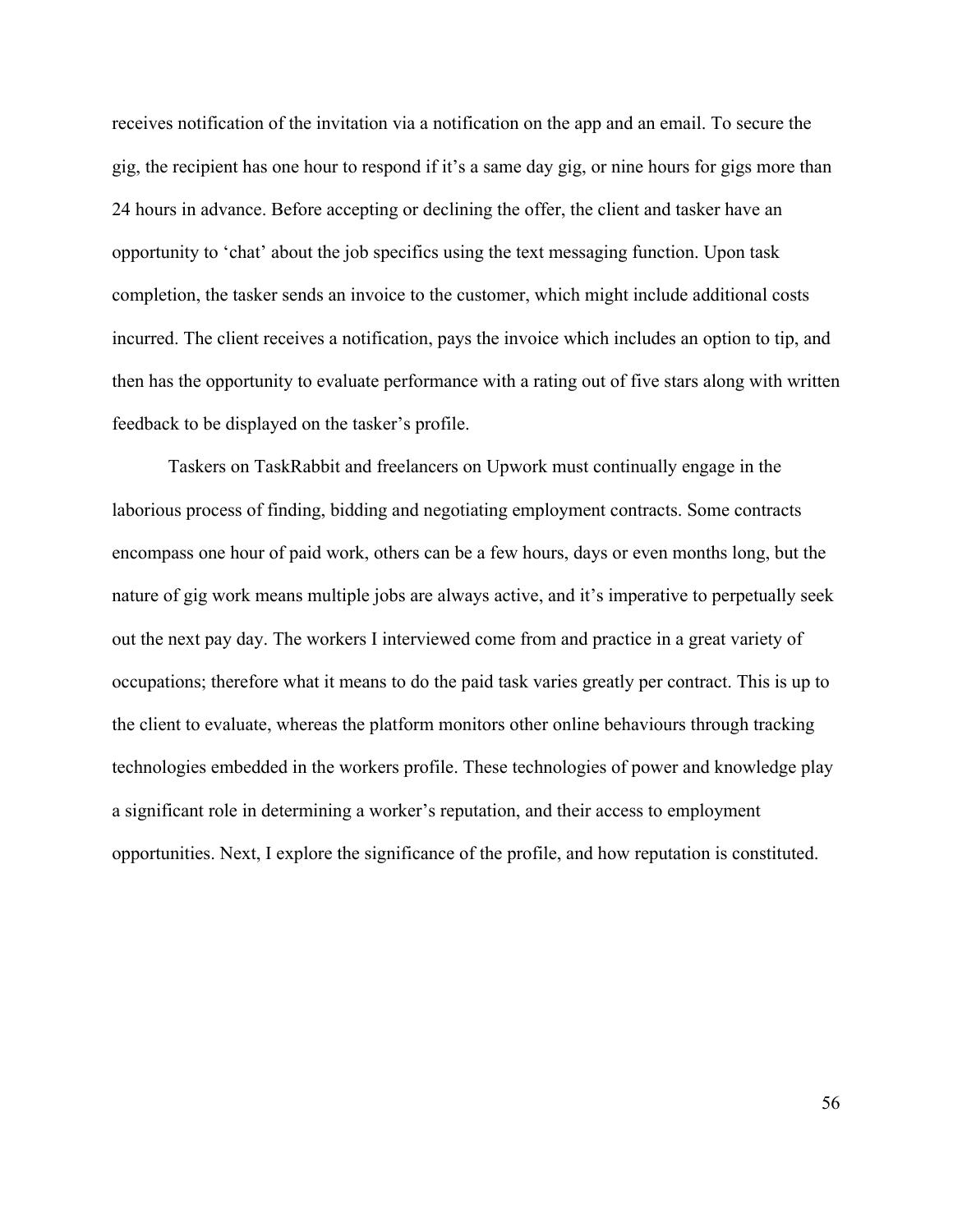receives notification of the invitation via a notification on the app and an email. To secure the gig, the recipient has one hour to respond if it's a same day gig, or nine hours for gigs more than 24 hours in advance. Before accepting or declining the offer, the client and tasker have an opportunity to 'chat' about the job specifics using the text messaging function. Upon task completion, the tasker sends an invoice to the customer, which might include additional costs incurred. The client receives a notification, pays the invoice which includes an option to tip, and then has the opportunity to evaluate performance with a rating out of five stars along with written feedback to be displayed on the tasker's profile.

Taskers on TaskRabbit and freelancers on Upwork must continually engage in the laborious process of finding, bidding and negotiating employment contracts. Some contracts encompass one hour of paid work, others can be a few hours, days or even months long, but the nature of gig work means multiple jobs are always active, and it's imperative to perpetually seek out the next pay day. The workers I interviewed come from and practice in a great variety of occupations; therefore what it means to do the paid task varies greatly per contract. This is up to the client to evaluate, whereas the platform monitors other online behaviours through tracking technologies embedded in the workers profile. These technologies of power and knowledge play a significant role in determining a worker's reputation, and their access to employment opportunities. Next, I explore the significance of the profile, and how reputation is constituted.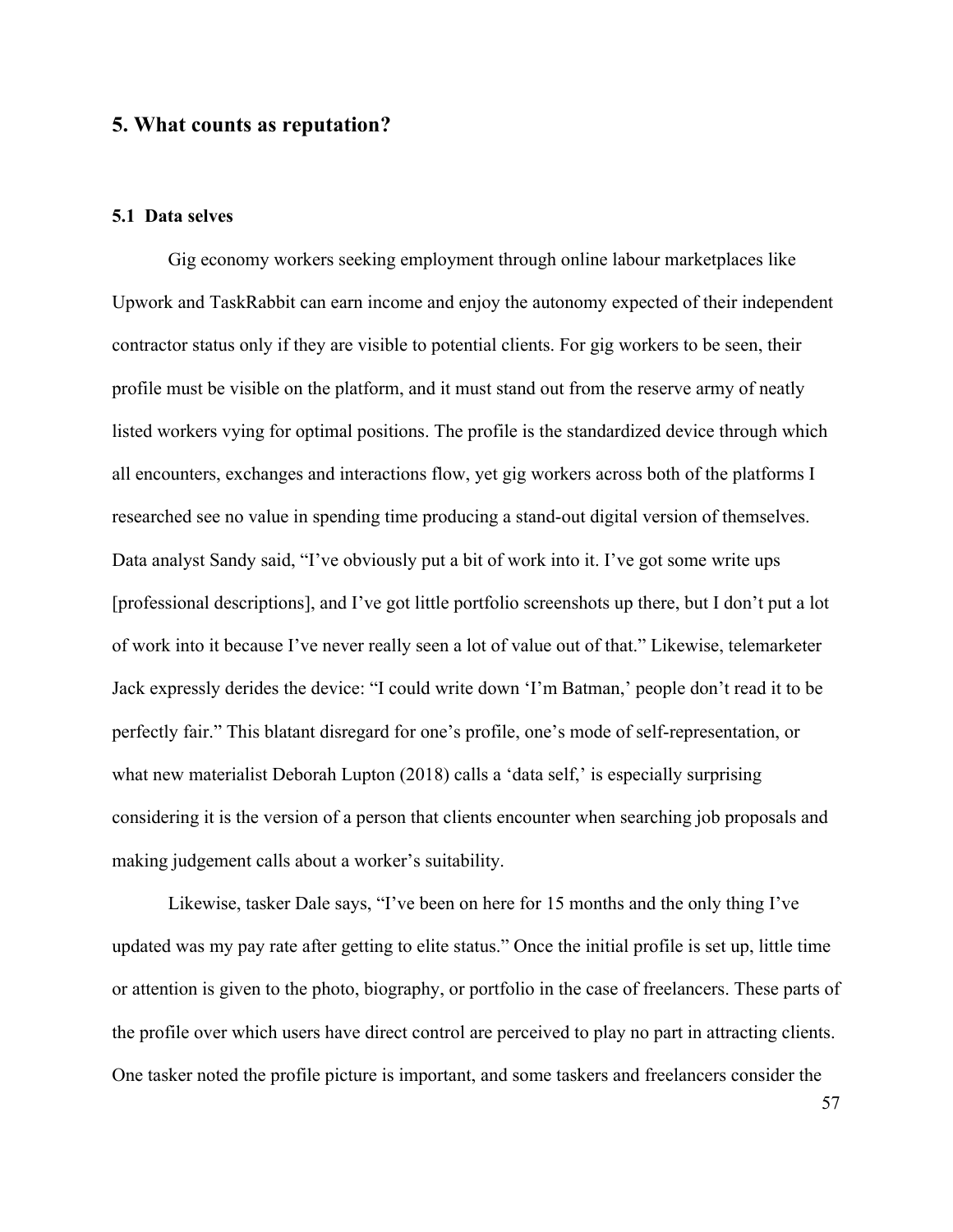# **5. What counts as reputation?**

# **5.1 Data selves**

Gig economy workers seeking employment through online labour marketplaces like Upwork and TaskRabbit can earn income and enjoy the autonomy expected of their independent contractor status only if they are visible to potential clients. For gig workers to be seen, their profile must be visible on the platform, and it must stand out from the reserve army of neatly listed workers vying for optimal positions. The profile is the standardized device through which all encounters, exchanges and interactions flow, yet gig workers across both of the platforms I researched see no value in spending time producing a stand-out digital version of themselves. Data analyst Sandy said, "I've obviously put a bit of work into it. I've got some write ups [professional descriptions], and I've got little portfolio screenshots up there, but I don't put a lot of work into it because I've never really seen a lot of value out of that." Likewise, telemarketer Jack expressly derides the device: "I could write down 'I'm Batman,' people don't read it to be perfectly fair." This blatant disregard for one's profile, one's mode of self-representation, or what new materialist Deborah Lupton (2018) calls a 'data self,' is especially surprising considering it is the version of a person that clients encounter when searching job proposals and making judgement calls about a worker's suitability.

Likewise, tasker Dale says, "I've been on here for 15 months and the only thing I've updated was my pay rate after getting to elite status." Once the initial profile is set up, little time or attention is given to the photo, biography, or portfolio in the case of freelancers. These parts of the profile over which users have direct control are perceived to play no part in attracting clients. One tasker noted the profile picture is important, and some taskers and freelancers consider the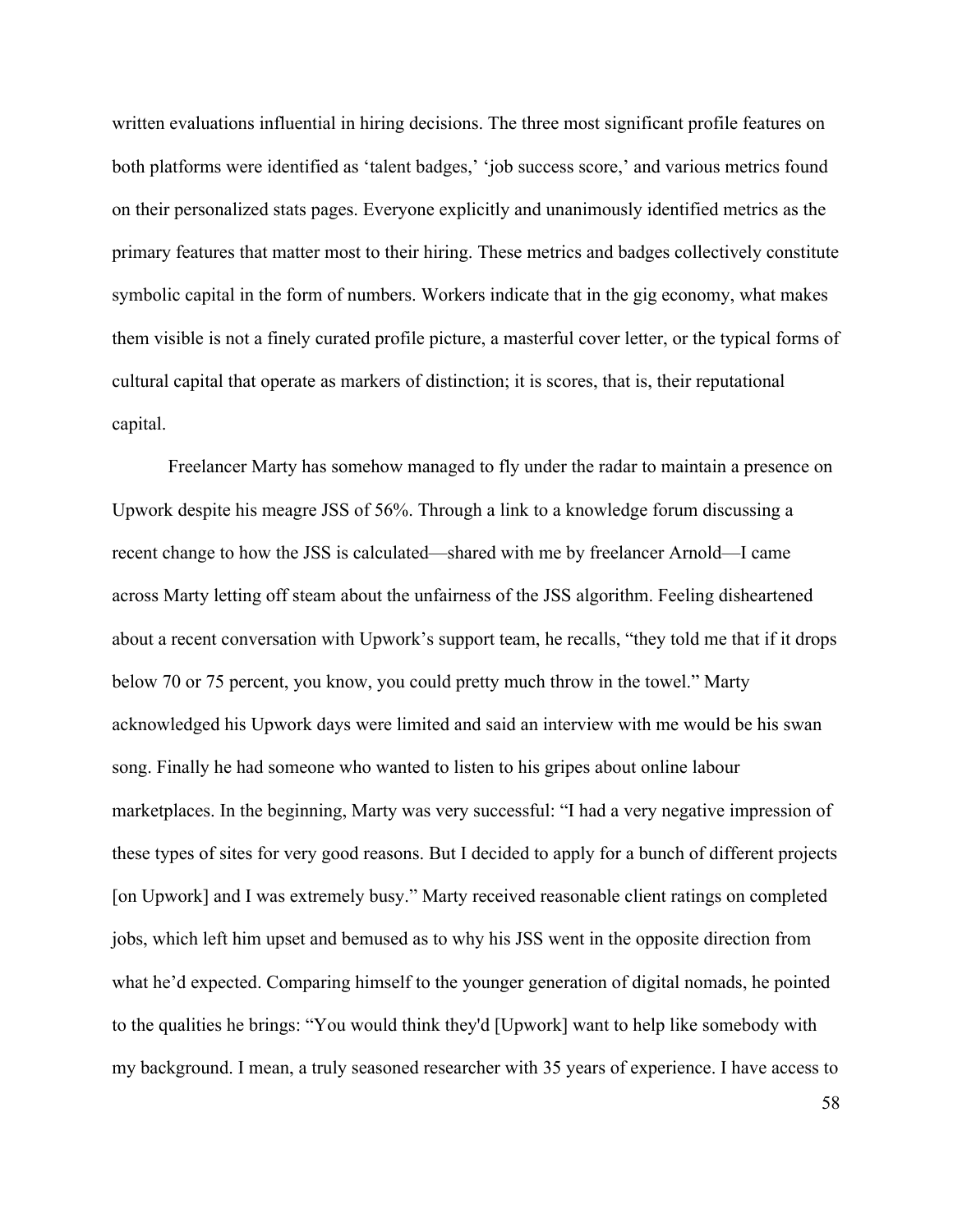written evaluations influential in hiring decisions. The three most significant profile features on both platforms were identified as 'talent badges,' 'job success score,' and various metrics found on their personalized stats pages. Everyone explicitly and unanimously identified metrics as the primary features that matter most to their hiring. These metrics and badges collectively constitute symbolic capital in the form of numbers. Workers indicate that in the gig economy, what makes them visible is not a finely curated profile picture, a masterful cover letter, or the typical forms of cultural capital that operate as markers of distinction; it is scores, that is, their reputational capital.

Freelancer Marty has somehow managed to fly under the radar to maintain a presence on Upwork despite his meagre JSS of 56%. Through a link to a knowledge forum discussing a recent change to how the JSS is calculated—shared with me by freelancer Arnold—I came across Marty letting off steam about the unfairness of the JSS algorithm. Feeling disheartened about a recent conversation with Upwork's support team, he recalls, "they told me that if it drops below 70 or 75 percent, you know, you could pretty much throw in the towel." Marty acknowledged his Upwork days were limited and said an interview with me would be his swan song. Finally he had someone who wanted to listen to his gripes about online labour marketplaces. In the beginning, Marty was very successful: "I had a very negative impression of these types of sites for very good reasons. But I decided to apply for a bunch of different projects [on Upwork] and I was extremely busy." Marty received reasonable client ratings on completed jobs, which left him upset and bemused as to why his JSS went in the opposite direction from what he'd expected. Comparing himself to the younger generation of digital nomads, he pointed to the qualities he brings: "You would think they'd [Upwork] want to help like somebody with my background. I mean, a truly seasoned researcher with 35 years of experience. I have access to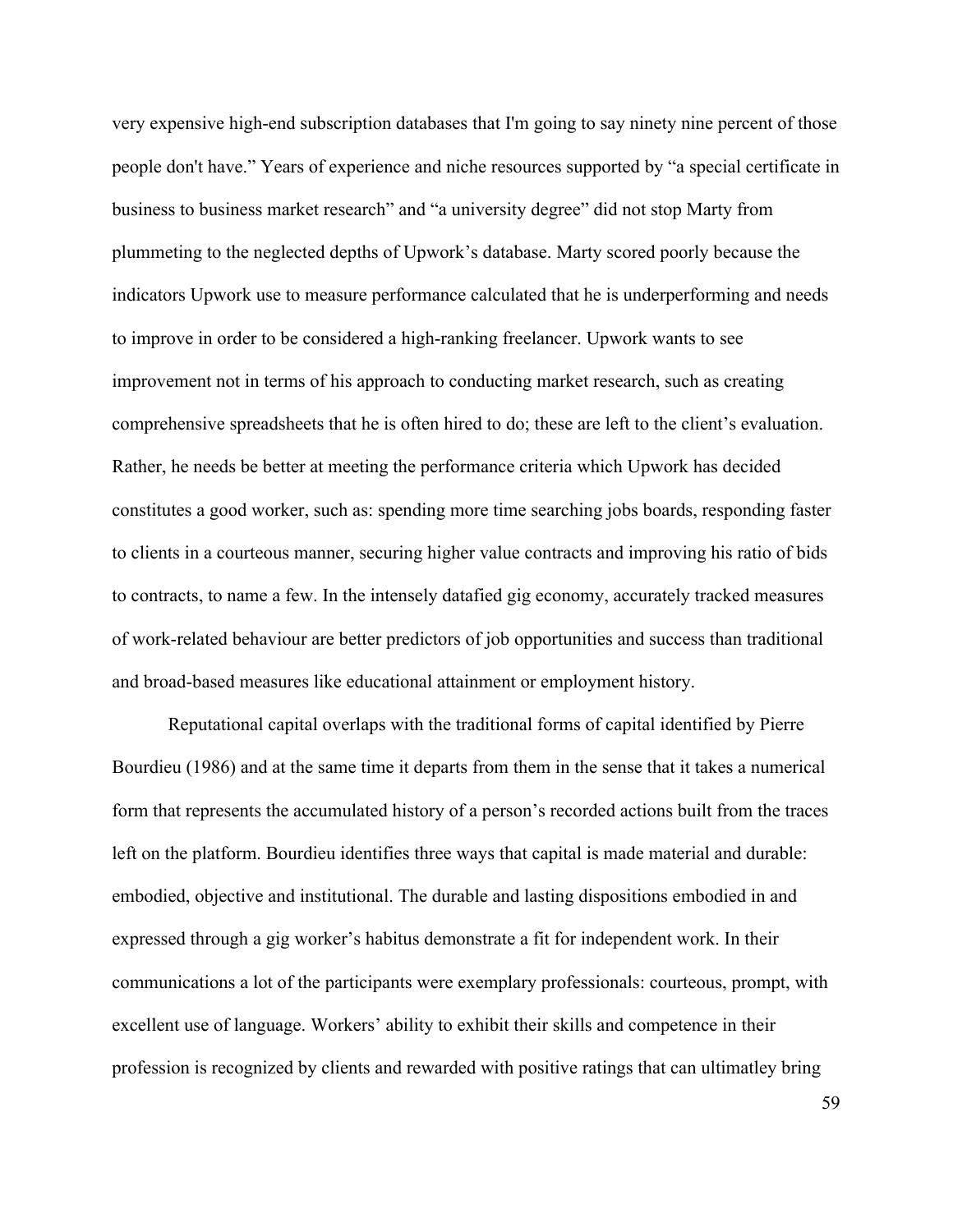very expensive high-end subscription databases that I'm going to say ninety nine percent of those people don't have." Years of experience and niche resources supported by "a special certificate in business to business market research" and "a university degree" did not stop Marty from plummeting to the neglected depths of Upwork's database. Marty scored poorly because the indicators Upwork use to measure performance calculated that he is underperforming and needs to improve in order to be considered a high-ranking freelancer. Upwork wants to see improvement not in terms of his approach to conducting market research, such as creating comprehensive spreadsheets that he is often hired to do; these are left to the client's evaluation. Rather, he needs be better at meeting the performance criteria which Upwork has decided constitutes a good worker, such as: spending more time searching jobs boards, responding faster to clients in a courteous manner, securing higher value contracts and improving his ratio of bids to contracts, to name a few. In the intensely datafied gig economy, accurately tracked measures of work-related behaviour are better predictors of job opportunities and success than traditional and broad-based measures like educational attainment or employment history.

Reputational capital overlaps with the traditional forms of capital identified by Pierre Bourdieu (1986) and at the same time it departs from them in the sense that it takes a numerical form that represents the accumulated history of a person's recorded actions built from the traces left on the platform. Bourdieu identifies three ways that capital is made material and durable: embodied, objective and institutional. The durable and lasting dispositions embodied in and expressed through a gig worker's habitus demonstrate a fit for independent work. In their communications a lot of the participants were exemplary professionals: courteous, prompt, with excellent use of language. Workers' ability to exhibit their skills and competence in their profession is recognized by clients and rewarded with positive ratings that can ultimatley bring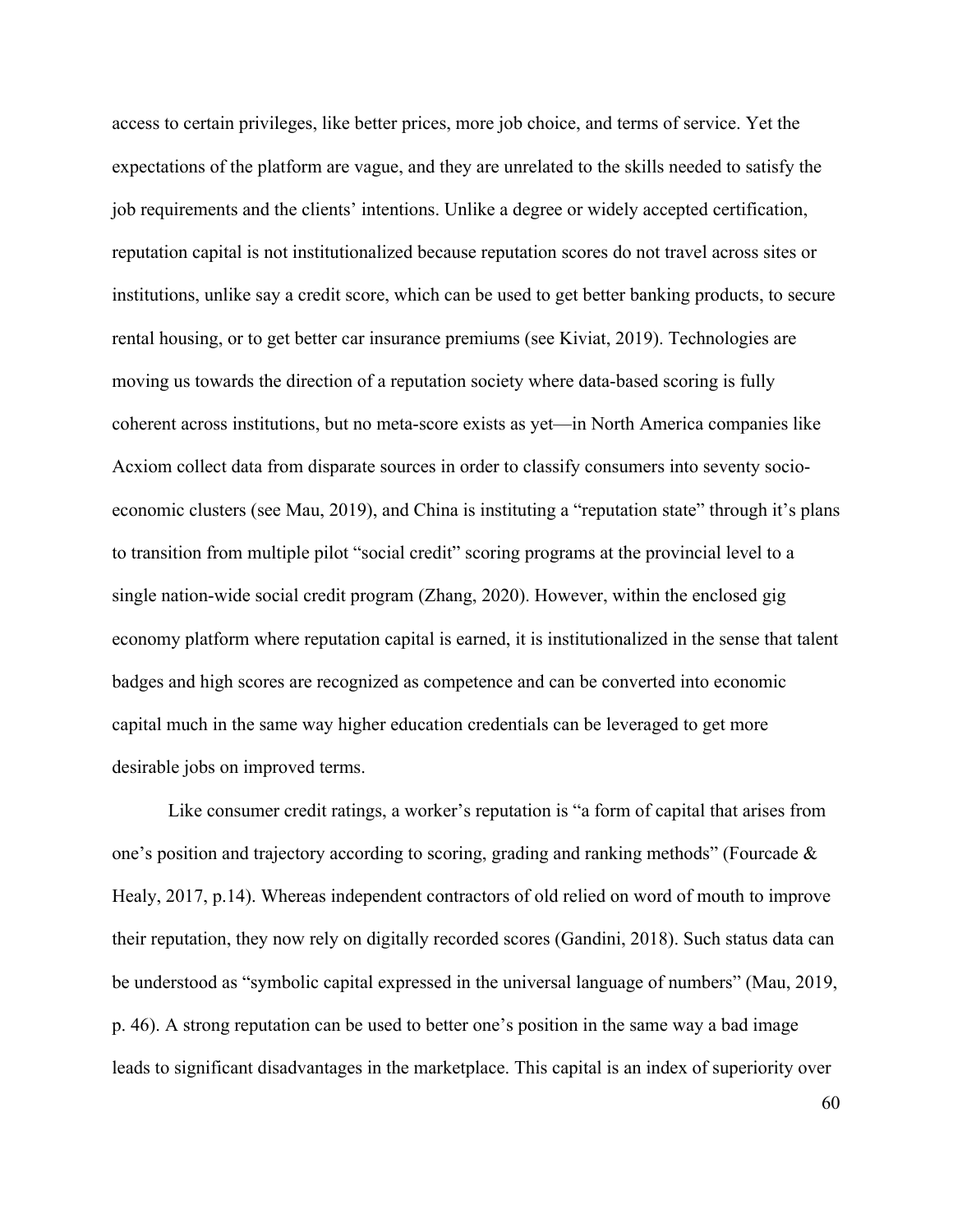access to certain privileges, like better prices, more job choice, and terms of service. Yet the expectations of the platform are vague, and they are unrelated to the skills needed to satisfy the job requirements and the clients' intentions. Unlike a degree or widely accepted certification, reputation capital is not institutionalized because reputation scores do not travel across sites or institutions, unlike say a credit score, which can be used to get better banking products, to secure rental housing, or to get better car insurance premiums (see Kiviat, 2019). Technologies are moving us towards the direction of a reputation society where data-based scoring is fully coherent across institutions, but no meta-score exists as yet—in North America companies like Acxiom collect data from disparate sources in order to classify consumers into seventy socioeconomic clusters (see Mau, 2019), and China is instituting a "reputation state" through it's plans to transition from multiple pilot "social credit" scoring programs at the provincial level to a single nation-wide social credit program (Zhang, 2020). However, within the enclosed gig economy platform where reputation capital is earned, it is institutionalized in the sense that talent badges and high scores are recognized as competence and can be converted into economic capital much in the same way higher education credentials can be leveraged to get more desirable jobs on improved terms.

Like consumer credit ratings, a worker's reputation is "a form of capital that arises from one's position and trajectory according to scoring, grading and ranking methods" (Fourcade & Healy, 2017, p.14). Whereas independent contractors of old relied on word of mouth to improve their reputation, they now rely on digitally recorded scores (Gandini, 2018). Such status data can be understood as "symbolic capital expressed in the universal language of numbers" (Mau, 2019, p. 46). A strong reputation can be used to better one's position in the same way a bad image leads to significant disadvantages in the marketplace. This capital is an index of superiority over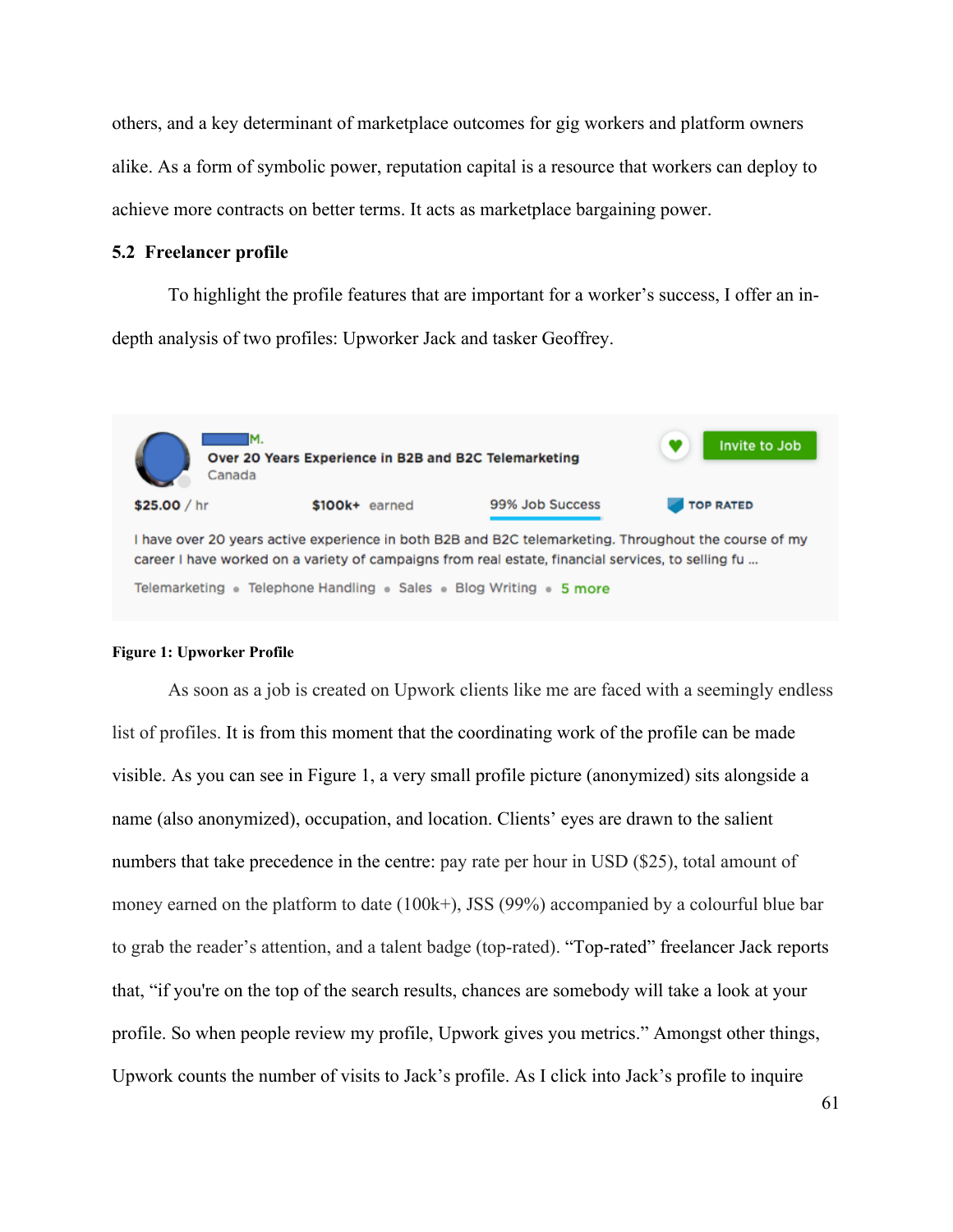others, and a key determinant of marketplace outcomes for gig workers and platform owners alike. As a form of symbolic power, reputation capital is a resource that workers can deploy to achieve more contracts on better terms. It acts as marketplace bargaining power.

# **5.2 Freelancer profile**

To highlight the profile features that are important for a worker's success, I offer an indepth analysis of two profiles: Upworker Jack and tasker Geoffrey.



#### **Figure 1: Upworker Profile**

As soon as a job is created on Upwork clients like me are faced with a seemingly endless list of profiles. It is from this moment that the coordinating work of the profile can be made visible. As you can see in Figure 1, a very small profile picture (anonymized) sits alongside a name (also anonymized), occupation, and location. Clients' eyes are drawn to the salient numbers that take precedence in the centre: pay rate per hour in USD (\$25), total amount of money earned on the platform to date (100k+), JSS (99%) accompanied by a colourful blue bar to grab the reader's attention, and a talent badge (top-rated). "Top-rated" freelancer Jack reports that, "if you're on the top of the search results, chances are somebody will take a look at your profile. So when people review my profile, Upwork gives you metrics." Amongst other things, Upwork counts the number of visits to Jack's profile. As I click into Jack's profile to inquire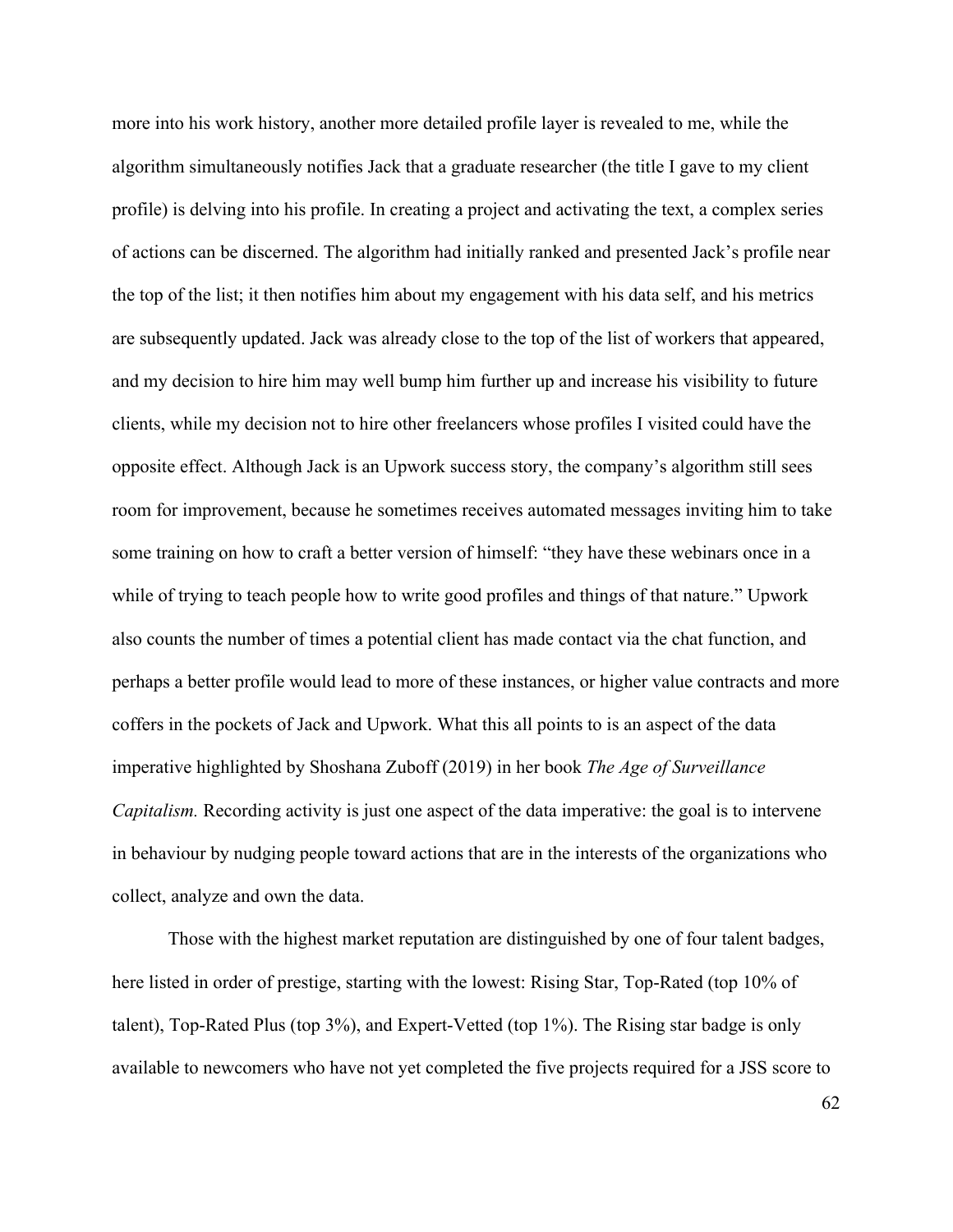more into his work history, another more detailed profile layer is revealed to me, while the algorithm simultaneously notifies Jack that a graduate researcher (the title I gave to my client profile) is delving into his profile. In creating a project and activating the text, a complex series of actions can be discerned. The algorithm had initially ranked and presented Jack's profile near the top of the list; it then notifies him about my engagement with his data self, and his metrics are subsequently updated. Jack was already close to the top of the list of workers that appeared, and my decision to hire him may well bump him further up and increase his visibility to future clients, while my decision not to hire other freelancers whose profiles I visited could have the opposite effect. Although Jack is an Upwork success story, the company's algorithm still sees room for improvement, because he sometimes receives automated messages inviting him to take some training on how to craft a better version of himself: "they have these webinars once in a while of trying to teach people how to write good profiles and things of that nature." Upwork also counts the number of times a potential client has made contact via the chat function, and perhaps a better profile would lead to more of these instances, or higher value contracts and more coffers in the pockets of Jack and Upwork. What this all points to is an aspect of the data imperative highlighted by Shoshana Zuboff (2019) in her book *The Age of Surveillance Capitalism.* Recording activity is just one aspect of the data imperative: the goal is to intervene in behaviour by nudging people toward actions that are in the interests of the organizations who collect, analyze and own the data.

Those with the highest market reputation are distinguished by one of four talent badges, here listed in order of prestige, starting with the lowest: Rising Star, Top-Rated (top 10% of talent), Top-Rated Plus (top 3%), and Expert-Vetted (top 1%). The Rising star badge is only available to newcomers who have not yet completed the five projects required for a JSS score to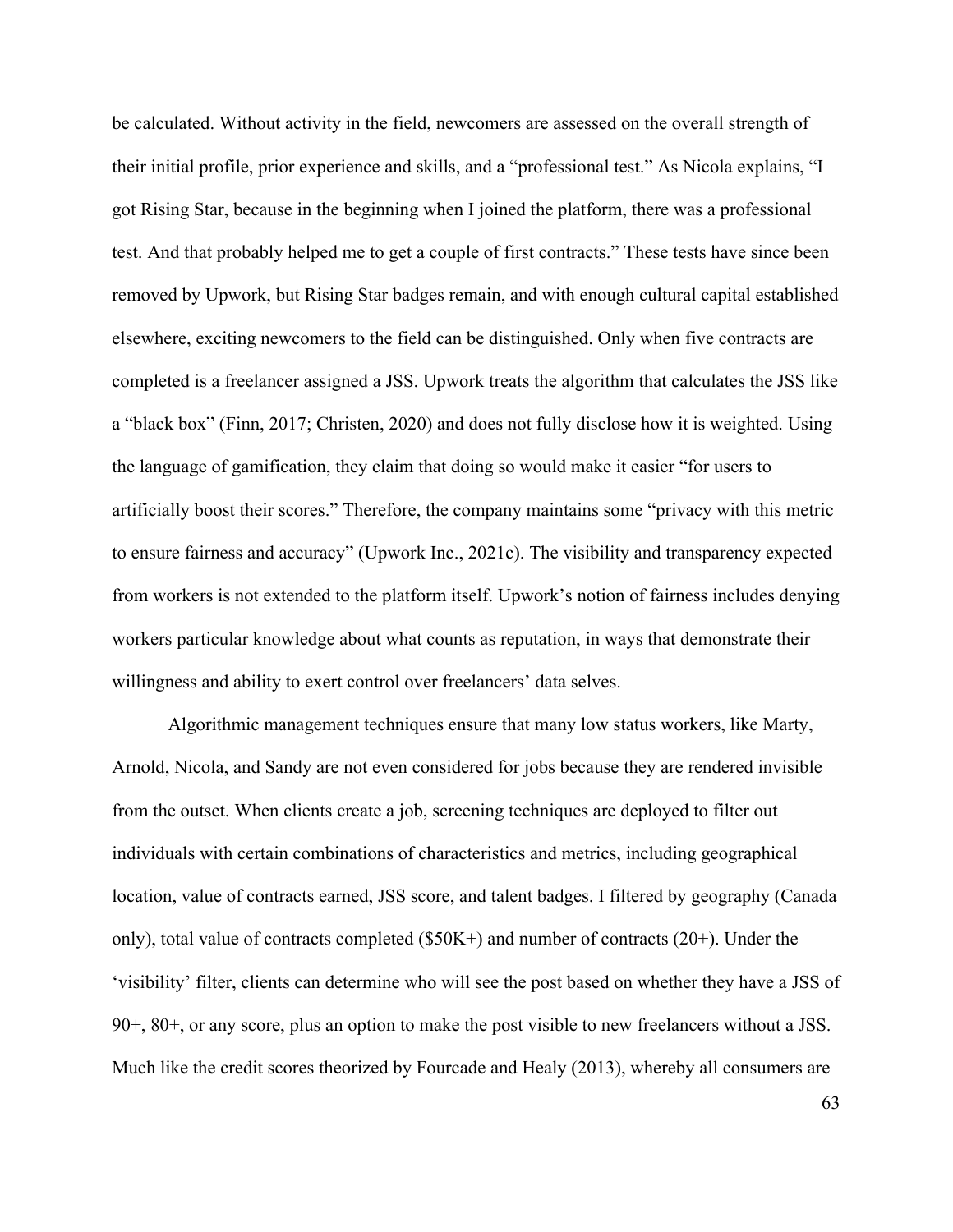be calculated. Without activity in the field, newcomers are assessed on the overall strength of their initial profile, prior experience and skills, and a "professional test." As Nicola explains, "I got Rising Star, because in the beginning when I joined the platform, there was a professional test. And that probably helped me to get a couple of first contracts." These tests have since been removed by Upwork, but Rising Star badges remain, and with enough cultural capital established elsewhere, exciting newcomers to the field can be distinguished. Only when five contracts are completed is a freelancer assigned a JSS. Upwork treats the algorithm that calculates the JSS like a "black box" (Finn, 2017; Christen, 2020) and does not fully disclose how it is weighted. Using the language of gamification, they claim that doing so would make it easier "for users to artificially boost their scores." Therefore, the company maintains some "privacy with this metric to ensure fairness and accuracy" (Upwork Inc., 2021c). The visibility and transparency expected from workers is not extended to the platform itself. Upwork's notion of fairness includes denying workers particular knowledge about what counts as reputation, in ways that demonstrate their willingness and ability to exert control over freelancers' data selves.

Algorithmic management techniques ensure that many low status workers, like Marty, Arnold, Nicola, and Sandy are not even considered for jobs because they are rendered invisible from the outset. When clients create a job, screening techniques are deployed to filter out individuals with certain combinations of characteristics and metrics, including geographical location, value of contracts earned, JSS score, and talent badges. I filtered by geography (Canada only), total value of contracts completed (\$50K+) and number of contracts (20+). Under the 'visibility' filter, clients can determine who will see the post based on whether they have a JSS of 90+, 80+, or any score, plus an option to make the post visible to new freelancers without a JSS. Much like the credit scores theorized by Fourcade and Healy (2013), whereby all consumers are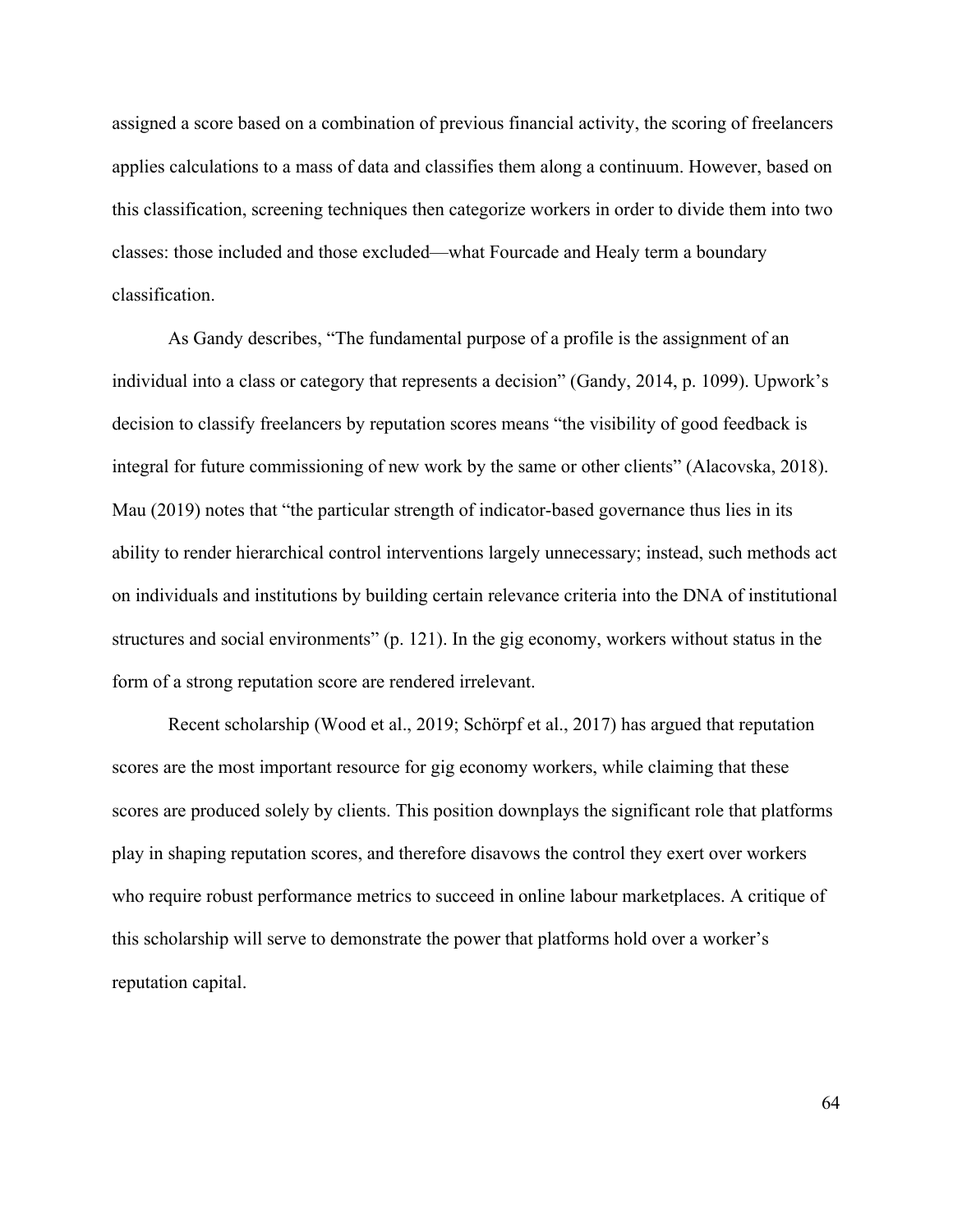assigned a score based on a combination of previous financial activity, the scoring of freelancers applies calculations to a mass of data and classifies them along a continuum. However, based on this classification, screening techniques then categorize workers in order to divide them into two classes: those included and those excluded—what Fourcade and Healy term a boundary classification.

As Gandy describes, "The fundamental purpose of a profile is the assignment of an individual into a class or category that represents a decision" (Gandy, 2014, p. 1099). Upwork's decision to classify freelancers by reputation scores means "the visibility of good feedback is integral for future commissioning of new work by the same or other clients" (Alacovska, 2018). Mau (2019) notes that "the particular strength of indicator-based governance thus lies in its ability to render hierarchical control interventions largely unnecessary; instead, such methods act on individuals and institutions by building certain relevance criteria into the DNA of institutional structures and social environments" (p. 121). In the gig economy, workers without status in the form of a strong reputation score are rendered irrelevant.

Recent scholarship (Wood et al., 2019; Schörpf et al., 2017) has argued that reputation scores are the most important resource for gig economy workers, while claiming that these scores are produced solely by clients. This position downplays the significant role that platforms play in shaping reputation scores, and therefore disavows the control they exert over workers who require robust performance metrics to succeed in online labour marketplaces. A critique of this scholarship will serve to demonstrate the power that platforms hold over a worker's reputation capital.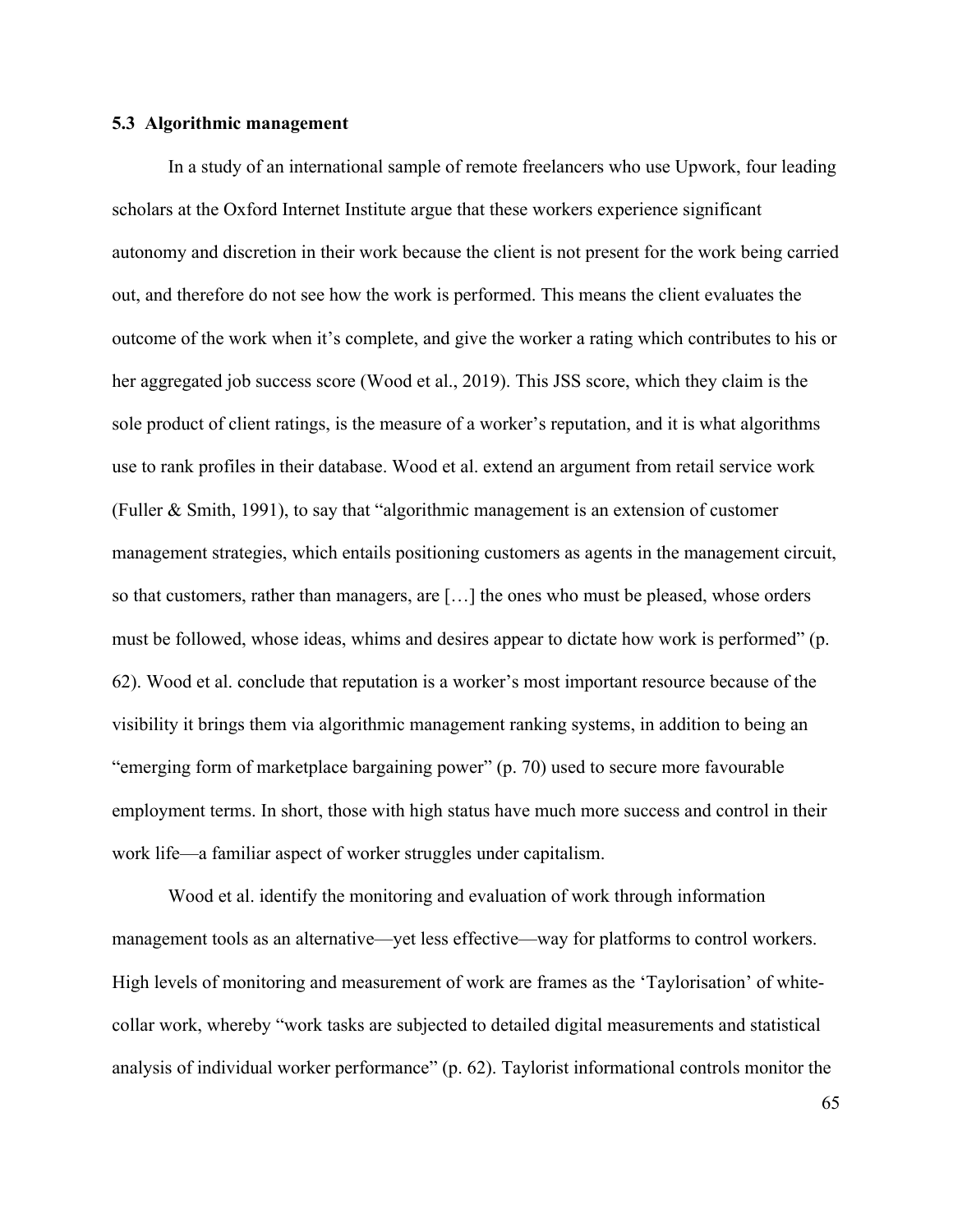### **5.3 Algorithmic management**

In a study of an international sample of remote freelancers who use Upwork, four leading scholars at the Oxford Internet Institute argue that these workers experience significant autonomy and discretion in their work because the client is not present for the work being carried out, and therefore do not see how the work is performed. This means the client evaluates the outcome of the work when it's complete, and give the worker a rating which contributes to his or her aggregated job success score (Wood et al., 2019). This JSS score, which they claim is the sole product of client ratings, is the measure of a worker's reputation, and it is what algorithms use to rank profiles in their database. Wood et al. extend an argument from retail service work (Fuller & Smith, 1991), to say that "algorithmic management is an extension of customer management strategies, which entails positioning customers as agents in the management circuit, so that customers, rather than managers, are […] the ones who must be pleased, whose orders must be followed, whose ideas, whims and desires appear to dictate how work is performed" (p. 62). Wood et al. conclude that reputation is a worker's most important resource because of the visibility it brings them via algorithmic management ranking systems, in addition to being an "emerging form of marketplace bargaining power" (p. 70) used to secure more favourable employment terms. In short, those with high status have much more success and control in their work life—a familiar aspect of worker struggles under capitalism.

Wood et al. identify the monitoring and evaluation of work through information management tools as an alternative—yet less effective—way for platforms to control workers. High levels of monitoring and measurement of work are frames as the 'Taylorisation' of whitecollar work, whereby "work tasks are subjected to detailed digital measurements and statistical analysis of individual worker performance" (p. 62). Taylorist informational controls monitor the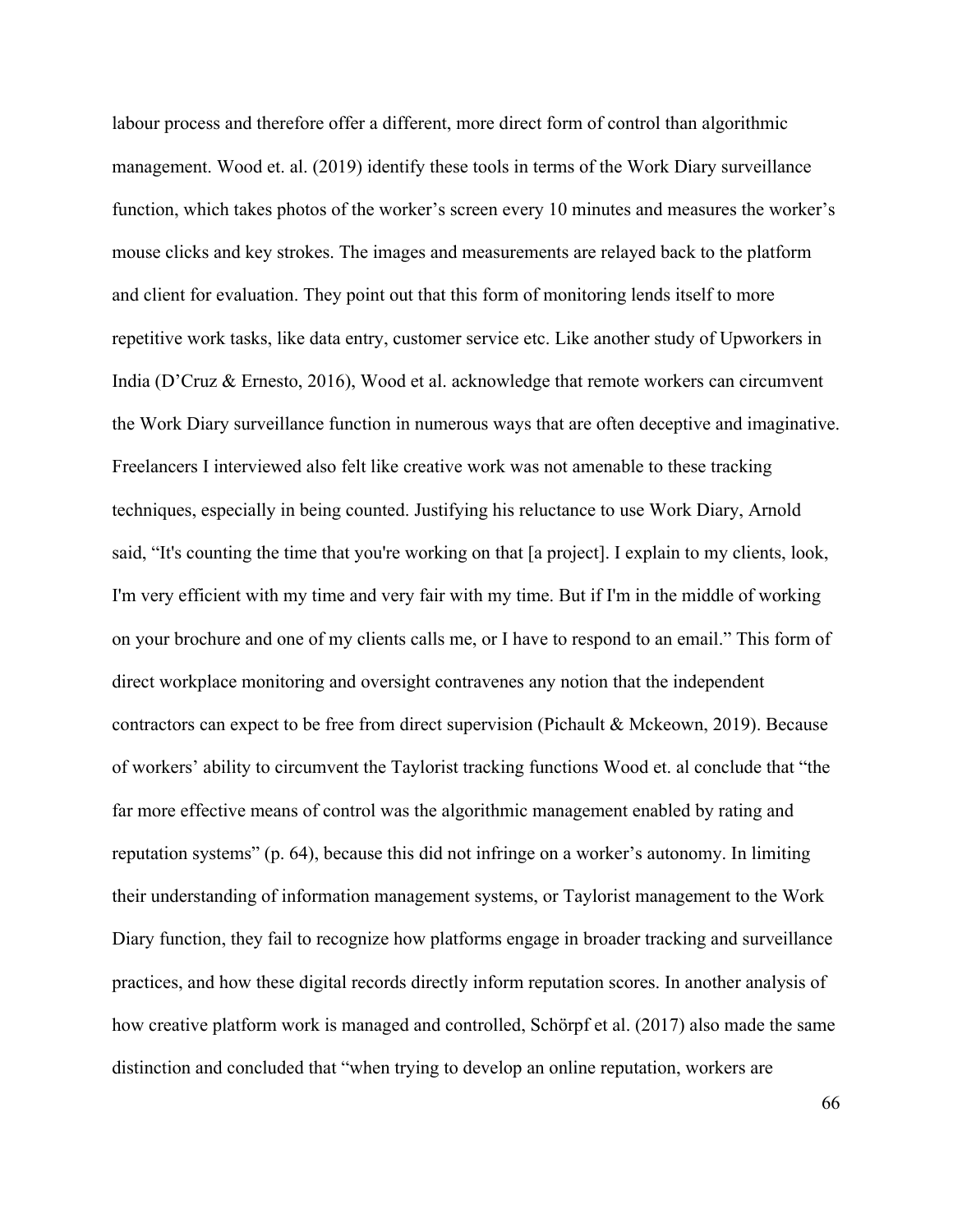labour process and therefore offer a different, more direct form of control than algorithmic management. Wood et. al. (2019) identify these tools in terms of the Work Diary surveillance function, which takes photos of the worker's screen every 10 minutes and measures the worker's mouse clicks and key strokes. The images and measurements are relayed back to the platform and client for evaluation. They point out that this form of monitoring lends itself to more repetitive work tasks, like data entry, customer service etc. Like another study of Upworkers in India (D'Cruz & Ernesto, 2016), Wood et al. acknowledge that remote workers can circumvent the Work Diary surveillance function in numerous ways that are often deceptive and imaginative. Freelancers I interviewed also felt like creative work was not amenable to these tracking techniques, especially in being counted. Justifying his reluctance to use Work Diary, Arnold said, "It's counting the time that you're working on that [a project]. I explain to my clients, look, I'm very efficient with my time and very fair with my time. But if I'm in the middle of working on your brochure and one of my clients calls me, or I have to respond to an email." This form of direct workplace monitoring and oversight contravenes any notion that the independent contractors can expect to be free from direct supervision (Pichault & Mckeown, 2019). Because of workers' ability to circumvent the Taylorist tracking functions Wood et. al conclude that "the far more effective means of control was the algorithmic management enabled by rating and reputation systems" (p. 64), because this did not infringe on a worker's autonomy. In limiting their understanding of information management systems, or Taylorist management to the Work Diary function, they fail to recognize how platforms engage in broader tracking and surveillance practices, and how these digital records directly inform reputation scores. In another analysis of how creative platform work is managed and controlled, Schörpf et al. (2017) also made the same distinction and concluded that "when trying to develop an online reputation, workers are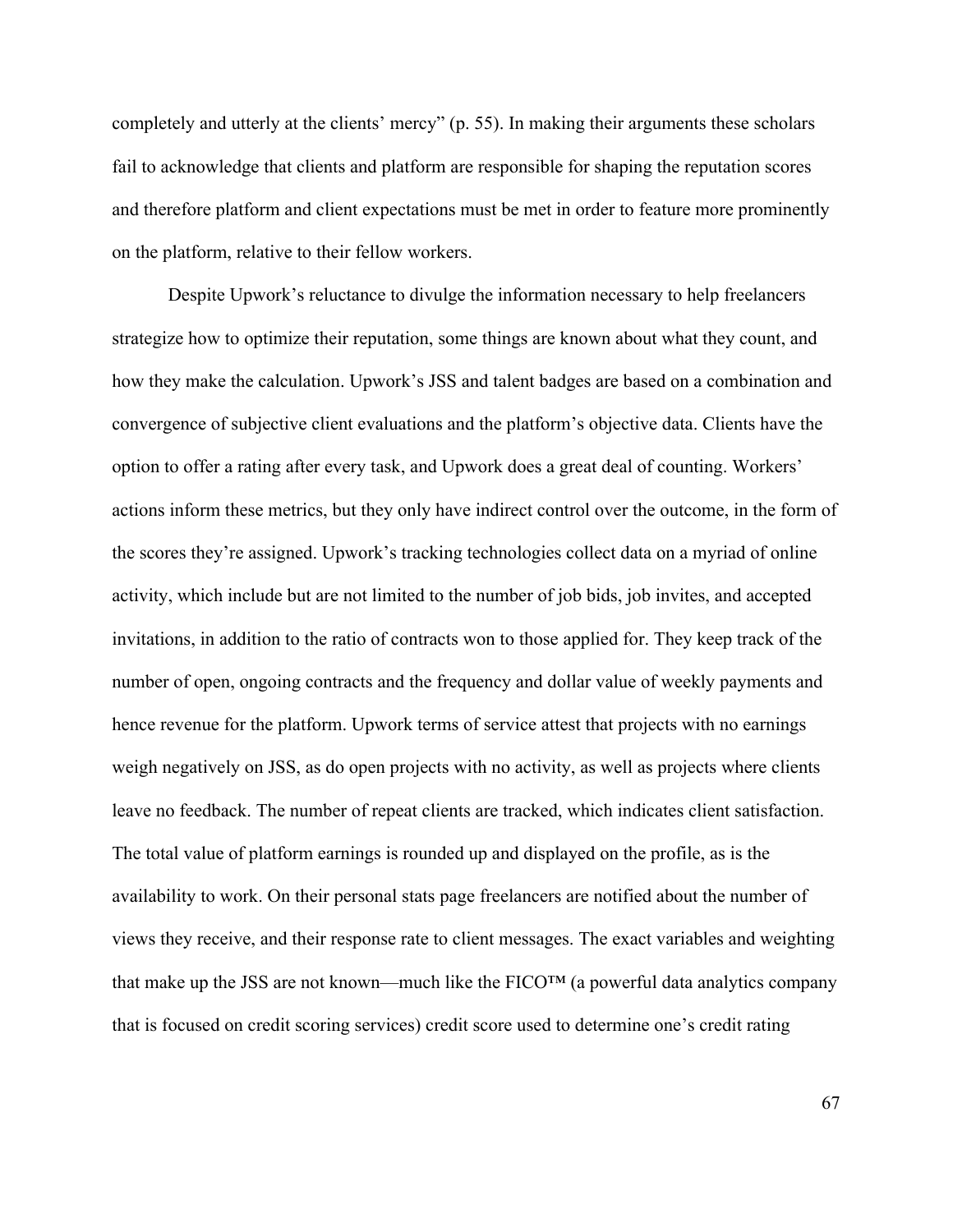completely and utterly at the clients' mercy" (p. 55). In making their arguments these scholars fail to acknowledge that clients and platform are responsible for shaping the reputation scores and therefore platform and client expectations must be met in order to feature more prominently on the platform, relative to their fellow workers.

Despite Upwork's reluctance to divulge the information necessary to help freelancers strategize how to optimize their reputation, some things are known about what they count, and how they make the calculation. Upwork's JSS and talent badges are based on a combination and convergence of subjective client evaluations and the platform's objective data. Clients have the option to offer a rating after every task, and Upwork does a great deal of counting. Workers' actions inform these metrics, but they only have indirect control over the outcome, in the form of the scores they're assigned. Upwork's tracking technologies collect data on a myriad of online activity, which include but are not limited to the number of job bids, job invites, and accepted invitations, in addition to the ratio of contracts won to those applied for. They keep track of the number of open, ongoing contracts and the frequency and dollar value of weekly payments and hence revenue for the platform. Upwork terms of service attest that projects with no earnings weigh negatively on JSS, as do open projects with no activity, as well as projects where clients leave no feedback. The number of repeat clients are tracked, which indicates client satisfaction. The total value of platform earnings is rounded up and displayed on the profile, as is the availability to work. On their personal stats page freelancers are notified about the number of views they receive, and their response rate to client messages. The exact variables and weighting that make up the JSS are not known—much like the  $FICO<sup>TM</sup>$  (a powerful data analytics company that is focused on credit scoring services) credit score used to determine one's credit rating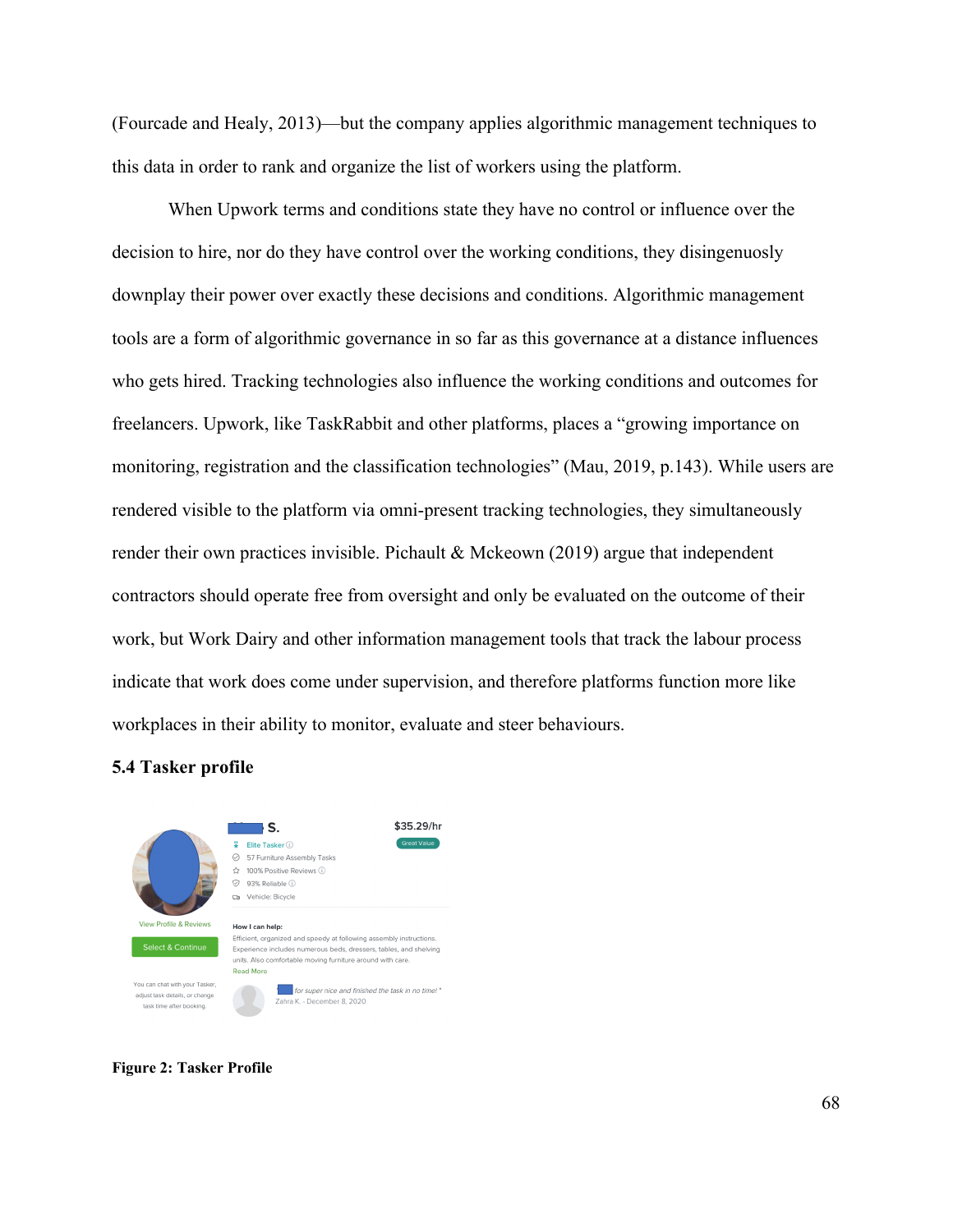(Fourcade and Healy, 2013)—but the company applies algorithmic management techniques to this data in order to rank and organize the list of workers using the platform.

When Upwork terms and conditions state they have no control or influence over the decision to hire, nor do they have control over the working conditions, they disingenuosly downplay their power over exactly these decisions and conditions. Algorithmic management tools are a form of algorithmic governance in so far as this governance at a distance influences who gets hired. Tracking technologies also influence the working conditions and outcomes for freelancers. Upwork, like TaskRabbit and other platforms, places a "growing importance on monitoring, registration and the classification technologies" (Mau, 2019, p.143). While users are rendered visible to the platform via omni-present tracking technologies, they simultaneously render their own practices invisible. Pichault & Mckeown (2019) argue that independent contractors should operate free from oversight and only be evaluated on the outcome of their work, but Work Dairy and other information management tools that track the labour process indicate that work does come under supervision, and therefore platforms function more like workplaces in their ability to monitor, evaluate and steer behaviours.

## **5.4 Tasker profile**



**Figure 2: Tasker Profile**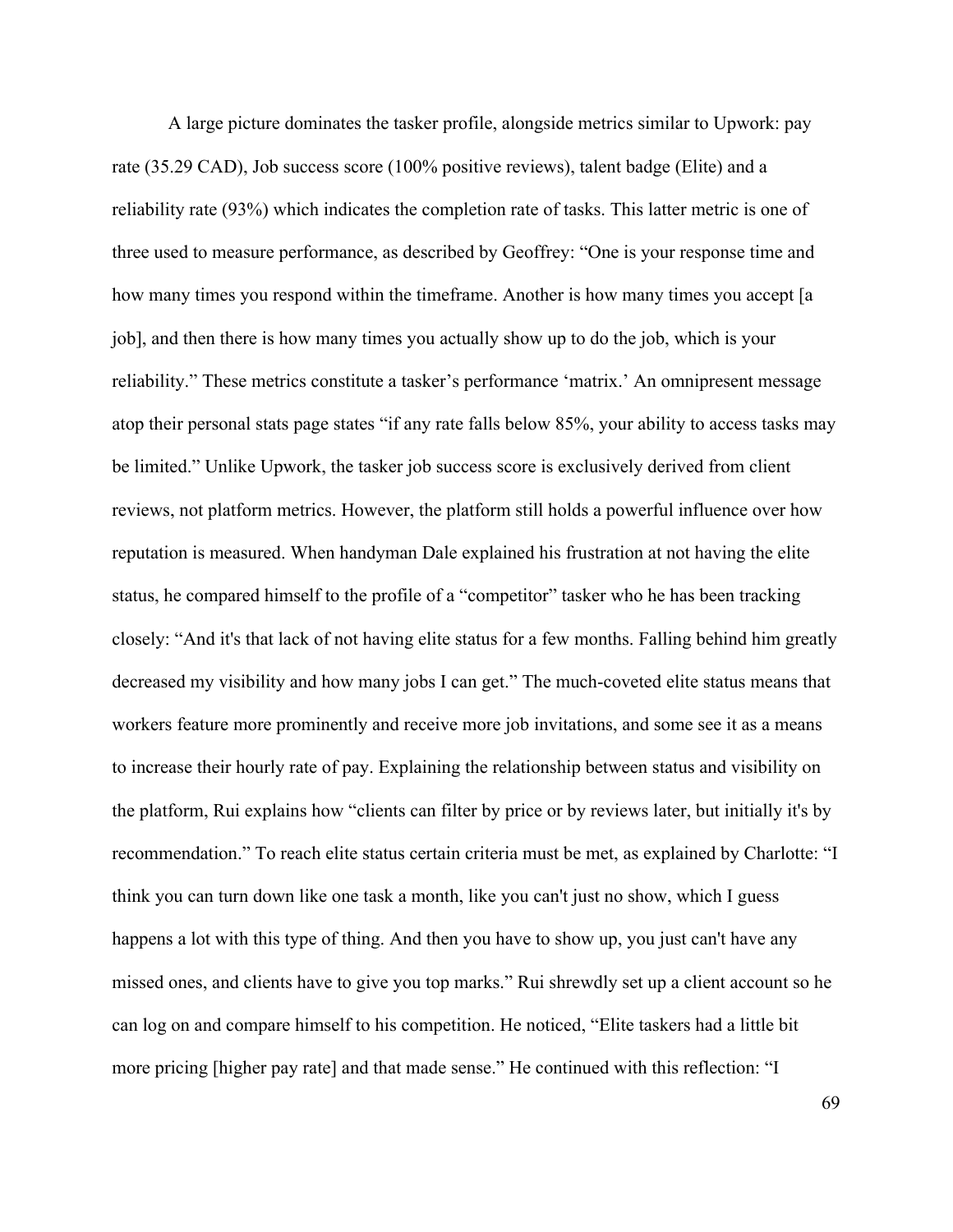A large picture dominates the tasker profile, alongside metrics similar to Upwork: pay rate (35.29 CAD), Job success score (100% positive reviews), talent badge (Elite) and a reliability rate (93%) which indicates the completion rate of tasks. This latter metric is one of three used to measure performance, as described by Geoffrey: "One is your response time and how many times you respond within the timeframe. Another is how many times you accept [a job], and then there is how many times you actually show up to do the job, which is your reliability." These metrics constitute a tasker's performance 'matrix.' An omnipresent message atop their personal stats page states "if any rate falls below 85%, your ability to access tasks may be limited." Unlike Upwork, the tasker job success score is exclusively derived from client reviews, not platform metrics. However, the platform still holds a powerful influence over how reputation is measured. When handyman Dale explained his frustration at not having the elite status, he compared himself to the profile of a "competitor" tasker who he has been tracking closely: "And it's that lack of not having elite status for a few months. Falling behind him greatly decreased my visibility and how many jobs I can get." The much-coveted elite status means that workers feature more prominently and receive more job invitations, and some see it as a means to increase their hourly rate of pay. Explaining the relationship between status and visibility on the platform, Rui explains how "clients can filter by price or by reviews later, but initially it's by recommendation." To reach elite status certain criteria must be met, as explained by Charlotte: "I think you can turn down like one task a month, like you can't just no show, which I guess happens a lot with this type of thing. And then you have to show up, you just can't have any missed ones, and clients have to give you top marks." Rui shrewdly set up a client account so he can log on and compare himself to his competition. He noticed, "Elite taskers had a little bit more pricing [higher pay rate] and that made sense." He continued with this reflection: "I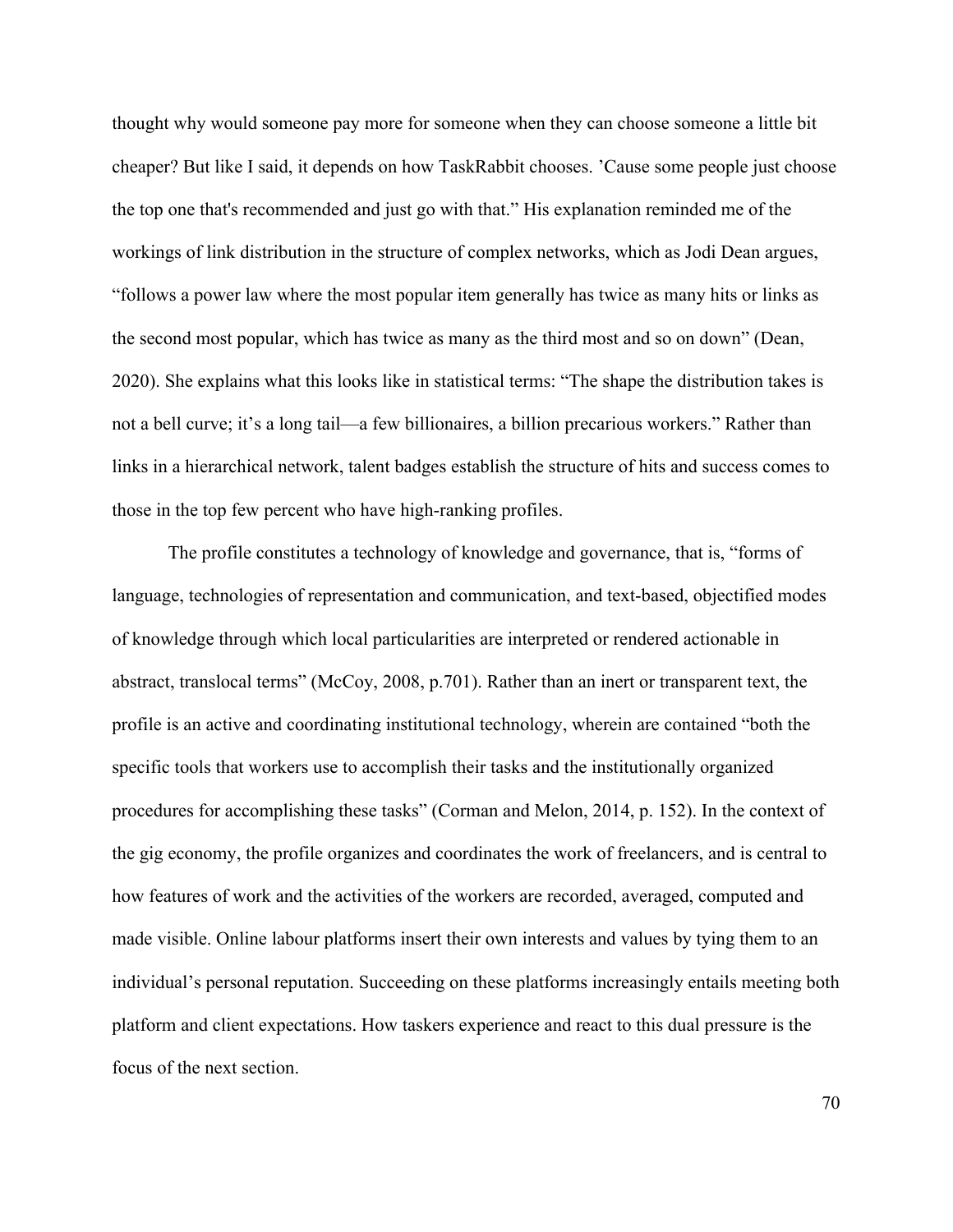thought why would someone pay more for someone when they can choose someone a little bit cheaper? But like I said, it depends on how TaskRabbit chooses. 'Cause some people just choose the top one that's recommended and just go with that." His explanation reminded me of the workings of link distribution in the structure of complex networks, which as Jodi Dean argues, "follows a power law where the most popular item generally has twice as many hits or links as the second most popular, which has twice as many as the third most and so on down" (Dean, 2020). She explains what this looks like in statistical terms: "The shape the distribution takes is not a bell curve; it's a long tail—a few billionaires, a billion precarious workers." Rather than links in a hierarchical network, talent badges establish the structure of hits and success comes to those in the top few percent who have high-ranking profiles.

The profile constitutes a technology of knowledge and governance, that is, "forms of language, technologies of representation and communication, and text-based, objectified modes of knowledge through which local particularities are interpreted or rendered actionable in abstract, translocal terms" (McCoy, 2008, p.701). Rather than an inert or transparent text, the profile is an active and coordinating institutional technology, wherein are contained "both the specific tools that workers use to accomplish their tasks and the institutionally organized procedures for accomplishing these tasks" (Corman and Melon, 2014, p. 152). In the context of the gig economy, the profile organizes and coordinates the work of freelancers, and is central to how features of work and the activities of the workers are recorded, averaged, computed and made visible. Online labour platforms insert their own interests and values by tying them to an individual's personal reputation. Succeeding on these platforms increasingly entails meeting both platform and client expectations. How taskers experience and react to this dual pressure is the focus of the next section.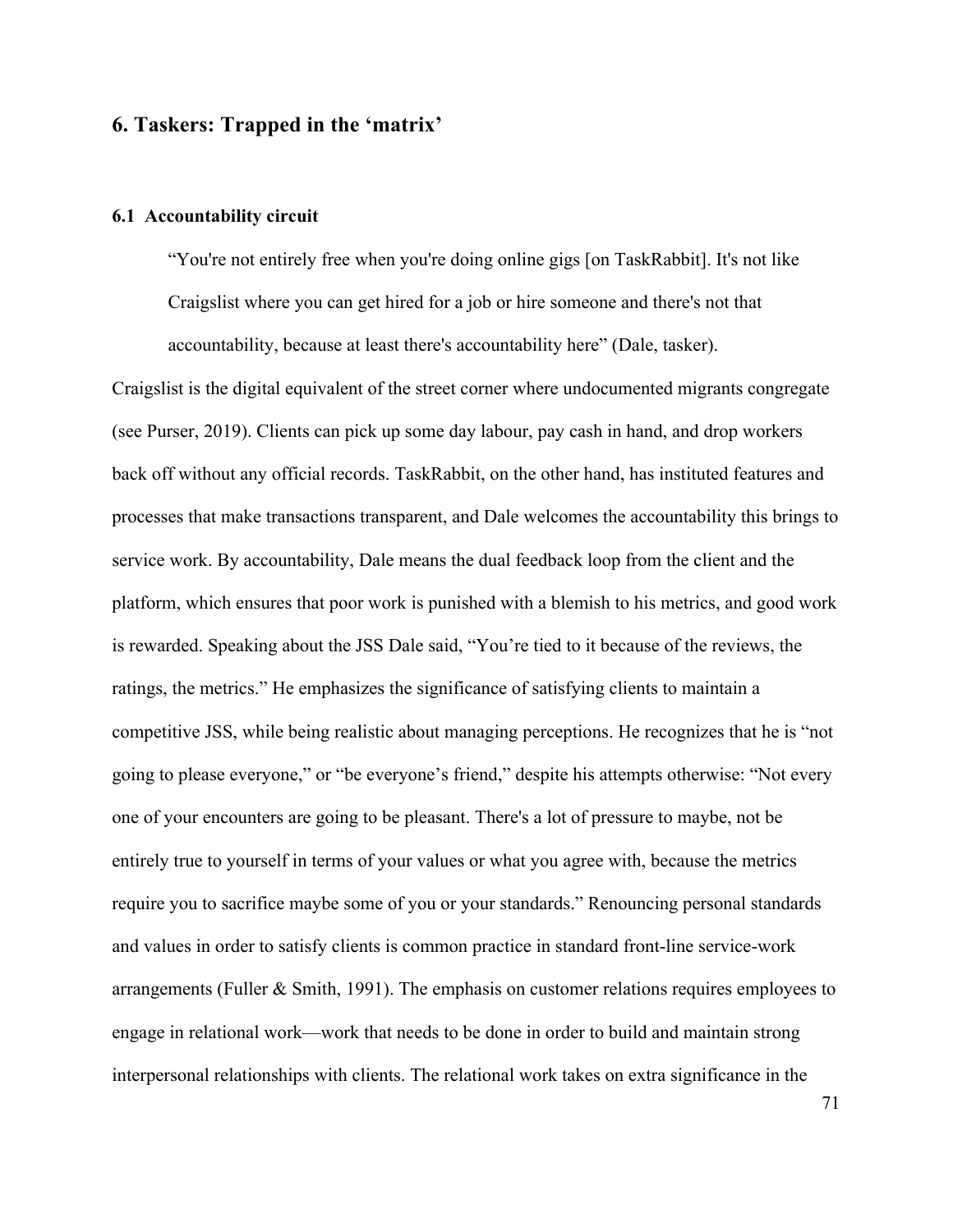# **6. Taskers: Trapped in the 'matrix'**

### **6.1 Accountability circuit**

"You're not entirely free when you're doing online gigs [on TaskRabbit]. It's not like Craigslist where you can get hired for a job or hire someone and there's not that accountability, because at least there's accountability here" (Dale, tasker).

Craigslist is the digital equivalent of the street corner where undocumented migrants congregate (see Purser, 2019). Clients can pick up some day labour, pay cash in hand, and drop workers back off without any official records. TaskRabbit, on the other hand, has instituted features and processes that make transactions transparent, and Dale welcomes the accountability this brings to service work. By accountability, Dale means the dual feedback loop from the client and the platform, which ensures that poor work is punished with a blemish to his metrics, and good work is rewarded. Speaking about the JSS Dale said, "You're tied to it because of the reviews, the ratings, the metrics." He emphasizes the significance of satisfying clients to maintain a competitive JSS, while being realistic about managing perceptions. He recognizes that he is "not going to please everyone," or "be everyone's friend," despite his attempts otherwise: "Not every one of your encounters are going to be pleasant. There's a lot of pressure to maybe, not be entirely true to yourself in terms of your values or what you agree with, because the metrics require you to sacrifice maybe some of you or your standards." Renouncing personal standards and values in order to satisfy clients is common practice in standard front-line service-work arrangements (Fuller & Smith, 1991). The emphasis on customer relations requires employees to engage in relational work—work that needs to be done in order to build and maintain strong interpersonal relationships with clients. The relational work takes on extra significance in the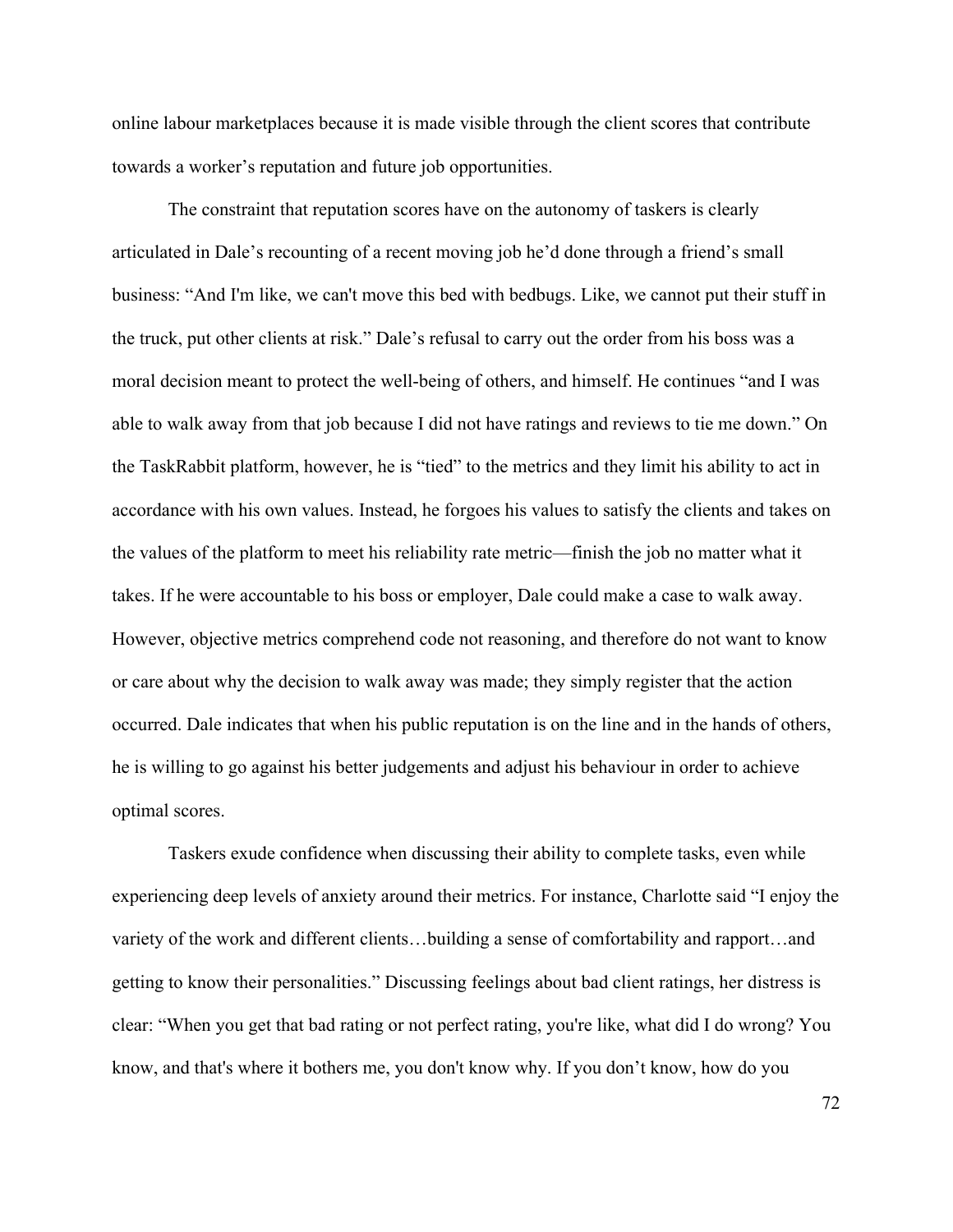online labour marketplaces because it is made visible through the client scores that contribute towards a worker's reputation and future job opportunities.

The constraint that reputation scores have on the autonomy of taskers is clearly articulated in Dale's recounting of a recent moving job he'd done through a friend's small business: "And I'm like, we can't move this bed with bedbugs. Like, we cannot put their stuff in the truck, put other clients at risk." Dale's refusal to carry out the order from his boss was a moral decision meant to protect the well-being of others, and himself. He continues "and I was able to walk away from that job because I did not have ratings and reviews to tie me down." On the TaskRabbit platform, however, he is "tied" to the metrics and they limit his ability to act in accordance with his own values. Instead, he forgoes his values to satisfy the clients and takes on the values of the platform to meet his reliability rate metric—finish the job no matter what it takes. If he were accountable to his boss or employer, Dale could make a case to walk away. However, objective metrics comprehend code not reasoning, and therefore do not want to know or care about why the decision to walk away was made; they simply register that the action occurred. Dale indicates that when his public reputation is on the line and in the hands of others, he is willing to go against his better judgements and adjust his behaviour in order to achieve optimal scores.

Taskers exude confidence when discussing their ability to complete tasks, even while experiencing deep levels of anxiety around their metrics. For instance, Charlotte said "I enjoy the variety of the work and different clients…building a sense of comfortability and rapport…and getting to know their personalities." Discussing feelings about bad client ratings, her distress is clear: "When you get that bad rating or not perfect rating, you're like, what did I do wrong? You know, and that's where it bothers me, you don't know why. If you don't know, how do you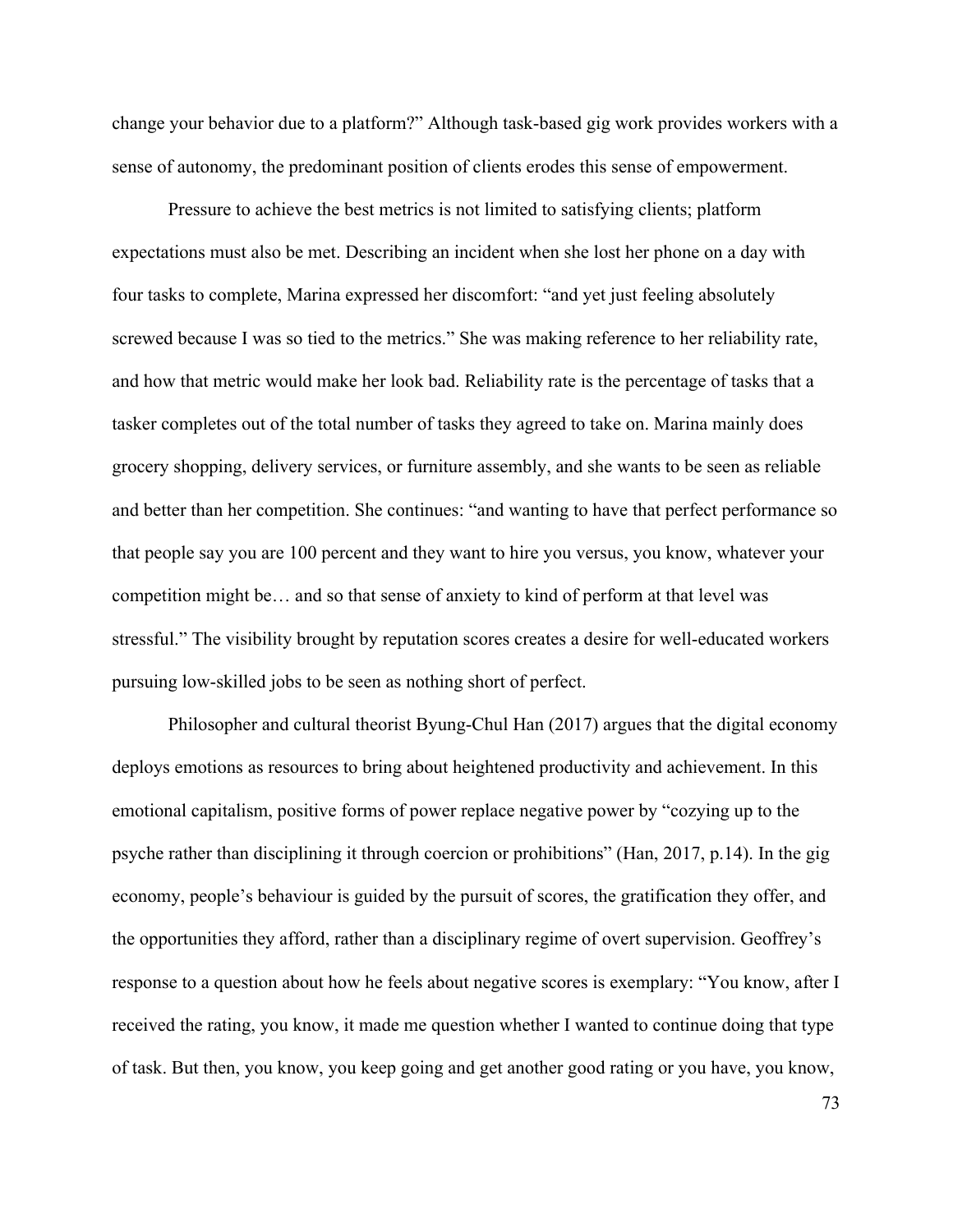change your behavior due to a platform?" Although task-based gig work provides workers with a sense of autonomy, the predominant position of clients erodes this sense of empowerment.

Pressure to achieve the best metrics is not limited to satisfying clients; platform expectations must also be met. Describing an incident when she lost her phone on a day with four tasks to complete, Marina expressed her discomfort: "and yet just feeling absolutely screwed because I was so tied to the metrics." She was making reference to her reliability rate, and how that metric would make her look bad. Reliability rate is the percentage of tasks that a tasker completes out of the total number of tasks they agreed to take on. Marina mainly does grocery shopping, delivery services, or furniture assembly, and she wants to be seen as reliable and better than her competition. She continues: "and wanting to have that perfect performance so that people say you are 100 percent and they want to hire you versus, you know, whatever your competition might be… and so that sense of anxiety to kind of perform at that level was stressful." The visibility brought by reputation scores creates a desire for well-educated workers pursuing low-skilled jobs to be seen as nothing short of perfect.

Philosopher and cultural theorist Byung-Chul Han (2017) argues that the digital economy deploys emotions as resources to bring about heightened productivity and achievement. In this emotional capitalism, positive forms of power replace negative power by "cozying up to the psyche rather than disciplining it through coercion or prohibitions" (Han, 2017, p.14). In the gig economy, people's behaviour is guided by the pursuit of scores, the gratification they offer, and the opportunities they afford, rather than a disciplinary regime of overt supervision. Geoffrey's response to a question about how he feels about negative scores is exemplary: "You know, after I received the rating, you know, it made me question whether I wanted to continue doing that type of task. But then, you know, you keep going and get another good rating or you have, you know,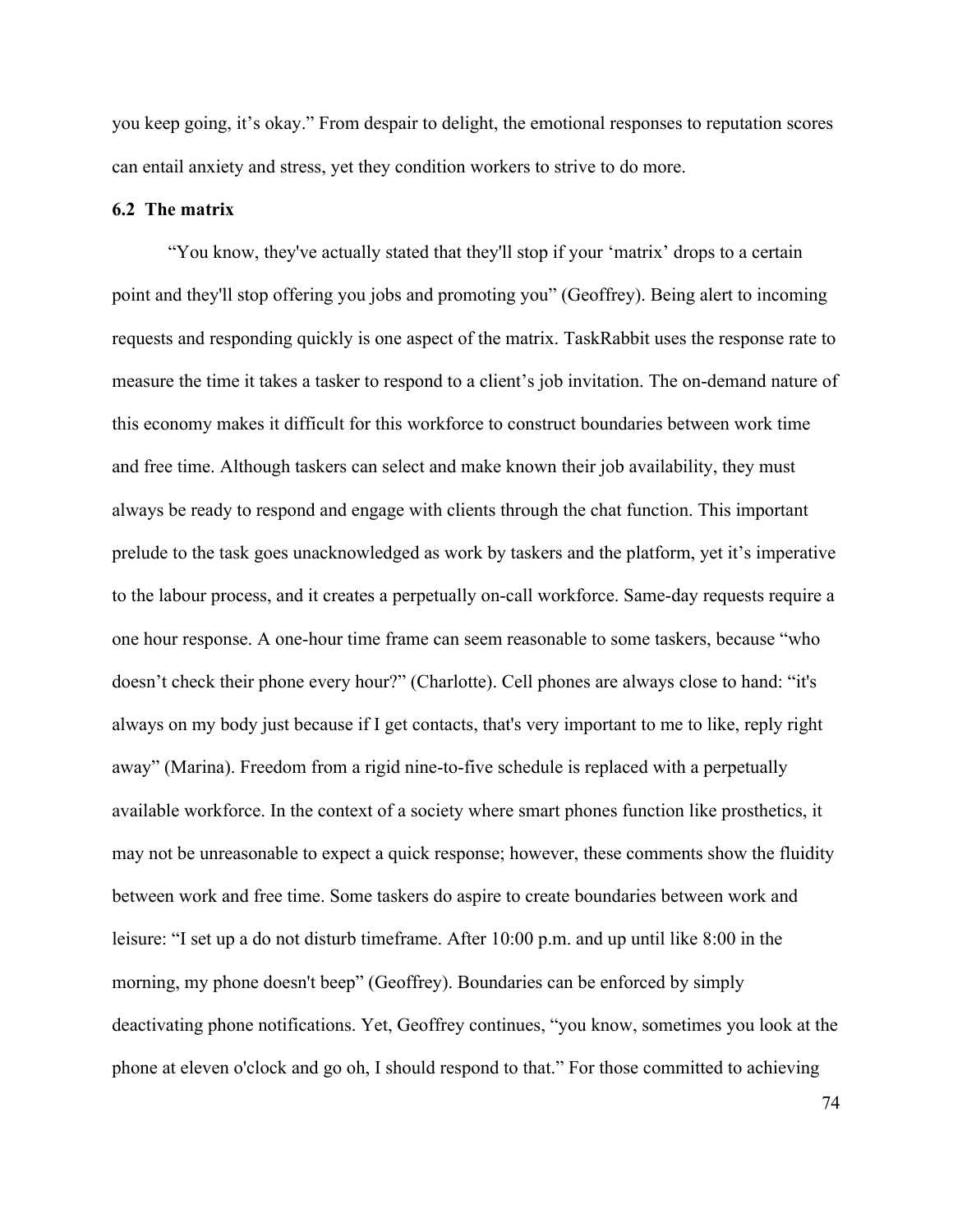you keep going, it's okay." From despair to delight, the emotional responses to reputation scores can entail anxiety and stress, yet they condition workers to strive to do more.

### **6.2 The matrix**

"You know, they've actually stated that they'll stop if your 'matrix' drops to a certain point and they'll stop offering you jobs and promoting you" (Geoffrey). Being alert to incoming requests and responding quickly is one aspect of the matrix. TaskRabbit uses the response rate to measure the time it takes a tasker to respond to a client's job invitation. The on-demand nature of this economy makes it difficult for this workforce to construct boundaries between work time and free time. Although taskers can select and make known their job availability, they must always be ready to respond and engage with clients through the chat function. This important prelude to the task goes unacknowledged as work by taskers and the platform, yet it's imperative to the labour process, and it creates a perpetually on-call workforce. Same-day requests require a one hour response. A one-hour time frame can seem reasonable to some taskers, because "who doesn't check their phone every hour?" (Charlotte). Cell phones are always close to hand: "it's always on my body just because if I get contacts, that's very important to me to like, reply right away" (Marina). Freedom from a rigid nine-to-five schedule is replaced with a perpetually available workforce. In the context of a society where smart phones function like prosthetics, it may not be unreasonable to expect a quick response; however, these comments show the fluidity between work and free time. Some taskers do aspire to create boundaries between work and leisure: "I set up a do not disturb timeframe. After 10:00 p.m. and up until like 8:00 in the morning, my phone doesn't beep" (Geoffrey). Boundaries can be enforced by simply deactivating phone notifications. Yet, Geoffrey continues, "you know, sometimes you look at the phone at eleven o'clock and go oh, I should respond to that." For those committed to achieving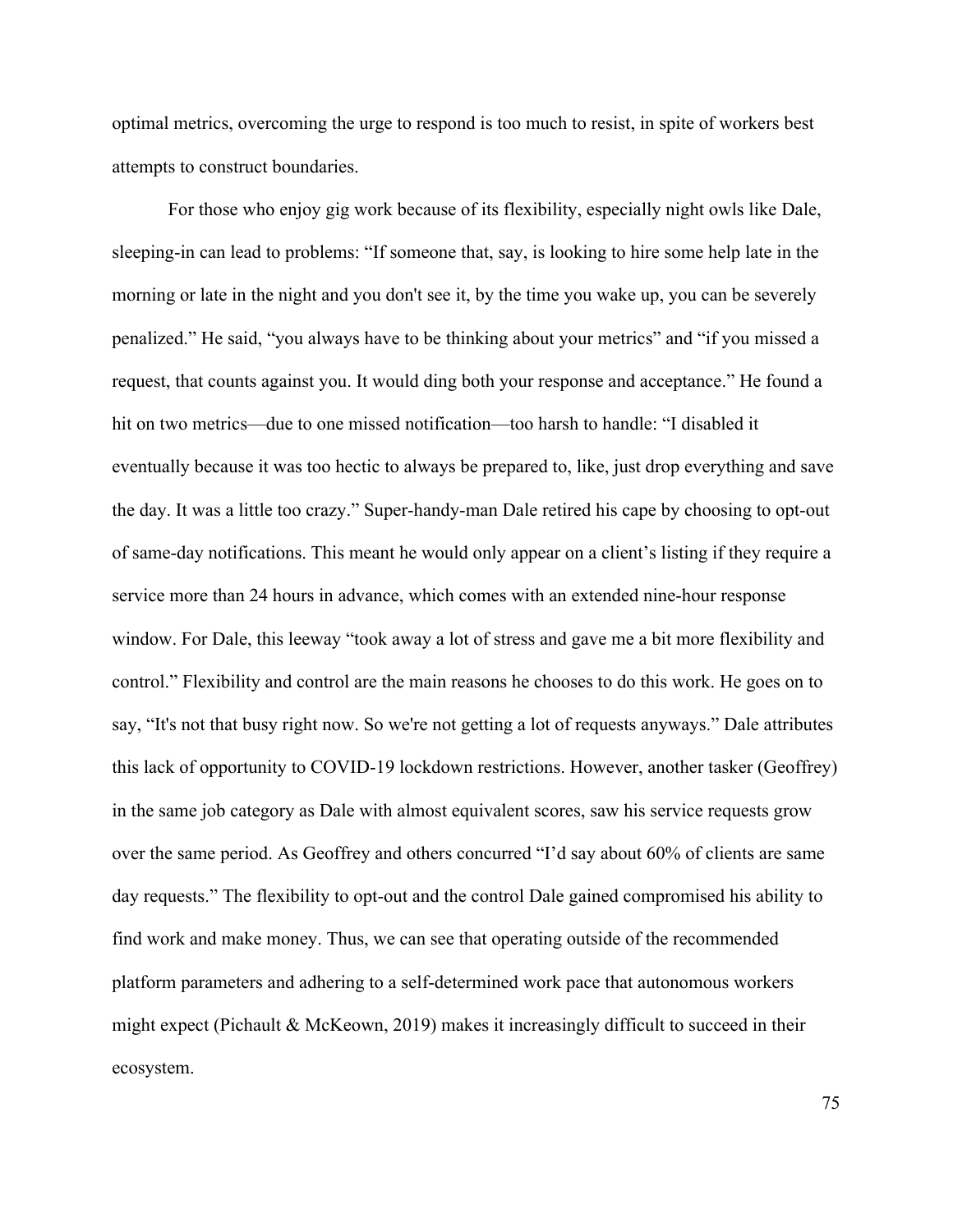optimal metrics, overcoming the urge to respond is too much to resist, in spite of workers best attempts to construct boundaries.

For those who enjoy gig work because of its flexibility, especially night owls like Dale, sleeping-in can lead to problems: "If someone that, say, is looking to hire some help late in the morning or late in the night and you don't see it, by the time you wake up, you can be severely penalized." He said, "you always have to be thinking about your metrics" and "if you missed a request, that counts against you. It would ding both your response and acceptance." He found a hit on two metrics—due to one missed notification—too harsh to handle: "I disabled it eventually because it was too hectic to always be prepared to, like, just drop everything and save the day. It was a little too crazy." Super-handy-man Dale retired his cape by choosing to opt-out of same-day notifications. This meant he would only appear on a client's listing if they require a service more than 24 hours in advance, which comes with an extended nine-hour response window. For Dale, this leeway "took away a lot of stress and gave me a bit more flexibility and control." Flexibility and control are the main reasons he chooses to do this work. He goes on to say, "It's not that busy right now. So we're not getting a lot of requests anyways." Dale attributes this lack of opportunity to COVID-19 lockdown restrictions. However, another tasker (Geoffrey) in the same job category as Dale with almost equivalent scores, saw his service requests grow over the same period. As Geoffrey and others concurred "I'd say about 60% of clients are same day requests." The flexibility to opt-out and the control Dale gained compromised his ability to find work and make money. Thus, we can see that operating outside of the recommended platform parameters and adhering to a self-determined work pace that autonomous workers might expect (Pichault & McKeown, 2019) makes it increasingly difficult to succeed in their ecosystem.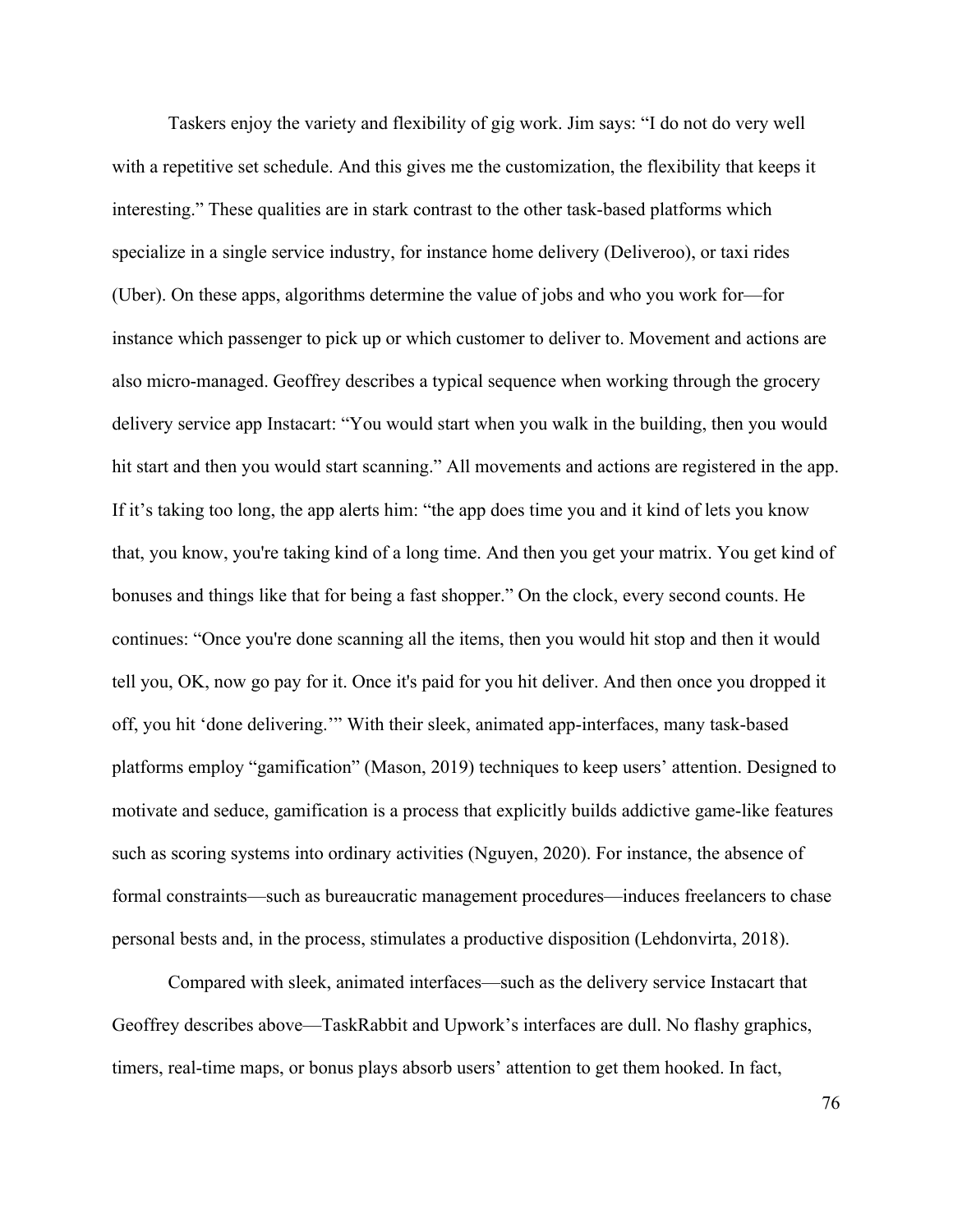Taskers enjoy the variety and flexibility of gig work. Jim says: "I do not do very well with a repetitive set schedule. And this gives me the customization, the flexibility that keeps it interesting." These qualities are in stark contrast to the other task-based platforms which specialize in a single service industry, for instance home delivery (Deliveroo), or taxi rides (Uber). On these apps, algorithms determine the value of jobs and who you work for—for instance which passenger to pick up or which customer to deliver to. Movement and actions are also micro-managed. Geoffrey describes a typical sequence when working through the grocery delivery service app Instacart: "You would start when you walk in the building, then you would hit start and then you would start scanning." All movements and actions are registered in the app. If it's taking too long, the app alerts him: "the app does time you and it kind of lets you know that, you know, you're taking kind of a long time. And then you get your matrix. You get kind of bonuses and things like that for being a fast shopper." On the clock, every second counts. He continues: "Once you're done scanning all the items, then you would hit stop and then it would tell you, OK, now go pay for it. Once it's paid for you hit deliver. And then once you dropped it off, you hit 'done delivering.'" With their sleek, animated app-interfaces, many task-based platforms employ "gamification" (Mason, 2019) techniques to keep users' attention. Designed to motivate and seduce, gamification is a process that explicitly builds addictive game-like features such as scoring systems into ordinary activities (Nguyen, 2020). For instance, the absence of formal constraints—such as bureaucratic management procedures—induces freelancers to chase personal bests and, in the process, stimulates a productive disposition (Lehdonvirta, 2018).

Compared with sleek, animated interfaces—such as the delivery service Instacart that Geoffrey describes above—TaskRabbit and Upwork's interfaces are dull. No flashy graphics, timers, real-time maps, or bonus plays absorb users' attention to get them hooked. In fact,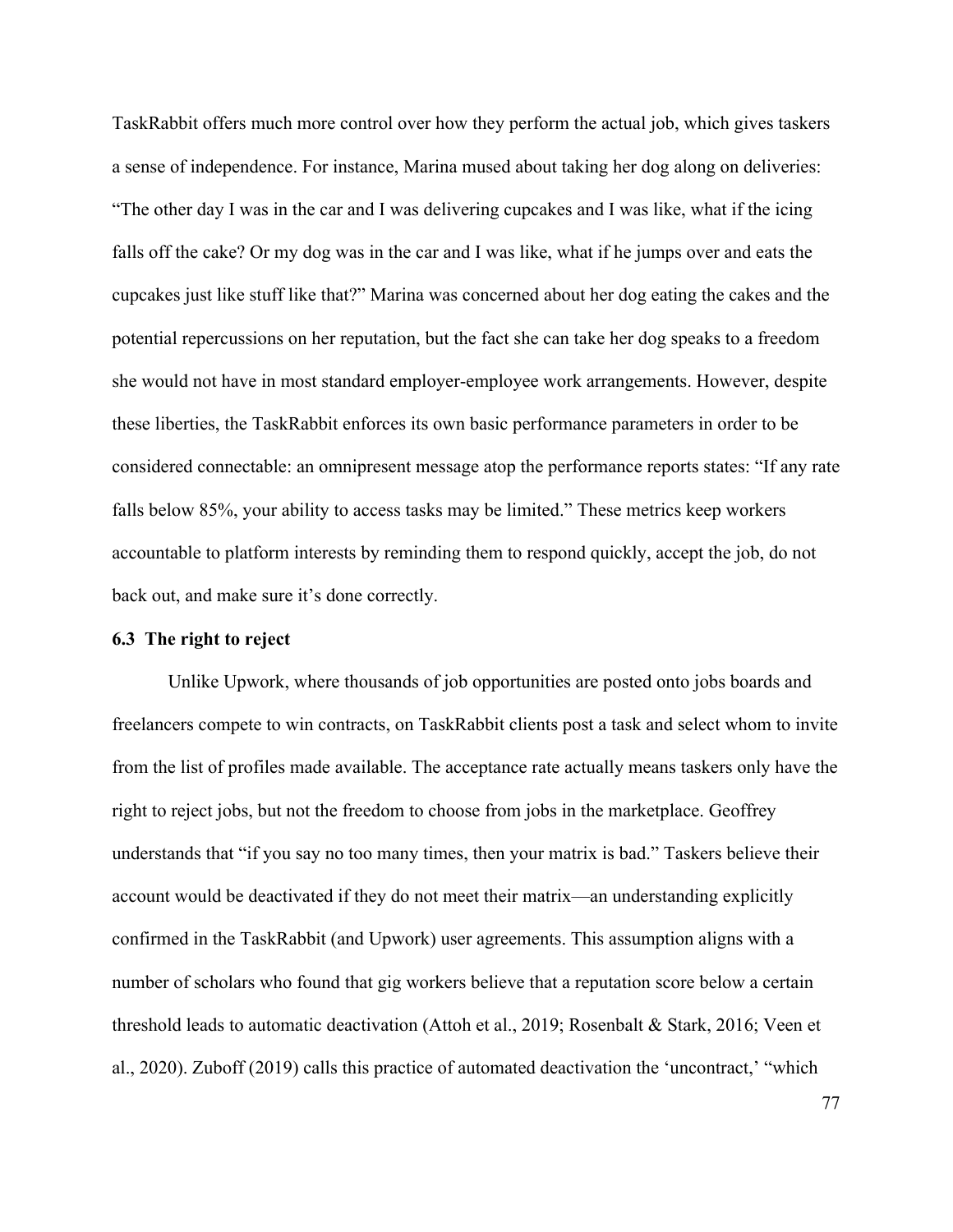TaskRabbit offers much more control over how they perform the actual job, which gives taskers a sense of independence. For instance, Marina mused about taking her dog along on deliveries: "The other day I was in the car and I was delivering cupcakes and I was like, what if the icing falls off the cake? Or my dog was in the car and I was like, what if he jumps over and eats the cupcakes just like stuff like that?" Marina was concerned about her dog eating the cakes and the potential repercussions on her reputation, but the fact she can take her dog speaks to a freedom she would not have in most standard employer-employee work arrangements. However, despite these liberties, the TaskRabbit enforces its own basic performance parameters in order to be considered connectable: an omnipresent message atop the performance reports states: "If any rate falls below 85%, your ability to access tasks may be limited." These metrics keep workers accountable to platform interests by reminding them to respond quickly, accept the job, do not back out, and make sure it's done correctly.

### **6.3 The right to reject**

Unlike Upwork, where thousands of job opportunities are posted onto jobs boards and freelancers compete to win contracts, on TaskRabbit clients post a task and select whom to invite from the list of profiles made available. The acceptance rate actually means taskers only have the right to reject jobs, but not the freedom to choose from jobs in the marketplace. Geoffrey understands that "if you say no too many times, then your matrix is bad." Taskers believe their account would be deactivated if they do not meet their matrix—an understanding explicitly confirmed in the TaskRabbit (and Upwork) user agreements. This assumption aligns with a number of scholars who found that gig workers believe that a reputation score below a certain threshold leads to automatic deactivation (Attoh et al., 2019; Rosenbalt & Stark, 2016; Veen et al., 2020). Zuboff (2019) calls this practice of automated deactivation the 'uncontract,' "which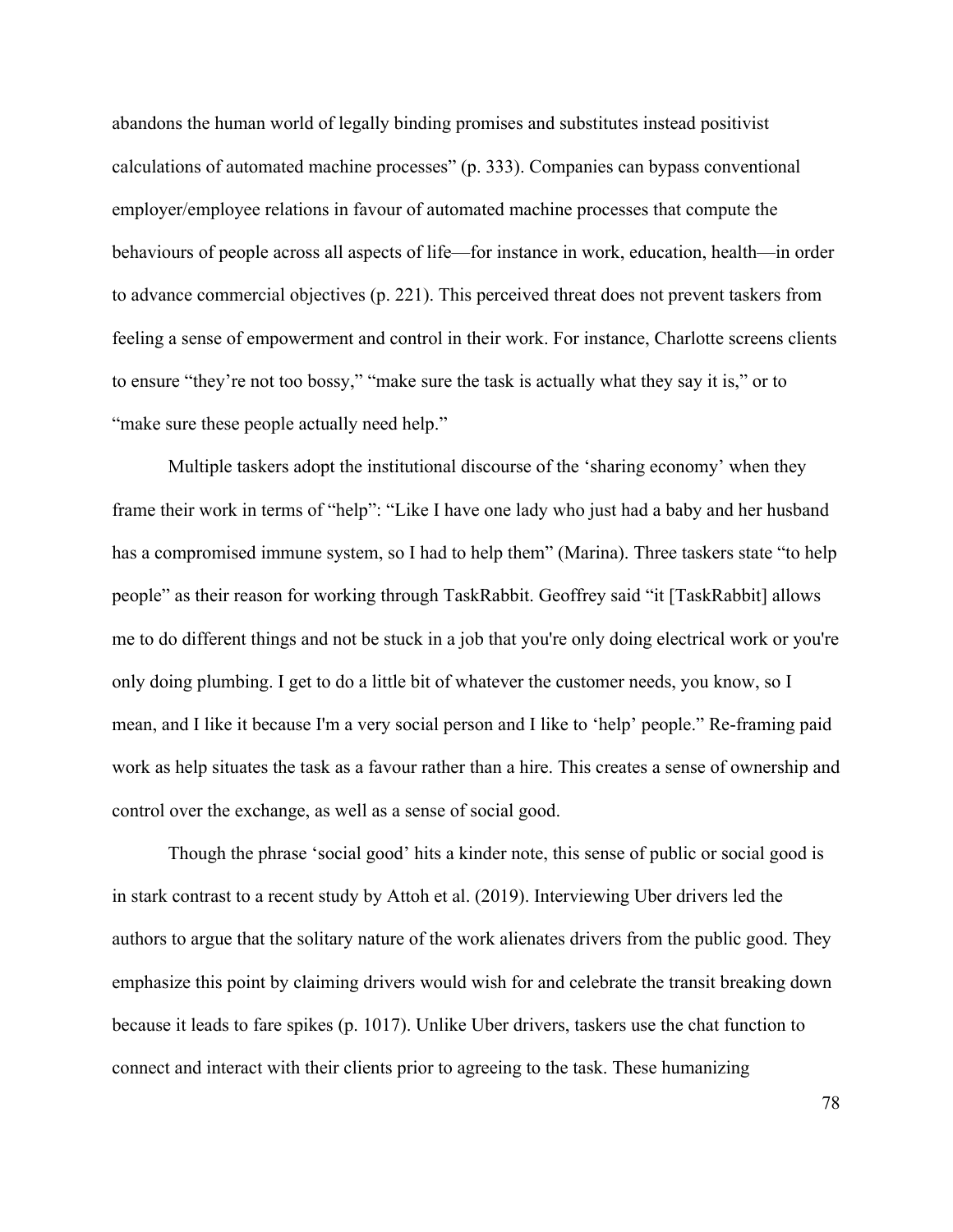abandons the human world of legally binding promises and substitutes instead positivist calculations of automated machine processes" (p. 333). Companies can bypass conventional employer/employee relations in favour of automated machine processes that compute the behaviours of people across all aspects of life—for instance in work, education, health—in order to advance commercial objectives (p. 221). This perceived threat does not prevent taskers from feeling a sense of empowerment and control in their work. For instance, Charlotte screens clients to ensure "they're not too bossy," "make sure the task is actually what they say it is," or to "make sure these people actually need help."

Multiple taskers adopt the institutional discourse of the 'sharing economy' when they frame their work in terms of "help": "Like I have one lady who just had a baby and her husband has a compromised immune system, so I had to help them" (Marina). Three taskers state "to help people" as their reason for working through TaskRabbit. Geoffrey said "it [TaskRabbit] allows me to do different things and not be stuck in a job that you're only doing electrical work or you're only doing plumbing. I get to do a little bit of whatever the customer needs, you know, so I mean, and I like it because I'm a very social person and I like to 'help' people." Re-framing paid work as help situates the task as a favour rather than a hire. This creates a sense of ownership and control over the exchange, as well as a sense of social good.

Though the phrase 'social good' hits a kinder note, this sense of public or social good is in stark contrast to a recent study by Attoh et al. (2019). Interviewing Uber drivers led the authors to argue that the solitary nature of the work alienates drivers from the public good. They emphasize this point by claiming drivers would wish for and celebrate the transit breaking down because it leads to fare spikes (p. 1017). Unlike Uber drivers, taskers use the chat function to connect and interact with their clients prior to agreeing to the task. These humanizing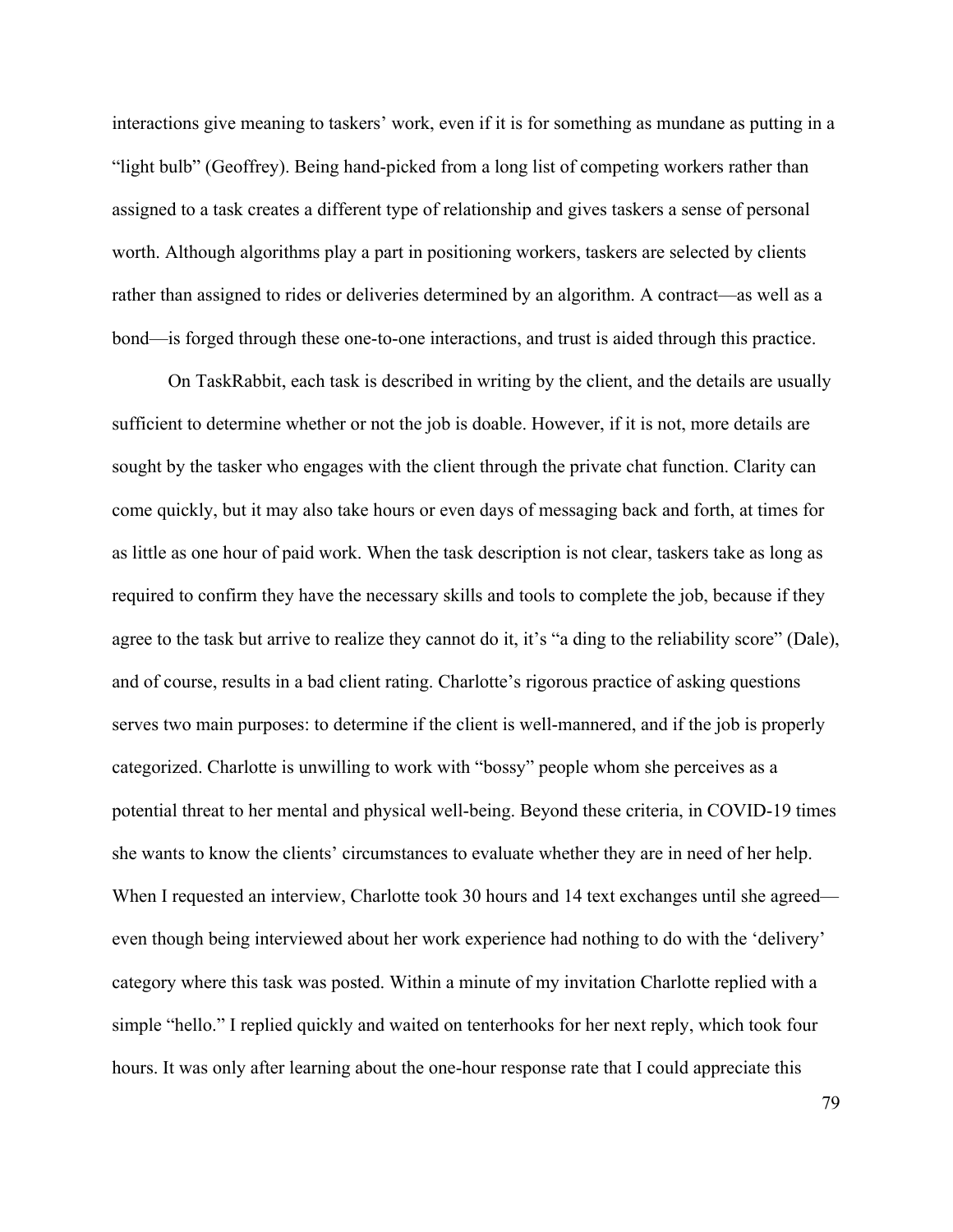interactions give meaning to taskers' work, even if it is for something as mundane as putting in a "light bulb" (Geoffrey). Being hand-picked from a long list of competing workers rather than assigned to a task creates a different type of relationship and gives taskers a sense of personal worth. Although algorithms play a part in positioning workers, taskers are selected by clients rather than assigned to rides or deliveries determined by an algorithm. A contract—as well as a bond—is forged through these one-to-one interactions, and trust is aided through this practice.

On TaskRabbit, each task is described in writing by the client, and the details are usually sufficient to determine whether or not the job is doable. However, if it is not, more details are sought by the tasker who engages with the client through the private chat function. Clarity can come quickly, but it may also take hours or even days of messaging back and forth, at times for as little as one hour of paid work. When the task description is not clear, taskers take as long as required to confirm they have the necessary skills and tools to complete the job, because if they agree to the task but arrive to realize they cannot do it, it's "a ding to the reliability score" (Dale), and of course, results in a bad client rating. Charlotte's rigorous practice of asking questions serves two main purposes: to determine if the client is well-mannered, and if the job is properly categorized. Charlotte is unwilling to work with "bossy" people whom she perceives as a potential threat to her mental and physical well-being. Beyond these criteria, in COVID-19 times she wants to know the clients' circumstances to evaluate whether they are in need of her help. When I requested an interview, Charlotte took 30 hours and 14 text exchanges until she agreed even though being interviewed about her work experience had nothing to do with the 'delivery' category where this task was posted. Within a minute of my invitation Charlotte replied with a simple "hello." I replied quickly and waited on tenterhooks for her next reply, which took four hours. It was only after learning about the one-hour response rate that I could appreciate this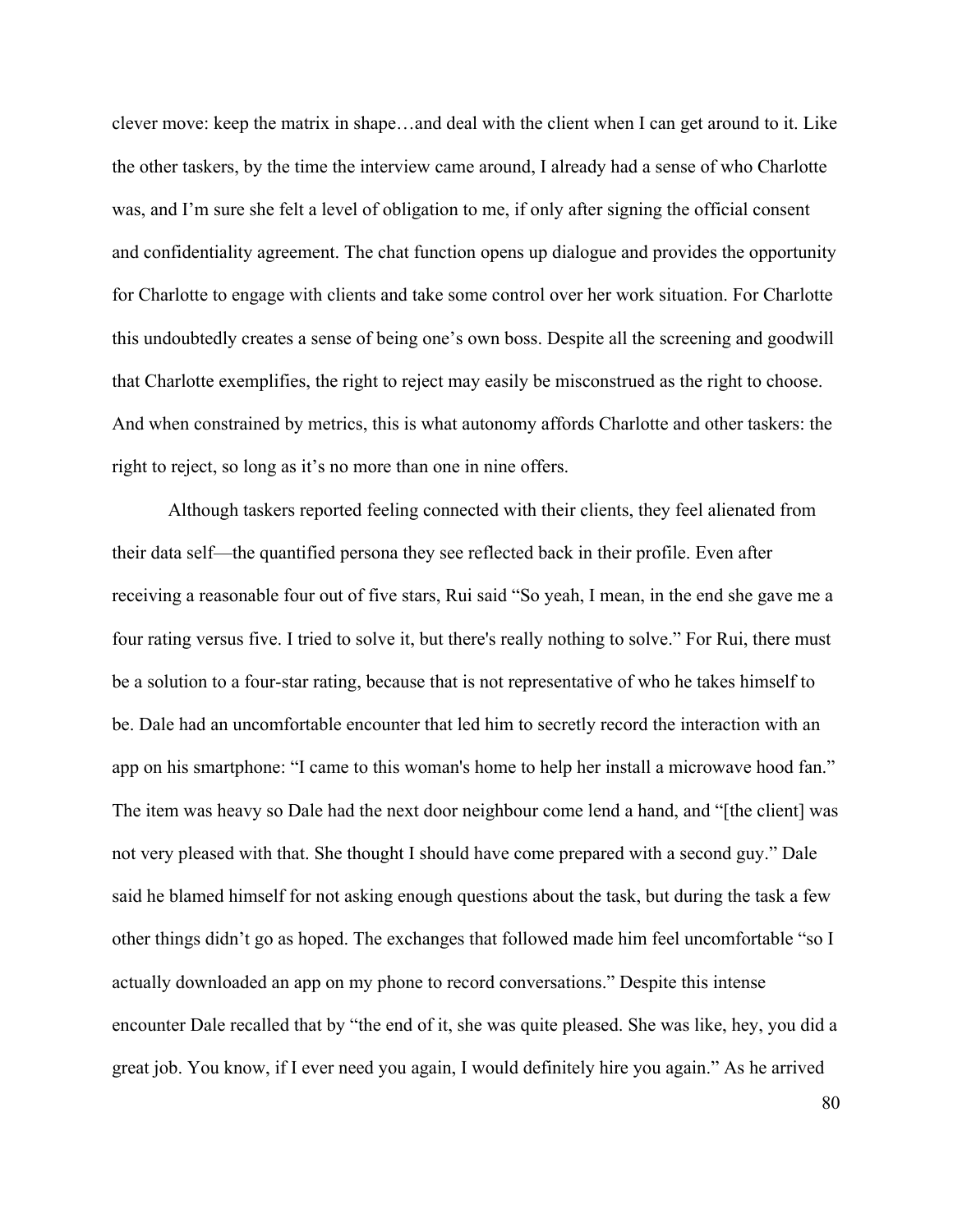clever move: keep the matrix in shape…and deal with the client when I can get around to it. Like the other taskers, by the time the interview came around, I already had a sense of who Charlotte was, and I'm sure she felt a level of obligation to me, if only after signing the official consent and confidentiality agreement. The chat function opens up dialogue and provides the opportunity for Charlotte to engage with clients and take some control over her work situation. For Charlotte this undoubtedly creates a sense of being one's own boss. Despite all the screening and goodwill that Charlotte exemplifies, the right to reject may easily be misconstrued as the right to choose. And when constrained by metrics, this is what autonomy affords Charlotte and other taskers: the right to reject, so long as it's no more than one in nine offers.

Although taskers reported feeling connected with their clients, they feel alienated from their data self—the quantified persona they see reflected back in their profile. Even after receiving a reasonable four out of five stars, Rui said "So yeah, I mean, in the end she gave me a four rating versus five. I tried to solve it, but there's really nothing to solve." For Rui, there must be a solution to a four-star rating, because that is not representative of who he takes himself to be. Dale had an uncomfortable encounter that led him to secretly record the interaction with an app on his smartphone: "I came to this woman's home to help her install a microwave hood fan." The item was heavy so Dale had the next door neighbour come lend a hand, and "[the client] was not very pleased with that. She thought I should have come prepared with a second guy." Dale said he blamed himself for not asking enough questions about the task, but during the task a few other things didn't go as hoped. The exchanges that followed made him feel uncomfortable "so I actually downloaded an app on my phone to record conversations." Despite this intense encounter Dale recalled that by "the end of it, she was quite pleased. She was like, hey, you did a great job. You know, if I ever need you again, I would definitely hire you again." As he arrived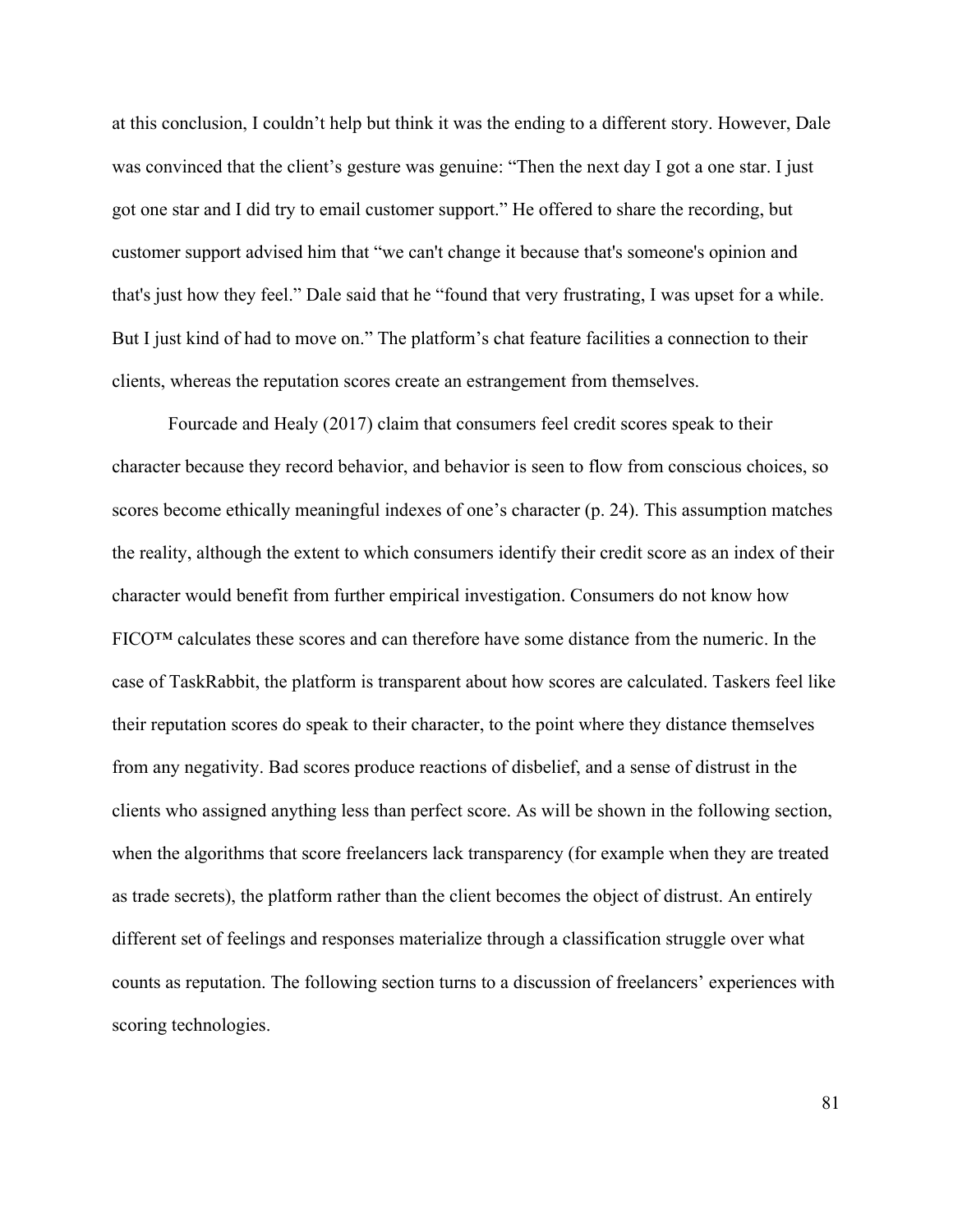at this conclusion, I couldn't help but think it was the ending to a different story. However, Dale was convinced that the client's gesture was genuine: "Then the next day I got a one star. I just got one star and I did try to email customer support." He offered to share the recording, but customer support advised him that "we can't change it because that's someone's opinion and that's just how they feel." Dale said that he "found that very frustrating, I was upset for a while. But I just kind of had to move on." The platform's chat feature facilities a connection to their clients, whereas the reputation scores create an estrangement from themselves.

Fourcade and Healy (2017) claim that consumers feel credit scores speak to their character because they record behavior, and behavior is seen to flow from conscious choices, so scores become ethically meaningful indexes of one's character (p. 24). This assumption matches the reality, although the extent to which consumers identify their credit score as an index of their character would benefit from further empirical investigation. Consumers do not know how FICO™ calculates these scores and can therefore have some distance from the numeric. In the case of TaskRabbit, the platform is transparent about how scores are calculated. Taskers feel like their reputation scores do speak to their character, to the point where they distance themselves from any negativity. Bad scores produce reactions of disbelief, and a sense of distrust in the clients who assigned anything less than perfect score. As will be shown in the following section, when the algorithms that score freelancers lack transparency (for example when they are treated as trade secrets), the platform rather than the client becomes the object of distrust. An entirely different set of feelings and responses materialize through a classification struggle over what counts as reputation. The following section turns to a discussion of freelancers' experiences with scoring technologies.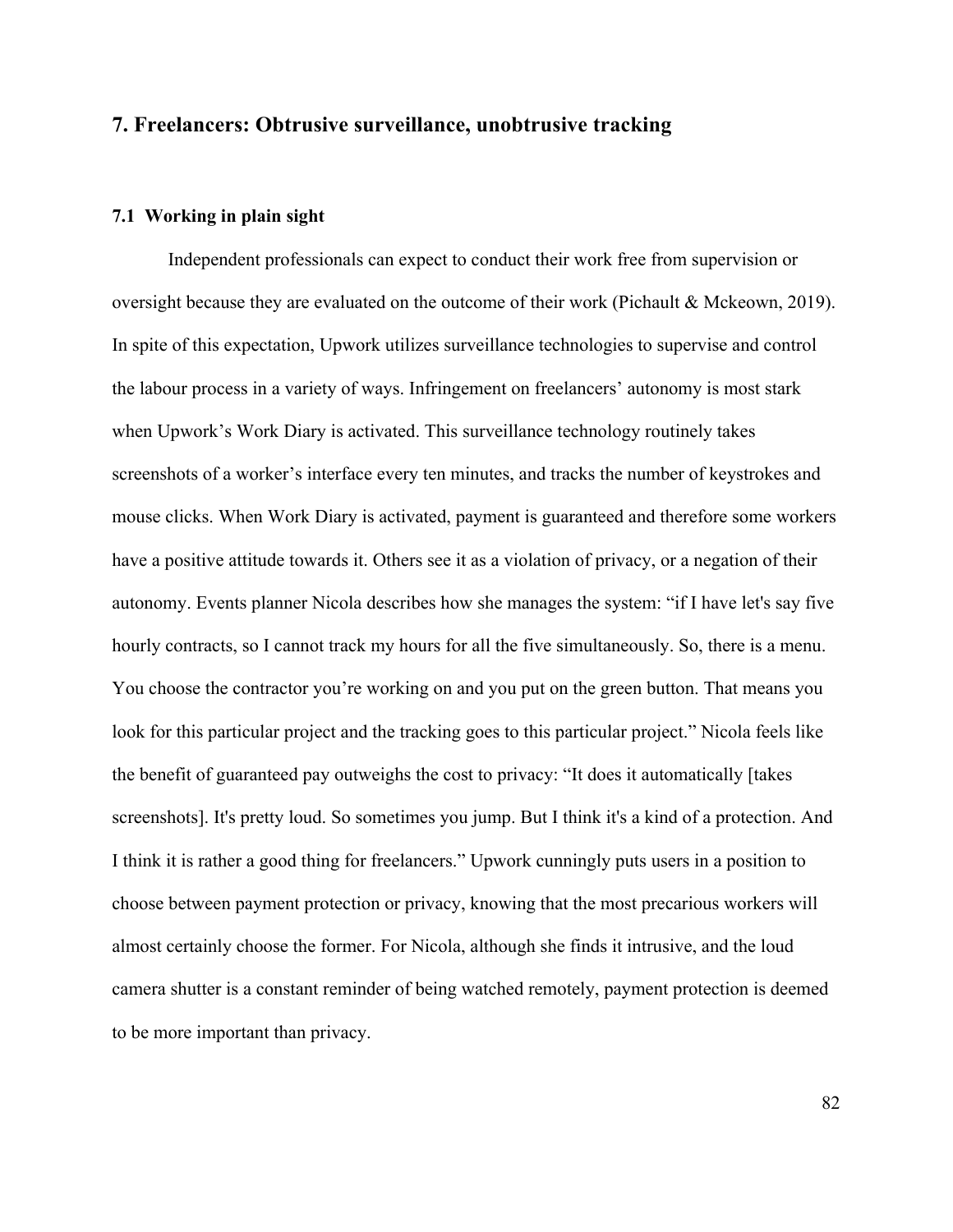# **7. Freelancers: Obtrusive surveillance, unobtrusive tracking**

### **7.1 Working in plain sight**

Independent professionals can expect to conduct their work free from supervision or oversight because they are evaluated on the outcome of their work (Pichault & Mckeown, 2019). In spite of this expectation, Upwork utilizes surveillance technologies to supervise and control the labour process in a variety of ways. Infringement on freelancers' autonomy is most stark when Upwork's Work Diary is activated. This surveillance technology routinely takes screenshots of a worker's interface every ten minutes, and tracks the number of keystrokes and mouse clicks. When Work Diary is activated, payment is guaranteed and therefore some workers have a positive attitude towards it. Others see it as a violation of privacy, or a negation of their autonomy. Events planner Nicola describes how she manages the system: "if I have let's say five hourly contracts, so I cannot track my hours for all the five simultaneously. So, there is a menu. You choose the contractor you're working on and you put on the green button. That means you look for this particular project and the tracking goes to this particular project." Nicola feels like the benefit of guaranteed pay outweighs the cost to privacy: "It does it automatically [takes screenshots]. It's pretty loud. So sometimes you jump. But I think it's a kind of a protection. And I think it is rather a good thing for freelancers." Upwork cunningly puts users in a position to choose between payment protection or privacy, knowing that the most precarious workers will almost certainly choose the former. For Nicola, although she finds it intrusive, and the loud camera shutter is a constant reminder of being watched remotely, payment protection is deemed to be more important than privacy.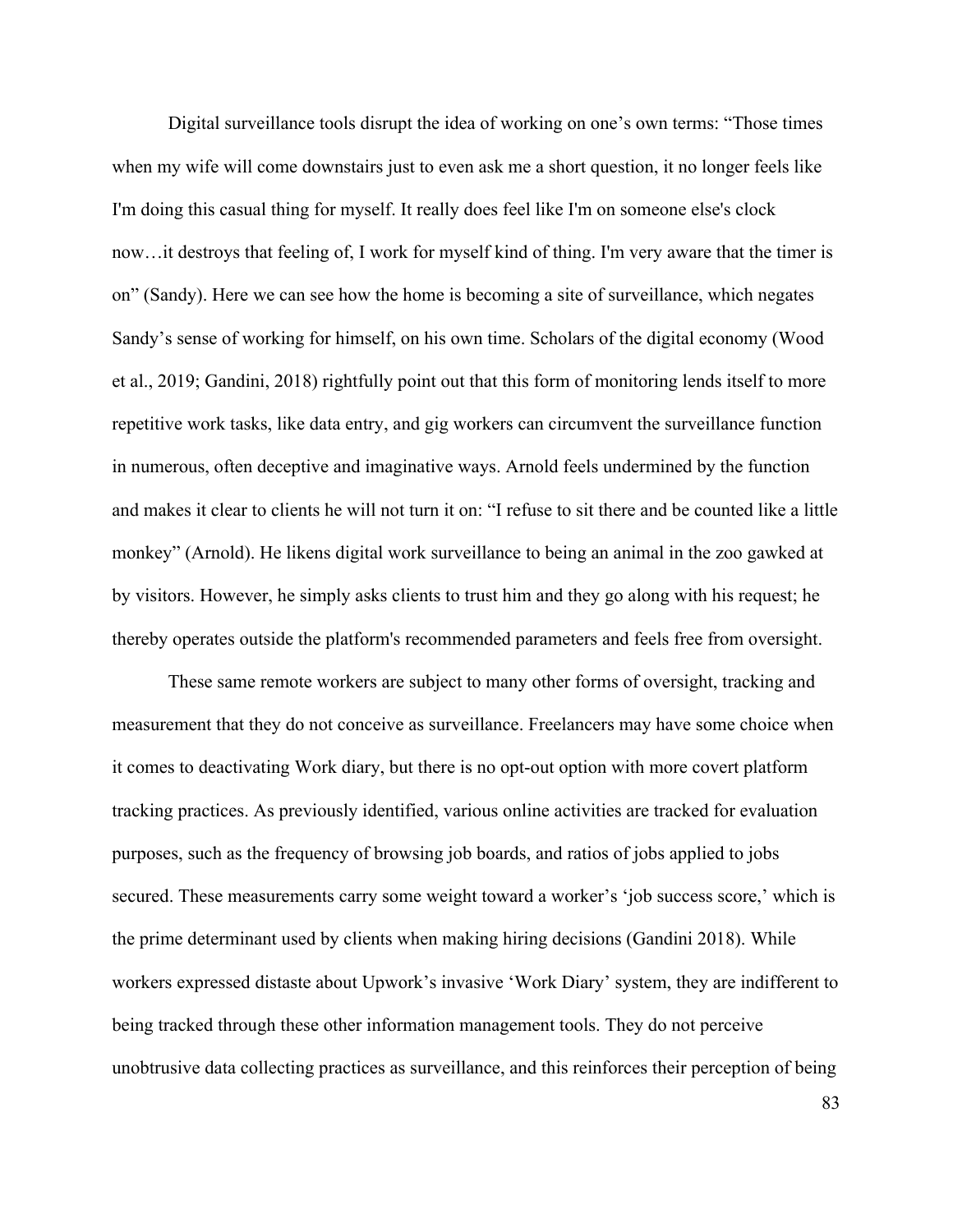Digital surveillance tools disrupt the idea of working on one's own terms: "Those times when my wife will come downstairs just to even ask me a short question, it no longer feels like I'm doing this casual thing for myself. It really does feel like I'm on someone else's clock now…it destroys that feeling of, I work for myself kind of thing. I'm very aware that the timer is on" (Sandy). Here we can see how the home is becoming a site of surveillance, which negates Sandy's sense of working for himself, on his own time. Scholars of the digital economy (Wood et al., 2019; Gandini, 2018) rightfully point out that this form of monitoring lends itself to more repetitive work tasks, like data entry, and gig workers can circumvent the surveillance function in numerous, often deceptive and imaginative ways. Arnold feels undermined by the function and makes it clear to clients he will not turn it on: "I refuse to sit there and be counted like a little monkey" (Arnold). He likens digital work surveillance to being an animal in the zoo gawked at by visitors. However, he simply asks clients to trust him and they go along with his request; he thereby operates outside the platform's recommended parameters and feels free from oversight.

These same remote workers are subject to many other forms of oversight, tracking and measurement that they do not conceive as surveillance. Freelancers may have some choice when it comes to deactivating Work diary, but there is no opt-out option with more covert platform tracking practices. As previously identified, various online activities are tracked for evaluation purposes, such as the frequency of browsing job boards, and ratios of jobs applied to jobs secured. These measurements carry some weight toward a worker's 'job success score,' which is the prime determinant used by clients when making hiring decisions (Gandini 2018). While workers expressed distaste about Upwork's invasive 'Work Diary' system, they are indifferent to being tracked through these other information management tools. They do not perceive unobtrusive data collecting practices as surveillance, and this reinforces their perception of being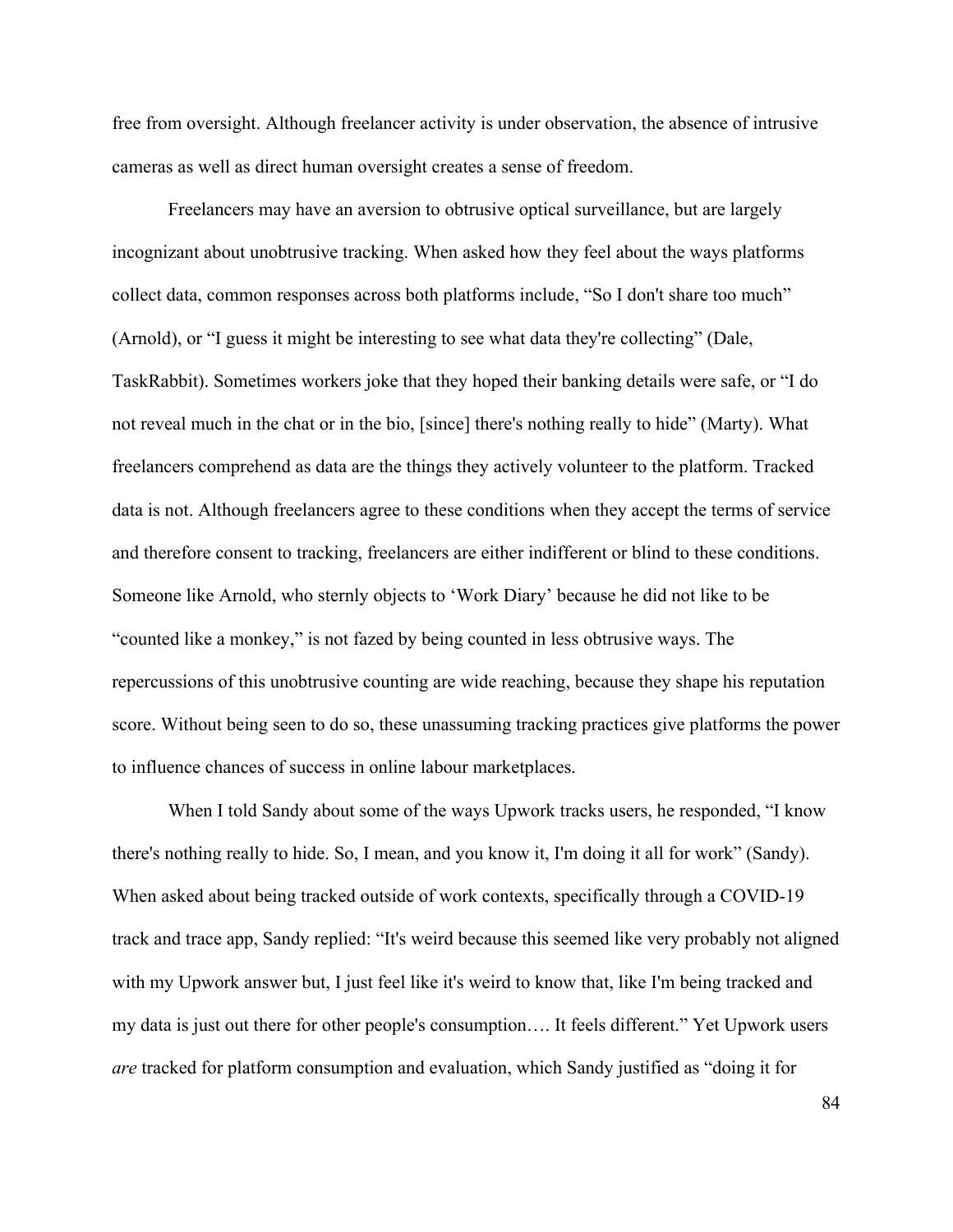free from oversight. Although freelancer activity is under observation, the absence of intrusive cameras as well as direct human oversight creates a sense of freedom.

Freelancers may have an aversion to obtrusive optical surveillance, but are largely incognizant about unobtrusive tracking. When asked how they feel about the ways platforms collect data, common responses across both platforms include, "So I don't share too much" (Arnold), or "I guess it might be interesting to see what data they're collecting" (Dale, TaskRabbit). Sometimes workers joke that they hoped their banking details were safe, or "I do not reveal much in the chat or in the bio, [since] there's nothing really to hide" (Marty). What freelancers comprehend as data are the things they actively volunteer to the platform. Tracked data is not. Although freelancers agree to these conditions when they accept the terms of service and therefore consent to tracking, freelancers are either indifferent or blind to these conditions. Someone like Arnold, who sternly objects to 'Work Diary' because he did not like to be "counted like a monkey," is not fazed by being counted in less obtrusive ways. The repercussions of this unobtrusive counting are wide reaching, because they shape his reputation score. Without being seen to do so, these unassuming tracking practices give platforms the power to influence chances of success in online labour marketplaces.

When I told Sandy about some of the ways Upwork tracks users, he responded, "I know there's nothing really to hide. So, I mean, and you know it, I'm doing it all for work" (Sandy). When asked about being tracked outside of work contexts, specifically through a COVID-19 track and trace app, Sandy replied: "It's weird because this seemed like very probably not aligned with my Upwork answer but, I just feel like it's weird to know that, like I'm being tracked and my data is just out there for other people's consumption…. It feels different." Yet Upwork users *are* tracked for platform consumption and evaluation, which Sandy justified as "doing it for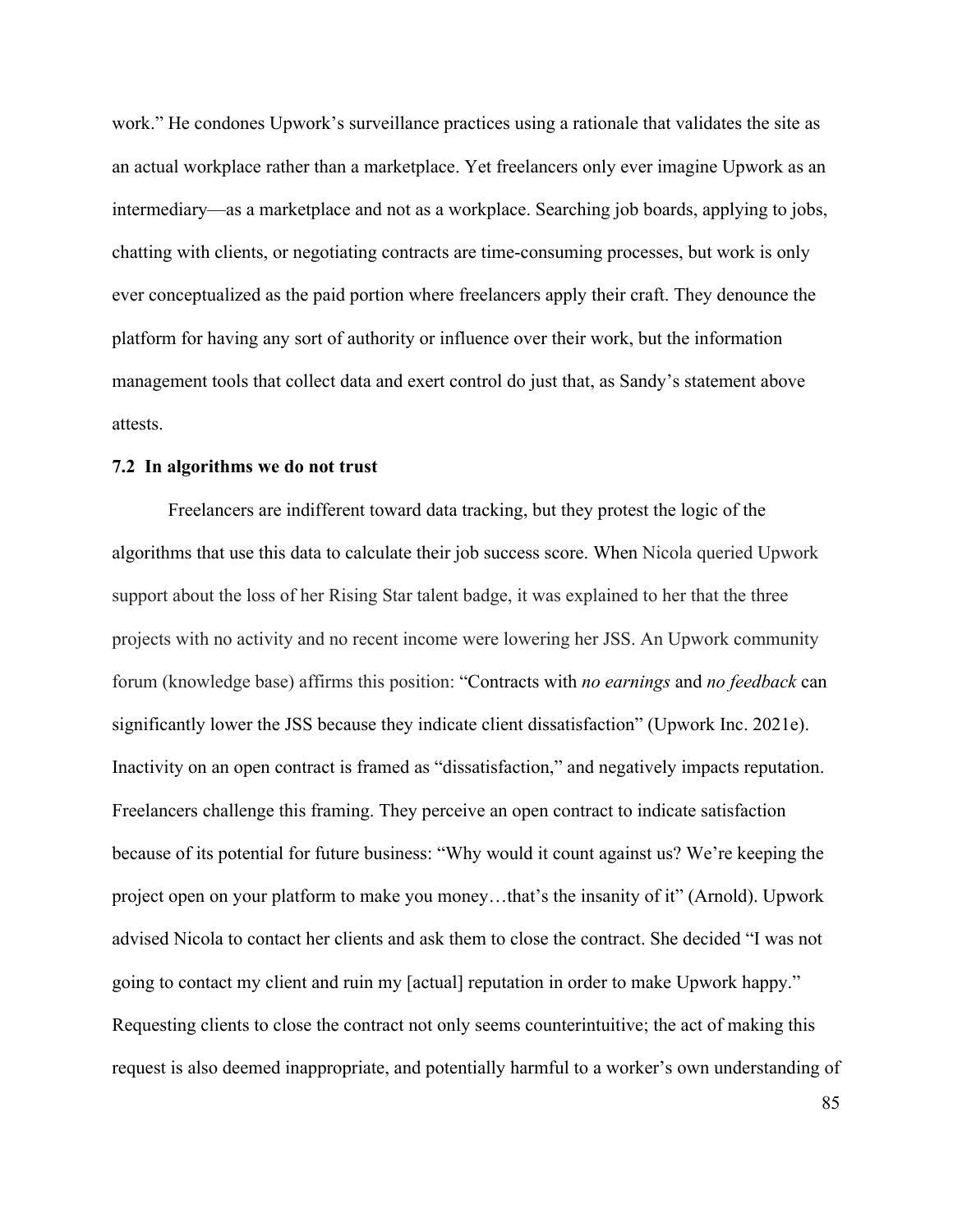work." He condones Upwork's surveillance practices using a rationale that validates the site as an actual workplace rather than a marketplace. Yet freelancers only ever imagine Upwork as an intermediary—as a marketplace and not as a workplace. Searching job boards, applying to jobs, chatting with clients, or negotiating contracts are time-consuming processes, but work is only ever conceptualized as the paid portion where freelancers apply their craft. They denounce the platform for having any sort of authority or influence over their work, but the information management tools that collect data and exert control do just that, as Sandy's statement above attests.

### **7.2 In algorithms we do not trust**

Freelancers are indifferent toward data tracking, but they protest the logic of the algorithms that use this data to calculate their job success score. When Nicola queried Upwork support about the loss of her Rising Star talent badge, it was explained to her that the three projects with no activity and no recent income were lowering her JSS. An Upwork community forum (knowledge base) affirms this position: "Contracts with *no earnings* and *no feedback* can significantly lower the JSS because they indicate client dissatisfaction" (Upwork Inc. 2021e). Inactivity on an open contract is framed as "dissatisfaction," and negatively impacts reputation. Freelancers challenge this framing. They perceive an open contract to indicate satisfaction because of its potential for future business: "Why would it count against us? We're keeping the project open on your platform to make you money…that's the insanity of it" (Arnold). Upwork advised Nicola to contact her clients and ask them to close the contract. She decided "I was not going to contact my client and ruin my [actual] reputation in order to make Upwork happy." Requesting clients to close the contract not only seems counterintuitive; the act of making this request is also deemed inappropriate, and potentially harmful to a worker's own understanding of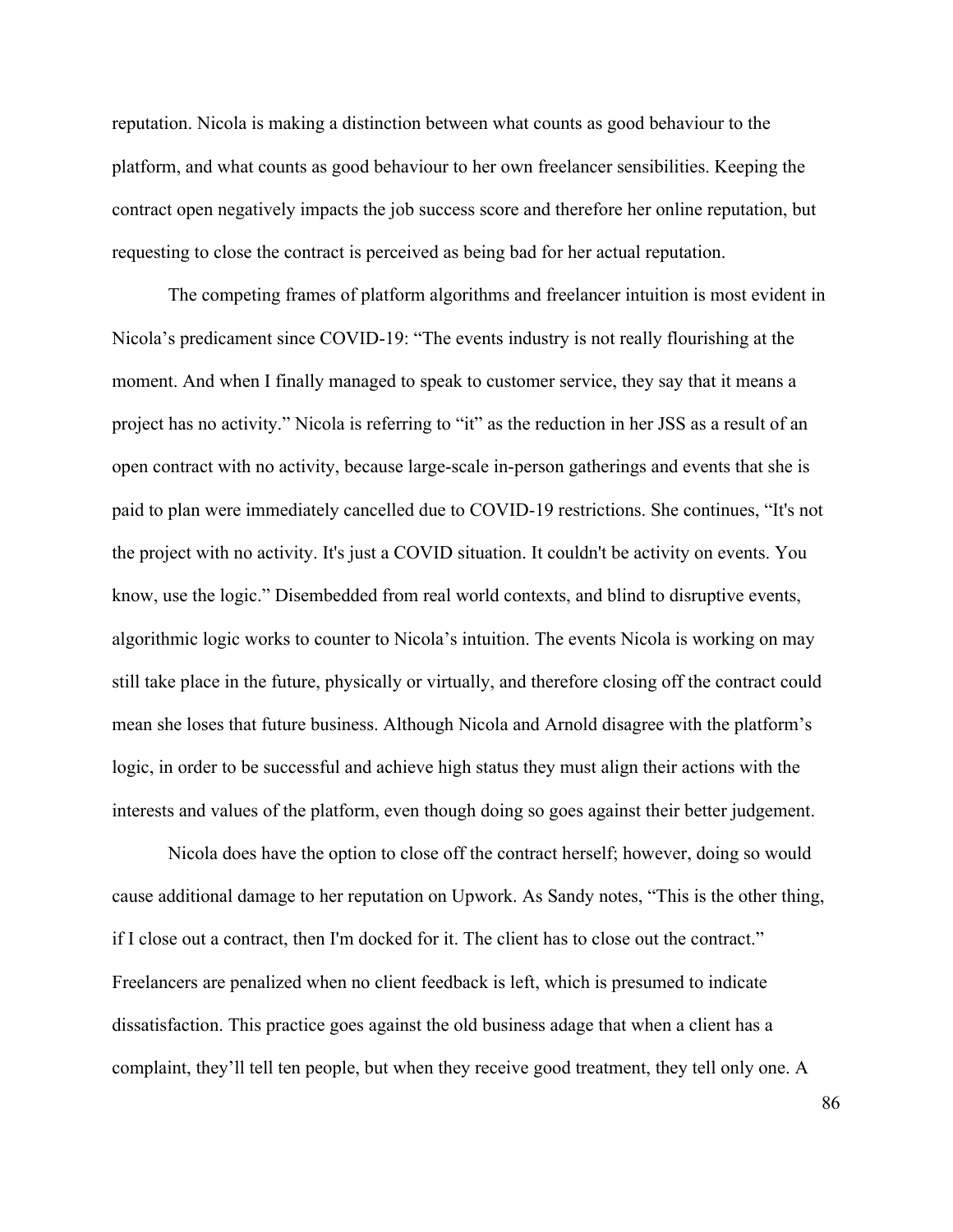reputation. Nicola is making a distinction between what counts as good behaviour to the platform, and what counts as good behaviour to her own freelancer sensibilities. Keeping the contract open negatively impacts the job success score and therefore her online reputation, but requesting to close the contract is perceived as being bad for her actual reputation.

The competing frames of platform algorithms and freelancer intuition is most evident in Nicola's predicament since COVID-19: "The events industry is not really flourishing at the moment. And when I finally managed to speak to customer service, they say that it means a project has no activity." Nicola is referring to "it" as the reduction in her JSS as a result of an open contract with no activity, because large-scale in-person gatherings and events that she is paid to plan were immediately cancelled due to COVID-19 restrictions. She continues, "It's not the project with no activity. It's just a COVID situation. It couldn't be activity on events. You know, use the logic." Disembedded from real world contexts, and blind to disruptive events, algorithmic logic works to counter to Nicola's intuition. The events Nicola is working on may still take place in the future, physically or virtually, and therefore closing off the contract could mean she loses that future business. Although Nicola and Arnold disagree with the platform's logic, in order to be successful and achieve high status they must align their actions with the interests and values of the platform, even though doing so goes against their better judgement.

Nicola does have the option to close off the contract herself; however, doing so would cause additional damage to her reputation on Upwork. As Sandy notes, "This is the other thing, if I close out a contract, then I'm docked for it. The client has to close out the contract." Freelancers are penalized when no client feedback is left, which is presumed to indicate dissatisfaction. This practice goes against the old business adage that when a client has a complaint, they'll tell ten people, but when they receive good treatment, they tell only one. A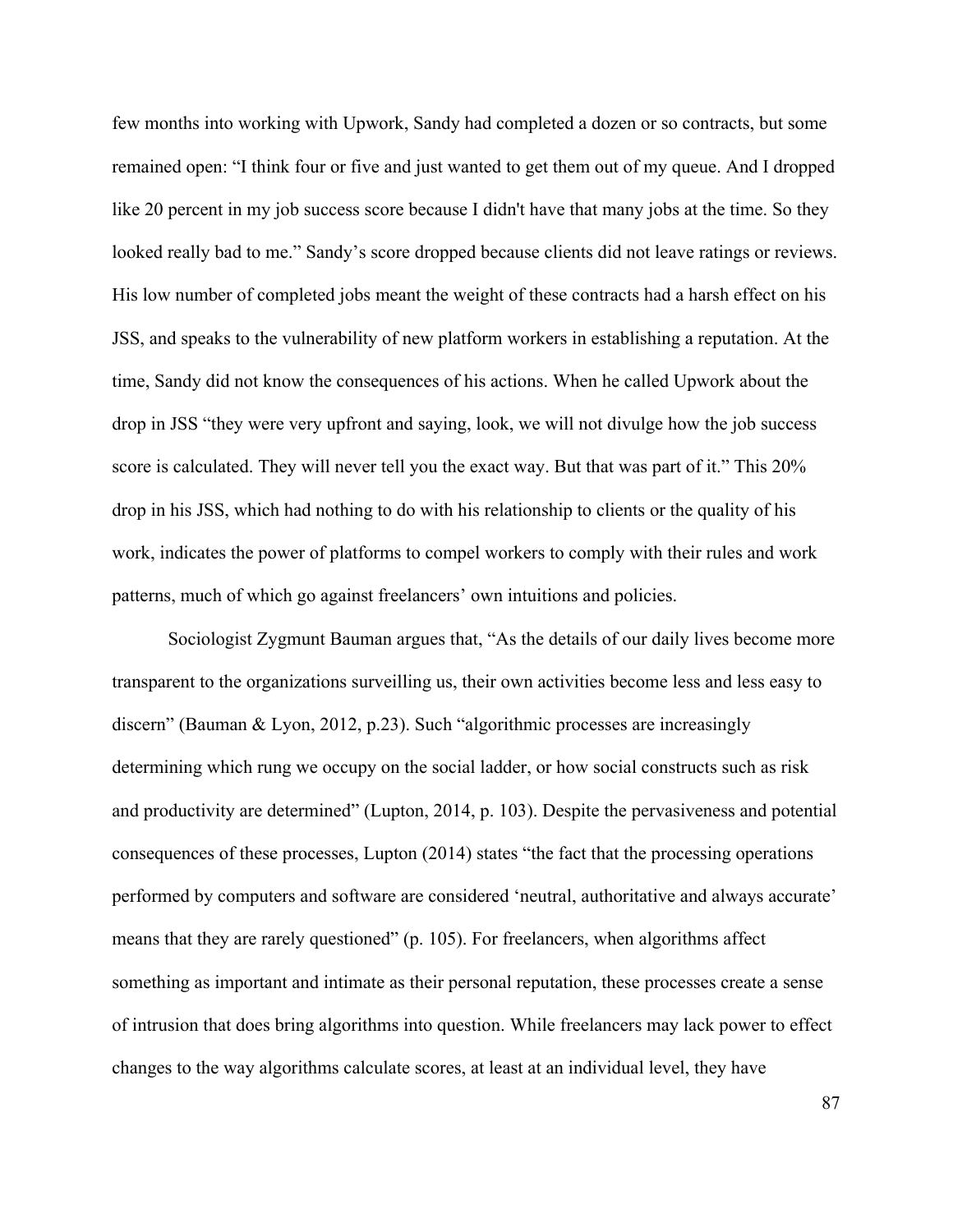few months into working with Upwork, Sandy had completed a dozen or so contracts, but some remained open: "I think four or five and just wanted to get them out of my queue. And I dropped like 20 percent in my job success score because I didn't have that many jobs at the time. So they looked really bad to me." Sandy's score dropped because clients did not leave ratings or reviews. His low number of completed jobs meant the weight of these contracts had a harsh effect on his JSS, and speaks to the vulnerability of new platform workers in establishing a reputation. At the time, Sandy did not know the consequences of his actions. When he called Upwork about the drop in JSS "they were very upfront and saying, look, we will not divulge how the job success score is calculated. They will never tell you the exact way. But that was part of it." This 20% drop in his JSS, which had nothing to do with his relationship to clients or the quality of his work, indicates the power of platforms to compel workers to comply with their rules and work patterns, much of which go against freelancers' own intuitions and policies.

Sociologist Zygmunt Bauman argues that, "As the details of our daily lives become more transparent to the organizations surveilling us, their own activities become less and less easy to discern" (Bauman & Lyon, 2012, p.23). Such "algorithmic processes are increasingly determining which rung we occupy on the social ladder, or how social constructs such as risk and productivity are determined" (Lupton, 2014, p. 103). Despite the pervasiveness and potential consequences of these processes, Lupton (2014) states "the fact that the processing operations performed by computers and software are considered 'neutral, authoritative and always accurate' means that they are rarely questioned" (p. 105). For freelancers, when algorithms affect something as important and intimate as their personal reputation, these processes create a sense of intrusion that does bring algorithms into question. While freelancers may lack power to effect changes to the way algorithms calculate scores, at least at an individual level, they have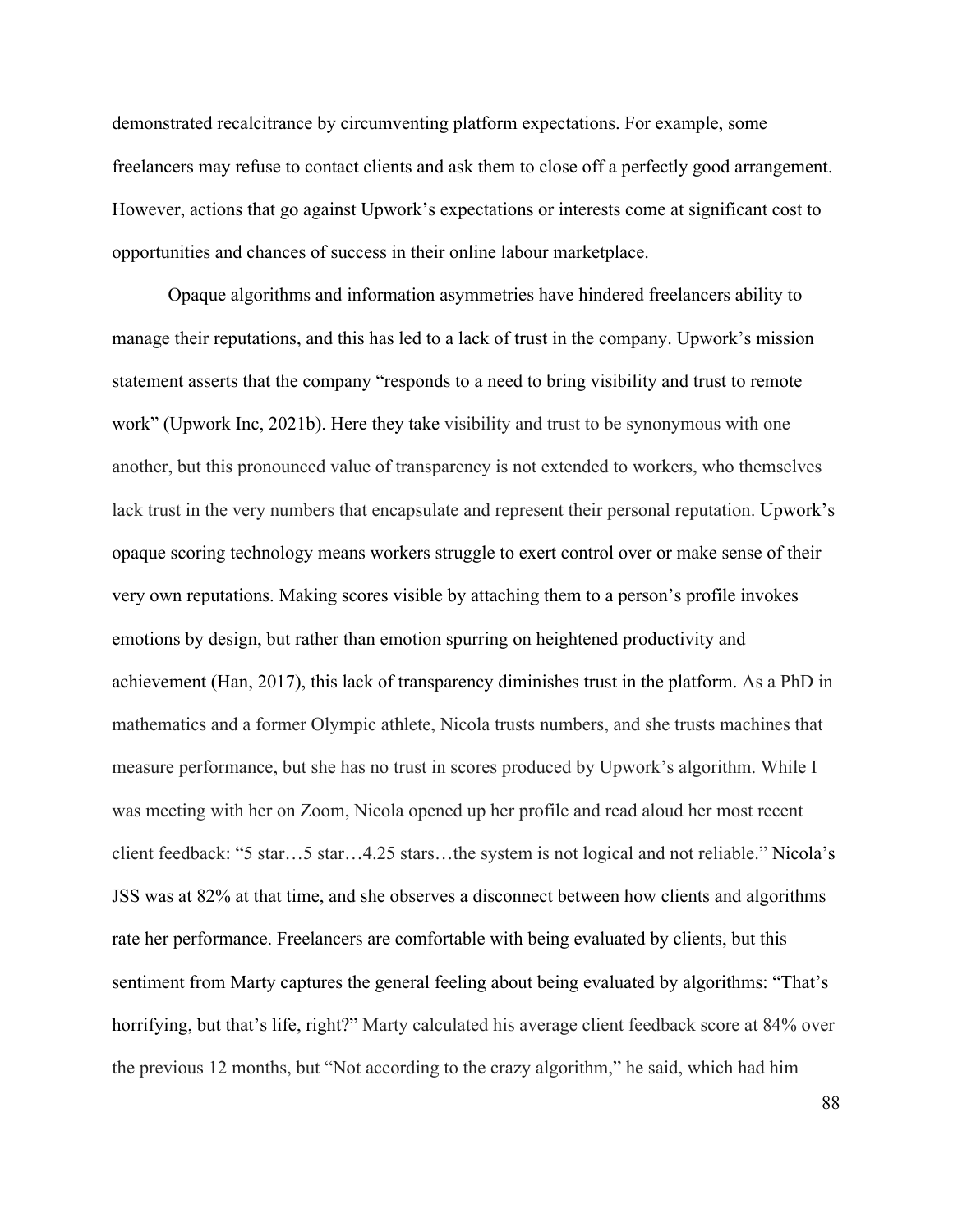demonstrated recalcitrance by circumventing platform expectations. For example, some freelancers may refuse to contact clients and ask them to close off a perfectly good arrangement. However, actions that go against Upwork's expectations or interests come at significant cost to opportunities and chances of success in their online labour marketplace.

Opaque algorithms and information asymmetries have hindered freelancers ability to manage their reputations, and this has led to a lack of trust in the company. Upwork's mission statement asserts that the company "responds to a need to bring visibility and trust to remote work" (Upwork Inc, 2021b). Here they take visibility and trust to be synonymous with one another, but this pronounced value of transparency is not extended to workers, who themselves lack trust in the very numbers that encapsulate and represent their personal reputation. Upwork's opaque scoring technology means workers struggle to exert control over or make sense of their very own reputations. Making scores visible by attaching them to a person's profile invokes emotions by design, but rather than emotion spurring on heightened productivity and achievement (Han, 2017), this lack of transparency diminishes trust in the platform. As a PhD in mathematics and a former Olympic athlete, Nicola trusts numbers, and she trusts machines that measure performance, but she has no trust in scores produced by Upwork's algorithm. While I was meeting with her on Zoom, Nicola opened up her profile and read aloud her most recent client feedback: "5 star…5 star…4.25 stars…the system is not logical and not reliable." Nicola's JSS was at 82% at that time, and she observes a disconnect between how clients and algorithms rate her performance. Freelancers are comfortable with being evaluated by clients, but this sentiment from Marty captures the general feeling about being evaluated by algorithms: "That's horrifying, but that's life, right?" Marty calculated his average client feedback score at 84% over the previous 12 months, but "Not according to the crazy algorithm," he said, which had him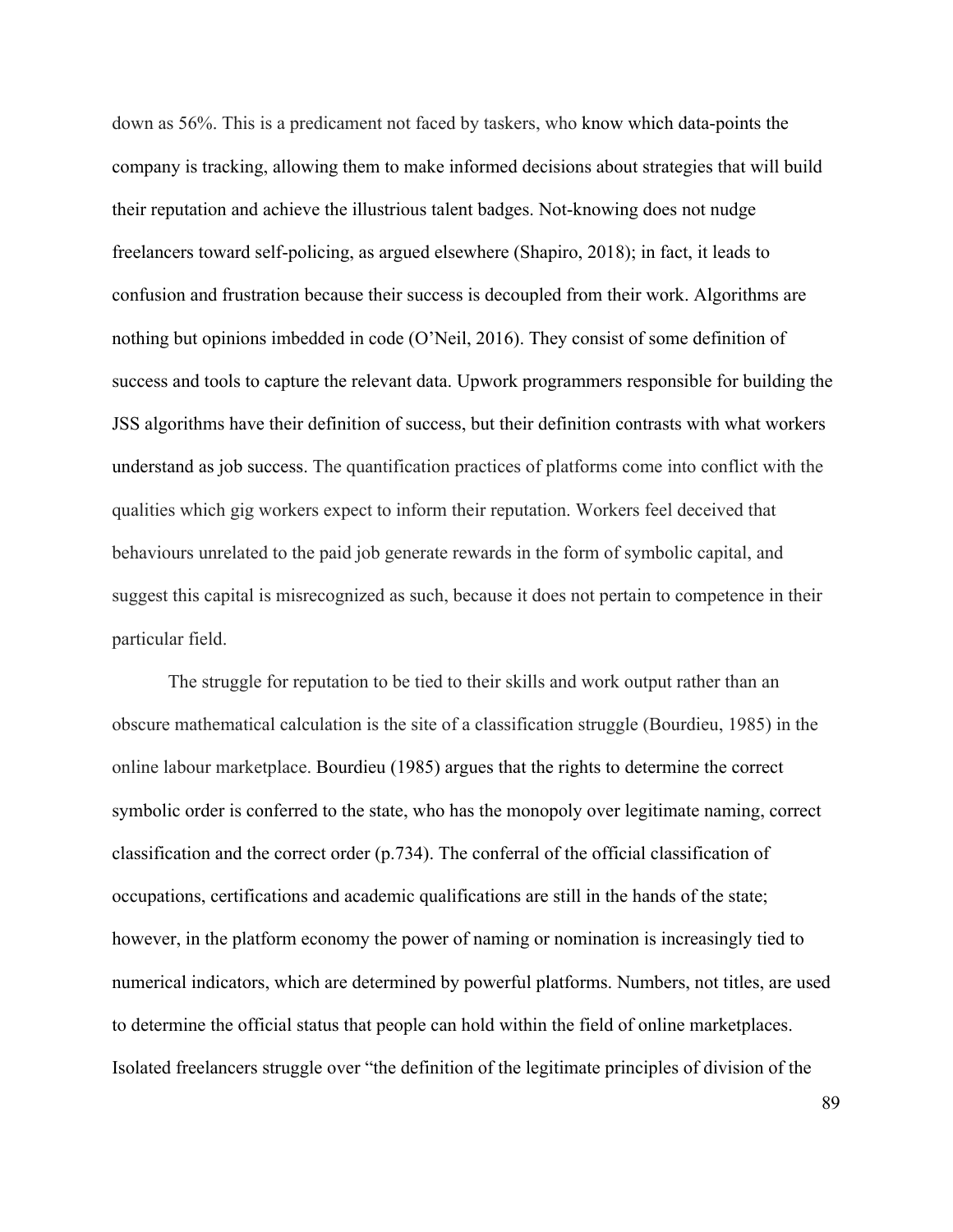down as 56%. This is a predicament not faced by taskers, who know which data-points the company is tracking, allowing them to make informed decisions about strategies that will build their reputation and achieve the illustrious talent badges. Not-knowing does not nudge freelancers toward self-policing, as argued elsewhere (Shapiro, 2018); in fact, it leads to confusion and frustration because their success is decoupled from their work. Algorithms are nothing but opinions imbedded in code (O'Neil, 2016). They consist of some definition of success and tools to capture the relevant data. Upwork programmers responsible for building the JSS algorithms have their definition of success, but their definition contrasts with what workers understand as job success. The quantification practices of platforms come into conflict with the qualities which gig workers expect to inform their reputation. Workers feel deceived that behaviours unrelated to the paid job generate rewards in the form of symbolic capital, and suggest this capital is misrecognized as such, because it does not pertain to competence in their particular field.

The struggle for reputation to be tied to their skills and work output rather than an obscure mathematical calculation is the site of a classification struggle (Bourdieu, 1985) in the online labour marketplace. Bourdieu (1985) argues that the rights to determine the correct symbolic order is conferred to the state, who has the monopoly over legitimate naming, correct classification and the correct order (p.734). The conferral of the official classification of occupations, certifications and academic qualifications are still in the hands of the state; however, in the platform economy the power of naming or nomination is increasingly tied to numerical indicators, which are determined by powerful platforms. Numbers, not titles, are used to determine the official status that people can hold within the field of online marketplaces. Isolated freelancers struggle over "the definition of the legitimate principles of division of the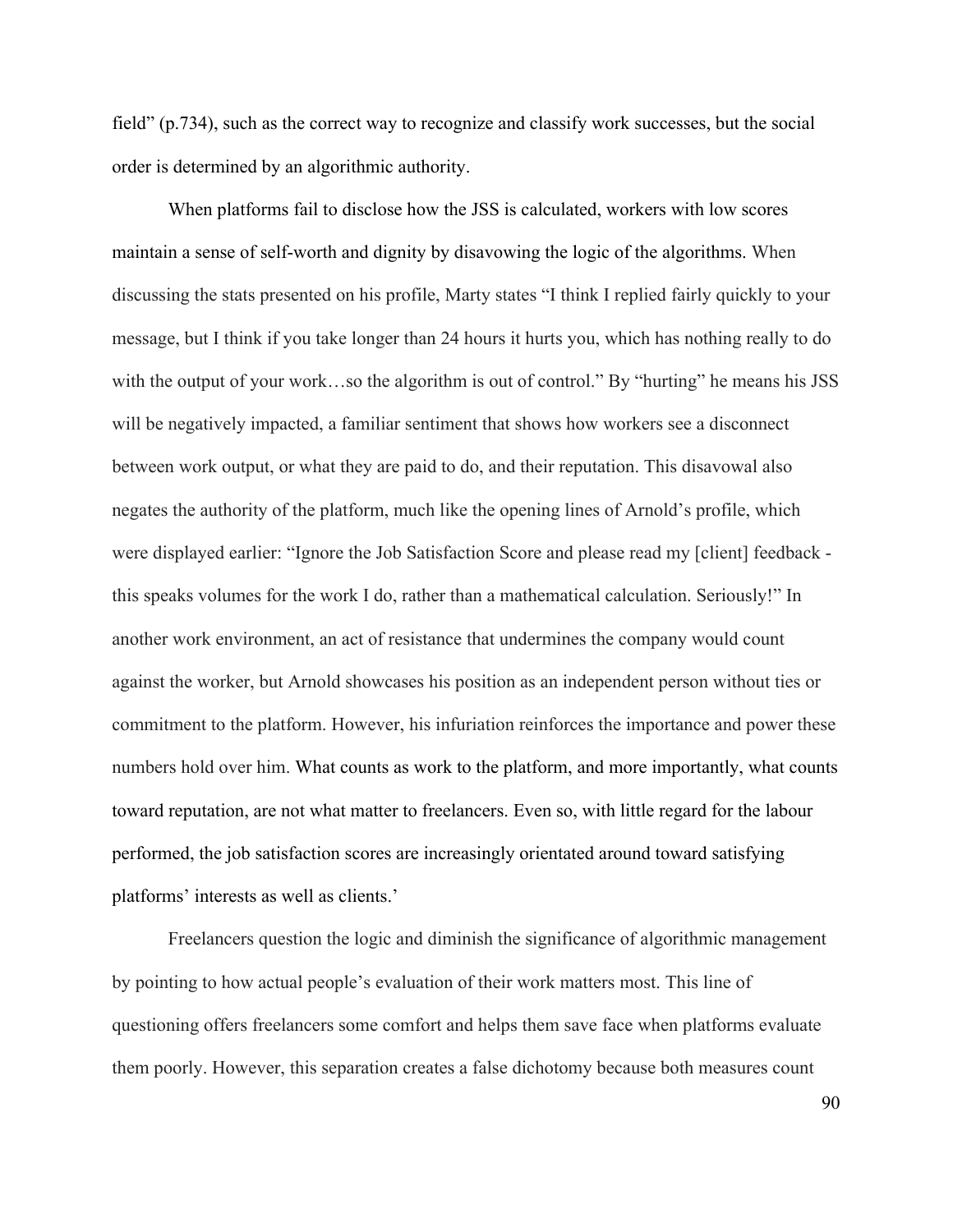field" (p.734), such as the correct way to recognize and classify work successes, but the social order is determined by an algorithmic authority.

When platforms fail to disclose how the JSS is calculated, workers with low scores maintain a sense of self-worth and dignity by disavowing the logic of the algorithms. When discussing the stats presented on his profile, Marty states "I think I replied fairly quickly to your message, but I think if you take longer than 24 hours it hurts you, which has nothing really to do with the output of your work…so the algorithm is out of control." By "hurting" he means his JSS will be negatively impacted, a familiar sentiment that shows how workers see a disconnect between work output, or what they are paid to do, and their reputation. This disavowal also negates the authority of the platform, much like the opening lines of Arnold's profile, which were displayed earlier: "Ignore the Job Satisfaction Score and please read my [client] feedback this speaks volumes for the work I do, rather than a mathematical calculation. Seriously!" In another work environment, an act of resistance that undermines the company would count against the worker, but Arnold showcases his position as an independent person without ties or commitment to the platform. However, his infuriation reinforces the importance and power these numbers hold over him. What counts as work to the platform, and more importantly, what counts toward reputation, are not what matter to freelancers. Even so, with little regard for the labour performed, the job satisfaction scores are increasingly orientated around toward satisfying platforms' interests as well as clients.'

Freelancers question the logic and diminish the significance of algorithmic management by pointing to how actual people's evaluation of their work matters most. This line of questioning offers freelancers some comfort and helps them save face when platforms evaluate them poorly. However, this separation creates a false dichotomy because both measures count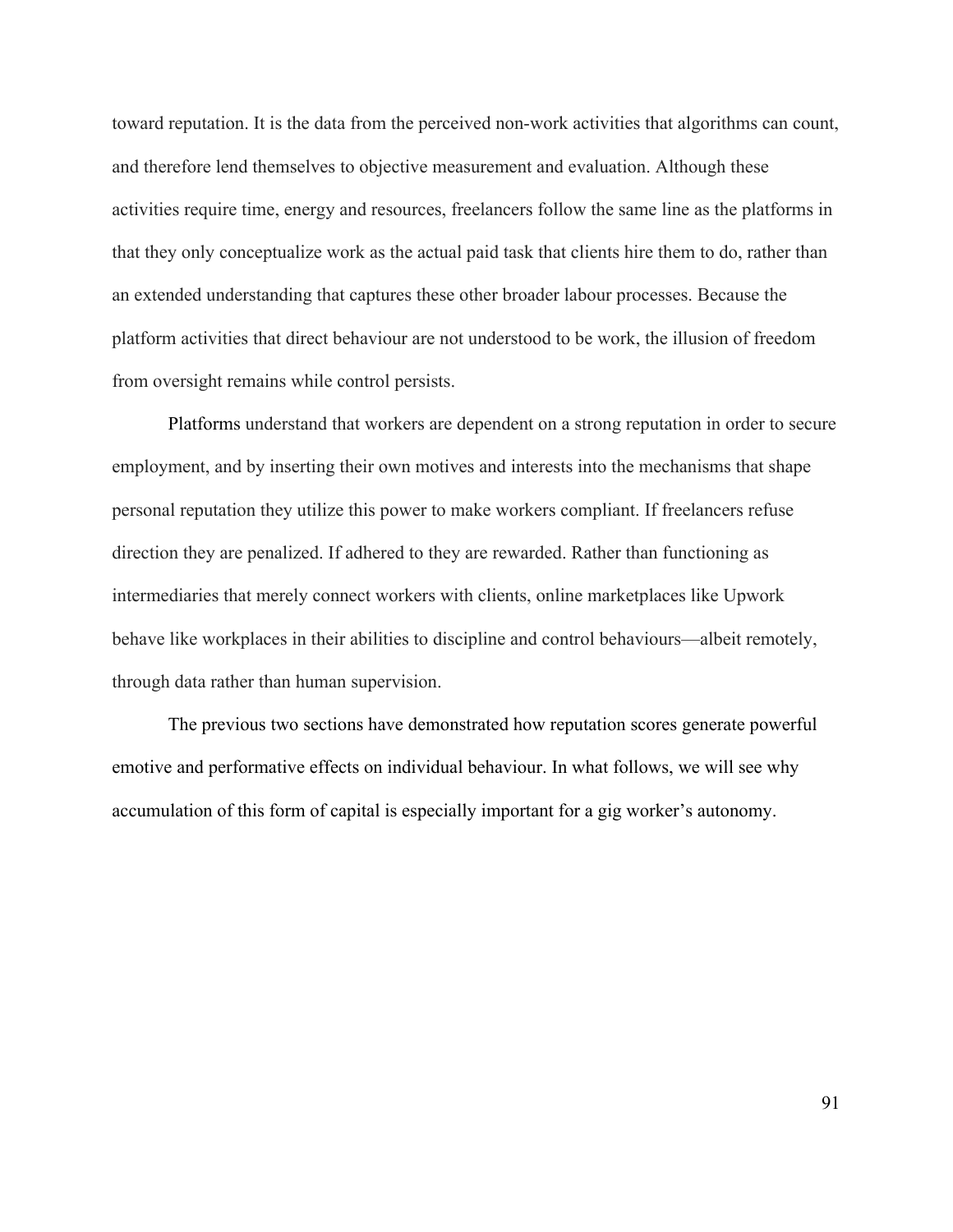toward reputation. It is the data from the perceived non-work activities that algorithms can count, and therefore lend themselves to objective measurement and evaluation. Although these activities require time, energy and resources, freelancers follow the same line as the platforms in that they only conceptualize work as the actual paid task that clients hire them to do, rather than an extended understanding that captures these other broader labour processes. Because the platform activities that direct behaviour are not understood to be work, the illusion of freedom from oversight remains while control persists.

Platforms understand that workers are dependent on a strong reputation in order to secure employment, and by inserting their own motives and interests into the mechanisms that shape personal reputation they utilize this power to make workers compliant. If freelancers refuse direction they are penalized. If adhered to they are rewarded. Rather than functioning as intermediaries that merely connect workers with clients, online marketplaces like Upwork behave like workplaces in their abilities to discipline and control behaviours—albeit remotely, through data rather than human supervision.

The previous two sections have demonstrated how reputation scores generate powerful emotive and performative effects on individual behaviour. In what follows, we will see why accumulation of this form of capital is especially important for a gig worker's autonomy.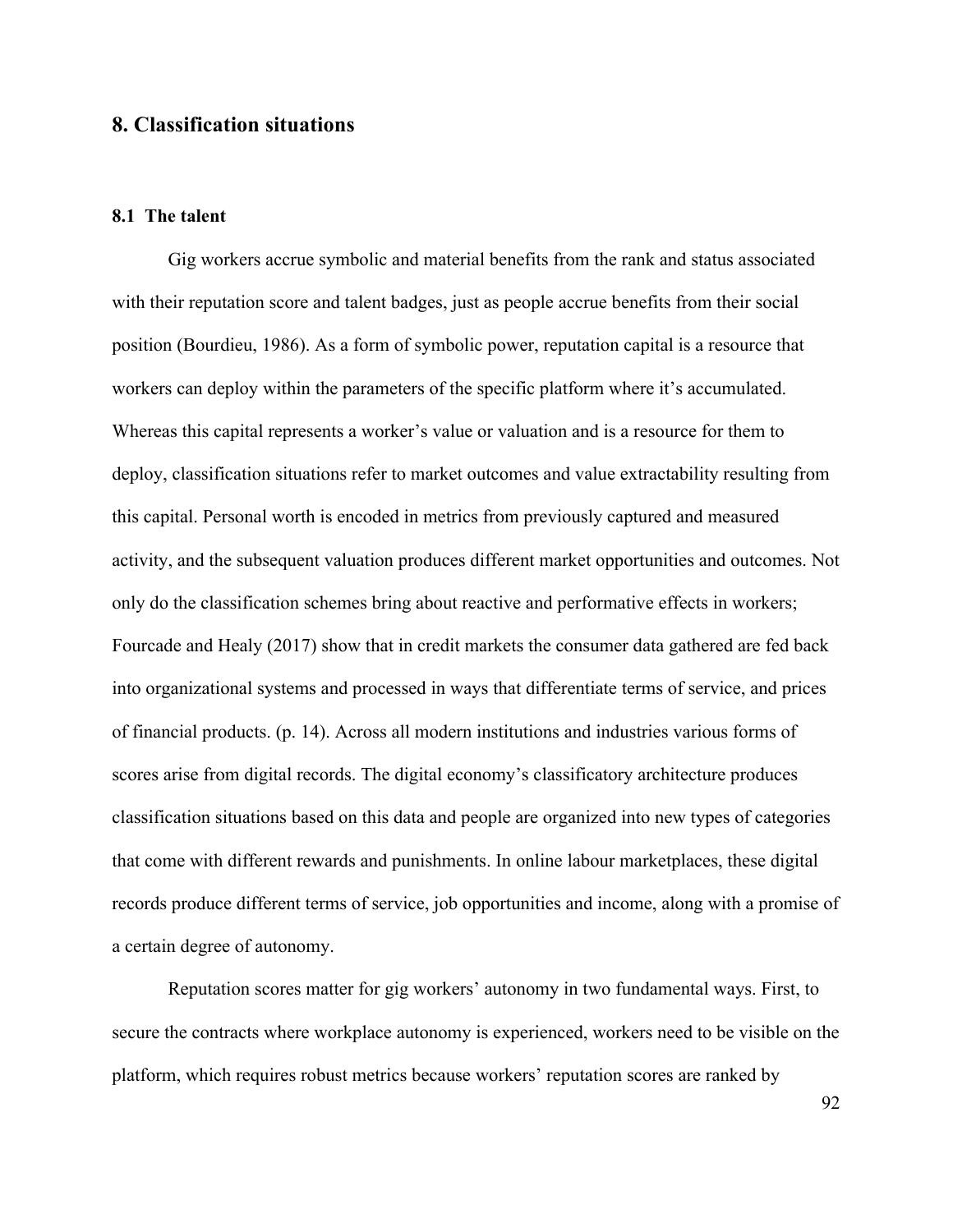## **8. Classification situations**

### **8.1 The talent**

Gig workers accrue symbolic and material benefits from the rank and status associated with their reputation score and talent badges, just as people accrue benefits from their social position (Bourdieu, 1986). As a form of symbolic power, reputation capital is a resource that workers can deploy within the parameters of the specific platform where it's accumulated. Whereas this capital represents a worker's value or valuation and is a resource for them to deploy, classification situations refer to market outcomes and value extractability resulting from this capital. Personal worth is encoded in metrics from previously captured and measured activity, and the subsequent valuation produces different market opportunities and outcomes. Not only do the classification schemes bring about reactive and performative effects in workers; Fourcade and Healy (2017) show that in credit markets the consumer data gathered are fed back into organizational systems and processed in ways that differentiate terms of service, and prices of financial products. (p. 14). Across all modern institutions and industries various forms of scores arise from digital records. The digital economy's classificatory architecture produces classification situations based on this data and people are organized into new types of categories that come with different rewards and punishments. In online labour marketplaces, these digital records produce different terms of service, job opportunities and income, along with a promise of a certain degree of autonomy.

Reputation scores matter for gig workers' autonomy in two fundamental ways. First, to secure the contracts where workplace autonomy is experienced, workers need to be visible on the platform, which requires robust metrics because workers' reputation scores are ranked by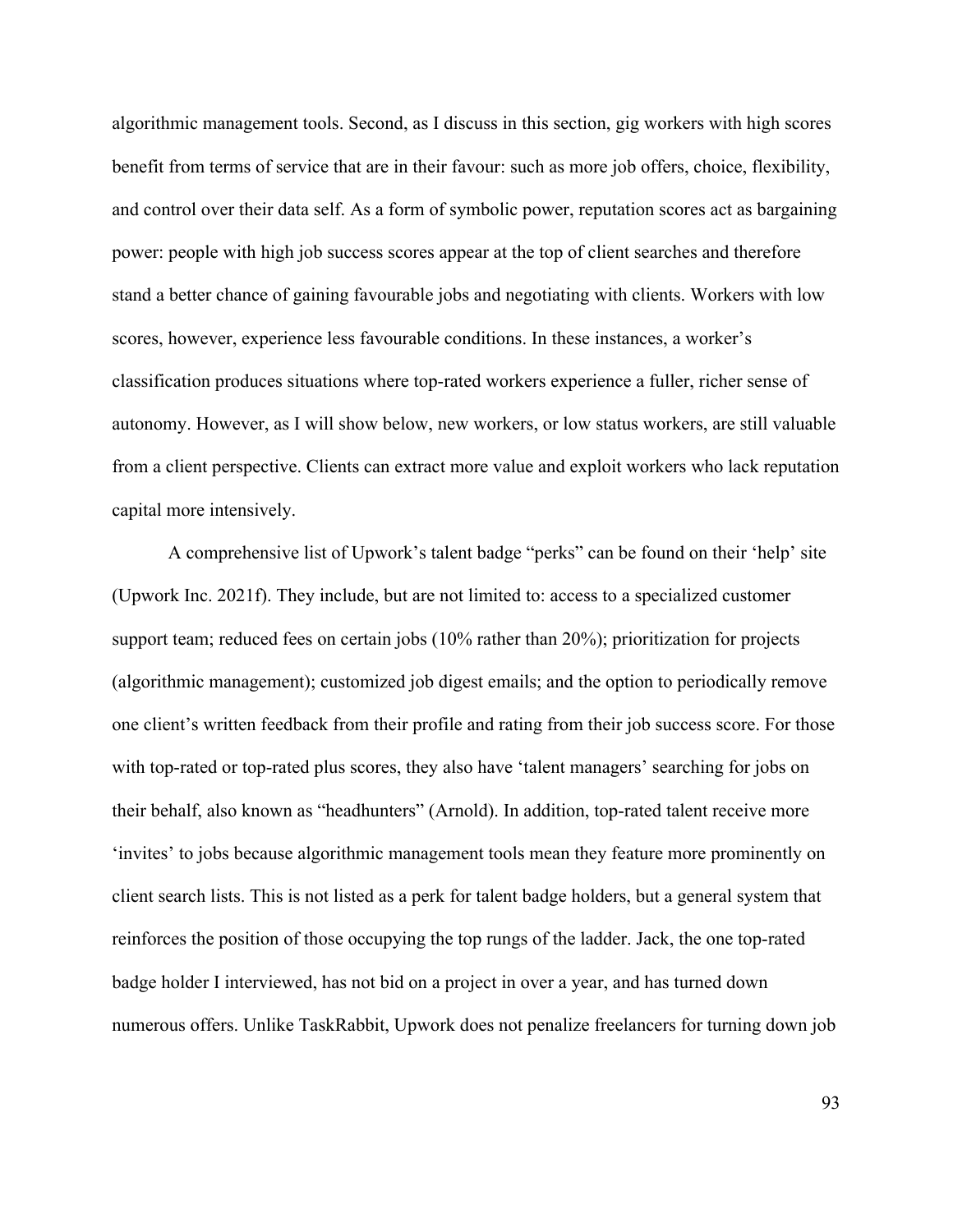algorithmic management tools. Second, as I discuss in this section, gig workers with high scores benefit from terms of service that are in their favour: such as more job offers, choice, flexibility, and control over their data self. As a form of symbolic power, reputation scores act as bargaining power: people with high job success scores appear at the top of client searches and therefore stand a better chance of gaining favourable jobs and negotiating with clients. Workers with low scores, however, experience less favourable conditions. In these instances, a worker's classification produces situations where top-rated workers experience a fuller, richer sense of autonomy. However, as I will show below, new workers, or low status workers, are still valuable from a client perspective. Clients can extract more value and exploit workers who lack reputation capital more intensively.

A comprehensive list of Upwork's talent badge "perks" can be found on their 'help' site (Upwork Inc. 2021f). They include, but are not limited to: access to a specialized customer support team; reduced fees on certain jobs (10% rather than 20%); prioritization for projects (algorithmic management); customized job digest emails; and the option to periodically remove one client's written feedback from their profile and rating from their job success score. For those with top-rated or top-rated plus scores, they also have 'talent managers' searching for jobs on their behalf, also known as "headhunters" (Arnold). In addition, top-rated talent receive more 'invites' to jobs because algorithmic management tools mean they feature more prominently on client search lists. This is not listed as a perk for talent badge holders, but a general system that reinforces the position of those occupying the top rungs of the ladder. Jack, the one top-rated badge holder I interviewed, has not bid on a project in over a year, and has turned down numerous offers. Unlike TaskRabbit, Upwork does not penalize freelancers for turning down job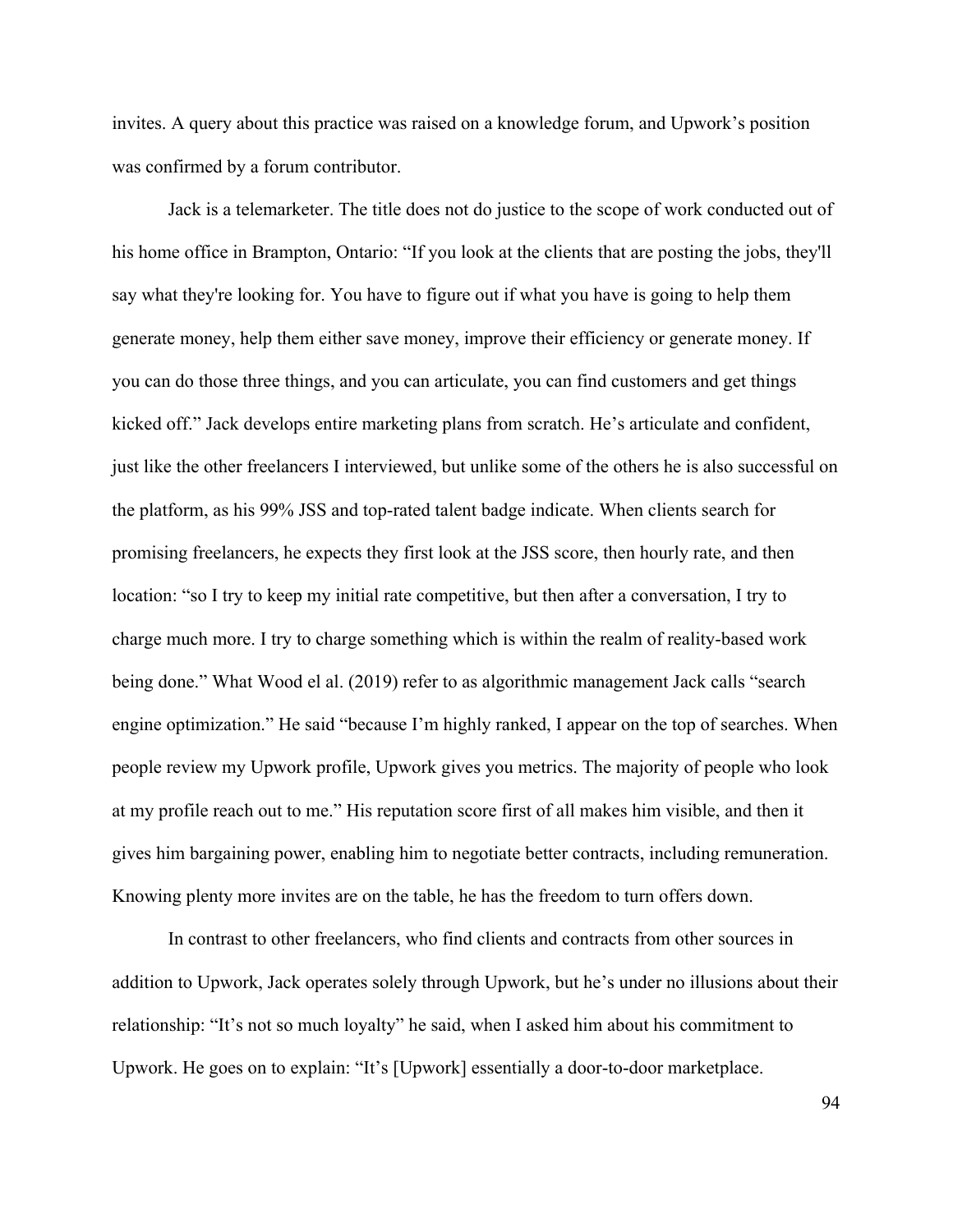invites. A query about this practice was raised on a knowledge forum, and Upwork's position was confirmed by a forum contributor.

Jack is a telemarketer. The title does not do justice to the scope of work conducted out of his home office in Brampton, Ontario: "If you look at the clients that are posting the jobs, they'll say what they're looking for. You have to figure out if what you have is going to help them generate money, help them either save money, improve their efficiency or generate money. If you can do those three things, and you can articulate, you can find customers and get things kicked off." Jack develops entire marketing plans from scratch. He's articulate and confident, just like the other freelancers I interviewed, but unlike some of the others he is also successful on the platform, as his 99% JSS and top-rated talent badge indicate. When clients search for promising freelancers, he expects they first look at the JSS score, then hourly rate, and then location: "so I try to keep my initial rate competitive, but then after a conversation, I try to charge much more. I try to charge something which is within the realm of reality-based work being done." What Wood el al. (2019) refer to as algorithmic management Jack calls "search engine optimization." He said "because I'm highly ranked, I appear on the top of searches. When people review my Upwork profile, Upwork gives you metrics. The majority of people who look at my profile reach out to me." His reputation score first of all makes him visible, and then it gives him bargaining power, enabling him to negotiate better contracts, including remuneration. Knowing plenty more invites are on the table, he has the freedom to turn offers down.

In contrast to other freelancers, who find clients and contracts from other sources in addition to Upwork, Jack operates solely through Upwork, but he's under no illusions about their relationship: "It's not so much loyalty" he said, when I asked him about his commitment to Upwork. He goes on to explain: "It's [Upwork] essentially a door-to-door marketplace.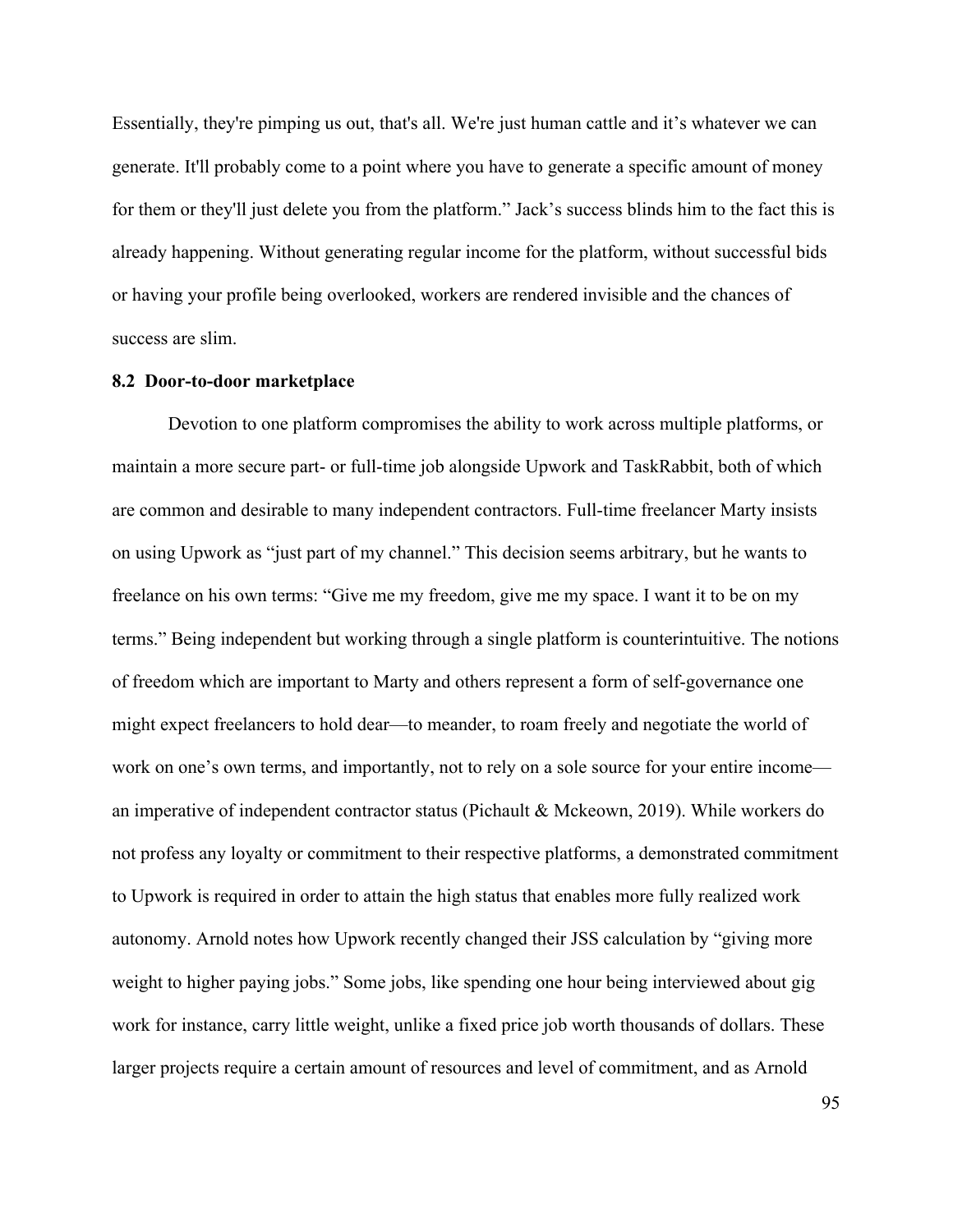Essentially, they're pimping us out, that's all. We're just human cattle and it's whatever we can generate. It'll probably come to a point where you have to generate a specific amount of money for them or they'll just delete you from the platform." Jack's success blinds him to the fact this is already happening. Without generating regular income for the platform, without successful bids or having your profile being overlooked, workers are rendered invisible and the chances of success are slim.

#### **8.2 Door-to-door marketplace**

Devotion to one platform compromises the ability to work across multiple platforms, or maintain a more secure part- or full-time job alongside Upwork and TaskRabbit, both of which are common and desirable to many independent contractors. Full-time freelancer Marty insists on using Upwork as "just part of my channel." This decision seems arbitrary, but he wants to freelance on his own terms: "Give me my freedom, give me my space. I want it to be on my terms." Being independent but working through a single platform is counterintuitive. The notions of freedom which are important to Marty and others represent a form of self-governance one might expect freelancers to hold dear—to meander, to roam freely and negotiate the world of work on one's own terms, and importantly, not to rely on a sole source for your entire income an imperative of independent contractor status (Pichault & Mckeown, 2019). While workers do not profess any loyalty or commitment to their respective platforms, a demonstrated commitment to Upwork is required in order to attain the high status that enables more fully realized work autonomy. Arnold notes how Upwork recently changed their JSS calculation by "giving more weight to higher paying jobs." Some jobs, like spending one hour being interviewed about gig work for instance, carry little weight, unlike a fixed price job worth thousands of dollars. These larger projects require a certain amount of resources and level of commitment, and as Arnold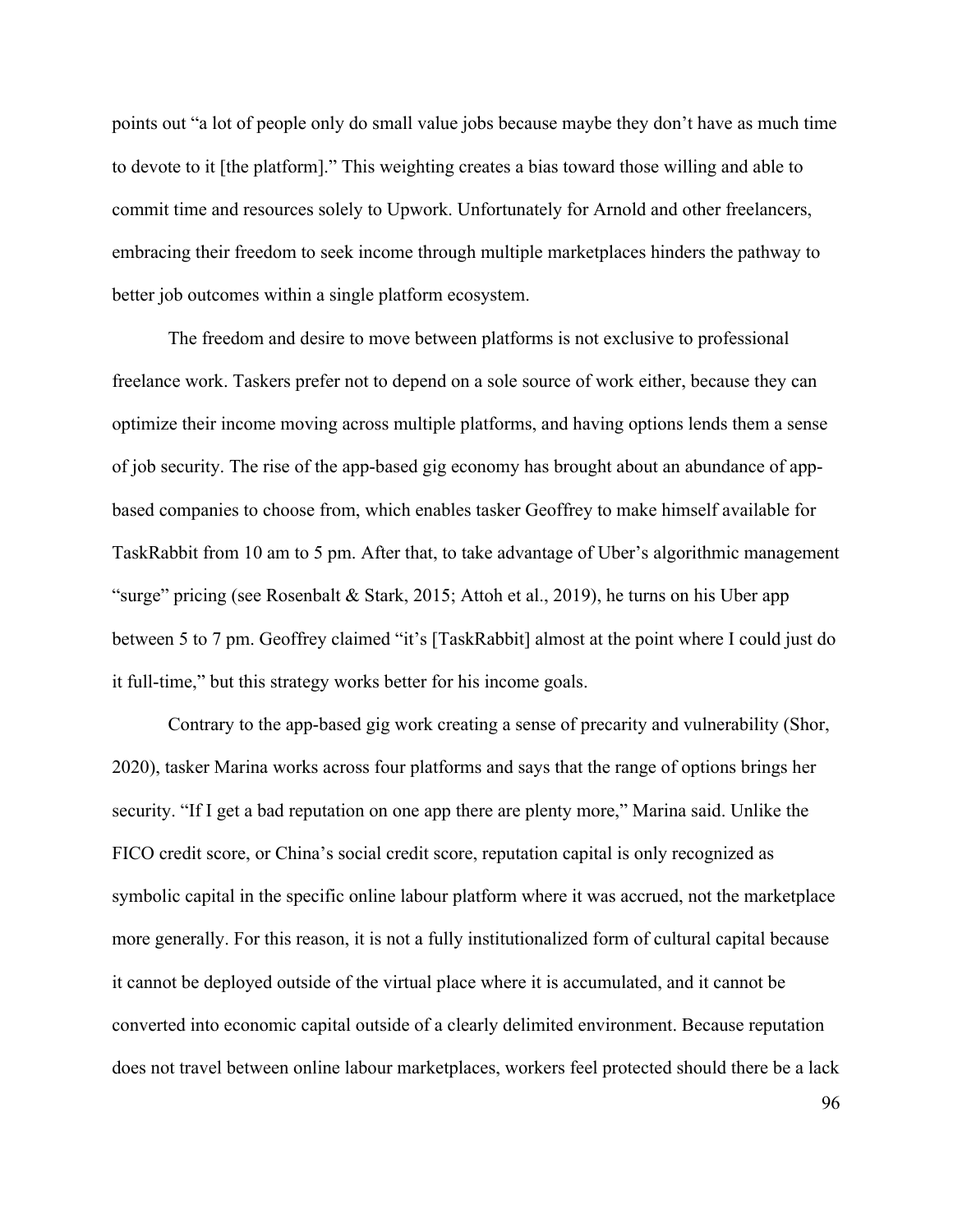points out "a lot of people only do small value jobs because maybe they don't have as much time to devote to it [the platform]." This weighting creates a bias toward those willing and able to commit time and resources solely to Upwork. Unfortunately for Arnold and other freelancers, embracing their freedom to seek income through multiple marketplaces hinders the pathway to better job outcomes within a single platform ecosystem.

The freedom and desire to move between platforms is not exclusive to professional freelance work. Taskers prefer not to depend on a sole source of work either, because they can optimize their income moving across multiple platforms, and having options lends them a sense of job security. The rise of the app-based gig economy has brought about an abundance of appbased companies to choose from, which enables tasker Geoffrey to make himself available for TaskRabbit from 10 am to 5 pm. After that, to take advantage of Uber's algorithmic management "surge" pricing (see Rosenbalt & Stark, 2015; Attoh et al., 2019), he turns on his Uber app between 5 to 7 pm. Geoffrey claimed "it's [TaskRabbit] almost at the point where I could just do it full-time," but this strategy works better for his income goals.

Contrary to the app-based gig work creating a sense of precarity and vulnerability (Shor, 2020), tasker Marina works across four platforms and says that the range of options brings her security. "If I get a bad reputation on one app there are plenty more," Marina said. Unlike the FICO credit score, or China's social credit score, reputation capital is only recognized as symbolic capital in the specific online labour platform where it was accrued, not the marketplace more generally. For this reason, it is not a fully institutionalized form of cultural capital because it cannot be deployed outside of the virtual place where it is accumulated, and it cannot be converted into economic capital outside of a clearly delimited environment. Because reputation does not travel between online labour marketplaces, workers feel protected should there be a lack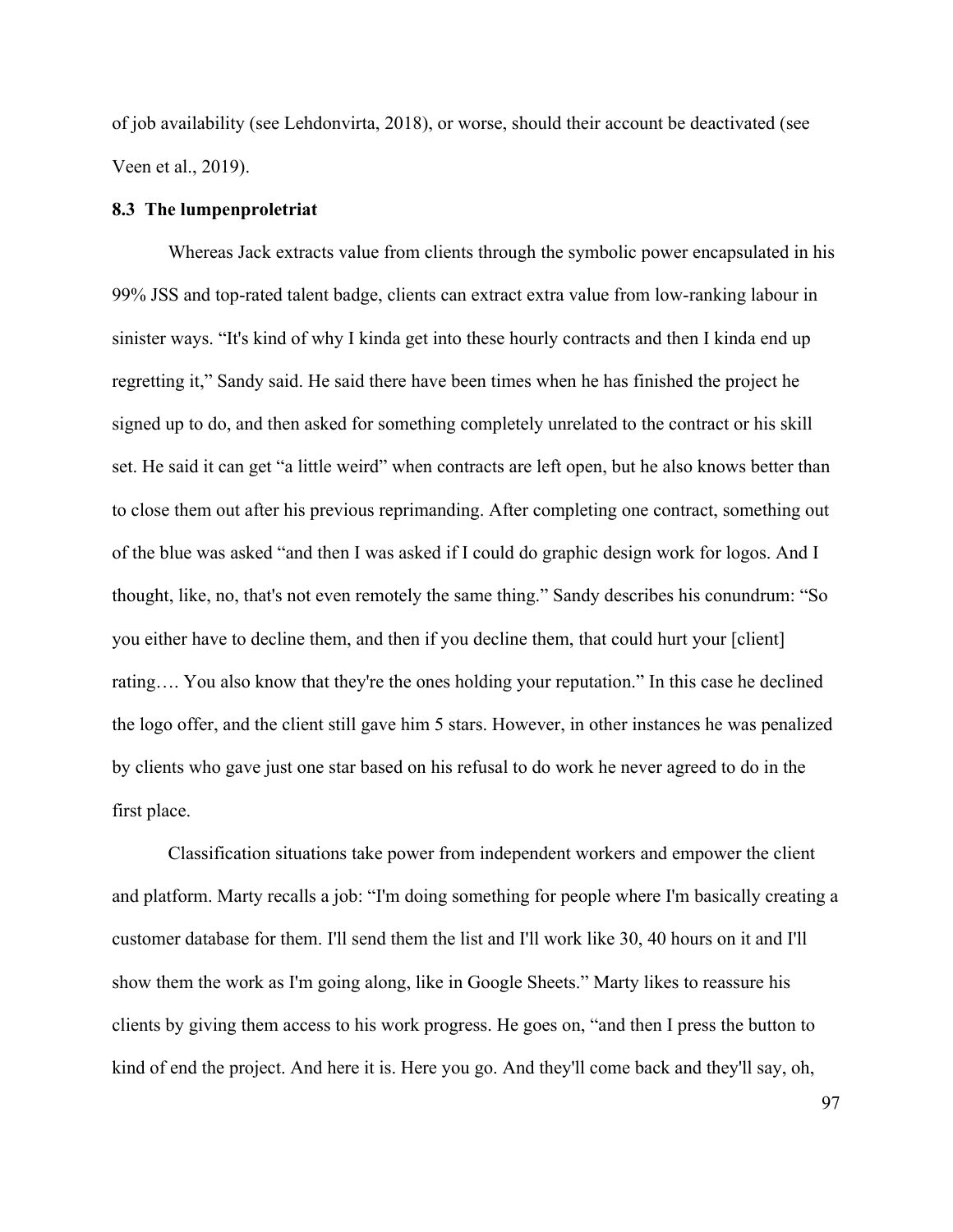of job availability (see Lehdonvirta, 2018), or worse, should their account be deactivated (see Veen et al., 2019).

### **8.3 The lumpenproletriat**

Whereas Jack extracts value from clients through the symbolic power encapsulated in his 99% JSS and top-rated talent badge, clients can extract extra value from low-ranking labour in sinister ways. "It's kind of why I kinda get into these hourly contracts and then I kinda end up regretting it," Sandy said. He said there have been times when he has finished the project he signed up to do, and then asked for something completely unrelated to the contract or his skill set. He said it can get "a little weird" when contracts are left open, but he also knows better than to close them out after his previous reprimanding. After completing one contract, something out of the blue was asked "and then I was asked if I could do graphic design work for logos. And I thought, like, no, that's not even remotely the same thing." Sandy describes his conundrum: "So you either have to decline them, and then if you decline them, that could hurt your [client] rating…. You also know that they're the ones holding your reputation." In this case he declined the logo offer, and the client still gave him 5 stars. However, in other instances he was penalized by clients who gave just one star based on his refusal to do work he never agreed to do in the first place.

Classification situations take power from independent workers and empower the client and platform. Marty recalls a job: "I'm doing something for people where I'm basically creating a customer database for them. I'll send them the list and I'll work like 30, 40 hours on it and I'll show them the work as I'm going along, like in Google Sheets." Marty likes to reassure his clients by giving them access to his work progress. He goes on, "and then I press the button to kind of end the project. And here it is. Here you go. And they'll come back and they'll say, oh,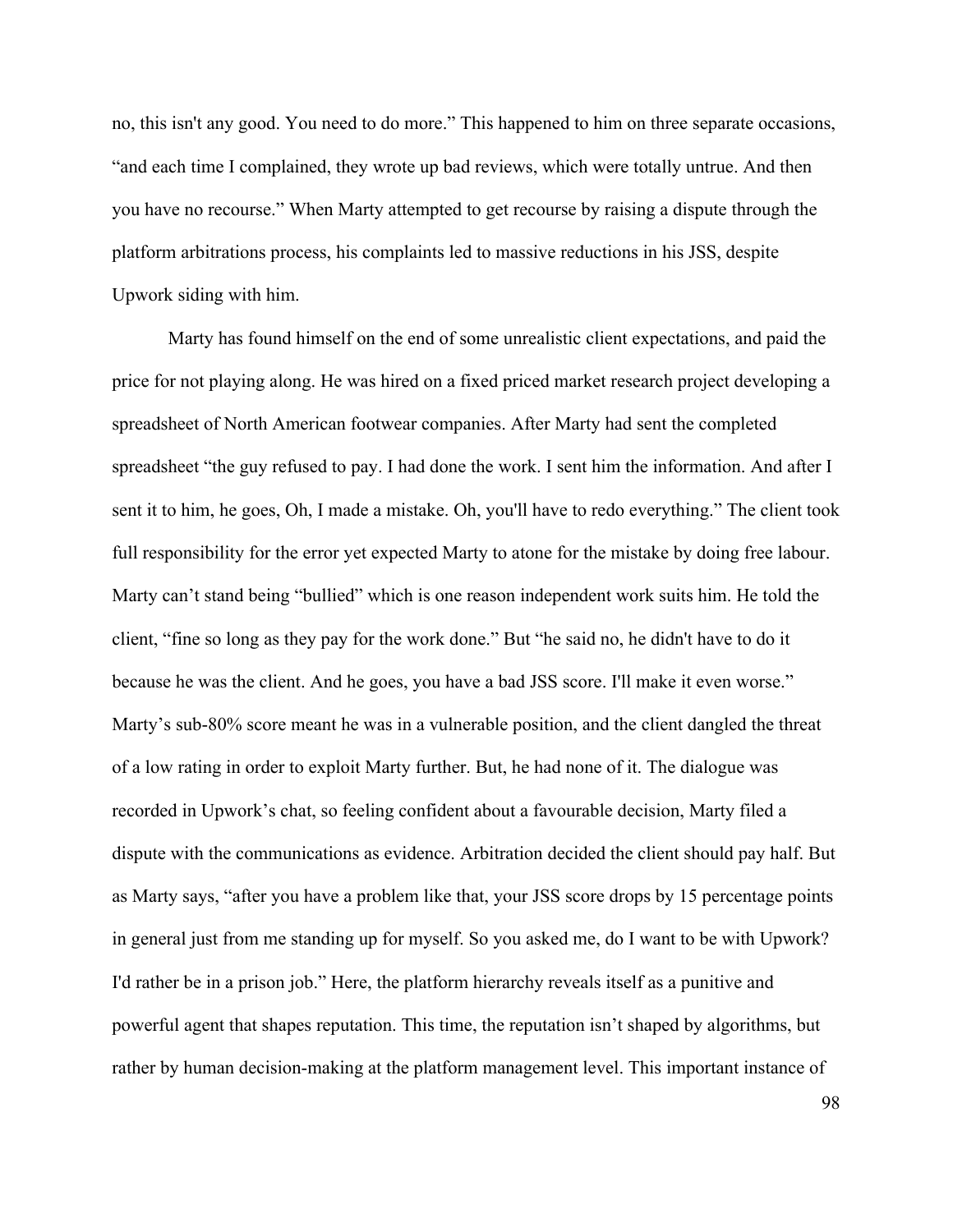no, this isn't any good. You need to do more." This happened to him on three separate occasions, "and each time I complained, they wrote up bad reviews, which were totally untrue. And then you have no recourse." When Marty attempted to get recourse by raising a dispute through the platform arbitrations process, his complaints led to massive reductions in his JSS, despite Upwork siding with him.

Marty has found himself on the end of some unrealistic client expectations, and paid the price for not playing along. He was hired on a fixed priced market research project developing a spreadsheet of North American footwear companies. After Marty had sent the completed spreadsheet "the guy refused to pay. I had done the work. I sent him the information. And after I sent it to him, he goes, Oh, I made a mistake. Oh, you'll have to redo everything." The client took full responsibility for the error yet expected Marty to atone for the mistake by doing free labour. Marty can't stand being "bullied" which is one reason independent work suits him. He told the client, "fine so long as they pay for the work done." But "he said no, he didn't have to do it because he was the client. And he goes, you have a bad JSS score. I'll make it even worse." Marty's sub-80% score meant he was in a vulnerable position, and the client dangled the threat of a low rating in order to exploit Marty further. But, he had none of it. The dialogue was recorded in Upwork's chat, so feeling confident about a favourable decision, Marty filed a dispute with the communications as evidence. Arbitration decided the client should pay half. But as Marty says, "after you have a problem like that, your JSS score drops by 15 percentage points in general just from me standing up for myself. So you asked me, do I want to be with Upwork? I'd rather be in a prison job." Here, the platform hierarchy reveals itself as a punitive and powerful agent that shapes reputation. This time, the reputation isn't shaped by algorithms, but rather by human decision-making at the platform management level. This important instance of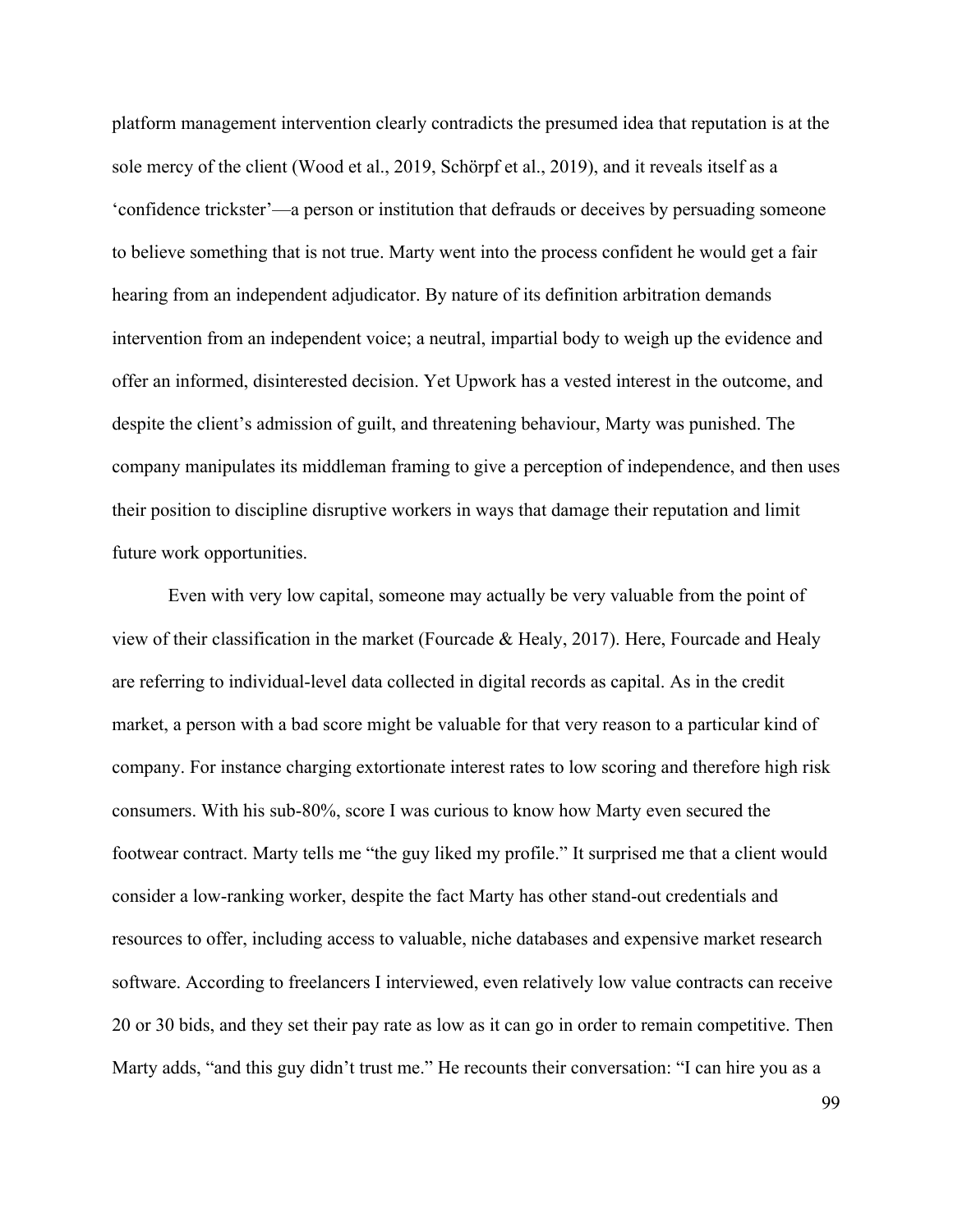platform management intervention clearly contradicts the presumed idea that reputation is at the sole mercy of the client (Wood et al., 2019, Schörpf et al., 2019), and it reveals itself as a 'confidence trickster'—a person or institution that defrauds or deceives by persuading someone to believe something that is not true. Marty went into the process confident he would get a fair hearing from an independent adjudicator. By nature of its definition arbitration demands intervention from an independent voice; a neutral, impartial body to weigh up the evidence and offer an informed, disinterested decision. Yet Upwork has a vested interest in the outcome, and despite the client's admission of guilt, and threatening behaviour, Marty was punished. The company manipulates its middleman framing to give a perception of independence, and then uses their position to discipline disruptive workers in ways that damage their reputation and limit future work opportunities.

Even with very low capital, someone may actually be very valuable from the point of view of their classification in the market (Fourcade & Healy, 2017). Here, Fourcade and Healy are referring to individual-level data collected in digital records as capital. As in the credit market, a person with a bad score might be valuable for that very reason to a particular kind of company. For instance charging extortionate interest rates to low scoring and therefore high risk consumers. With his sub-80%, score I was curious to know how Marty even secured the footwear contract. Marty tells me "the guy liked my profile." It surprised me that a client would consider a low-ranking worker, despite the fact Marty has other stand-out credentials and resources to offer, including access to valuable, niche databases and expensive market research software. According to freelancers I interviewed, even relatively low value contracts can receive 20 or 30 bids, and they set their pay rate as low as it can go in order to remain competitive. Then Marty adds, "and this guy didn't trust me." He recounts their conversation: "I can hire you as a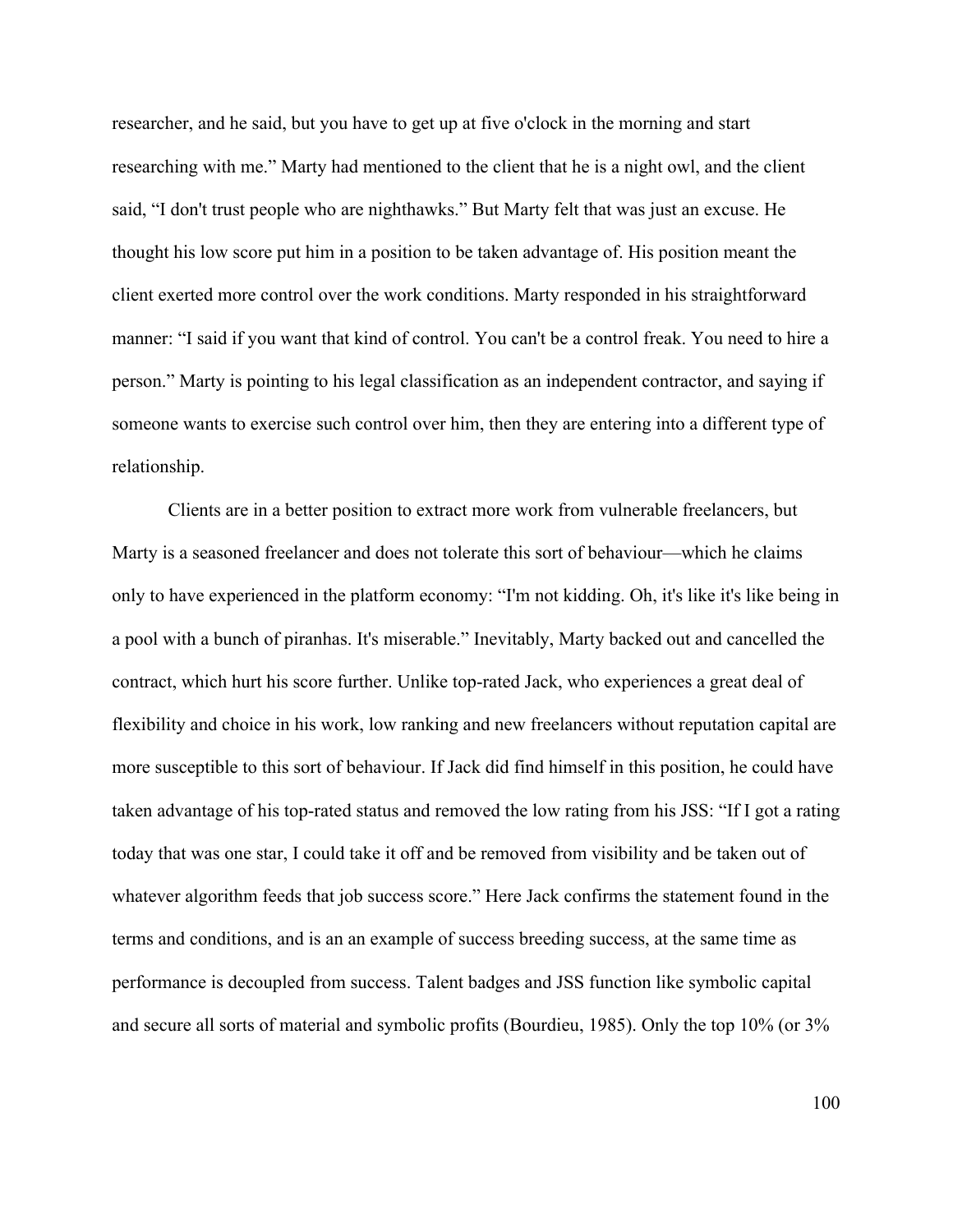researcher, and he said, but you have to get up at five o'clock in the morning and start researching with me." Marty had mentioned to the client that he is a night owl, and the client said, "I don't trust people who are nighthawks." But Marty felt that was just an excuse. He thought his low score put him in a position to be taken advantage of. His position meant the client exerted more control over the work conditions. Marty responded in his straightforward manner: "I said if you want that kind of control. You can't be a control freak. You need to hire a person." Marty is pointing to his legal classification as an independent contractor, and saying if someone wants to exercise such control over him, then they are entering into a different type of relationship.

Clients are in a better position to extract more work from vulnerable freelancers, but Marty is a seasoned freelancer and does not tolerate this sort of behaviour—which he claims only to have experienced in the platform economy: "I'm not kidding. Oh, it's like it's like being in a pool with a bunch of piranhas. It's miserable." Inevitably, Marty backed out and cancelled the contract, which hurt his score further. Unlike top-rated Jack, who experiences a great deal of flexibility and choice in his work, low ranking and new freelancers without reputation capital are more susceptible to this sort of behaviour. If Jack did find himself in this position, he could have taken advantage of his top-rated status and removed the low rating from his JSS: "If I got a rating today that was one star, I could take it off and be removed from visibility and be taken out of whatever algorithm feeds that job success score." Here Jack confirms the statement found in the terms and conditions, and is an an example of success breeding success, at the same time as performance is decoupled from success. Talent badges and JSS function like symbolic capital and secure all sorts of material and symbolic profits (Bourdieu, 1985). Only the top 10% (or 3%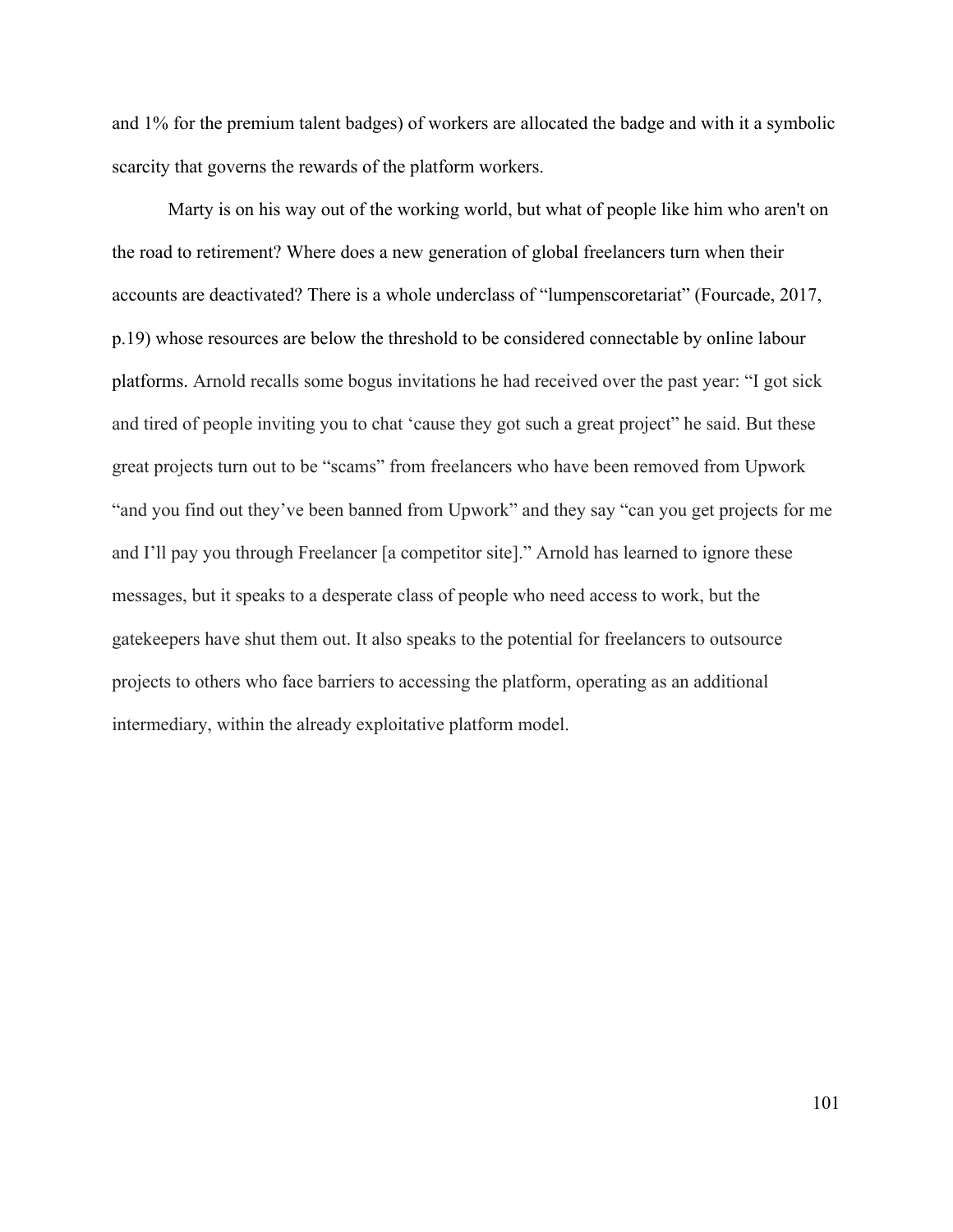and 1% for the premium talent badges) of workers are allocated the badge and with it a symbolic scarcity that governs the rewards of the platform workers.

Marty is on his way out of the working world, but what of people like him who aren't on the road to retirement? Where does a new generation of global freelancers turn when their accounts are deactivated? There is a whole underclass of "lumpenscoretariat" (Fourcade, 2017, p.19) whose resources are below the threshold to be considered connectable by online labour platforms. Arnold recalls some bogus invitations he had received over the past year: "I got sick and tired of people inviting you to chat 'cause they got such a great project" he said. But these great projects turn out to be "scams" from freelancers who have been removed from Upwork "and you find out they've been banned from Upwork" and they say "can you get projects for me and I'll pay you through Freelancer [a competitor site]." Arnold has learned to ignore these messages, but it speaks to a desperate class of people who need access to work, but the gatekeepers have shut them out. It also speaks to the potential for freelancers to outsource projects to others who face barriers to accessing the platform, operating as an additional intermediary, within the already exploitative platform model.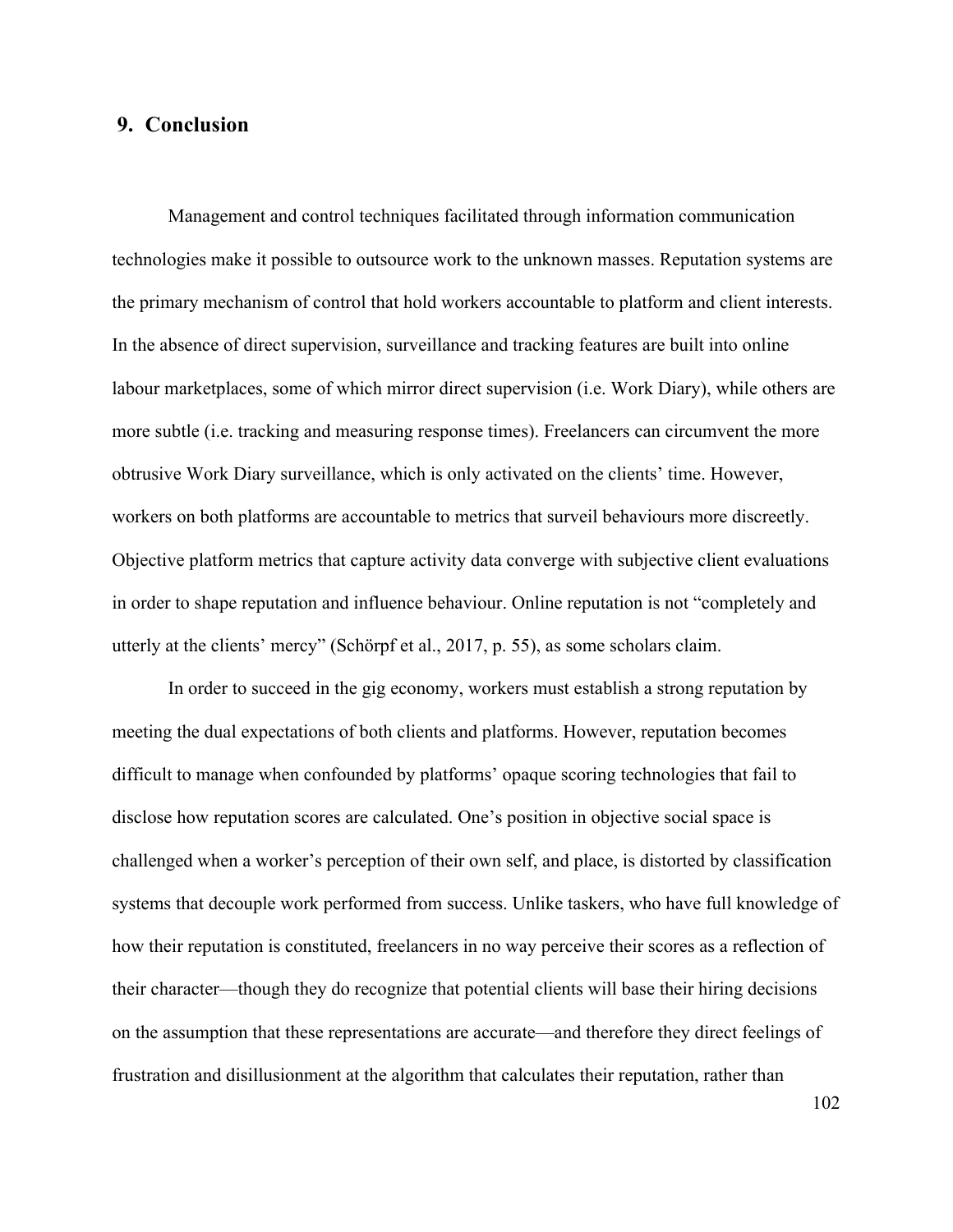#### **9. Conclusion**

Management and control techniques facilitated through information communication technologies make it possible to outsource work to the unknown masses. Reputation systems are the primary mechanism of control that hold workers accountable to platform and client interests. In the absence of direct supervision, surveillance and tracking features are built into online labour marketplaces, some of which mirror direct supervision (i.e. Work Diary), while others are more subtle (i.e. tracking and measuring response times). Freelancers can circumvent the more obtrusive Work Diary surveillance, which is only activated on the clients' time. However, workers on both platforms are accountable to metrics that surveil behaviours more discreetly. Objective platform metrics that capture activity data converge with subjective client evaluations in order to shape reputation and influence behaviour. Online reputation is not "completely and utterly at the clients' mercy" (Schörpf et al., 2017, p. 55), as some scholars claim.

In order to succeed in the gig economy, workers must establish a strong reputation by meeting the dual expectations of both clients and platforms. However, reputation becomes difficult to manage when confounded by platforms' opaque scoring technologies that fail to disclose how reputation scores are calculated. One's position in objective social space is challenged when a worker's perception of their own self, and place, is distorted by classification systems that decouple work performed from success. Unlike taskers, who have full knowledge of how their reputation is constituted, freelancers in no way perceive their scores as a reflection of their character—though they do recognize that potential clients will base their hiring decisions on the assumption that these representations are accurate—and therefore they direct feelings of frustration and disillusionment at the algorithm that calculates their reputation, rather than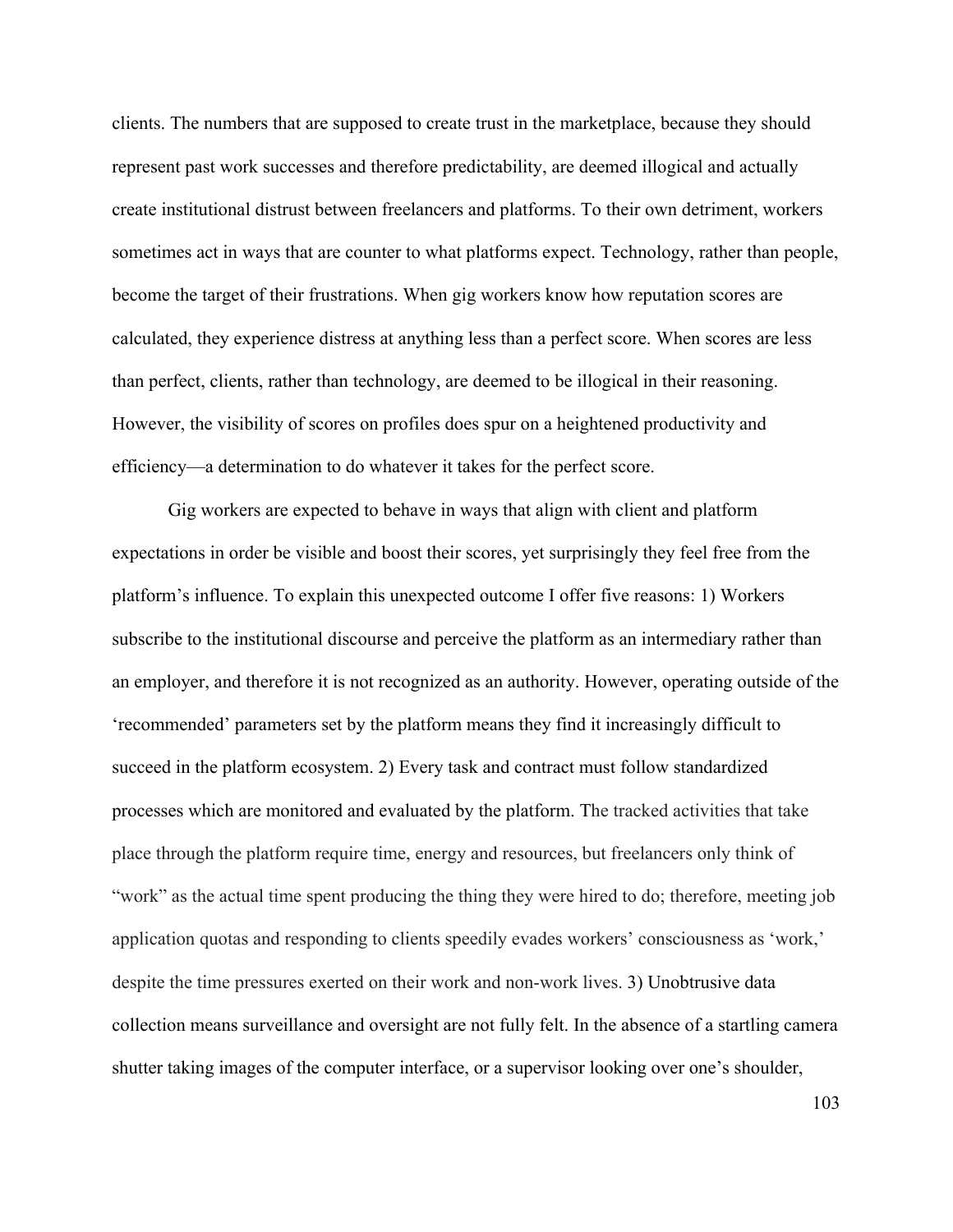clients. The numbers that are supposed to create trust in the marketplace, because they should represent past work successes and therefore predictability, are deemed illogical and actually create institutional distrust between freelancers and platforms. To their own detriment, workers sometimes act in ways that are counter to what platforms expect. Technology, rather than people, become the target of their frustrations. When gig workers know how reputation scores are calculated, they experience distress at anything less than a perfect score. When scores are less than perfect, clients, rather than technology, are deemed to be illogical in their reasoning. However, the visibility of scores on profiles does spur on a heightened productivity and efficiency—a determination to do whatever it takes for the perfect score.

Gig workers are expected to behave in ways that align with client and platform expectations in order be visible and boost their scores, yet surprisingly they feel free from the platform's influence. To explain this unexpected outcome I offer five reasons: 1) Workers subscribe to the institutional discourse and perceive the platform as an intermediary rather than an employer, and therefore it is not recognized as an authority. However, operating outside of the 'recommended' parameters set by the platform means they find it increasingly difficult to succeed in the platform ecosystem. 2) Every task and contract must follow standardized processes which are monitored and evaluated by the platform. The tracked activities that take place through the platform require time, energy and resources, but freelancers only think of "work" as the actual time spent producing the thing they were hired to do; therefore, meeting job application quotas and responding to clients speedily evades workers' consciousness as 'work,' despite the time pressures exerted on their work and non-work lives. 3) Unobtrusive data collection means surveillance and oversight are not fully felt. In the absence of a startling camera shutter taking images of the computer interface, or a supervisor looking over one's shoulder,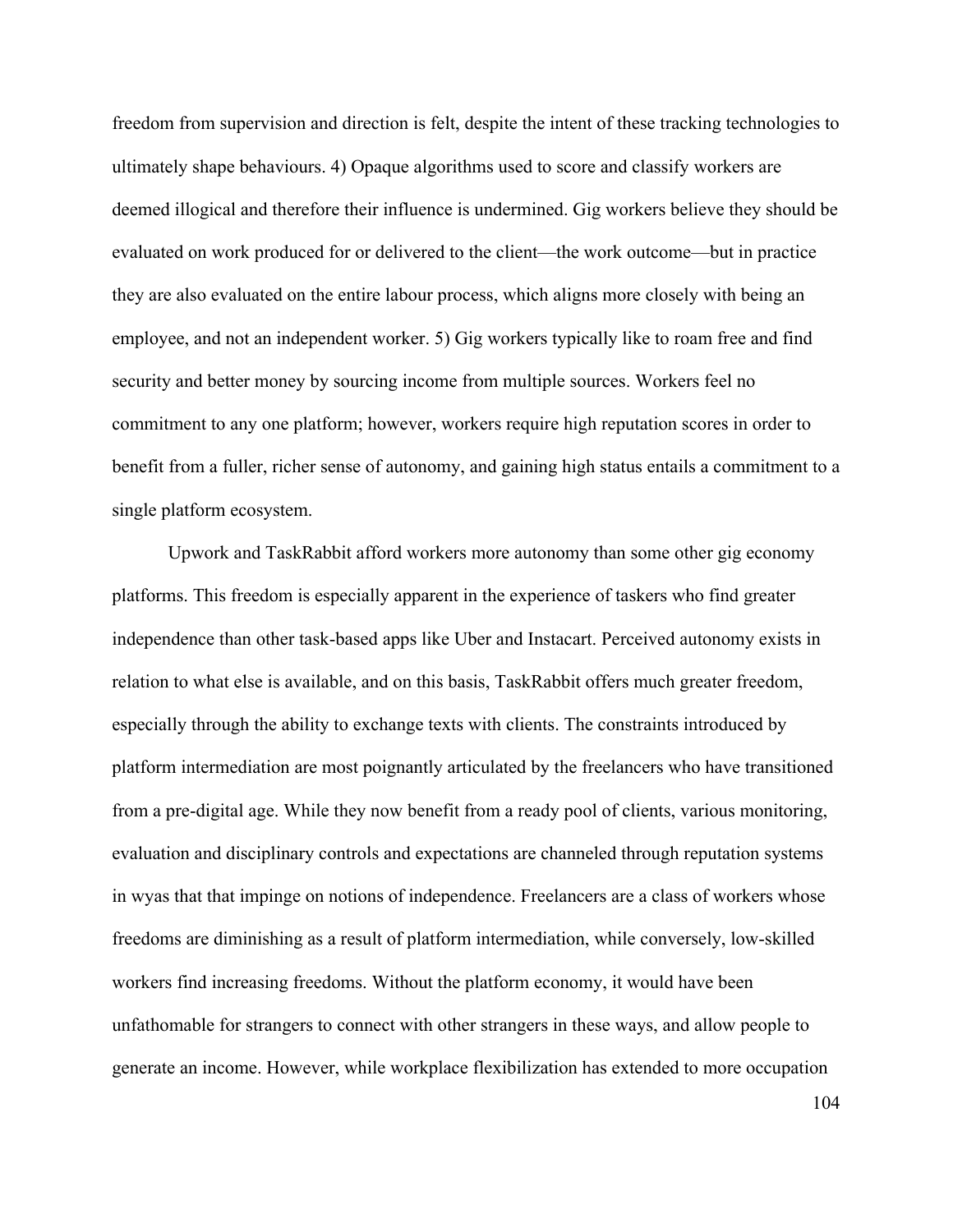freedom from supervision and direction is felt, despite the intent of these tracking technologies to ultimately shape behaviours. 4) Opaque algorithms used to score and classify workers are deemed illogical and therefore their influence is undermined. Gig workers believe they should be evaluated on work produced for or delivered to the client—the work outcome—but in practice they are also evaluated on the entire labour process, which aligns more closely with being an employee, and not an independent worker. 5) Gig workers typically like to roam free and find security and better money by sourcing income from multiple sources. Workers feel no commitment to any one platform; however, workers require high reputation scores in order to benefit from a fuller, richer sense of autonomy, and gaining high status entails a commitment to a single platform ecosystem.

Upwork and TaskRabbit afford workers more autonomy than some other gig economy platforms. This freedom is especially apparent in the experience of taskers who find greater independence than other task-based apps like Uber and Instacart. Perceived autonomy exists in relation to what else is available, and on this basis, TaskRabbit offers much greater freedom, especially through the ability to exchange texts with clients. The constraints introduced by platform intermediation are most poignantly articulated by the freelancers who have transitioned from a pre-digital age. While they now benefit from a ready pool of clients, various monitoring, evaluation and disciplinary controls and expectations are channeled through reputation systems in wyas that that impinge on notions of independence. Freelancers are a class of workers whose freedoms are diminishing as a result of platform intermediation, while conversely, low-skilled workers find increasing freedoms. Without the platform economy, it would have been unfathomable for strangers to connect with other strangers in these ways, and allow people to generate an income. However, while workplace flexibilization has extended to more occupation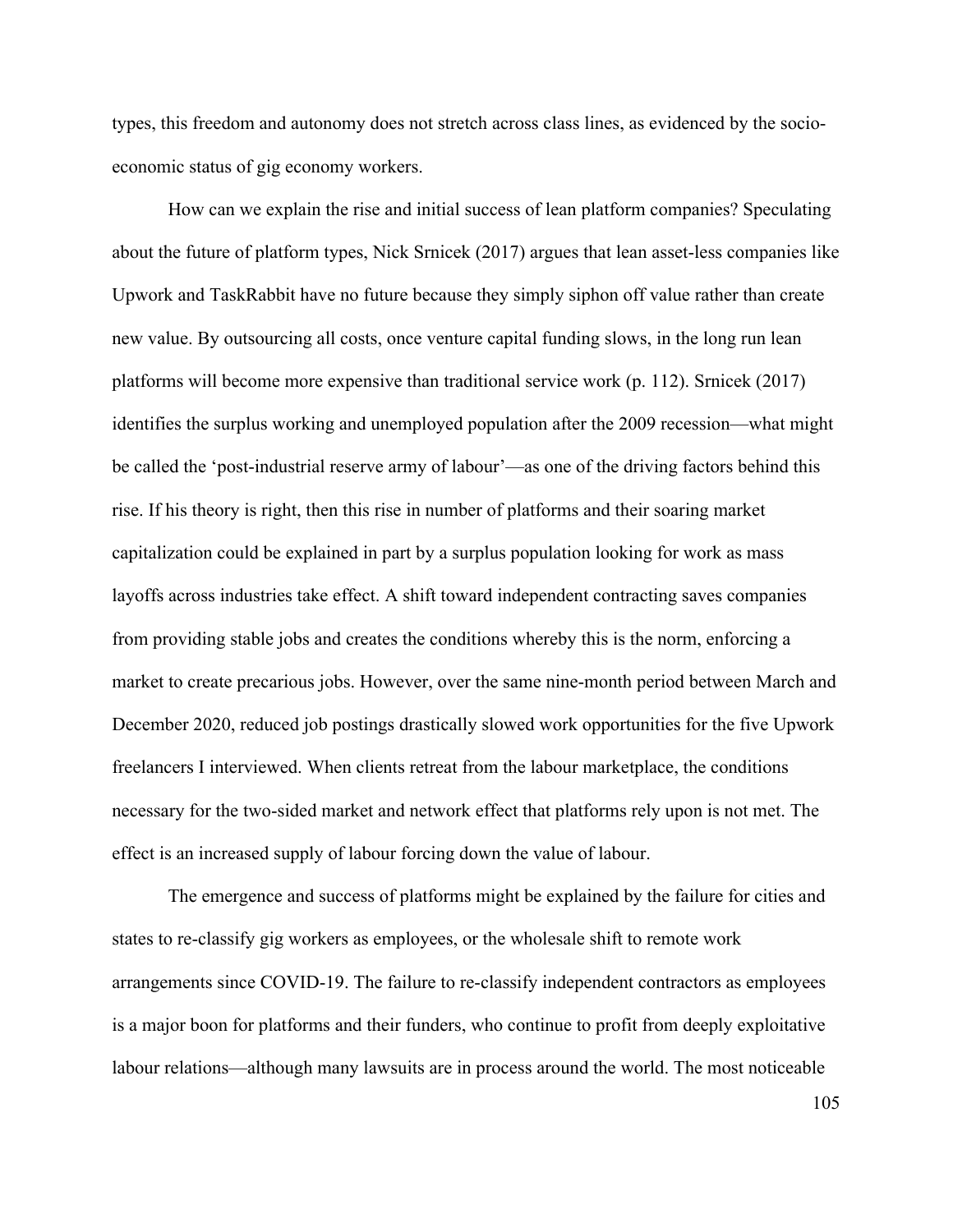types, this freedom and autonomy does not stretch across class lines, as evidenced by the socioeconomic status of gig economy workers.

How can we explain the rise and initial success of lean platform companies? Speculating about the future of platform types, Nick Srnicek (2017) argues that lean asset-less companies like Upwork and TaskRabbit have no future because they simply siphon off value rather than create new value. By outsourcing all costs, once venture capital funding slows, in the long run lean platforms will become more expensive than traditional service work (p. 112). Srnicek (2017) identifies the surplus working and unemployed population after the 2009 recession—what might be called the 'post-industrial reserve army of labour'—as one of the driving factors behind this rise. If his theory is right, then this rise in number of platforms and their soaring market capitalization could be explained in part by a surplus population looking for work as mass layoffs across industries take effect. A shift toward independent contracting saves companies from providing stable jobs and creates the conditions whereby this is the norm, enforcing a market to create precarious jobs. However, over the same nine-month period between March and December 2020, reduced job postings drastically slowed work opportunities for the five Upwork freelancers I interviewed. When clients retreat from the labour marketplace, the conditions necessary for the two-sided market and network effect that platforms rely upon is not met. The effect is an increased supply of labour forcing down the value of labour.

The emergence and success of platforms might be explained by the failure for cities and states to re-classify gig workers as employees, or the wholesale shift to remote work arrangements since COVID-19. The failure to re-classify independent contractors as employees is a major boon for platforms and their funders, who continue to profit from deeply exploitative labour relations—although many lawsuits are in process around the world. The most noticeable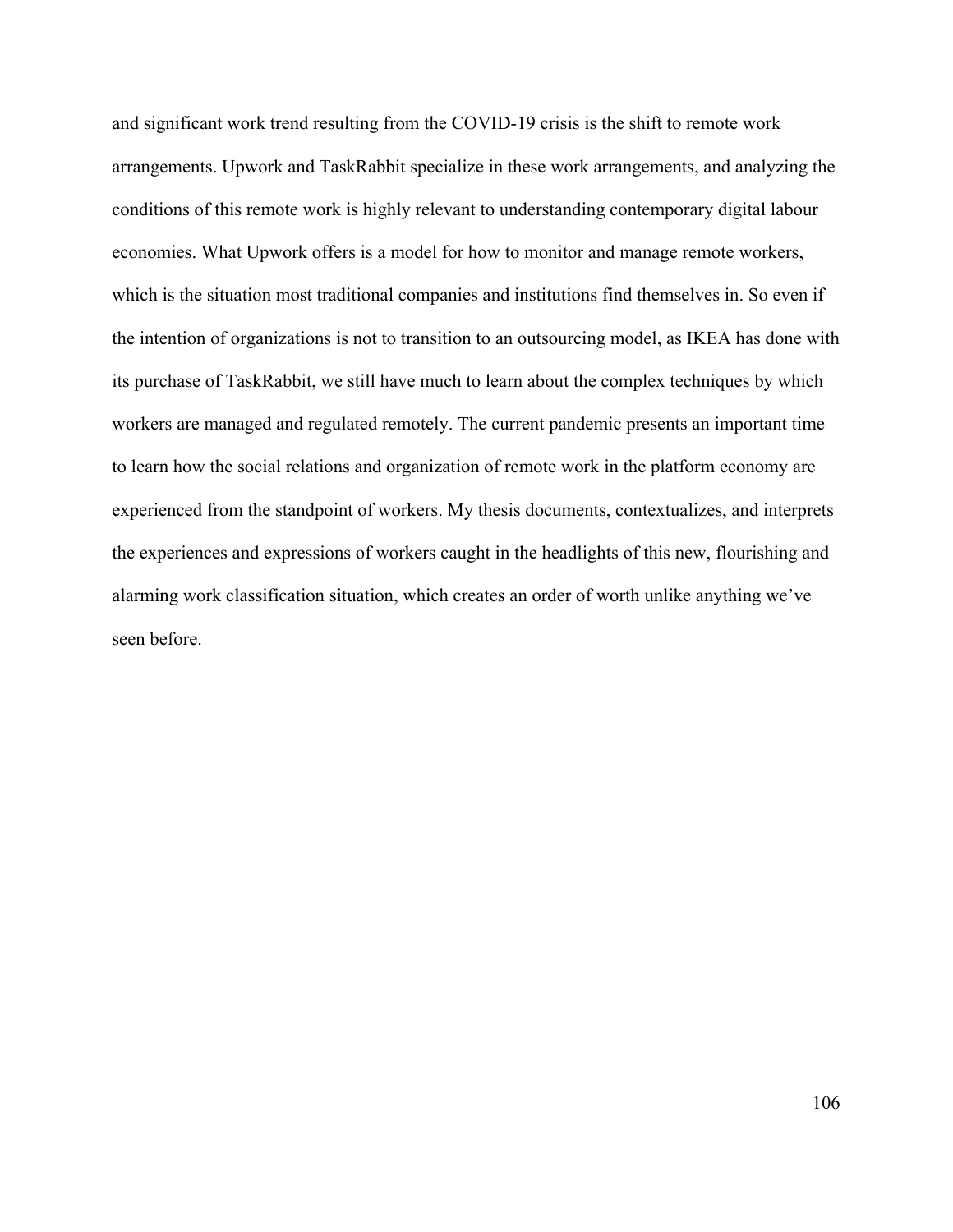and significant work trend resulting from the COVID-19 crisis is the shift to remote work arrangements. Upwork and TaskRabbit specialize in these work arrangements, and analyzing the conditions of this remote work is highly relevant to understanding contemporary digital labour economies. What Upwork offers is a model for how to monitor and manage remote workers, which is the situation most traditional companies and institutions find themselves in. So even if the intention of organizations is not to transition to an outsourcing model, as IKEA has done with its purchase of TaskRabbit, we still have much to learn about the complex techniques by which workers are managed and regulated remotely. The current pandemic presents an important time to learn how the social relations and organization of remote work in the platform economy are experienced from the standpoint of workers. My thesis documents, contextualizes, and interprets the experiences and expressions of workers caught in the headlights of this new, flourishing and alarming work classification situation, which creates an order of worth unlike anything we've seen before.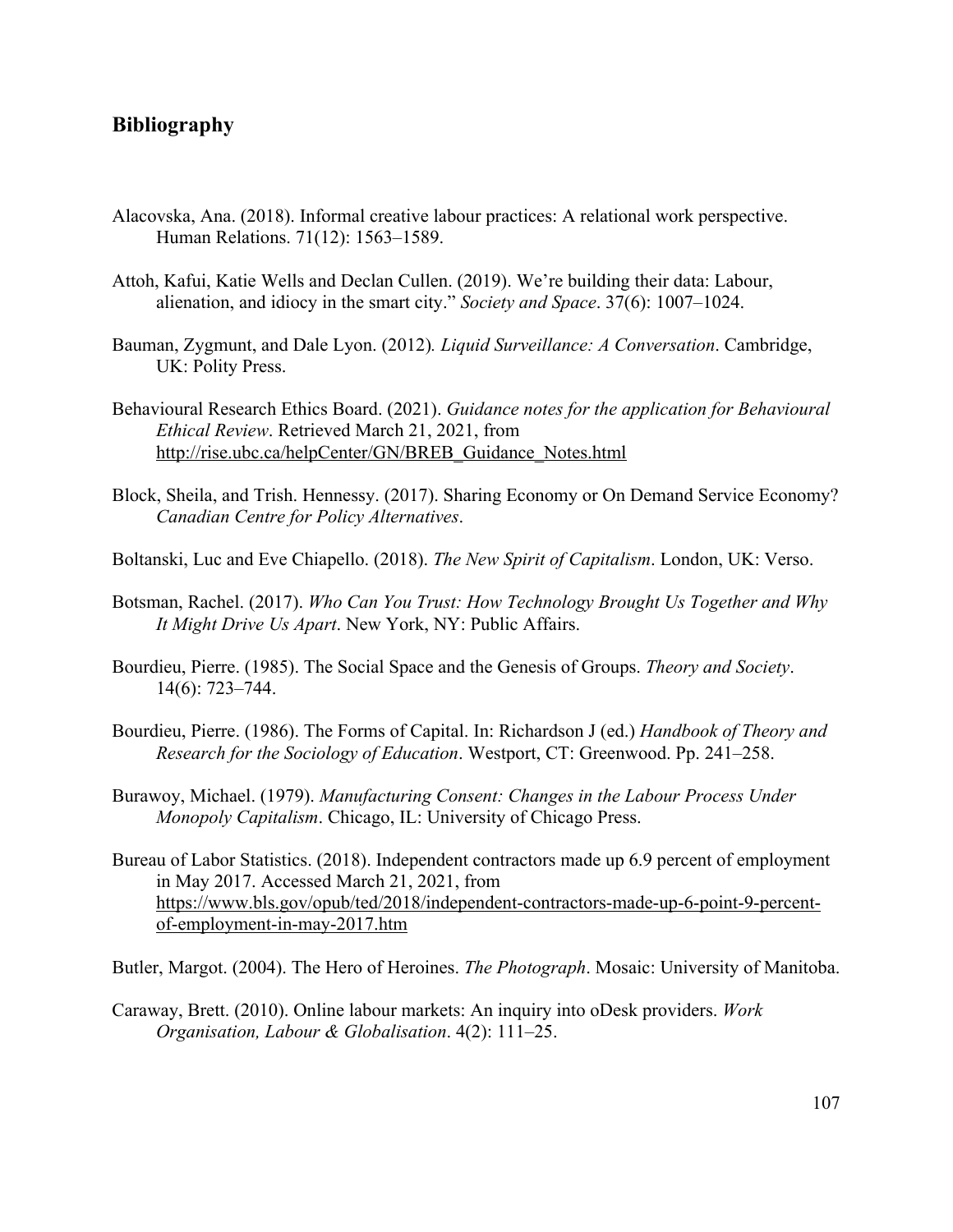#### **Bibliography**

- Alacovska, Ana. (2018). Informal creative labour practices: A relational work perspective. Human Relations. 71(12): 1563–1589.
- Attoh, Kafui, Katie Wells and Declan Cullen. (2019). We're building their data: Labour, alienation, and idiocy in the smart city." *Society and Space*. 37(6): 1007–1024.
- Bauman, Zygmunt, and Dale Lyon. (2012)*. Liquid Surveillance: A Conversation*. Cambridge, UK: Polity Press.
- Behavioural Research Ethics Board. (2021). *Guidance notes for the application for Behavioural Ethical Review*. Retrieved March 21, 2021, from http://rise.ubc.ca/helpCenter/GN/BREB\_Guidance\_Notes.html
- Block, Sheila, and Trish. Hennessy. (2017). Sharing Economy or On Demand Service Economy? *Canadian Centre for Policy Alternatives*.
- Boltanski, Luc and Eve Chiapello. (2018). *The New Spirit of Capitalism*. London, UK: Verso.
- Botsman, Rachel. (2017). *Who Can You Trust: How Technology Brought Us Together and Why It Might Drive Us Apart*. New York, NY: Public Affairs.
- Bourdieu, Pierre. (1985). The Social Space and the Genesis of Groups. *Theory and Society*. 14(6): 723–744.
- Bourdieu, Pierre. (1986). The Forms of Capital. In: Richardson J (ed.) *Handbook of Theory and Research for the Sociology of Education*. Westport, CT: Greenwood. Pp. 241–258.
- Burawoy, Michael. (1979). *Manufacturing Consent: Changes in the Labour Process Under Monopoly Capitalism*. Chicago, IL: University of Chicago Press.
- Bureau of Labor Statistics. (2018). Independent contractors made up 6.9 percent of employment in May 2017. Accessed March 21, 2021, from https://www.bls.gov/opub/ted/2018/independent-contractors-made-up-6-point-9-percentof-employment-in-may-2017.htm

Butler, Margot. (2004). The Hero of Heroines. *The Photograph*. Mosaic: University of Manitoba.

Caraway, Brett. (2010). Online labour markets: An inquiry into oDesk providers. *Work Organisation, Labour & Globalisation*. 4(2): 111–25.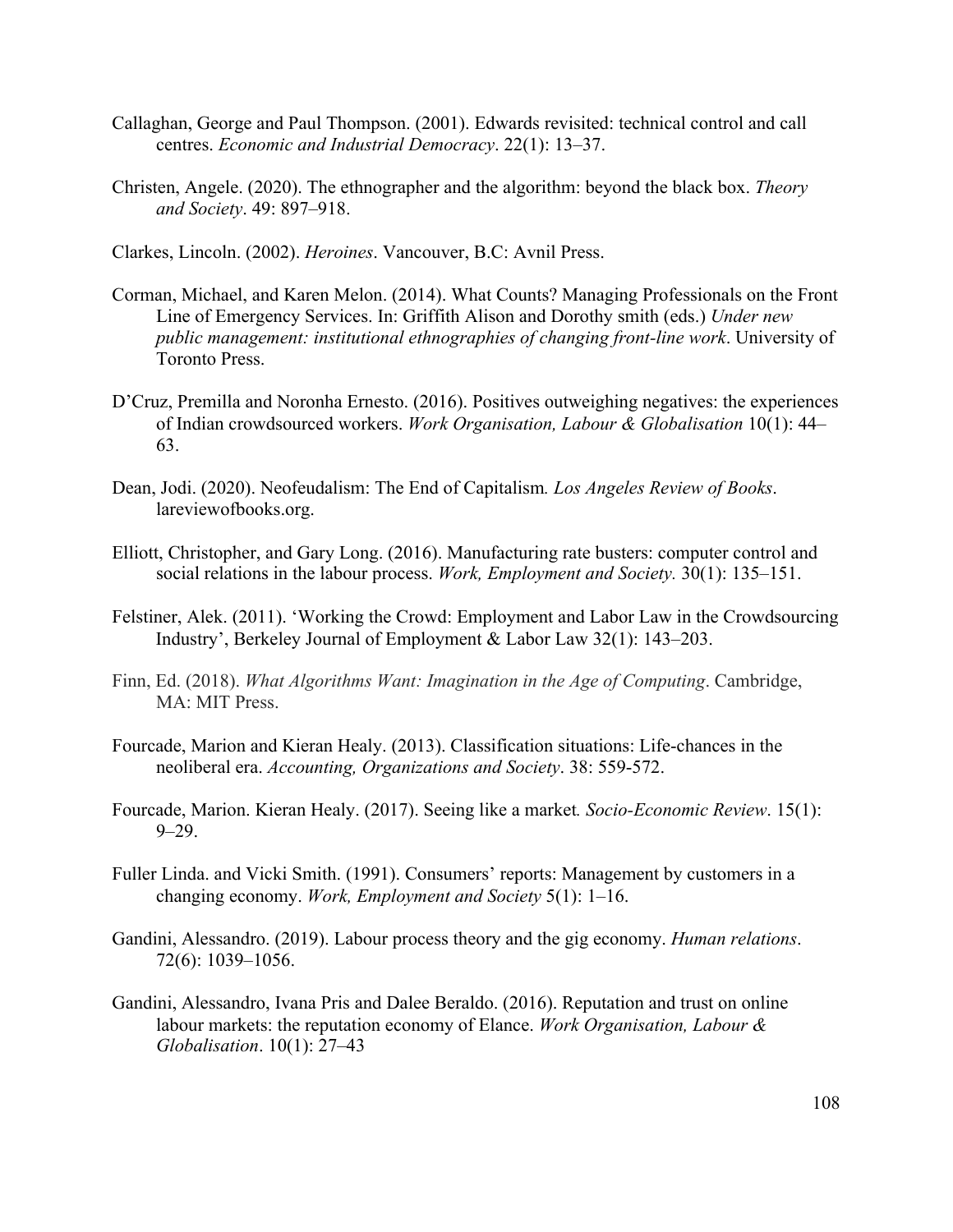- Callaghan, George and Paul Thompson. (2001). Edwards revisited: technical control and call centres. *Economic and Industrial Democracy*. 22(1): 13–37.
- Christen, Angele. (2020). The ethnographer and the algorithm: beyond the black box. *Theory and Society*. 49: 897–918.

Clarkes, Lincoln. (2002). *Heroines*. Vancouver, B.C: Avnil Press.

- Corman, Michael, and Karen Melon. (2014). What Counts? Managing Professionals on the Front Line of Emergency Services. In: Griffith Alison and Dorothy smith (eds.) *Under new public management: institutional ethnographies of changing front-line work*. University of Toronto Press.
- D'Cruz, Premilla and Noronha Ernesto. (2016). Positives outweighing negatives: the experiences of Indian crowdsourced workers. *Work Organisation, Labour & Globalisation* 10(1): 44– 63.
- Dean, Jodi. (2020). Neofeudalism: The End of Capitalism*. Los Angeles Review of Books*. lareviewofbooks.org.
- Elliott, Christopher, and Gary Long. (2016). Manufacturing rate busters: computer control and social relations in the labour process. *Work, Employment and Society.* 30(1): 135–151.
- Felstiner, Alek. (2011). 'Working the Crowd: Employment and Labor Law in the Crowdsourcing Industry', Berkeley Journal of Employment & Labor Law 32(1): 143–203.
- Finn, Ed. (2018). *What Algorithms Want: Imagination in the Age of Computing*. Cambridge, MA: MIT Press.
- Fourcade, Marion and Kieran Healy. (2013). Classification situations: Life-chances in the neoliberal era. *Accounting, Organizations and Society*. 38: 559-572.
- Fourcade, Marion. Kieran Healy. (2017). Seeing like a market*. Socio-Economic Review*. 15(1):  $9 - 29.$
- Fuller Linda. and Vicki Smith. (1991). Consumers' reports: Management by customers in a changing economy. *Work, Employment and Society* 5(1): 1–16.
- Gandini, Alessandro. (2019). Labour process theory and the gig economy. *Human relations*. 72(6): 1039–1056.
- Gandini, Alessandro, Ivana Pris and Dalee Beraldo. (2016). Reputation and trust on online labour markets: the reputation economy of Elance. *Work Organisation, Labour & Globalisation*. 10(1): 27–43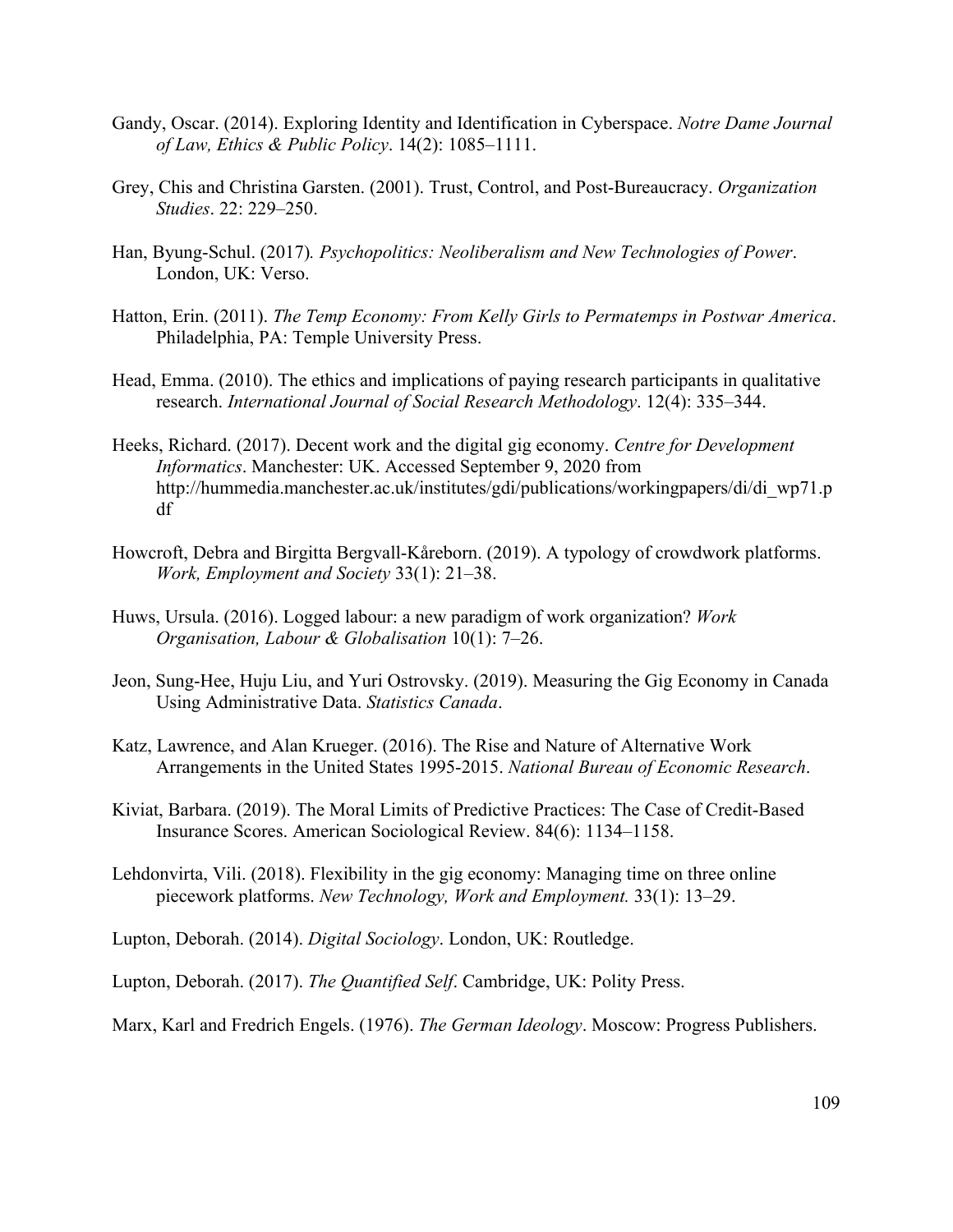- Gandy, Oscar. (2014). Exploring Identity and Identification in Cyberspace. *Notre Dame Journal of Law, Ethics & Public Policy*. 14(2): 1085–1111.
- Grey, Chis and Christina Garsten. (2001). Trust, Control, and Post-Bureaucracy. *Organization Studies*. 22: 229–250.
- Han, Byung-Schul. (2017)*. Psychopolitics: Neoliberalism and New Technologies of Power*. London, UK: Verso.
- Hatton, Erin. (2011). *The Temp Economy: From Kelly Girls to Permatemps in Postwar America*. Philadelphia, PA: Temple University Press.
- Head, Emma. (2010). The ethics and implications of paying research participants in qualitative research. *International Journal of Social Research Methodology*. 12(4): 335–344.
- Heeks, Richard. (2017). Decent work and the digital gig economy. *Centre for Development Informatics*. Manchester: UK. Accessed September 9, 2020 from http://hummedia.manchester.ac.uk/institutes/gdi/publications/workingpapers/di/di\_wp71.p df
- Howcroft, Debra and Birgitta Bergvall-Kåreborn. (2019). A typology of crowdwork platforms. *Work, Employment and Society* 33(1): 21–38.
- Huws, Ursula. (2016). Logged labour: a new paradigm of work organization? *Work Organisation, Labour & Globalisation* 10(1): 7–26.
- Jeon, Sung-Hee, Huju Liu, and Yuri Ostrovsky. (2019). Measuring the Gig Economy in Canada Using Administrative Data. *Statistics Canada*.
- Katz, Lawrence, and Alan Krueger. (2016). The Rise and Nature of Alternative Work Arrangements in the United States 1995-2015. *National Bureau of Economic Research*.
- Kiviat, Barbara. (2019). The Moral Limits of Predictive Practices: The Case of Credit-Based Insurance Scores. American Sociological Review. 84(6): 1134–1158.
- Lehdonvirta, Vili. (2018). Flexibility in the gig economy: Managing time on three online piecework platforms. *New Technology, Work and Employment.* 33(1): 13–29.
- Lupton, Deborah. (2014). *Digital Sociology*. London, UK: Routledge.
- Lupton, Deborah. (2017). *The Quantified Self*. Cambridge, UK: Polity Press.
- Marx, Karl and Fredrich Engels. (1976). *The German Ideology*. Moscow: Progress Publishers.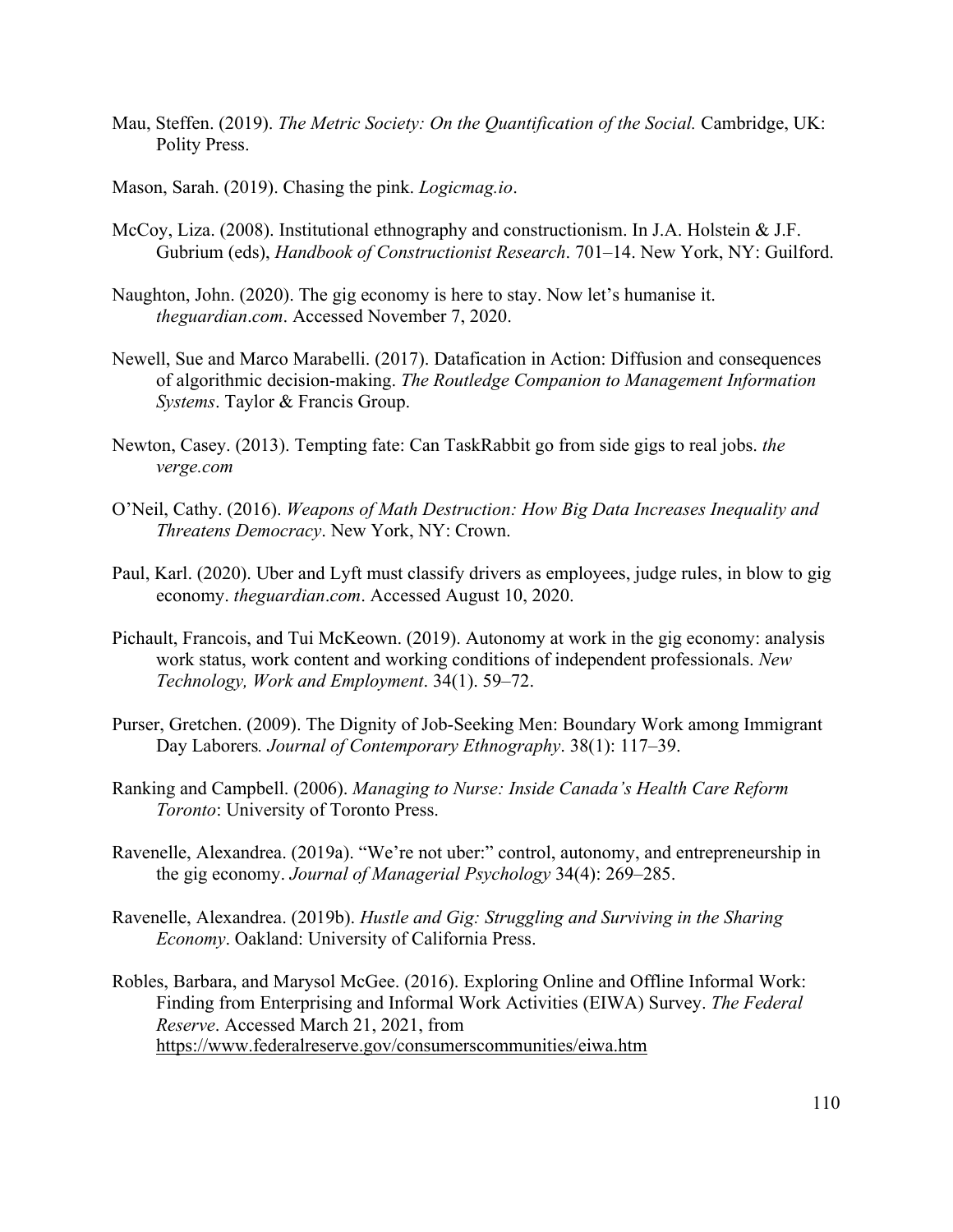- Mau, Steffen. (2019). *The Metric Society: On the Quantification of the Social.* Cambridge, UK: Polity Press.
- Mason, Sarah. (2019). Chasing the pink. *Logicmag.io*.
- McCoy, Liza. (2008). Institutional ethnography and constructionism. In J.A. Holstein & J.F. Gubrium (eds), *Handbook of Constructionist Research*. 701–14. New York, NY: Guilford.
- Naughton, John. (2020). The gig economy is here to stay. Now let's humanise it. *theguardian*.*com*. Accessed November 7, 2020.
- Newell, Sue and Marco Marabelli. (2017). Datafication in Action: Diffusion and consequences of algorithmic decision-making. *The Routledge Companion to Management Information Systems*. Taylor & Francis Group.
- Newton, Casey. (2013). Tempting fate: Can TaskRabbit go from side gigs to real jobs. *the verge.com*
- O'Neil, Cathy. (2016). *Weapons of Math Destruction: How Big Data Increases Inequality and Threatens Democracy*. New York, NY: Crown.
- Paul, Karl. (2020). Uber and Lyft must classify drivers as employees, judge rules, in blow to gig economy. *theguardian*.*com*. Accessed August 10, 2020.
- Pichault, Francois, and Tui McKeown. (2019). Autonomy at work in the gig economy: analysis work status, work content and working conditions of independent professionals. *New Technology, Work and Employment*. 34(1). 59–72.
- Purser, Gretchen. (2009). The Dignity of Job-Seeking Men: Boundary Work among Immigrant Day Laborers*. Journal of Contemporary Ethnography*. 38(1): 117–39.
- Ranking and Campbell. (2006). *Managing to Nurse: Inside Canada's Health Care Reform Toronto*: University of Toronto Press.
- Ravenelle, Alexandrea. (2019a). "We're not uber:" control, autonomy, and entrepreneurship in the gig economy. *Journal of Managerial Psychology* 34(4): 269–285.
- Ravenelle, Alexandrea. (2019b). *Hustle and Gig: Struggling and Surviving in the Sharing Economy*. Oakland: University of California Press.
- Robles, Barbara, and Marysol McGee. (2016). Exploring Online and Offline Informal Work: Finding from Enterprising and Informal Work Activities (EIWA) Survey. *The Federal Reserve*. Accessed March 21, 2021, from https://www.federalreserve.gov/consumerscommunities/eiwa.htm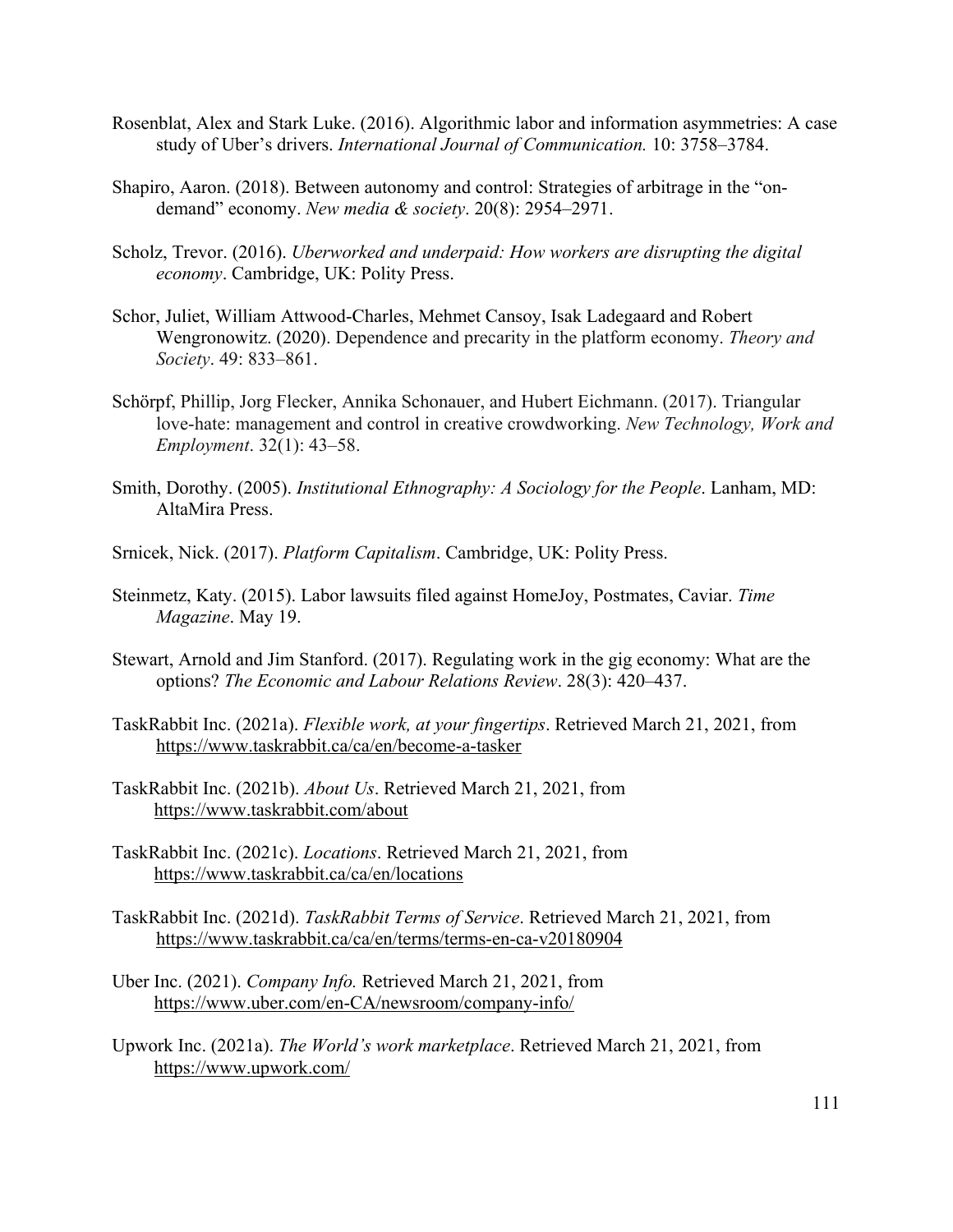- Rosenblat, Alex and Stark Luke. (2016). Algorithmic labor and information asymmetries: A case study of Uber's drivers. *International Journal of Communication.* 10: 3758–3784.
- Shapiro, Aaron. (2018). Between autonomy and control: Strategies of arbitrage in the "ondemand" economy. *New media & society*. 20(8): 2954–2971.
- Scholz, Trevor. (2016). *Uberworked and underpaid: How workers are disrupting the digital economy*. Cambridge, UK: Polity Press.
- Schor, Juliet, William Attwood-Charles, Mehmet Cansoy, Isak Ladegaard and Robert Wengronowitz. (2020). Dependence and precarity in the platform economy. *Theory and Society*. 49: 833–861.
- Schörpf, Phillip, Jorg Flecker, Annika Schonauer, and Hubert Eichmann. (2017). Triangular love-hate: management and control in creative crowdworking. *New Technology, Work and Employment*. 32(1): 43–58.
- Smith, Dorothy. (2005). *Institutional Ethnography: A Sociology for the People*. Lanham, MD: AltaMira Press.
- Srnicek, Nick. (2017). *Platform Capitalism*. Cambridge, UK: Polity Press.
- Steinmetz, Katy. (2015). Labor lawsuits filed against HomeJoy, Postmates, Caviar. *Time Magazine*. May 19.
- Stewart, Arnold and Jim Stanford. (2017). Regulating work in the gig economy: What are the options? *The Economic and Labour Relations Review*. 28(3): 420–437.
- TaskRabbit Inc. (2021a). *Flexible work, at your fingertips*. Retrieved March 21, 2021, from https://www.taskrabbit.ca/ca/en/become-a-tasker
- TaskRabbit Inc. (2021b). *About Us*. Retrieved March 21, 2021, from https://www.taskrabbit.com/about
- TaskRabbit Inc. (2021c). *Locations*. Retrieved March 21, 2021, from https://www.taskrabbit.ca/ca/en/locations
- TaskRabbit Inc. (2021d). *TaskRabbit Terms of Service*. Retrieved March 21, 2021, from https://www.taskrabbit.ca/ca/en/terms/terms-en-ca-v20180904
- Uber Inc. (2021). *Company Info.* Retrieved March 21, 2021, from https://www.uber.com/en-CA/newsroom/company-info/
- Upwork Inc. (2021a). *The World's work marketplace*. Retrieved March 21, 2021, from https://www.upwork.com/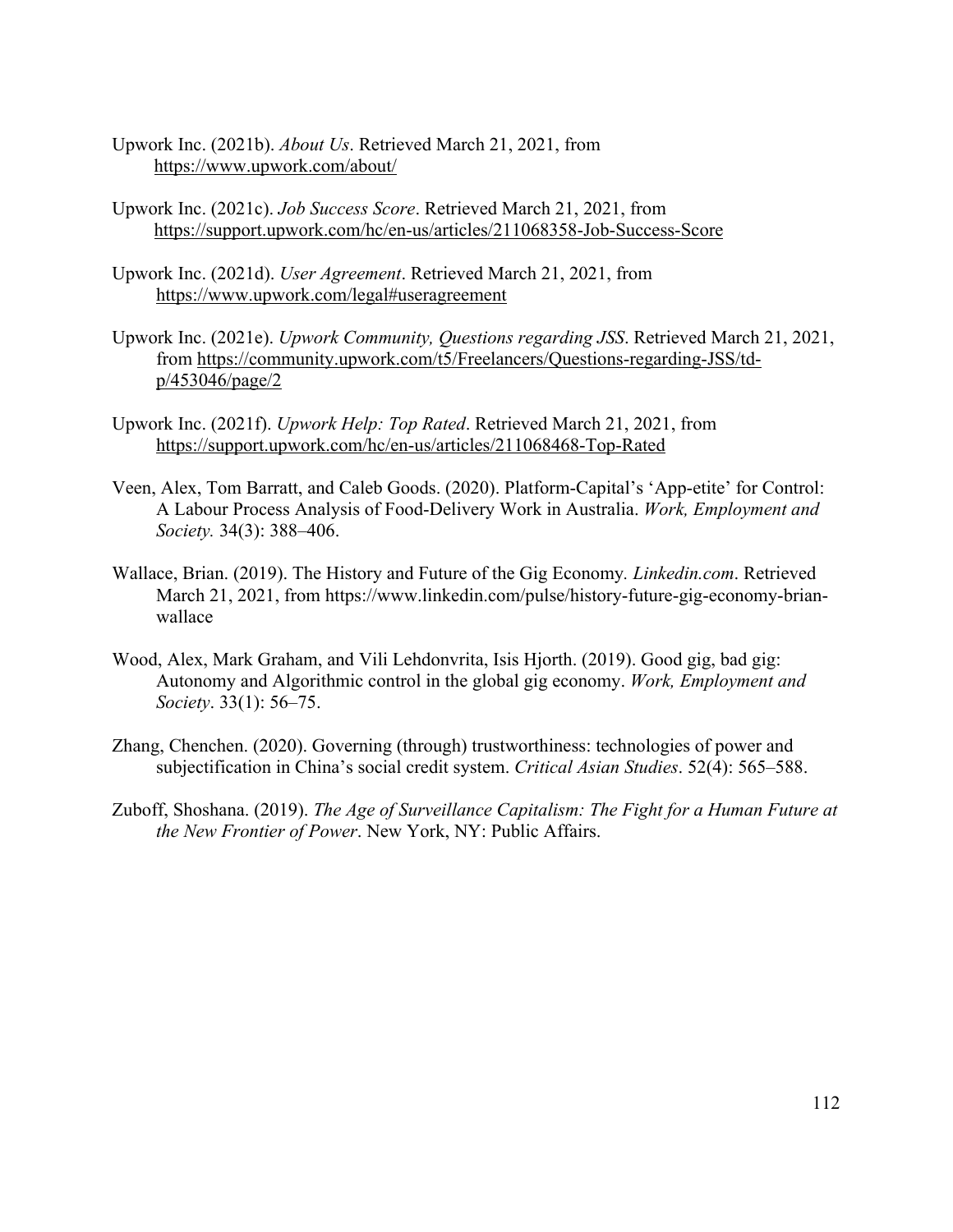- Upwork Inc. (2021b). *About Us*. Retrieved March 21, 2021, from https://www.upwork.com/about/
- Upwork Inc. (2021c). *Job Success Score*. Retrieved March 21, 2021, from https://support.upwork.com/hc/en-us/articles/211068358-Job-Success-Score
- Upwork Inc. (2021d). *User Agreement*. Retrieved March 21, 2021, from https://www.upwork.com/legal#useragreement
- Upwork Inc. (2021e). *Upwork Community, Questions regarding JSS*. Retrieved March 21, 2021, from https://community.upwork.com/t5/Freelancers/Questions-regarding-JSS/tdp/453046/page/2
- Upwork Inc. (2021f). *Upwork Help: Top Rated*. Retrieved March 21, 2021, from https://support.upwork.com/hc/en-us/articles/211068468-Top-Rated
- Veen, Alex, Tom Barratt, and Caleb Goods. (2020). Platform-Capital's 'App-etite' for Control: A Labour Process Analysis of Food-Delivery Work in Australia. *Work, Employment and Society.* 34(3): 388–406.
- Wallace, Brian. (2019). The History and Future of the Gig Economy*. Linkedin.com*. Retrieved March 21, 2021, from https://www.linkedin.com/pulse/history-future-gig-economy-brianwallace
- Wood, Alex, Mark Graham, and Vili Lehdonvrita, Isis Hjorth. (2019). Good gig, bad gig: Autonomy and Algorithmic control in the global gig economy. *Work, Employment and Society*. 33(1): 56–75.
- Zhang, Chenchen. (2020). Governing (through) trustworthiness: technologies of power and subjectification in China's social credit system. *Critical Asian Studies*. 52(4): 565–588.
- Zuboff, Shoshana. (2019). *The Age of Surveillance Capitalism: The Fight for a Human Future at the New Frontier of Power*. New York, NY: Public Affairs.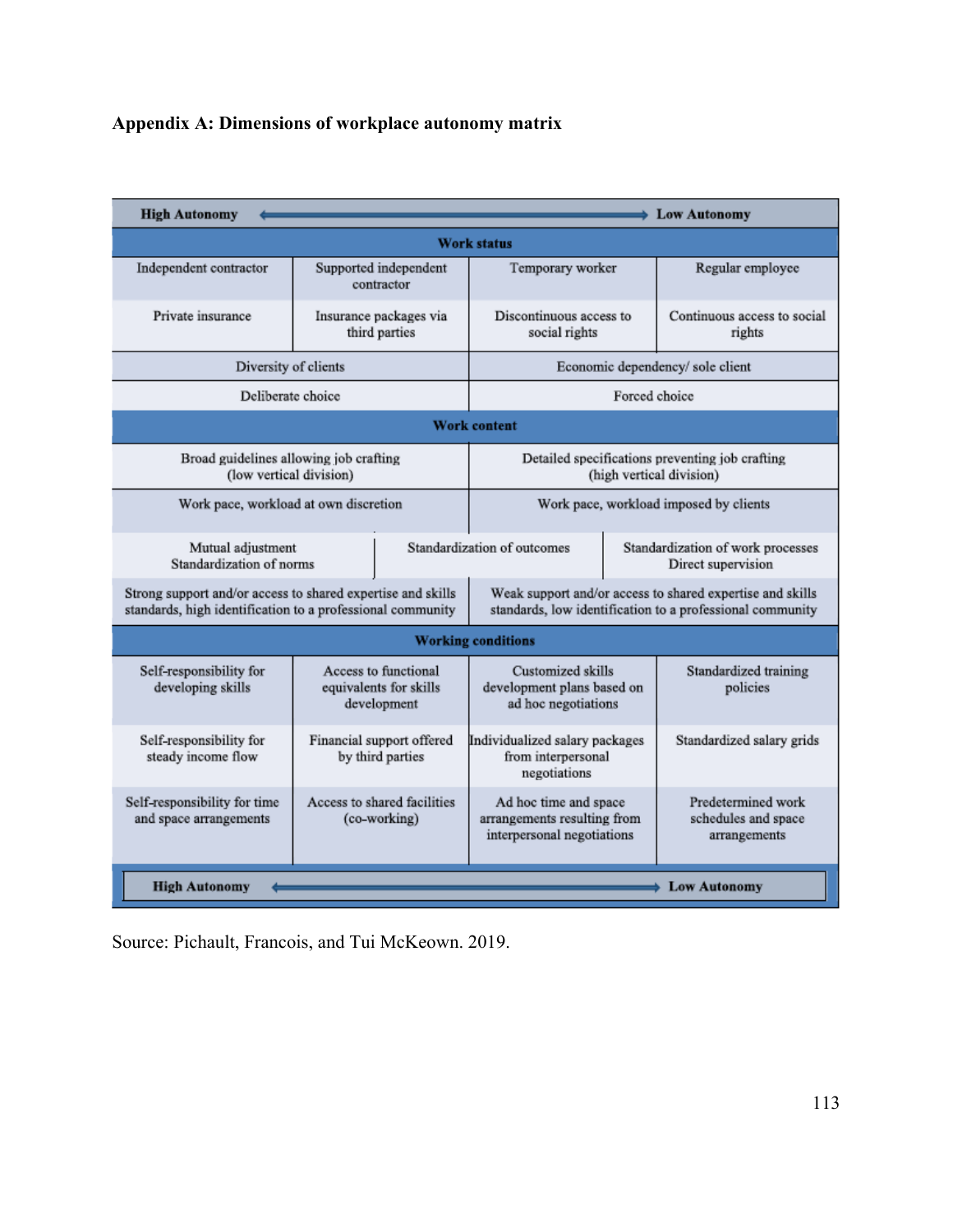# **Appendix A: Dimensions of workplace autonomy matrix**

| <b>High Autonomy</b>                                                                                                      |                                                               |  |                                                                                                                        |                                                         | <b>Low Autonomy</b>                                       |  |  |  |
|---------------------------------------------------------------------------------------------------------------------------|---------------------------------------------------------------|--|------------------------------------------------------------------------------------------------------------------------|---------------------------------------------------------|-----------------------------------------------------------|--|--|--|
| <b>Work status</b>                                                                                                        |                                                               |  |                                                                                                                        |                                                         |                                                           |  |  |  |
| Independent contractor                                                                                                    | Supported independent<br>contractor                           |  | Temporary worker                                                                                                       |                                                         | Regular employee                                          |  |  |  |
| Private insurance                                                                                                         | Insurance packages via<br>third parties                       |  | Discontinuous access to<br>social rights                                                                               |                                                         | Continuous access to social<br>rights                     |  |  |  |
| Diversity of clients                                                                                                      |                                                               |  | Economic dependency/ sole client                                                                                       |                                                         |                                                           |  |  |  |
| Deliberate choice                                                                                                         |                                                               |  | Forced choice                                                                                                          |                                                         |                                                           |  |  |  |
| <b>Work content</b>                                                                                                       |                                                               |  |                                                                                                                        |                                                         |                                                           |  |  |  |
| Broad guidelines allowing job crafting<br>(low vertical division)                                                         |                                                               |  | Detailed specifications preventing job crafting<br>(high vertical division)                                            |                                                         |                                                           |  |  |  |
| Work pace, workload at own discretion                                                                                     |                                                               |  | Work pace, workload imposed by clients                                                                                 |                                                         |                                                           |  |  |  |
| Mutual adjustment<br>Standardization of norms                                                                             |                                                               |  | Standardization of outcomes                                                                                            | Standardization of work processes<br>Direct supervision |                                                           |  |  |  |
| Strong support and/or access to shared expertise and skills<br>standards, high identification to a professional community |                                                               |  | Weak support and/or access to shared expertise and skills<br>standards, low identification to a professional community |                                                         |                                                           |  |  |  |
| <b>Working conditions</b>                                                                                                 |                                                               |  |                                                                                                                        |                                                         |                                                           |  |  |  |
| Self-responsibility for<br>developing skills                                                                              | Access to functional<br>equivalents for skills<br>development |  | Customized skills<br>development plans based on<br>ad hoc negotiations                                                 |                                                         | Standardized training<br>policies                         |  |  |  |
| Self-responsibility for<br>steady income flow                                                                             | Financial support offered<br>by third parties                 |  | Individualized salary packages<br>from interpersonal<br>negotiations                                                   |                                                         | Standardized salary grids                                 |  |  |  |
| Self-responsibility for time<br>and space arrangements                                                                    | Access to shared facilities<br>(co-working)                   |  | Ad hoc time and space<br>arrangements resulting from<br>interpersonal negotiations                                     |                                                         | Predetermined work<br>schedules and space<br>arrangements |  |  |  |
| <b>High Autonomy</b><br><b>Low Autonomy</b>                                                                               |                                                               |  |                                                                                                                        |                                                         |                                                           |  |  |  |

Source: Pichault, Francois, and Tui McKeown. 2019.